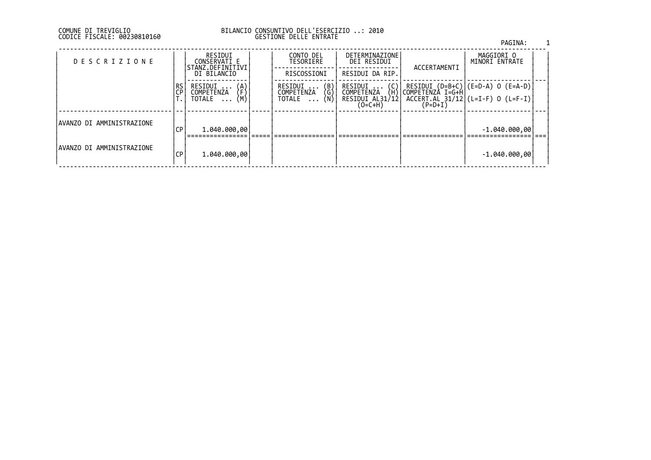### DI TREVIGLIO BILANCIO CONSUNTIVO DELL'ESERCIZIO ..: 2010 FISCALE: 00230810160 GESTIONE DELLE ENTRATE

|                            |                 |                                             |                                                   |                                            |              | PAGINA:                                                                                                                                                           |  |
|----------------------------|-----------------|---------------------------------------------|---------------------------------------------------|--------------------------------------------|--------------|-------------------------------------------------------------------------------------------------------------------------------------------------------------------|--|
| <b>DESCRIZIONE</b>         |                 | RESIDUI<br>CONSERVATI E<br>STANZ.DEFINITIVI | CONTO DEL<br>TESORIERE                            | DETERMINAZIONE<br>DEI RESIDUI              | ACCERTAMENTI | MAGGIORI O<br>MINORI ENTRATE                                                                                                                                      |  |
|                            |                 | DI BILANCIO                                 | RISCOSSIONI                                       | RESIDUI DA RIP.                            |              |                                                                                                                                                                   |  |
|                            | <b>RS</b><br>CP | RESIDUI<br>(A)<br>「F)<br>COMPETENZA         | (B)<br>(G)<br>(N)<br>RESIDUI<br><b>COMPETENZA</b> | (C)<br>RESIDUI<br><b>COMPETENZA</b><br>(H) |              | $\begin{array}{ c c c c c c }\hline \text{RESIDUI (D=B+C)} & (\text{E=D-A}) & \text{O (E=A-D)} \\ \hline \text{COMPETENZA I=G+H} & & & & & \\ \hline \end{array}$ |  |
|                            |                 | (Μ,<br>TOTALE                               | TOTALE                                            | RESIDUI AL31/12<br>$(O=C+H)$               | $(P=D+I)$    | $ACCERT. AL 31/12 (L=I-F) 0 (L=F-I)$                                                                                                                              |  |
| IAVANZO DI AMMINISTRAZIONE | СP              | 1.040.000,00                                |                                                   |                                            |              | $-1.040.000,00$                                                                                                                                                   |  |
|                            |                 |                                             |                                                   |                                            |              |                                                                                                                                                                   |  |
| IAVANZO DI AMMINISTRAZIONE | СP              | 1.040.000,00                                |                                                   |                                            |              | $-1.040.000,00$                                                                                                                                                   |  |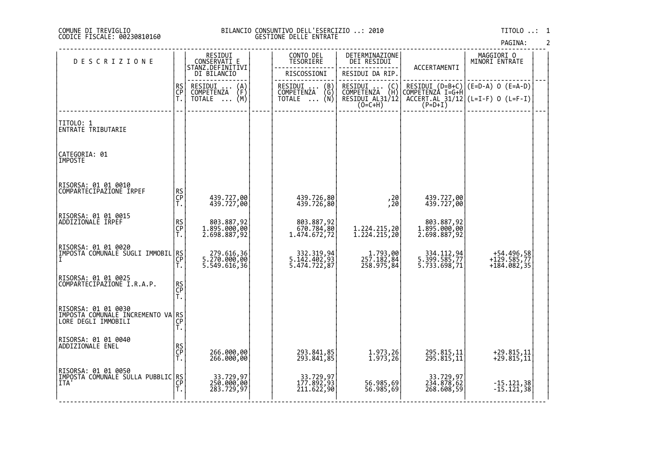#### DI TREVIGLIO BILANCIO CONSUNTIVO DELL'ESERCIZIO ..: 2010 TITOLO ..: 1 FISCALE: 00230810160 GESTIONE DELLE ENTRATE

| <b>DESCRIZIONE</b>                                                               |                | RESIDUI<br>CONSERVATI E                    | CONTO DEL<br>TESORIERE                        |                          | DETERMINAZIONE<br>DEI RESIDUI                                                        |                                                         | MAGGIORI O<br>MINORI ENTRATE |                                            |  |
|----------------------------------------------------------------------------------|----------------|--------------------------------------------|-----------------------------------------------|--------------------------|--------------------------------------------------------------------------------------|---------------------------------------------------------|------------------------------|--------------------------------------------|--|
|                                                                                  |                | STANZ.DEFINITIVI<br>DI BILANCIO            | RISCOSSIONI                                   |                          | RESIDUI DA RIP.                                                                      | ACCERTAMENTI                                            |                              |                                            |  |
|                                                                                  | RS<br>CP<br>T. | RESIDUI<br>$\binom{A}{F}$<br>COMPETENZA    | RESIDUI  (B)<br>COMPETENZA (G)<br>TOTALE  (N) |                          | RESIDUI<br>$\left(\begin{smallmatrix} C \\ H \end{smallmatrix}\right)$<br>COMPETENZA | RESIDUI $(D=B+C)$ (E=D-A) O (E=A-D)<br>COMPETENZÀ I=G+H |                              |                                            |  |
|                                                                                  |                | (M)<br>TOTALE                              |                                               |                          | RESIDUI AL31/12<br>$(0=C+H)$                                                         | $ACCERT.AL$ 31/12 (L=I-F) 0 (L=F-I)<br>$(P=D+I)$        |                              |                                            |  |
| TITOLO: 1<br>ENTRATE TRIBUTARIE                                                  |                |                                            |                                               |                          |                                                                                      |                                                         |                              |                                            |  |
| CATEGORIA: 01<br>IMPOSTE                                                         |                |                                            |                                               |                          |                                                                                      |                                                         |                              |                                            |  |
| RISORSA: 01 01 0010<br>COMPARTECIPAZIONE IRPEF                                   |                |                                            |                                               |                          |                                                                                      |                                                         |                              |                                            |  |
|                                                                                  | RS<br>CP<br>T. | 439.727,00<br>439.727,00                   |                                               | 439.726,80<br>439.726,80 | ,20<br>,20                                                                           | 439.727,00<br>439.727,00                                |                              |                                            |  |
| RISORSA: 01 01 0015                                                              |                |                                            |                                               |                          |                                                                                      |                                                         |                              |                                            |  |
| ADDIZIONALE IRPEF                                                                | RS<br>CP<br>T. | 803.887,92<br>1.895.000,00<br>2.698.887,92 | 1.474.672,72                                  | 803.887,92<br>670.784,80 | 1.224.215,20<br>1.224.215,20                                                         | 803.887,92<br>1.895.000,00<br>2.698.887,92              |                              |                                            |  |
| RISORSA: 01 01 0020<br> IMPOSTA COMUNALE SUGLI IMMOBIL RS                        |                |                                            |                                               |                          |                                                                                      |                                                         |                              |                                            |  |
|                                                                                  | СP<br>Τ.       | 279.616,36<br>5.270.000,00<br>5.549.616,36 | 332.319,94<br>5.142.402,93<br>5.474.722,87    |                          | 1.793,00<br>257.182,84<br>258.975,84                                                 | 334.112,94<br>5.399.585,77<br>5.733.698,71              |                              | +54.496,58<br>+129.585,77<br>$+184.082,35$ |  |
| RISORSA: 01 01 0025<br>COMPARTECIPAZIONE I.R.A.P.                                |                |                                            |                                               |                          |                                                                                      |                                                         |                              |                                            |  |
|                                                                                  | RS<br>CP<br>T. |                                            |                                               |                          |                                                                                      |                                                         |                              |                                            |  |
| RISORSA: 01 01 0030<br>IMPOSTA COMUNALE INCREMENTO VA RS<br> LORE DEGLI IMMOBILI | T.             |                                            |                                               |                          |                                                                                      |                                                         |                              |                                            |  |
| RISORSA: 01 01 0040                                                              |                |                                            |                                               |                          |                                                                                      |                                                         |                              |                                            |  |
| ADDIZIONALE ENEL                                                                 | RS<br>CP<br>T. | 266.000,00<br>266.000,00                   |                                               | 293.841,85<br>293.841,85 | 1.973,26<br>1.973,26                                                                 | 295.815,11<br>295.815,11                                |                              | +29.815,11<br>+29.815,11                   |  |
|                                                                                  |                |                                            |                                               |                          |                                                                                      |                                                         |                              |                                            |  |
| RISORSA: 01 01 0050<br>IMPOSTA COMUNALE SULLA PUBBLIC RS<br>ITA'                 |                | 33.729,97<br>250.000,00                    |                                               | 33.729,97<br>177.892,93  | 56.985,69                                                                            | 33.729,97<br>234.878,62                                 |                              | $-15.121,38$                               |  |
|                                                                                  | Ť.             | 283.729,97                                 |                                               | 211.622,90               | 56.985,69                                                                            | 268.608,59                                              |                              | $-15.121,38$                               |  |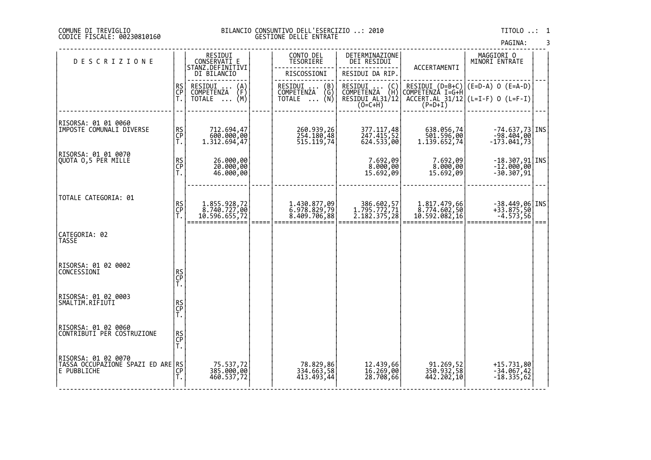#### DI TREVIGLIO BILANCIO CONSUNTIVO DELL'ESERCIZIO ..: 2010 TITOLO ..: 1 FISCALE: 00230810160 GESTIONE DELLE ENTRATE

| <b>DESCRIZIONE</b>                                                                                                      |                | RESIDUI<br>CONSERVATI E                                  | CONTO DEL<br>TESORIERE                                                             | DETERMINAZIONE<br>DEI RESIDUI                                                                   | ACCERTAMENTI                                  | MAGGIORI 0<br>MINORI ENTRATE                                                   |      |
|-------------------------------------------------------------------------------------------------------------------------|----------------|----------------------------------------------------------|------------------------------------------------------------------------------------|-------------------------------------------------------------------------------------------------|-----------------------------------------------|--------------------------------------------------------------------------------|------|
|                                                                                                                         |                | STANZ.DEFINITIVI<br>DI BILANCIO                          | RISCOSSIONI                                                                        | RESIDUI DA RIP.                                                                                 |                                               |                                                                                |      |
|                                                                                                                         | RS<br>CP<br>Ť. | RESIDUI<br>$\binom{A}{F}$<br>COMPETENZA<br>(M)<br>TOTALE | RESIDUI<br>$\begin{pmatrix} B \\ G \end{pmatrix}$<br>COMPETENZA<br>_ (Ñ)<br>TOTALE | RESIDUI<br>$\begin{pmatrix} C \\ H \end{pmatrix}$<br>COMPETENZA<br>RESIDUI AL31/12<br>$(0=C+H)$ | COMPETENZÀ I=G+H<br>$(P=D+I)$                 | RESIDUI $(D=B+C)$ $(E=D-A)$ 0 $(E=A-D)$<br>$ACCERT.AL_31/12$ (L=I-F) 0 (L=F-I) |      |
| RISORSA: 01 01 0060<br>IMPOSTE COMUNALI DIVERSE                                                                         | RS<br>CP<br>T. | 712.694,47<br>600.000,00<br>1.312.694,47                 | 260.939,26<br>254.180,48                                                           | 377.117,48<br>247.415,52<br>624.533,00                                                          | 638.056,74<br>501.596,00<br> 1.139.652,74     | $-74.637,73$ INS<br>-98.404,00<br>173.041,73                                   |      |
| RISORSA: 01 01 0070<br>QUOTA 0,5 PER MILLE                                                                              | RS<br>CP<br>T. | 26.000,00<br>20.000,00<br>46.000,00                      |                                                                                    | 7.692,09<br>8.000,00<br>15.692,09                                                               | 7.692,09<br>8.000,00<br>15.692,09             | $-18.307,91$ INS<br>$-12.000,00$<br>$-30.307,91$                               |      |
| TOTALE CATEGORIA: 01                                                                                                    | RS<br>CP<br>T. | 1.855.928,72<br>8.740.727,00<br>10.596.655,72            | 1.430.877,09<br>6.978.829,79<br>8.409.706,88                                       | 386.602,57<br>1.795.772,71<br>2.182.375,28                                                      | 1.817.479,66<br>8.774.602,50<br>10.592.082,16 | $-38.449,06$ INS<br>+33.875,50<br>$-4.573,56$                                  | $==$ |
| CATEGORIA: 02<br>TASSE                                                                                                  |                |                                                          |                                                                                    |                                                                                                 |                                               |                                                                                |      |
| RISORSA: 01 02 0002<br>CONCESSIONI                                                                                      | RS<br>CP<br>T. |                                                          |                                                                                    |                                                                                                 |                                               |                                                                                |      |
| RISORSA: 01 02 0003<br>SMALTIM.RIFIUTI                                                                                  | RS<br>CP<br>T. |                                                          |                                                                                    |                                                                                                 |                                               |                                                                                |      |
| RISORSA: 01 02 0060<br>CONTRIBUTI PER COSTRUZIONE                                                                       | RS<br>CP<br>T. |                                                          |                                                                                    |                                                                                                 |                                               |                                                                                |      |
| RISORSA: 01 02 0070<br>  NISOLO CICUPAŽĪONĚ ŠPAZI ED ARE RS<br> E PUBBLICHE<br>  TASSA OCCUPAŽĪONĚ ŠPAZI ED   CP<br> T. |                | 75.537,72<br>385.000,00<br>460.537,72                    | 78.829,86<br>334.663,58<br>413.493,44                                              | 12.439,66<br>16.269,00<br>28.708,66                                                             | 91.269,52<br>350.932,58<br>442.202,10         | +15.731,80<br>$-34.067,42$<br>$-18.335,62$                                     |      |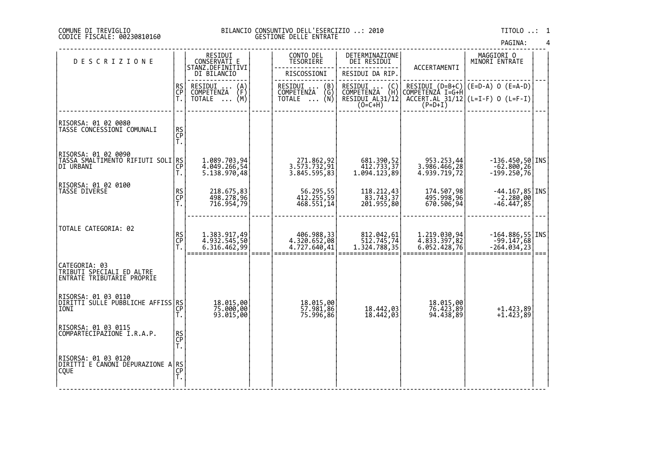#### DI TREVIGLIO BILANCIO CONSUNTIVO DELL'ESERCIZIO ..: 2010 TITOLO ..: 1 FISCALE: 00230810160 GESTIONE DELLE ENTRATE

| <b>DESCRIZIONE</b>                                                       |                | RESIDUI<br>CONSERVATI E<br>STANZ.DEFINITIVI                    | CONTO DEL<br>TESORIERE | DETERMINAZIONE<br>DEI RESIDUI                              | ACCERTAMENTI                                                                       | MAGGIORI 0<br>MINORI ENTRATE                 |                                                                                |     |
|--------------------------------------------------------------------------|----------------|----------------------------------------------------------------|------------------------|------------------------------------------------------------|------------------------------------------------------------------------------------|----------------------------------------------|--------------------------------------------------------------------------------|-----|
|                                                                          |                | DI BILANCIO                                                    |                        | RISCOSSIONI                                                | RESIDUI DA RIP.                                                                    |                                              |                                                                                |     |
|                                                                          | RS<br>CP<br>Ť. | RESIDUI<br>$\binom{A}{F}$<br>COMPETENZA<br>TOTALE $\ldots$ (M) |                        | RESIDUI<br>(B)<br>COMPETENZA<br>(G)<br>TOTALE $\ldots$ (N) | RESIDUI<br>$\begin{pmatrix} 0 \\ H \end{pmatrix}$<br>COMPETENZA<br>RESIDUI AL31/12 | COMPETENZÀ I=G+H                             | RESIDUI $(D=B+C)$ $(E=D-A)$ O $(E=A-D)$<br>$ACCERT.AL_31/12$ (L=I-F) 0 (L=F-I) |     |
|                                                                          |                |                                                                |                        |                                                            | $(O=C+H)$                                                                          | $(P=D+I)$                                    |                                                                                |     |
| RISORSA: 01 02 0080<br>TASSE CONCESSIONI COMUNALI                        | RS<br>CP<br>T. |                                                                |                        |                                                            |                                                                                    |                                              |                                                                                |     |
| RISORSA: 01 02 0090<br> TĀŠŠA SMALĪIMĒNTŎ ŘIFIUTI SOLI RS<br> DI URBANI  | T.             | 1.089.703,94<br>4.049.266,54<br>5.138.970,48                   |                        | 271.862,92<br>3.573.732,91<br>3.845.595,83                 | 681.390,52<br>412.733,37<br>1.094.123,89                                           | 953.253,44<br>3.986.466,28<br>4.939.719,72   | $-136.450,50$ INS<br>$-62.800, 26$<br>$-199.250,76$                            |     |
| RISORSA: 01 02 0100<br><b>TASSE DIVERSE</b>                              | RS<br>CP<br>T. | 218.675,83<br>498.278,96<br>716.954,79                         |                        | 56.295,55<br>412.255,59<br>468.551,14                      | 118.212,43<br>83.743,37<br>201.955,80                                              | 174.507,98<br>495.998,96<br>670.506,94       | $-44.167,85$ INS<br>$-2.280,00$<br>$-46.447,85$                                |     |
| TOTALE CATEGORIA: 02                                                     | RS<br>CP       | 1.383.917,49<br>4.932.545,50<br>6.316.462,99                   |                        | 406.988,33<br>4.320.652,08<br>4.727.640,41                 | 812.042,61<br>512.745,74<br>1.324.788,35                                           | 1.219.030,94<br>4.833.397,82<br>6.052.428,76 | $-164.886,55$ INS<br>$-99.147,68$<br>$-264.034,23$                             | === |
| CATEGORIA: 03<br>TRIBUTI SPECIALI ED ALTRE<br>ENTRATE TRIBUTARIE PROPRIE |                |                                                                |                        |                                                            |                                                                                    |                                              |                                                                                |     |
| RISORSA: 01 03 0110<br>DIRITTI SULLE PUBBLICHE AFFISS RS<br>IONI         | СP<br>T.       | 18.015,00<br>75.000,00<br>93.015,00                            |                        | 18.015,00<br>57.981,86<br>75.996,86                        | 18.442,03<br>18.442,03                                                             | 18.015,00<br>76.423,89<br>94.438,89          | $+1.423,89$<br>$+1.423,89$                                                     |     |
| RISORSA: 01 03 0115<br>COMPARTECIPAZIONE I.R.A.P.                        | RS<br>CP<br>T. |                                                                |                        |                                                            |                                                                                    |                                              |                                                                                |     |
| RISORSA: 01 03 0120<br> DIRITTI E CANONI DEPURAZIONE A RS<br><b>COUE</b> | ĈP<br>T.       |                                                                |                        |                                                            |                                                                                    |                                              |                                                                                |     |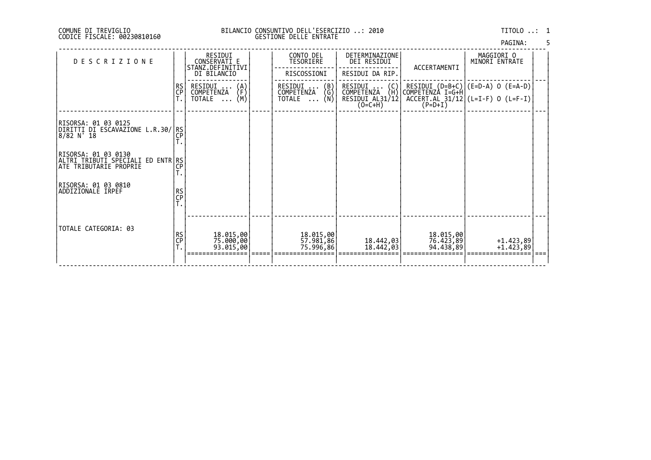### DI TREVIGLIO BILANCIO CONSUNTIVO DELL'ESERCIZIO ..: 2010 TITOLO ..: 1 FISCALE: 00230810160 GESTIONE DELLE ENTRATE

| PAGINA: |  |
|---------|--|
|         |  |

| <b>DESCRIZIONE</b>                                                                 |                 | RESIDUI<br>CONSERVATI E<br>STANZ.DEFINITIVI<br>DI BILANCIO           | CONTO DEL<br>TESORIERE<br>RISCOSSIONI         | DETERMINAZIONE<br>DEI RESIDUI<br>RESIDUI DA RIP.                  | ACCERTAMENTI           | MAGGIORI O<br>MINORI ENTRATE                                                                    |      |
|------------------------------------------------------------------------------------|-----------------|----------------------------------------------------------------------|-----------------------------------------------|-------------------------------------------------------------------|------------------------|-------------------------------------------------------------------------------------------------|------|
|                                                                                    | RS<br>CP        | RESIDUI<br>COMPETENZA<br>$\binom{A}{F}$<br>(M)<br>TOTALE<br>$\cdots$ | RESIDUI  (B)<br>COMPETENZA (G)<br>TOTALE  (N) | RESIDUI  (C) <br>COMPETENZA (H) <br>RESIDUI AL31/12 <br>$(O=C+H)$ | $(P=D+I)$              | RESIDUI (D=B+C) (E=D-A) O (E=A-D)<br> COMPETENZA I=G+H <br>$ACCERT. AL_31/12$ (L=I-F) 0 (L=F-I) |      |
| RISORSA: 01 03 0125<br>DIRITTI DI ESCAVAZIONE L.R.30/ RS <br>$8/82 N$ $18$         | ÇP              |                                                                      |                                               |                                                                   |                        |                                                                                                 |      |
| RISORSA: 01 03 0130<br>ALTRI TRIBUTI SPECIALI ED ENTR RS<br>ATE TRIBUTARIE PROPRIE | СP              |                                                                      |                                               |                                                                   |                        |                                                                                                 |      |
| RISORSA: 01 03 0810<br>ADDIZIONALE IRPEF                                           | RS<br>CP<br>T.  |                                                                      |                                               |                                                                   |                        |                                                                                                 |      |
| TOTALE CATEGORIA: 03                                                               | <b>RS</b><br>ÇP | 18.015,00<br>75.000,00<br>93.015,00                                  | 18.015,00<br>57.981,86<br>75.996,86           | 18,442,03<br>18.442,03                                            | 18.015,00<br>76.423,89 | +1.423,89<br>+1.423,89                                                                          | $==$ |
|                                                                                    |                 |                                                                      |                                               |                                                                   |                        |                                                                                                 |      |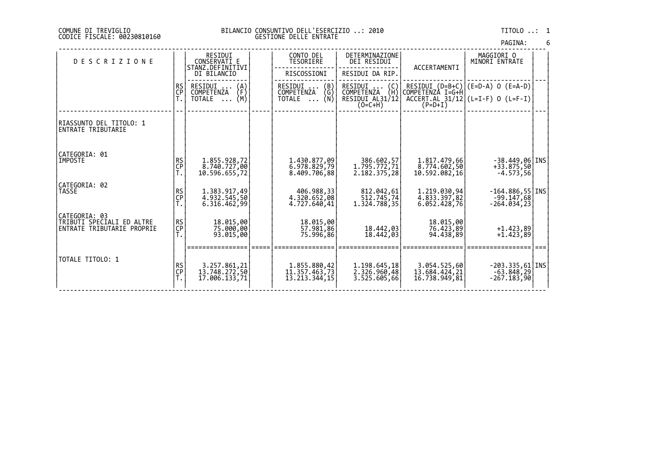#### DI TREVIGLIO BILANCIO CONSUNTIVO DELL'ESERCIZIO ..: 2010 TITOLO ..: 1 FISCALE: 00230810160 GESTIONE DELLE ENTRATE

| PAGINA: | 6 |
|---------|---|
|         |   |

| <b>DESCRIZIONE</b>                                                       |                 | RESIDUI<br>CONSERVATI E<br>STANZ.DEFINITIVI<br>DI BILANCIO | CONTO DEL<br>TESORIERE<br>RISCOSSIONI                          | DETERMINAZIONE<br>DEI RESIDUI<br>RESIDUI DA RIP.                   | ACCERTAMENTI                                   | MAGGIORI O<br>MINORI ENTRATE                                                        |  |
|--------------------------------------------------------------------------|-----------------|------------------------------------------------------------|----------------------------------------------------------------|--------------------------------------------------------------------|------------------------------------------------|-------------------------------------------------------------------------------------|--|
|                                                                          | <b>RS</b><br>CP | RESIDUI<br>$\binom{A}{F}$<br>COMPETENZA<br>(M)<br>TOTALE   | RESIDUI<br>$\binom{B}{G}$<br>COMPETENZA<br>TOTALE $\ldots$ (N) | RESIDUI<br>$\{C_H\}$<br>COMPETENZA<br>RESIDUI AL31/12<br>$(O=C+H)$ | COMPETENZÀ I=G+H<br>$(P=D+I)$                  | RESIDUI $(D=B+C)$ $(E=D-A)$ 0 $(E=A-D)$<br>$ACCERT. AL_31/12$ $(L=I-F)$ 0 $(L=F-I)$ |  |
| RIASSUNTO DEL TITOLO: 1<br>ENTRATE TRIBUTARIE                            |                 |                                                            |                                                                |                                                                    |                                                |                                                                                     |  |
| CATEGORIA: 01<br>IMPOSTE                                                 | RS<br>CP<br>T.  | 1.855.928,72<br>8.740.727,00<br>10.596.655,72              | 1.430.877,09<br>6.978.829,79<br>8.409.706,88                   | 386.602,57<br>1.795.772,71<br>2.182.375,28                         | 1.817.479,66<br>8.774.602,50<br>10.592.082,16  | $-38.449,06$   INS<br>$+33.875,50$<br>$-4.573,56$                                   |  |
| CATEGORIA: 02<br>TASSE                                                   | RS<br>CP        | 1.383.917,49<br>4.932.545,50<br>6.316.462,99               | 406.988,33<br>4.320.652,08<br>4.727.640,41                     | 812.042,61<br>512.745,74<br>1.324.788,35                           | 1.219.030,94<br>4.833.397,82<br>6.052.428,76   | $-164.886,55$ INS<br>$-99.147,68$<br>$-264.034, 23$                                 |  |
| CATEGORIA: 03<br>TRIBUTI SPECIALI ED ALTRE<br>ENTRATE TRIBUTARIE PROPRIE | RS<br>CP<br>T.  | 18.015,00<br>75.000,00<br>93.015,00                        | 18.015,00<br>57.981,86<br>75.996,86                            | 18.442,03<br>18.442,03                                             | 18.015,00<br>76.423,89<br>94.438,89            | $+1.423.89$<br>$+1.423,89$                                                          |  |
| TOTALE TITOLO: 1                                                         | RS<br>CP<br>Ť.  | 3.257.861,21<br>13.748.272,50<br>17.006.133,71             | 1.855.880,42<br>11.357.463,73<br>13.213.344,15                 | 1.198.645,18<br>2.326.960,48<br>3.525.605,66                       | 3.054.525,60<br>13.684.424,21<br>16.738.949,81 | $-203.335,61$   INS<br>$-63.848,29$<br>$-267.183,90$                                |  |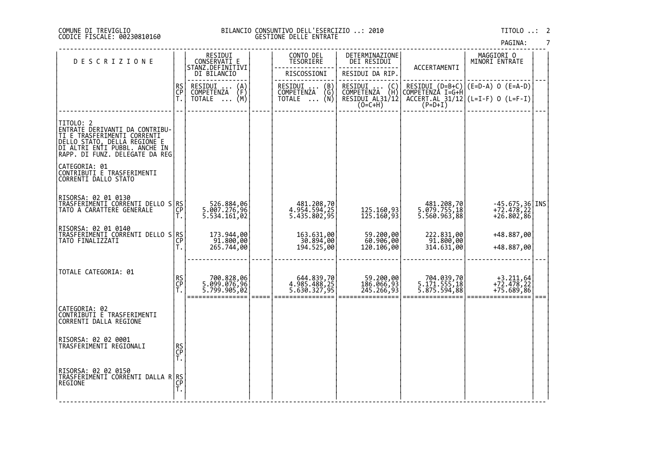#### DI TREVIGLIO BILANCIO CONSUNTIVO DELL'ESERCIZIO ..: 2010 TITOLO ..: 2 FISCALE: 00230810160 GESTIONE DELLE ENTRATE

| <b>DESCRIZIONE</b>                                                                                                                                                              |                | RESIDUI<br>CONSERVATI E                                  |                     | CONTO DEL<br>TESORIERE                                 | DETERMINAZIONE<br>DEI RESIDUI                                    | ACCERTAMENTI                               | MAGGIORI O<br>MINORI ENTRATE                    |           |
|---------------------------------------------------------------------------------------------------------------------------------------------------------------------------------|----------------|----------------------------------------------------------|---------------------|--------------------------------------------------------|------------------------------------------------------------------|--------------------------------------------|-------------------------------------------------|-----------|
|                                                                                                                                                                                 |                | STANZ.DEFINITIVI<br>DI BILANCIO                          |                     | RISCOSSIONI                                            | RESIDUI DA RIP.                                                  |                                            |                                                 |           |
|                                                                                                                                                                                 | RS<br>CP<br>T. | RESIDUI<br>$\binom{A}{F}$<br>COMPETENZA<br>(М)<br>TOTALE |                     | RESIDUI<br>(B)<br>COMPETENZA (G)<br>TOTALE  (N)        | RESIDUI<br>(C)<br>COMPETENZA (H)<br>RESIDUI AL31/12<br>$(O=C+H)$ | COMPETENZÀ I=G+Ĥ<br>$(P=D+I)$              | $ACCERT. AL_31/12$ (L=I-F) 0 (L=F-I)            |           |
|                                                                                                                                                                                 |                |                                                          |                     |                                                        |                                                                  |                                            |                                                 |           |
| TITOLO: 2<br> ENTRATE DERIVANTI DA CONTRIBU-<br>TI E TRAŠFERIMENTI (ORRENTI)<br>DELLO STATO, DELLA REGIONE E<br>DI ALTRI ENTI PUBBL. ANCHE IN<br>RAPP. DI FUNZ. DELEGATE DA REG |                |                                                          |                     |                                                        |                                                                  |                                            |                                                 |           |
| CATEGORIA: 01<br>CONTRIBUTI E TRASFERIMENTI<br>CORRENTI DALLO STATO                                                                                                             |                |                                                          |                     |                                                        |                                                                  |                                            |                                                 |           |
| RISORSA: 02 01 0130<br>TRASFERIMENTI CORRENTI DELLO S RS<br>TATO A CARATTERE GENERALE                                                                                           | Т.             | 526.884,06<br>5.007.276,96<br>5.534.161,02               |                     | 481.208,70<br>4.954.594,25<br>5.435.802,95             | 125.160,93<br>125.160,93                                         | 481.208,70<br>5.079.755,18<br>5.560.963,88 | $-45.675,36$ INS<br>+72.478,22<br>$+26.802, 86$ |           |
| RISORSA: 02 01 0140<br>TRASFERIMENTI CORRENTI DELLO S RS<br>TATO FINALIZZATI                                                                                                    | CP<br>T.       | 173.944,00<br>$\frac{61.800,000}{265.744,000}$           |                     | 163.631,00<br>30.894,00<br>  30.894,00<br>  194.525,00 | 59.200,00<br>60.906,00<br>120.106,00                             | 222.831,00<br>91.800,00<br>314.631,00      | +48.887,00<br>+48.887,00                        |           |
| TOTALE CATEGORIA: 01                                                                                                                                                            | RS<br>CP<br>T. | 06,828,06<br>96,099.076.5<br>5.799.905,02                | $=$ $=$ $=$ $=$ $=$ | 644.839,70<br>4.985.488,25<br>5.630.327,95             | 59.200,00<br>186.066,93<br>245.266,93                            | 704.039,70<br>5.171.555,18<br>5.875.594,88 | $+3.211,64$<br>$+72.478,22$<br>$+75.689,86$     | ===   === |
| CATEGORIA: 02<br>CONTRIBUTI E TRASFERIMENTI<br><b>CORRENTI DALLA REGIONE</b>                                                                                                    |                |                                                          |                     |                                                        |                                                                  |                                            |                                                 |           |
| RISORSA: 02 02 0001<br>TRASFERIMENTI REGIONALI                                                                                                                                  | RS<br>CP<br>T. |                                                          |                     |                                                        |                                                                  |                                            |                                                 |           |
| RISORSA: 02 02 0150<br>TRASFERIMĚNTÍ CŎRŔĚNTI DALLA R RS<br> REGIONE                                                                                                            | Ť.             |                                                          |                     |                                                        |                                                                  |                                            |                                                 |           |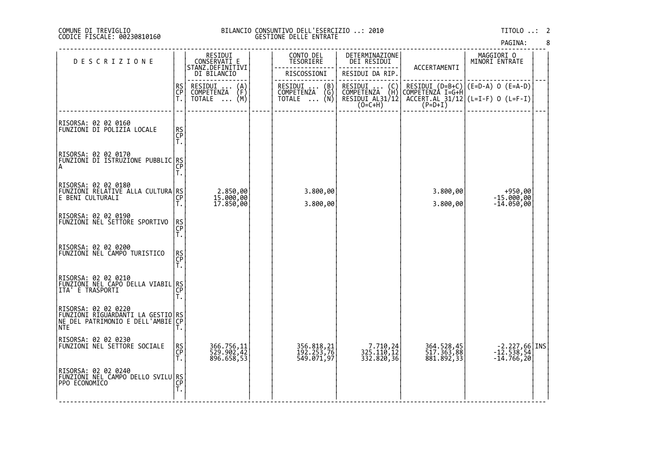#### DI TREVIGLIO BILANCIO CONSUNTIVO DELL'ESERCIZIO ..: 2010 TITOLO ..: 2 FISCALE: 00230810160 GESTIONE DELLE ENTRATE

| <b>DESCRIZIONE</b>                                                                                   |                       | RESIDUI<br>CONSERVATI E<br>STANZ.DEFINITIVI              | CONTO DEL<br>TESORIERE                        | DETERMINAZIONE<br>DEI RESIDUI                                           | ACCERTAMENTI                                       | MAGGIORI O<br>MINORI ENTRATE                                  |  |
|------------------------------------------------------------------------------------------------------|-----------------------|----------------------------------------------------------|-----------------------------------------------|-------------------------------------------------------------------------|----------------------------------------------------|---------------------------------------------------------------|--|
|                                                                                                      |                       | DI BILANCIO                                              | RISCOSSIONI                                   | RESIDUI DA RIP.                                                         |                                                    |                                                               |  |
|                                                                                                      | RS<br>CP<br>T.        | RESIDUI<br>$\binom{A}{F}$<br>COMPETENZA<br>(M)<br>TOTALE | RESIDUI  (B)<br>COMPETENZA (G)<br>TOTALE  (N) | RESIDUI<br>(C)<br>(Ĥ)<br>COMPETENZA (H)<br>RESIDUI AL31/12<br>$(O=C+H)$ | $RESIDUI (D=B+C)$<br>COMPETENZÀ I=G+Ĥ<br>$(P=D+I)$ | (E=D-A) 0 (E=A-D)<br>$ACCERT. AL_31/12$ $(L=I-F)$ 0 $(L=F-I)$ |  |
| RISORSA: 02 02 0160<br>FUNZIONI DI POLIZIA LOCALE                                                    | RS<br>CP<br>T.        |                                                          |                                               |                                                                         |                                                    |                                                               |  |
| RISORSA: 02 02 0170<br> FUNŽIONI ĎĪ ĬŠTŘŪŹĬONE PUBBLIC RS<br> A                                      | Τ.                    |                                                          |                                               |                                                                         |                                                    |                                                               |  |
| RISORSA: 02 02 0180<br>FUNZIONI RELATIVE ALLA CULTURA RS<br>E BENI CULTURALI                         | СP<br>т.              | 2.850,00<br>15.000,00<br>17.850,00                       | 3.800,00<br>3.800,00                          |                                                                         | 3.800,00<br>3.800,00                               | +950,00<br>$-15.000,00$<br>$-14.050,00$                       |  |
| RISORSA: 02 02 0190<br>FUNZIONI NEL SETTORE SPORTIVO                                                 | RS<br>CP<br>T.        |                                                          |                                               |                                                                         |                                                    |                                                               |  |
| RISORSA: 02 02 0200<br> FUNZIONI NEL CAMPO TURISTICO                                                 | <b>RS</b><br>CP<br>Τ. |                                                          |                                               |                                                                         |                                                    |                                                               |  |
| RISORSA: 02 02 0210<br><u>FUNZIONI NEL CAP</u> O DELLA VIABIL RS<br>ITA' E TRASPORTI                 | ĈP<br>Т.              |                                                          |                                               |                                                                         |                                                    |                                                               |  |
| RISORSA: 02 02 0220<br>FUNZIONI RIGUARDANTI LA GESTIO RS<br>NE DEL PATRIMONIO E DELL'AMBIE CP<br>NTE |                       |                                                          |                                               |                                                                         |                                                    |                                                               |  |
| RISORSA: 02 02 0230<br> FUNZIONI NEL SETTORE SOCIALE                                                 | RS<br>CP<br>Τ.        | 366.756,11<br>529.902,42<br>896.658,53                   | 356.818,21<br>192.253,76<br>549.071,97        | 7.710,24<br>325.110,12<br>332.820,36                                    | 364.528,45<br>517.363,88<br>881.892,33             | -2.227,66 INS<br>-12.538,54<br>-14.766,20                     |  |
| RISORSA: 02 02 0240<br> FUNZIONI NEL CAMPO DELLO SVILU RS<br> PPO ECONOMICO                          | Ť.                    |                                                          |                                               |                                                                         |                                                    |                                                               |  |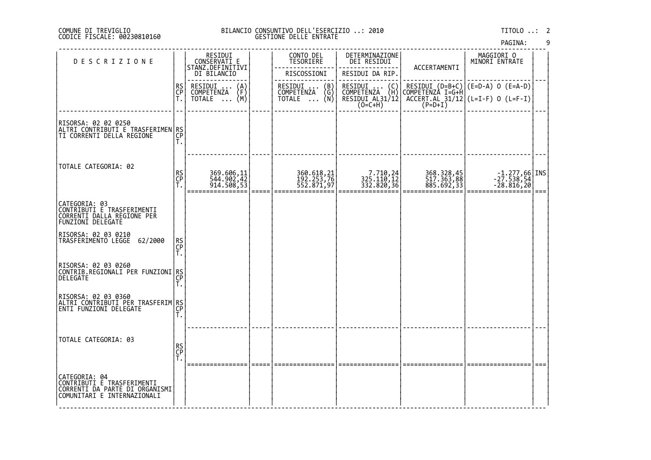#### DI TREVIGLIO BILANCIO CONSUNTIVO DELL'ESERCIZIO ..: 2010 TITOLO ..: 2 FISCALE: 00230810160 GESTIONE DELLE ENTRATE

| <b>DESCRIZIONE</b>                                                                                  |                 | RESIDUI<br>CONSERVATI E<br>STANZ.DEFINITIVI         | CONTO DEL<br>TESORIERE                 | DETERMINAZIONE<br>DEI RESIDUI                                                          | ACCERTAMENTI                           | MAGGIORI 0<br>MINORI ENTRATE                           |  |
|-----------------------------------------------------------------------------------------------------|-----------------|-----------------------------------------------------|----------------------------------------|----------------------------------------------------------------------------------------|----------------------------------------|--------------------------------------------------------|--|
|                                                                                                     |                 | DI BILANCIO                                         | RISCOSSIONI                            | RESIDUI DA RIP.                                                                        |                                        |                                                        |  |
|                                                                                                     | <b>RS</b><br>CP | RESIDUI<br>$\binom{A}{F}$<br>$\cdots$<br>COMPETENZA | RESIDUI  (B)<br>COMPETENZA (G)         | RESIDUI<br>COMPETENZA<br>$\left\{\begin{smallmatrix} C \\ H \end{smallmatrix}\right\}$ |                                        | RESIDUI (D=B+C) (E=D-A) 0 (E=A-D)<br> COMPETENZA I=G+H |  |
|                                                                                                     | Τ.              | TOTALE  (M)                                         | TOTALE $\ldots$ (N)                    | RESIDUI AL31/12<br>(O=C+H)                                                             | $(P=D+I)$                              | $ACCERT.AL_31/12$ (L=I-F) 0 (L=F-I)                    |  |
| RISORSA: 02 02 0250<br> ALTRI CONTRIBUTI E TRASFERIMEN RS <br> CP                                   |                 |                                                     |                                        |                                                                                        |                                        |                                                        |  |
|                                                                                                     | Τ.              |                                                     |                                        |                                                                                        |                                        |                                                        |  |
| TOTALE CATEGORIA: 02                                                                                |                 |                                                     |                                        |                                                                                        |                                        |                                                        |  |
|                                                                                                     | RS<br>CP<br>Τ.  | 369.606,11<br>544.902,42<br>914.508,53              | 360.618,21<br>192.253,76<br>552.871,97 | 7.710,24<br>325.110,12<br>332.820,36                                                   | 368.328,45<br>517.363,88<br>885.692,33 | $-1.277,66$ INS<br>$-27.538,54$<br>$-28.816,20$        |  |
|                                                                                                     |                 |                                                     |                                        |                                                                                        |                                        |                                                        |  |
| CATEGORIA: 03<br>CONTRIBUTI E TRASFERIMENTI<br>CORRENTI DALLA REGIONE PER<br>FUNZIONI DELEGATE      |                 |                                                     |                                        |                                                                                        |                                        |                                                        |  |
| RISORSA: 02 03 0210<br>TRASFERIMENTO LEGGE<br>62/2000                                               | RS<br>CP<br>Τ.  |                                                     |                                        |                                                                                        |                                        |                                                        |  |
| RISORSA: 02 03 0260<br> CONTRIB.REGIONALI PER FUNZIONI RS<br><b>DELEGATE</b>                        | CP<br>Τ.        |                                                     |                                        |                                                                                        |                                        |                                                        |  |
| RISORSA: 02 03 0360<br>  <u>ALTRI_CONTRIBUTI</u> _PER_TRASFERIM RS<br><b>ENTI FUNZIONI DELEGATE</b> | CP<br>Τ.        |                                                     |                                        |                                                                                        |                                        |                                                        |  |
| TOTALE CATEGORIA: 03                                                                                |                 |                                                     |                                        |                                                                                        |                                        |                                                        |  |
|                                                                                                     | RS<br>CP<br>T.  |                                                     |                                        |                                                                                        |                                        |                                                        |  |
| CATEGORIA: 04<br>CONTRIBUTI E TRASFERIMENTI<br>CORRENTI DA PARTE DI ORGANISMI                       |                 |                                                     |                                        |                                                                                        |                                        |                                                        |  |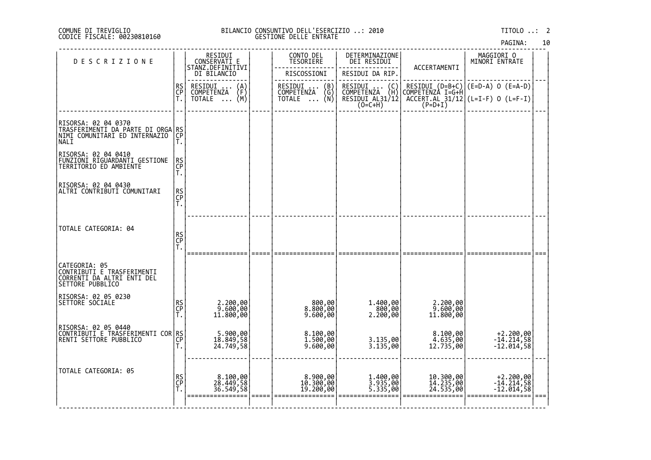#### DI TREVIGLIO BILANCIO CONSUNTIVO DELL'ESERCIZIO ..: 2010 TITOLO ..: 2 FISCALE: 00230810160 GESTIONE DELLE ENTRATE

|  | PAGINA: | 10 |  |
|--|---------|----|--|
|  |         |    |  |

| <b>DESCRIZIONE</b>                                                                                       |                | RESIDUI<br>CONSERVATI E                        | CONTO DEL<br>TESORIERE             | DETERMINAZIONE<br>DEI RESIDUI                                           |                                     | MAGGIORI 0<br>MINORI ENTRATE                              |  |
|----------------------------------------------------------------------------------------------------------|----------------|------------------------------------------------|------------------------------------|-------------------------------------------------------------------------|-------------------------------------|-----------------------------------------------------------|--|
|                                                                                                          |                | STANZ.DEFINITIVI<br>DI BILANCIO                | RISCOSSIONI                        | RESIDUI DA RIP.                                                         | ACCERTAMENTI                        |                                                           |  |
|                                                                                                          | RS<br>CP<br>T. | RESIDUI<br>$\binom{A}{F}$<br><b>COMPETENZA</b> | RESIDUI  (B)<br>COMPETENZA (G)     | RESIDU <u>I</u><br>$\begin{pmatrix} C \\ H \end{pmatrix}$<br>COMPETENZA |                                     | RESIDUI (D=B+C) (E=D-A) 0 (E=A-D)<br>COMPETENZA I=G+H     |  |
|                                                                                                          |                | (M)<br>TOTALE<br>$\cdots$                      | (N)<br>TOTALE                      | RESIDUI AL31/12<br>(O=C+H)                                              |                                     | $\overline{ACCERT.RL}$ 31/12 (L=I-F) 0 (L=F-I)<br>(P=D+I) |  |
| RISORSA: 02 04 0370<br> TRASFERIMENTI DA PARTE DI ORGA RS<br>!!!!! ^^^*'""TART FD INTERNAZIO  CP<br>NALI | Τ.             |                                                |                                    |                                                                         |                                     |                                                           |  |
| RISORSA: 02 04 0410<br> EUNZIONI_RIGUARDANTI_GESTIONE<br>TERRITORIO ED AMBIENTE                          | RS<br>CP<br>T. |                                                |                                    |                                                                         |                                     |                                                           |  |
| RISORSA: 02 04 0430<br>ALTRI CONTRIBUTI COMUNITARI                                                       | RS<br>CP<br>T. |                                                |                                    |                                                                         |                                     |                                                           |  |
| TOTALE CATEGORIA: 04                                                                                     | RS<br>CP<br>T. |                                                |                                    |                                                                         |                                     |                                                           |  |
| CATEGORIA: 05<br>CONTRIBUTI E TRASFERIMENTI<br>CORRENTI DA ALTRI ENTI DEL<br>SETTORE PUBBLICO            |                |                                                |                                    |                                                                         |                                     |                                                           |  |
| RISORSA: 02 05 0230<br>SETTORE SOCIALE                                                                   | RS<br>CP<br>T. | 2.200,00<br>9.600,00<br>11.800,00              | 800,00<br>8.800,00<br>9.600,00     | 1.400,00<br>800,00<br>2.200,00                                          | 2.200,00<br>9.600,00<br>11.800,00   |                                                           |  |
| RISORSA: 02 05 0440<br> CONTRIBUTI E TRASFERIMENTI COR RS <br> CONTRIBUTI E PUBBLICO                     | Ť.             | 5.900,00<br>18.849,58<br>24.749,58             | 8.100,00<br>1.500,00<br>9.600,00   | 3.135,00<br>3.135,00                                                    | 8.100,00<br>4.635,00<br>12.735,00   | $+2.200,00$<br>-14.214,58<br>-12.014,58                   |  |
| TOTALE CATEGORIA: 05                                                                                     | RS<br>CP<br>T. | 8.100,00<br>28.449,58<br>36.549,58             | 8.900,00<br>10.300,00<br>19.200,00 | 1.400,00<br>3.935,00<br>5.335,00                                        | 10.300,00<br>14.235,00<br>24.535,00 | $+2.200,00$<br>-14.214,58<br>$-12.014,58$                 |  |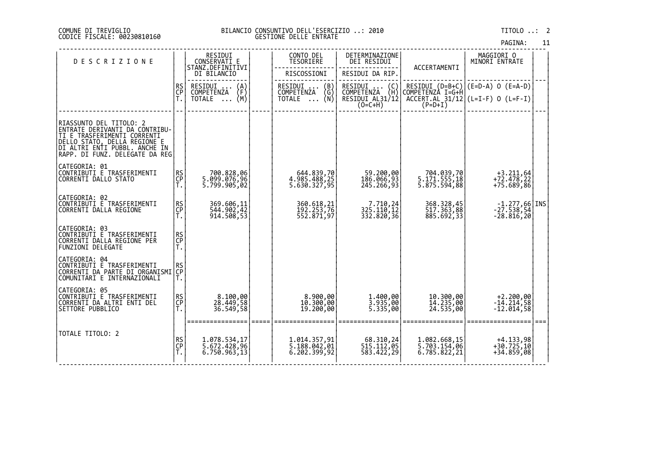#### DI TREVIGLIO BILANCIO CONSUNTIVO DELL'ESERCIZIO ..: 2010 TITOLO ..: 2 FISCALE: 00230810160 GESTIONE DELLE ENTRATE

| PAGINA: | 11 |
|---------|----|
|         |    |

| <b>DESCRIZIONE</b>                                                                                                                                                                           |                | RESIDUI<br>CONSERVATI E                      | CONTO DEL<br>TESORIERE                        | DETERMINAZIONE<br>DEI RESIDUI                                              | ACCERTAMENTI                                  | MAGGIORI O<br>MINORI ENTRATE                                          |     |
|----------------------------------------------------------------------------------------------------------------------------------------------------------------------------------------------|----------------|----------------------------------------------|-----------------------------------------------|----------------------------------------------------------------------------|-----------------------------------------------|-----------------------------------------------------------------------|-----|
|                                                                                                                                                                                              |                | STANZ.DEFINITIVI<br>DI BILANCIO              | RISCOSSIONI                                   | RESIDUI DA RIP.                                                            |                                               |                                                                       |     |
|                                                                                                                                                                                              | RS<br>CP       | RESIDUI<br>$\binom{A}{F}$<br>COMPETENZA      | RESIDUI  (B)<br>COMPETENZA (G)<br>TOTALE  (N) | RESIDUI<br>COMPETENZA<br>RESIDUI  (C)<br>COMPETENZA (H)<br>RESIDUI AL31/12 |                                               | RESIDUI (D=B+C) (E=D-A) O (E=A-D)<br>COMPETENZA I=G+H                 |     |
|                                                                                                                                                                                              | Ť.             | (M)<br>TOTALE                                |                                               | $(0=C+H)$                                                                  | $(P=D+I)$                                     | $ACCENT.AL_31/12$ $(L=I-F)$ 0 $(L=F-I)$                               |     |
|                                                                                                                                                                                              |                |                                              |                                               |                                                                            |                                               |                                                                       |     |
| RIASSUNTO DEL TITOLO: 2<br>ENTRATE DERIVANTI DA CONTRIBU-<br>TI E TRASFERIMENTI CORRENTI<br>DELLO STATO, DELLA REGIONE E<br> DI ALTRI ENTI PUBBL. ANCHE IN<br>RAPP. DI FUNZ. DELEGATE DA REG |                |                                              |                                               |                                                                            |                                               |                                                                       |     |
| CATEGORIA: 01<br>CONTRIBUTI E TRASFERIMENTI<br>CORRENTI DALLO STATO                                                                                                                          | RS<br>CP<br>T. | ,700.828,06<br>5.099.076,96<br> 5.799.905,02 | 644.839,70<br>4.985.488,25<br>5.630.327,95    | 59.200,00<br>186.066,93<br>245.266,93                                      | 704.039,70<br> 5.171.555,18<br>5.875.594,88   | $+3.211,64$<br>$+72.478,22$<br>$+75.689,86$                           |     |
| CATEGORIA: 02<br>CONTRIBUTI E TRASFERIMENTI<br>CORRENTI DALLA REGIONE                                                                                                                        | RS<br>CP<br>T. | 369.606,11<br>544.902,42<br>914.508,53       | 360.618,21<br>192.253,76<br>552.871,97        | 7.710,24<br>325.110,12<br>332.820,36                                       | 368.328,45<br>517.363,88<br>885.692,33        | $\begin{bmatrix} -1.277,66 \\ -27.538,54 \\ -28.816,20 \end{bmatrix}$ |     |
| CATEGORIA: 03<br>CONTRIBUTI E TRASFERIMENTI<br>CORRENTI DALLA REGIONE PER<br><b>FUNZIONI DELEGATE</b>                                                                                        | RS<br>CP<br>Ť. |                                              |                                               |                                                                            |                                               |                                                                       |     |
| CATEGORIA: 04<br>CONTRIBUTI È TRASFERIMENTI<br>CORRENTI DA PARTE DI ORGANISMI<br>COMUNITARI E INTERNAZIONALI                                                                                 | RS<br>CP<br>Τ. |                                              |                                               |                                                                            |                                               |                                                                       |     |
| CATEGORIA: 05<br>CONTRIBUTI E TRASFERIMENTI<br>CORRENTI DA ALTRI ENTI DEL<br>SETTORE PUBBLICO                                                                                                | RS<br>CP<br>T. | 8.100,00<br>28.449,58<br>36.549,58           | 8.900,00<br>10.300,00<br>19.200,00            | 1.400,00<br>3.935,00<br>5.335,00                                           | 10.300,00<br>14.235,00<br>24.535,00           | $+2.200,00$<br>$-14.214,58$<br>$-12.014,58$                           |     |
| TOTALE TITOLO: 2                                                                                                                                                                             | RS<br>CP<br>Ť. | 1.078.534,17<br>5.672.428,96<br>6.750.963,13 | 1.014.357,91<br>5.188.042,01<br>6.202.399,92  | 68.310,24<br>515.112,05<br>583.422,29                                      | 1.082.668,15<br>5.703.154,06<br>6.785.822, 21 | $+4.133,98$<br>$+30.725,10$<br>$+34.859,08$                           | === |
|                                                                                                                                                                                              |                |                                              |                                               |                                                                            |                                               |                                                                       |     |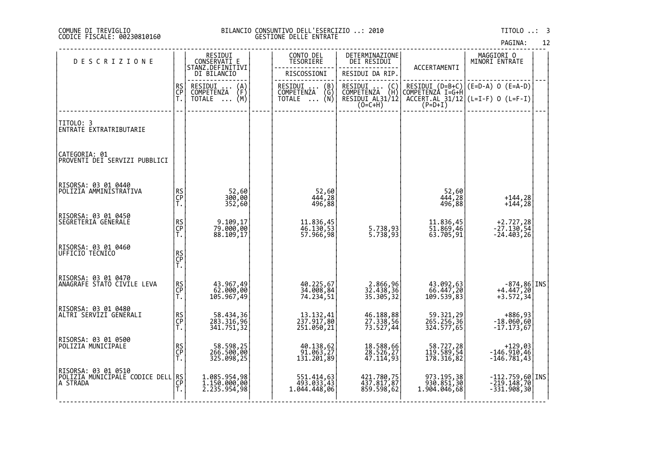#### DI TREVIGLIO BILANCIO CONSUNTIVO DELL'ESERCIZIO ..: 2010 TITOLO ..: 3 FISCALE: 00230810160 GESTIONE DELLE ENTRATE

| <b>DESCRIZIONE</b>                                                |                | RESIDUI<br>CONSERVATI E                        | CONTO DEL<br>TESORIERE                                                  | DETERMINAZIONE<br>DEI RESIDUI                                   |                                          | MAGGIORI 0<br>MINORI ENTRATE                                                                                        |  |
|-------------------------------------------------------------------|----------------|------------------------------------------------|-------------------------------------------------------------------------|-----------------------------------------------------------------|------------------------------------------|---------------------------------------------------------------------------------------------------------------------|--|
|                                                                   |                | STANZ.DEFINITIVI<br>DI BILANCIO                | RISCOSSIONI                                                             | RESIDUI DA RIP.                                                 | ACCERTAMENTI                             |                                                                                                                     |  |
|                                                                   | RS<br>CP<br>T. | RESIDUI<br>$\binom{A}{F}$<br><b>COMPETENZA</b> | RESIDUI  (B)<br>COMPETENZA (G)<br>TOTALE  (N)                           | RESIDUI<br>$\begin{pmatrix} C \\ H \end{pmatrix}$<br>COMPETENZA |                                          | RESIDUI (D=B+C) (E=D-A) 0 (E=A-D)<br>COMPETENZA I=G+H                                                               |  |
|                                                                   |                | (M)<br>TOTALE<br>$\cdots$                      |                                                                         | RESIDUI AL31/12<br>$(0=C+H)$                                    |                                          | $\left[\begin{array}{cc} \text{ACCERT.AL} & 31/12 \\ \text{ACCERT.AL} & 31/12 \end{array}\right]$ (L=I-F) 0 (L=F-I) |  |
| TITOLO: 3<br>ENTRATE EXTRATRIBUTARIE                              |                |                                                |                                                                         |                                                                 |                                          |                                                                                                                     |  |
| CATEGORIA: 01<br>PROVENTI DEI SERVIZI PUBBLICI                    |                |                                                |                                                                         |                                                                 |                                          |                                                                                                                     |  |
| RISORSA: 03 01 0440<br>POLIZIA AMMINISTRATIVA                     | RS<br>CP<br>T. | 52,60<br>300,00<br>352,60                      | 52,60<br>444,28<br>496,88                                               |                                                                 | 52,60<br>444,28<br>496,88                | $+144, 28$<br>$+144,28$                                                                                             |  |
| RISORSA: 03 01 0450<br>SEGRETERIA GENERALE                        | RS<br>CP<br>T. | 9.109,17<br>79.000,00<br>88.109,17             | 11.836,45<br>46.130,53<br>57.966,98                                     | 5.738,93<br>5.738,93                                            | 11.836,45<br>51.869,46<br>63.705,91      | +2.727,28<br>-27.130,54<br>-24.403,26                                                                               |  |
| RISORSA: 03 01 0460<br>UFFICIO TECNICO                            | RS<br>CP<br>T. |                                                |                                                                         |                                                                 |                                          |                                                                                                                     |  |
| RISORSA: 03 01 0470<br> ANAGRAFE STATO CIVILE LEVA                | RS<br>CP<br>T. | 43.967,49<br>62.000,00<br>105.967,49           | 40.225,67<br>34.008,84<br>74.234,51                                     | 2.866,96<br>32.438,36<br>35.305,32                              | 43.092,63<br>66.447,20<br>109.539,83     | $-874,86$ INS<br>$+4.447,20$<br>$+3.572, 34$                                                                        |  |
| RISORSA: 03 01 0480<br>ALTRI SERVIZI GENERALI                     | RS<br>CP<br>T. | 58.434,36<br>283.316,96<br>341.751,32          | 13.132,41<br>237.917,80<br>251.050,21                                   | 46.188,88<br>27.338,56<br>73.527,44                             | 59.321,29<br>265.256,36<br>324.577,65    | +886,93<br>-18.060,60<br>-17.173,67                                                                                 |  |
| RISORSA: 03 01 0500<br>POLIZIA MUNICIPALE                         | RS<br>CP<br>T. | 58.598,25<br>266.500,00<br>325.098,25          | 40.138,62<br>91.063,27<br>$13\overline{1}.\overline{201},\overline{89}$ | 18.588,66<br>28.526,27<br>47.114,93                             | 58.727,28<br>119.589,54<br>178.316,82    | $+129,03$<br>$-146.910,46$<br>$-146.781,43$                                                                         |  |
| RISORSA: 03 01 0510<br> POLIZIA MUNICIPALE CODICE DELL RS <br> CP | Ť.             | 1.085.954,98<br>1.150.000,00<br>2.235.954,98   | 551.414,63<br>493.033,43<br>1.044.448,06                                | 421.780,75<br>437.817,87<br>859.598,62                          | 973.195,38<br>930.851,30<br>1.904.046,68 | $-112.759,60$ INS<br>$-219.148,70$<br>$-331.908,30$                                                                 |  |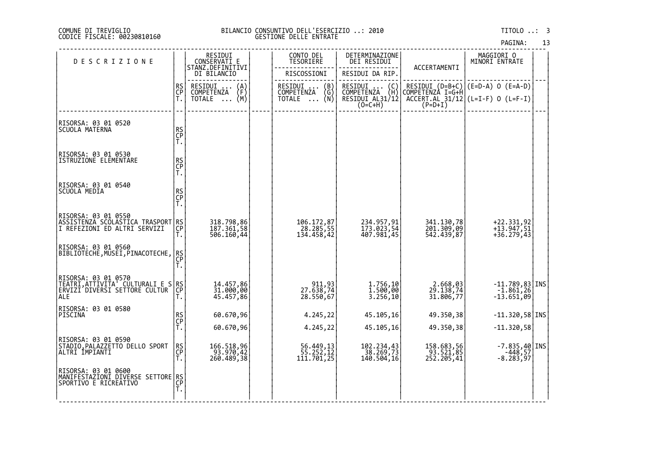#### DI TREVIGLIO BILANCIO CONSUNTIVO DELL'ESERCIZIO ..: 2010 TITOLO ..: 3 FISCALE: 00230810160 GESTIONE DELLE ENTRATE

| <b>DESCRIZIONE</b>                                                                                                        |                       | RESIDUI<br>CONSERVATI E                                  | CONTO DEL<br>TESORIERE                                   | DETERMINAZIONE<br>DEI RESIDUI                                    |                                                  | MAGGIORI O<br>MINORI ENTRATE                                  |  |
|---------------------------------------------------------------------------------------------------------------------------|-----------------------|----------------------------------------------------------|----------------------------------------------------------|------------------------------------------------------------------|--------------------------------------------------|---------------------------------------------------------------|--|
|                                                                                                                           |                       | STANZ.DEFINITIVI<br>DI BILANCIO                          | RISCOSSIONI                                              | RESIDUI DA RIP.                                                  | ACCERTAMENTI                                     |                                                               |  |
|                                                                                                                           | RS<br>CP<br>T.        | RESIDUI<br>$\binom{A}{F}$<br>COMPETENZA<br>(M)<br>TOTALE | RESIDUI<br>(B)<br>$\binom{G}{N}$<br>COMPETENZA<br>TOTALE | RESIDUI<br>(C)<br>COMPETENZA (H)<br>RESIDUI AL31/12<br>$(O=C+H)$ | RESIDUI (D=B+C)<br>COMPETENZÀ I=G+Ĥ<br>$(P=D+I)$ | $(E=D-A)$ O $(E=A-D)$<br>$ACCERT. AL_31/12$ (L=I-F) 0 (L=F-I) |  |
| RISORSA: 03 01 0520<br>SCUOLA MATERNA                                                                                     | RS<br>CP<br>T.        |                                                          |                                                          |                                                                  |                                                  |                                                               |  |
| RISORSA: 03 01 0530<br>ISTRUZIONE ELEMENTARE                                                                              | RS<br>CP<br>T.        |                                                          |                                                          |                                                                  |                                                  |                                                               |  |
| RISORSA: 03 01 0540<br>SCUOLA MEDIA                                                                                       | RS<br>CP<br>T.        |                                                          |                                                          |                                                                  |                                                  |                                                               |  |
| RISORSA: 03 01 0550<br>ASSISTENZA SCOLASTICA TRASPORT RS<br>I REFEZIONI ED ALTRI SERVIZI  CP<br> T.                       |                       | 318.798,86<br>187.361,58<br>506.160,44                   | 106.172,87<br>28.285,55<br>134.458,42                    | 234.957,91<br>173.023,54<br>407.981,45                           | 341.130,78<br>201.309,09<br>542.439,87           | +22.331,92<br>+13.947,51<br>$+36.279,43$                      |  |
| RISORSA: 03 01 0560<br> BIBLIOTECHE,MUSEI,PINACOTECHE,                                                                    | <b>RS</b><br>CP<br>Т. |                                                          |                                                          |                                                                  |                                                  |                                                               |  |
| RISORSA: 03 01 0570<br> TEATRI,ATTIVITA' CULTURALI E S <sup> </sup> RS <br><u> TEATRI,ATTIVITA' CETTORE CULTUR</u><br>ALE | Т.                    | 14.457,86<br>31.000,00<br>45.457,86                      | 911,93<br>27.638,74<br>28.550,67                         | 1.756,10<br>1.500,00<br>3.256,10                                 | 2.668,03<br>29.138,74<br>31.806,77               | $-11.789, 83$ INS<br>$-1.861, 26$<br>$-13.651,09$             |  |
| RISORSA: 03 01 0580<br>PISCINA                                                                                            | RS<br>CP<br>T.        | 60.670,96<br>60.670,96                                   | 4.245,22<br>4.245,22                                     | 45.105,16<br>45.105,16                                           | 49.350,38<br>49.350,38                           | $-11.320,58$ INS<br>$-11.320,58$                              |  |
| RISORSA: 03 01 0590<br>STADIO,PALAZZETTO DELLO SPORT<br>ALTRI İMPIANTI                                                    | RS<br>CP<br>Τ.        | 166.518,96<br>$\frac{183.970,42}{260.489,38}$            | 56.449,13<br>55.252,12<br>111.701,25                     | 102.234,43<br>38.269,73<br>140.504,16                            | 158.683,56<br>$\frac{63.521,85}{252.205,41}$     | $-7.835,40$ INS<br>$-448,57$<br>-8.283,97                     |  |
| RISORSA: 03 01 0600<br> MANIFESTAZIONI DIVERSE SETTORE RS<br> SPORTIVO E RICREATIVO                                       | Ť.                    |                                                          |                                                          |                                                                  |                                                  |                                                               |  |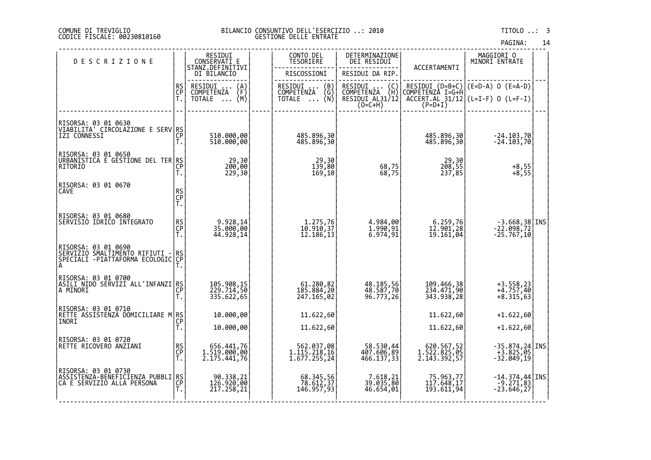#### COMUNE DI TREVIGLIO BILANCIO CONSUNTIVO DELL'ESERCIZIO ..: 2010 TITOLO ..: 3 CODICE FISCALE: 00230810160 GESTIONE DELLE ENTRATE

|                                                                                              |                       |                                                                                                   |                                                                                                            |                                                                                                                      |                                                                     | PAGINA:                                                                        | 14 |
|----------------------------------------------------------------------------------------------|-----------------------|---------------------------------------------------------------------------------------------------|------------------------------------------------------------------------------------------------------------|----------------------------------------------------------------------------------------------------------------------|---------------------------------------------------------------------|--------------------------------------------------------------------------------|----|
| <b>DESCRIZIONE</b>                                                                           |                       | RESIDUI<br>CONSERVATI E<br>STANZ.DEFINITIVI                                                       | CONTO DEL<br><b>TESORIERE</b>                                                                              | DETERMINAZIONE<br>DEI RESIDUI                                                                                        | ACCERTAMENTI                                                        | MAGGIORI 0<br>MINORI ENTRATE                                                   |    |
|                                                                                              |                       | DI BILANCIO                                                                                       | RISCOSSIONI                                                                                                | RESIDUI DA RIP.                                                                                                      |                                                                     |                                                                                |    |
|                                                                                              | RS<br>CP<br>T.        | RESIDUI<br>COMPETENZA<br>$\begin{Bmatrix} A \\ F \\ M \end{Bmatrix}$<br><b>TOTALE</b><br>$\ddots$ | RESIDUI<br>$\begin{pmatrix} B \\ G \end{pmatrix}$<br><b>COMPETENZA</b><br>(Ñ)<br><b>TOTALE</b><br>$\ddots$ | RESIDUI<br>$\left(\begin{smallmatrix} 0 \\ H \end{smallmatrix}\right)$<br>COMPETENZA<br>RESIDUI AL31/12<br>$(0=C+H)$ | RESIDUI (D=B+C)<br>COMPETENZÀ I=G+H<br>ACCERT.AL_31/12<br>$(P=D+I)$ | $(E=D-A)$ O $(E=A-D)$<br>$(L=I-F)$ 0 $(L=F-I)$                                 |    |
| RISORSA: 03 01 0630<br>VIABILITA <sup>Y</sup> CĬRCŎĽÁŽIONE E SERV RS<br> IZI CONNESSI        | Ť.                    | 510.000,00<br>510.000,00                                                                          | 485.896,30<br>485.896,30                                                                                   |                                                                                                                      | 485.896,30<br>485.896,30                                            | -24.103,70<br>-24.103,70                                                       |    |
| RISORSA: 03 01 0650<br> URBANISTICA E GESTIONE DEL TER RS <br> CP                            | Τ.                    | 29,30<br>200,00<br>229,30                                                                         | 29,30<br>139,80<br>169,10                                                                                  | 68,75<br>68,75                                                                                                       | 29,30<br>208,55<br>237,85                                           | $+8,55$<br>+8,55                                                               |    |
| RISORSA: 03 01 0670<br><b>CAVE</b>                                                           | RS<br>CP<br>T.        |                                                                                                   |                                                                                                            |                                                                                                                      |                                                                     |                                                                                |    |
| RISORSA: 03 01 0680<br>SERVISIO IDRICO INTEGRATO                                             | RS<br>CP<br>T.        | 9.928,14<br>35.000,00<br>44.928,14                                                                | 1.275,76<br>10.910,37<br>12.186,13                                                                         | 4.984,00<br>1.990,91<br>6.974,91                                                                                     | 6.259,76<br>12.901,28<br>19.161,04                                  | -3.668,38 INS<br>-22.098,72<br>-25.767,10                                      |    |
| RISORSA: 03 01 0690<br>SERVIZIO SMALTIMENTO RIFIUTI -<br>SPECIALI -PIATTAFORMA ECOLOGIC<br>А | RS<br>CP<br>T.        |                                                                                                   |                                                                                                            |                                                                                                                      |                                                                     |                                                                                |    |
| RISORSA: 03 01 0700<br> ASILI NIDŎ SĚŘVĬŹĬ ALL'INFANZI RS<br> A MINORI                       | Τ.                    | 105.908,15<br>229.714,50<br>335.622,65                                                            | 61.280,82<br>185.884,20<br>247.165,02                                                                      | 48.185,56<br>48.587,70<br>96.773,26                                                                                  | 109.466,38<br>234.471,90<br>343.938,28                              | $+3.558, 23$<br>$+4.757, 40$<br>$+8.315,63$                                    |    |
| RISORSA: 03 01 0710<br>RETTE ASSISTENZA DOMICILIARE M<br>INORI                               | RS<br>CP<br>T.        | 10.000,00                                                                                         | 11.622,60                                                                                                  |                                                                                                                      | 11.622,60                                                           | $+1.622,60$                                                                    |    |
|                                                                                              |                       | 10.000,00                                                                                         | 11.622,60                                                                                                  |                                                                                                                      | 11.622,60                                                           | $+1.622,60$                                                                    |    |
| RISORSA: 03 01 0720<br>RETTE RICOVERO ANZIANI                                                | <b>RS</b><br>CP<br>T. | 656.441,76<br>1.519.000,00<br>2.175.441,76                                                        | 562.037,08<br>1.115.218,16<br>1.677.255,24                                                                 | 58.530,44<br>407.606,89<br>466.137,33                                                                                | 620.567,52<br>1.522.825,05<br>2.143.392,57                          | -35.874,24 INS<br>+3.825,05<br>-32.049,19                                      |    |
| RISORSA: 03 01 0730<br>ASSISTENZA-BENEFICIENZA PUBBLI<br>CA E SERVIZIO ALLA PERSONA          | RS<br>CP<br>Ť.        | 90.338,21<br>126.920,00<br>217.258,21                                                             | 68.345,56<br>78.612,37<br>146.957,93                                                                       | 7.618,21<br>39.035,80<br>46.654,01                                                                                   | 75.963,77<br>117.648,17<br>193.611,94                               | $\begin{bmatrix} -14.374, 44 \\ -9.271, 83 \end{bmatrix}$ INS<br>$-23.646, 27$ |    |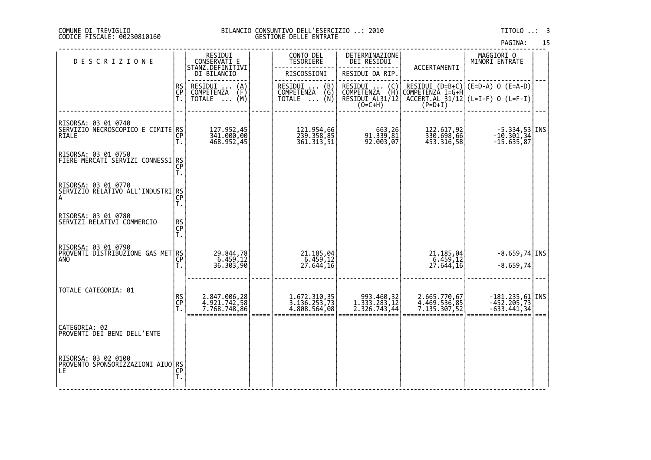#### DI TREVIGLIO BILANCIO CONSUNTIVO DELL'ESERCIZIO ..: 2010 TITOLO ..: 3 FISCALE: 00230810160 GESTIONE DELLE ENTRATE

| PAGINA: | 15 |
|---------|----|
|         |    |

| <b>DESCRIZIONE</b>                                                       |                       | RESIDUI<br>CONSERVATI E                                         |        | CONTO DEL<br>TESORIERE                                         | DETERMINAZIONE<br>DEI RESIDUI                                  |                                              | MAGGIORI 0<br>MINORI ENTRATE                                                                         |      |  |
|--------------------------------------------------------------------------|-----------------------|-----------------------------------------------------------------|--------|----------------------------------------------------------------|----------------------------------------------------------------|----------------------------------------------|------------------------------------------------------------------------------------------------------|------|--|
|                                                                          |                       | STANZ.DEFINITIVI<br>DI BILANCIO                                 |        | RISCOSSIONI                                                    | RESIDUI DA RIP.                                                | ACCERTAMENTI                                 |                                                                                                      |      |  |
|                                                                          | <b>RS</b><br>CP<br>T. | RESIDUI<br>$\binom{A}{F}$<br><b>COMPETENZA</b><br>(M)<br>TOTALE |        | RESIDUI<br>$\binom{B}{G}$<br>COMPETENZA<br>TOTALE $\ldots$ (N) | RESIDUI  (C)<br>COMPETENZA (H)<br>RESIDUI AL31/12<br>$(0=C+H)$ | COMPETENZÀ I=G+H                             | RESIDUI $(D=B+C)$ $(E=D-A)$ 0 $(E=A-D)$<br>$\overline{ACCERT.AL}$ 31/12 (L=I-F) 0 (L=F-I)<br>(P=D+I) |      |  |
|                                                                          |                       |                                                                 |        |                                                                |                                                                |                                              |                                                                                                      |      |  |
| RISORSA: 03 01 0740<br>SERVIZIO NECROSCOPICO E CIMITE RS<br><b>RIALE</b> | CP<br>Τ.              | 127.952,45<br>341.000,00<br>468.952,45                          |        | 121.954,66<br>239.358,85<br>361.313,51                         | 663,26<br>  91.339,81<br>  92.003,07                           | 122.617,92<br>330.698,66<br>453.316,58       | $-5.334,53$ <i>INS</i><br>$-10.301,34$<br>$-15.635,87$                                               |      |  |
| RISORSA: 03 01 0750<br>FÎĔŘÊ MERČÁTĬ SĔŔVĬZI CONNESSI RS <br> CP <br> T. |                       |                                                                 |        |                                                                |                                                                |                                              |                                                                                                      |      |  |
| RISORSA: 03 01 0770<br>SERVIZIO RELATIVO ALL'INDUSTRI RS<br>A            | T.                    |                                                                 |        |                                                                |                                                                |                                              |                                                                                                      |      |  |
| RISORSA: 03 01 0780<br>SERVIZI RELATIVI COMMERCIO                        | RS<br>CP<br>T.        |                                                                 |        |                                                                |                                                                |                                              |                                                                                                      |      |  |
| RISORSA: 03 01 0790<br>PROVENTI DISTRIBUZIONE GAS MET RS                 | Τ.                    | 29.844,78<br>$\frac{6.459,12}{36.303,90}$                       |        | 21.185,04<br>6.459,12<br>27.644,16                             |                                                                | 21.185,04<br>6.459,12<br>27.644,16           | $-8.659,74$ INS<br>$-8.659,74$                                                                       |      |  |
| TOTALE CATEGORIA: 01                                                     | RS<br>CP<br>T.        | 2.847.006,28<br>4.921.742,58<br>7.768.748,86                    | $====$ | 1.672.310,35<br>3.136.253,73<br>4.808.564,08                   | 993.460,32<br>1.333.283,12<br>$\overline{2.326.743,44}$        | 2.665.770,67<br>4.469.536,85<br>7.135.307,52 | $-181.235,61$ INS<br>$-452.205,73$<br>$-633.441,34$                                                  | $==$ |  |
| CATEGORIA: 02<br>PROVENTI DEI BENI DELL'ENTE                             |                       |                                                                 |        |                                                                |                                                                |                                              |                                                                                                      |      |  |
| RISORSA: 03 02 0100<br> PROVENTO SPONSORIZZAZIONI AIUO RS<br>LE          | CP<br>T.              |                                                                 |        |                                                                |                                                                |                                              |                                                                                                      |      |  |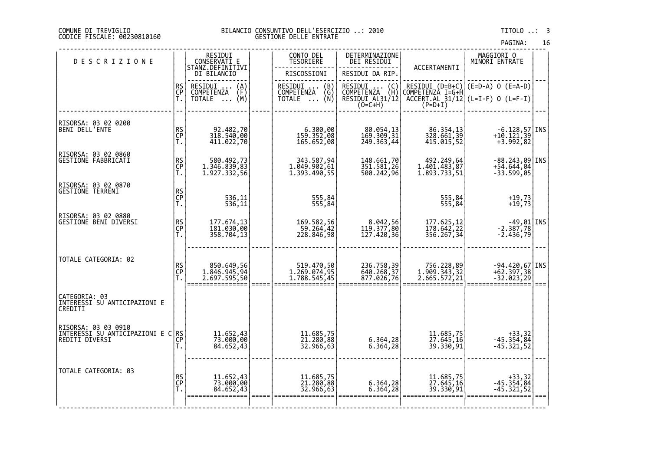#### DI TREVIGLIO BILANCIO CONSUNTIVO DELL'ESERCIZIO ..: 2010 TITOLO ..: 3 FISCALE: 00230810160 GESTIONE DELLE ENTRATE

| PAGINA: | 16 |
|---------|----|

| <b>DESCRIZIONE</b>                                                                         |                | RESIDUI<br>CONSERVATI E<br>STANZ.DEFINITIVI            | CONTO DEL<br>TESORIERE                        | DETERMINAZIONE<br>DEI RESIDUI                                        | ACCERTAMENTI                               | MAGGIORI 0<br>MINORI ENTRATE                                                     |      |
|--------------------------------------------------------------------------------------------|----------------|--------------------------------------------------------|-----------------------------------------------|----------------------------------------------------------------------|--------------------------------------------|----------------------------------------------------------------------------------|------|
|                                                                                            |                | DI BILANCIO<br>RESIDUI<br>COMPETENZA<br>$\binom{A}{F}$ | RISCOSSIONI<br>RESIDUI  (B)<br>COMPETENZA (G) | RESIDUI DA RIP.<br>RESIDUI<br>$\begin{pmatrix} C \\ H \end{pmatrix}$ |                                            | RESIDUI $(D=B+C)$ $(E=D-A)$ 0 $(E=A-D)$                                          |      |
|                                                                                            | RS<br>CP<br>T. | (M)<br>TOTALE<br>$\cdots$                              | COMPETENZA<br>TOTALE  (N)                     | <b>COMPETENZA</b><br>RESIDUI AL31/12                                 | COMPETENZA I=G+H                           | CACCERT.AL 31/12 (L=I-F) 0 (L=F-I)<br>(P=D+I)                                    |      |
| RISORSA: 03 02 0200<br>BENI DELL'ENTE                                                      | RS<br>CP<br>T. | 92.482,70<br>318.540,00<br>411.022,70                  | 6.300,00<br>159.352,08<br>165.652,08          | 80.054,13<br>169.309,31<br>249.363,44                                | 86.354,13<br>328.661,39<br>415.015,52      | $\begin{array}{c} -6.128,57  \text{INS}  \\ +10.121,39 \\ +3.992,82 \end{array}$ |      |
| RISORSA: 03 02 0860<br>GESTIONE FABBRICATI                                                 | RS<br>CP<br>T. | 580.492,73<br>1.346.839,83<br>1.927.332,56             | 343.587,94<br>1.049.902,61<br>1.393.490,55    | 148.661,70<br>351.581,26<br>500.242,96                               | 492.249,64<br>1.401.483,87<br>1.893.733,51 | -88.243,09 INS<br>+54.644,04<br>$-33.599,05$                                     |      |
| RISORSA: 03 02 0870<br><b>GESTIONE TERRENI</b>                                             | RS<br>CP<br>T. | 536,11<br>536,11                                       | 555,84<br>555,84                              |                                                                      | 555,84<br>555,84                           | $+19,73$<br>+19,73                                                               |      |
| RISORSA: 03 02 0880<br><b>GESTIONE BENI DIVERSI</b>                                        | RS<br>CP<br>T. | 177.674,13<br>181.030,00<br>358.704,13                 | 169.582,56<br>59.264,42<br>228.846,98         | 8.042,56<br>119.377,80<br>127.420,36                                 | 177.625,12<br>178.642,22<br>356.267,34     | $\begin{array}{c} -49,01 \ -2.387,78 \ -2.436,79 \end{array}$ INS                |      |
| TOTALE CATEGORIA: 02                                                                       | RS<br>CP<br>T. | 850.649,56<br>1.846.945,94<br>2.697.595,50             | 519.470,50<br>1.269.074,95<br>1.788.545,45    | 236.758,39<br>640.268,37<br>877.026,76                               | 756.228,89<br>1.909.343,32<br>2.665.572,21 | $-94.420,67$ INS<br>+62.397,38<br>$-32.023,29$                                   | $==$ |
| CATEGORIA: 03<br>INTERESSI SU ANTICIPAZIONI E<br>CREDITI                                   |                |                                                        |                                               |                                                                      |                                            |                                                                                  |      |
| RISORSA: 03 03 0910<br>  NIJERESSI ŠU ÁNŤÍČÍPAZIONI E C RS<br>  REDITI DIVERSI<br>  T.   T |                | 11.652,43<br>73.000,00<br>84.652,43                    | 11.685,75<br>21.280,88<br>32.966,63           | 6.364,28<br>6.364,28                                                 | 11.685,75<br>27.645,16<br>39.330,91        | 32, 43+<br>354, 45. 45+<br>45. 321, 52-                                          |      |
| TOTALE CATEGORIA: 03                                                                       | RS<br>CP<br>T. | 11.652,43<br>73.000,00<br>84.652,43                    | 11.685,75<br>21.280,88<br>32.966,63           | 6.364,28<br>6.364,28                                                 | 11.685,75<br>27.645,16<br>39.330,91        | $+33,32$<br>$-45.354,84$<br>$-45.321,52$                                         |      |

‐‐‐‐‐‐‐‐‐‐‐‐‐‐‐‐‐‐‐‐‐‐‐‐‐‐‐‐‐‐‐‐‐‐‐‐‐‐‐‐‐‐‐‐‐‐‐‐‐‐‐‐‐‐‐‐‐‐‐‐‐‐‐‐‐‐‐‐‐‐‐‐‐‐‐‐‐‐‐‐‐‐‐‐‐‐‐‐‐‐‐‐‐‐‐‐‐‐‐‐‐‐‐‐‐‐‐‐‐‐‐‐‐‐‐‐‐‐‐‐‐‐‐‐‐‐‐‐‐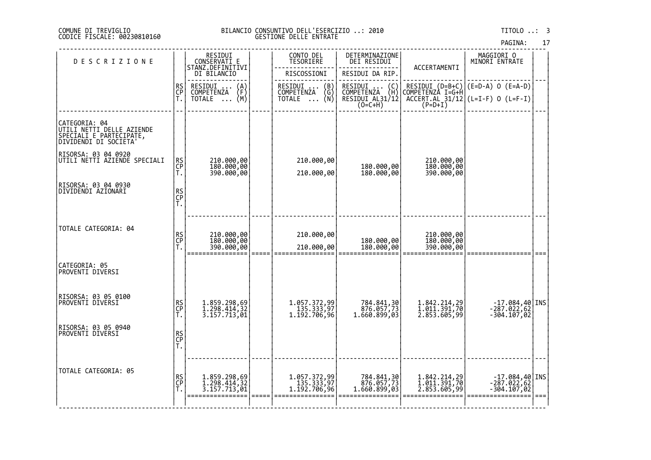#### DI TREVIGLIO BILANCIO CONSUNTIVO DELL'ESERCIZIO ..: 2010 TITOLO ..: 3 FISCALE: 00230810160 GESTIONE DELLE ENTRATE

17

|                                                                                                         |                |                                                                 |       |                                                                                |                                                                                                               |                                              | PAGINA:                                                                                                                                                                      | 17   |
|---------------------------------------------------------------------------------------------------------|----------------|-----------------------------------------------------------------|-------|--------------------------------------------------------------------------------|---------------------------------------------------------------------------------------------------------------|----------------------------------------------|------------------------------------------------------------------------------------------------------------------------------------------------------------------------------|------|
| <b>DESCRIZIONE</b>                                                                                      |                | RESIDUI<br>CONSERVATI E<br>STANZ.DEFINITIVI                     |       | CONTO DEL<br>TESORIERE                                                         | DETERMINAZIONE<br>DEI RESIDUI                                                                                 | ACCERTAMENTI                                 | MAGGIORI 0<br>MINORI ENTRATE                                                                                                                                                 |      |
|                                                                                                         |                | DI BILANCIO                                                     |       | RISCOSSIONI                                                                    | RESIDUI DA RIP.                                                                                               |                                              |                                                                                                                                                                              |      |
|                                                                                                         | RS<br>CP<br>Ť. | RESIDUI<br>$\binom{A}{F}$<br><b>COMPETENZA</b><br>(M)<br>TOTALE |       | RESIDUI<br>$\begin{pmatrix} B \\ G \\ N \end{pmatrix}$<br>COMPETENZA<br>TOTALE | RESIDUI<br>$\begin{pmatrix} C \\ H \end{pmatrix}$<br>$\ldots$ .<br>COMPETENZA<br>RESIDUI AL31/12<br>$(0=C+H)$ |                                              | RESIDUI (D=B+C) (E=D-A) 0 (E=A-D)<br>COMPETENZA I=G+H<br>$\left[\begin{array}{cc} \text{ACCERT.AL} & 31/12 \\ \text{ACCERT.AL} & 31/12 \end{array}\right]$ (L=I-F) 0 (L=F-I) |      |
| CATEGORIA: 04<br> UTILI_NETTI_DE <u>LLE_AZIE</u> NDE<br>SPECIALI E PARTECIPATE,<br>DIVIDENDI DI SOCIETA |                |                                                                 |       |                                                                                |                                                                                                               |                                              |                                                                                                                                                                              |      |
| RISORSA: 03 04 0920<br>UTILI NETTI AZIENDE SPECIALI                                                     | RS<br>CP<br>Ť. | 210.000,00<br>180.000,00<br>390.000,00                          |       | 210.000,00<br>210.000,00                                                       | 180.000,00<br>180.000,00                                                                                      | 210.000,00<br>180.000,00<br>390.000,00       |                                                                                                                                                                              |      |
| RISORSA: 03 04 0930<br>DIVIDENDI AZIONARI                                                               | RS<br>CP<br>T. |                                                                 |       |                                                                                |                                                                                                               |                                              |                                                                                                                                                                              |      |
| TOTALE CATEGORIA: 04                                                                                    | RS<br>CP<br>T. | 210.000,00<br>180.000,00<br>390.000,00                          |       | 210.000,00<br>210.000,00                                                       | 180.000,00<br>180.000,00                                                                                      | 210.000,00<br>180.000,00<br>390.000,00       |                                                                                                                                                                              |      |
| CATEGORIA: 05<br>PROVENTI DIVERSI                                                                       |                |                                                                 |       |                                                                                |                                                                                                               |                                              |                                                                                                                                                                              |      |
| RISORSA: 03 05 0100<br>PROVENTI DIVERSI                                                                 | RS<br>CP<br>Ť. | 1.859.298,69<br>1.298.414,32<br>3.157.713,01                    |       | 1.057.372,99<br>135.333,97<br>1.192.706,96                                     | 784.841,30<br>876.057,73<br>1.660.899,03                                                                      | 1.842.214,29<br>1.011.391,70<br>2.853.605,99 | $-17.084,40$ INS<br>$-287.022,62$<br>$-304.107,02$                                                                                                                           |      |
| RISORSA: 03 05 0940<br>PROVENTI DIVERSI                                                                 | RS<br>CP<br>T. |                                                                 |       |                                                                                |                                                                                                               |                                              |                                                                                                                                                                              |      |
| TOTALE CATEGORIA: 05                                                                                    | RS<br>CP<br>T. | 1.859.298,69<br>1.298.414,32<br>3.157.713,01<br>=============   | ===== | 1.057.372,99<br>135.333,97<br>1.192.706,96                                     | 784.841,30<br>876.057,73<br>1.660.899,03                                                                      | 1.842.214,29<br>1.011.391,70<br>2.853.605,99 | $-17.084,40$ INS<br>$-287.022,62$<br>-304.107,02                                                                                                                             | $==$ |
|                                                                                                         |                |                                                                 |       |                                                                                |                                                                                                               |                                              |                                                                                                                                                                              |      |

‐‐‐‐‐‐‐‐‐‐‐‐‐‐‐‐‐‐‐‐‐‐‐‐‐‐‐‐‐‐‐‐‐‐‐‐‐‐‐‐‐‐‐‐‐‐‐‐‐‐‐‐‐‐‐‐‐‐‐‐‐‐‐‐‐‐‐‐‐‐‐‐‐‐‐‐‐‐‐‐‐‐‐‐‐‐‐‐‐‐‐‐‐‐‐‐‐‐‐‐‐‐‐‐‐‐‐‐‐‐‐‐‐‐‐‐‐‐‐‐‐‐‐‐‐‐‐‐‐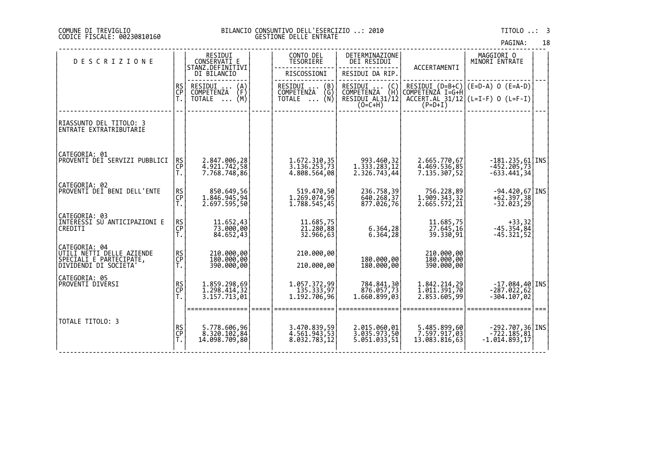#### DI TREVIGLIO BILANCIO CONSUNTIVO DELL'ESERCIZIO ..: 2010 TITOLO ..: 3 FISCALE: 00230810160 GESTIONE DELLE ENTRATE

| PAGINA: | 18 |
|---------|----|
|         |    |

| <b>DESCRIZIONE</b>                                                                            |                       | RESIDUI<br>CONSERVATI E<br>STANZ.DEFINITIVI                          | CONTO DEL<br>TESORIERE                                   | DETERMINAZIONE<br>DEI RESIDUI                        | ACCERTAMENTI                                                                                                      | MAGGIORI O<br>MINORI ENTRATE                                                    |  |
|-----------------------------------------------------------------------------------------------|-----------------------|----------------------------------------------------------------------|----------------------------------------------------------|------------------------------------------------------|-------------------------------------------------------------------------------------------------------------------|---------------------------------------------------------------------------------|--|
|                                                                                               |                       | DI BILANCIO                                                          | RISCOSSIONI                                              | RESIDUI DA RIP.                                      |                                                                                                                   |                                                                                 |  |
|                                                                                               | <b>RS</b><br>CP       | RESIDUI<br>COMPETENZA<br>$\binom{A}{F}$<br>(M)<br>TOTALE<br>$\cdots$ | RESIDUI<br>COMPETENZA<br>$\binom{B}{G}$<br>(N)<br>TOTALE | UMPETĒNŻA<br>RESIDUI AL31/12  <br>(O=C+H)<br>CO=C+H) | $\left[\begin{array}{cc} \text{ACCERT.AL} & \frac{31}{12} \\ \text{ACCERT.AL} & \frac{31}{12} \end{array}\right]$ | RESIDUI (D=B+C) (E=D-A) O (E=A-D)<br>COMPETENZA I=G+H <br>$(L=I-F)$ 0 $(L=F-I)$ |  |
| RIASSUNTO DEL TITOLO: 3<br>ENTRATE EXTRATRIBUTARIE                                            |                       |                                                                      |                                                          |                                                      |                                                                                                                   |                                                                                 |  |
| CATEGORIA: 01<br>PROVENTI DEI SERVIZI PUBBLICI                                                | RS<br>CP<br>T.        | 2.847.006,28<br>4.921.742,58<br>7.768.748,86                         | 1.672.310,35<br>3.136.253,73<br>4.808.564,08             | 993.460,32<br>1.333.283,12<br>2.326.743,44           | 2.665.770,67<br>4.469.536,85<br>7.135.307,52                                                                      | $-181.235,61$ INS<br>$-452.205,73$<br>$-633.441,34$                             |  |
| CATEGORIA: 02<br>PROVENTI DEI BENI DELL'ENTE                                                  | RS<br>CP<br>T.        | 850.649,56<br>1.846.945,94<br>2.697.595,50                           | 519.470,50<br>1.269.074,95<br>1.788.545,45               | 236.758,39<br>640.268,37<br>877.026,76               | 756.228,89<br>1.909.343,32<br>2.665.572, 21                                                                       | -94.420,67 INS<br>+62.397,38<br>$-32.023,29$                                    |  |
| CATEGORIA: 03<br>INTERESSI SU ANTICIPAZIONI E<br>CREDITI                                      | RS<br>CP<br>Ť.        | 11.652,43<br>73.000,00<br>84.652,43                                  | 11.685,75<br>21.280,88<br>32.966,63                      | 6.364,28<br>6.364,28                                 | 11.685,75<br>27.645,16<br>39.330,91                                                                               | 33, 32<br>45. 354, 45<br>-45. 321, 52                                           |  |
| CATEGORIA: 04<br>UTILI NETTI DELLE AZIENDE<br>ŠPĒCĪALI E PARTECIPATE,<br>DIVIDENDI DI SOCIETA | <b>RS</b><br>CP<br>T. | 210.000,00<br>180.000,00<br>390.000,00                               | 210.000,00<br>210.000,00                                 | 180.000,00<br>180.000,00                             | 210.000,00<br>180.000,00<br>390.000,00                                                                            |                                                                                 |  |
| CATEGORIA: 05<br>PROVENTI DIVERSI                                                             | RS<br>CP<br>T.        | 1.859.298,69<br>1.298.414, 32<br>3.157.713,01                        | 1.057.372,99<br>135.333,97<br>1.192.706,96               | 784.841,30<br>876.057,73<br>1.660.899,03             | 1.842.214,29<br>1.011.391,70<br>2.853.605,99                                                                      | $-17.084,40$ INS<br>$-287.022,62$<br>$-304.107,02$                              |  |
| TOTALE TITOLO: 3                                                                              | RS<br>CP<br>T.        | 5.778.606,96<br>8.320.102,84<br>14.098.709,80                        | 3.470.839,59<br>4.561.943,53<br>8.032.783,12             | 2.015.060,01<br>3.035.973,50<br>5.051.033,51         | 5.485.899,60<br>7.597.917,03<br>13.083.816,63                                                                     | $-292.707,36$ INS<br>722.185,81<br>1.014.893,17-                                |  |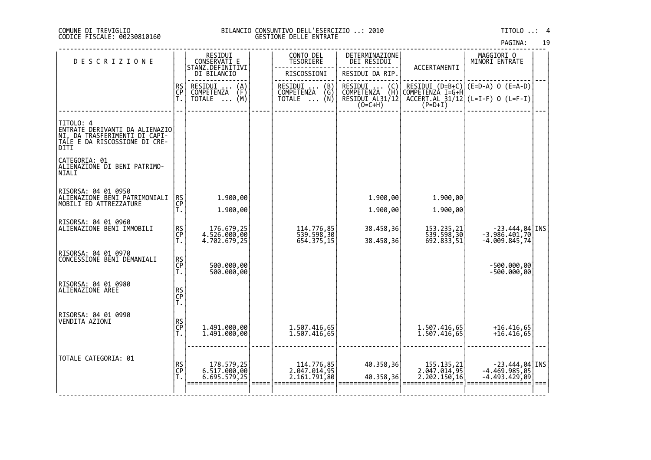#### DI TREVIGLIO BILANCIO CONSUNTIVO DELL'ESERCIZIO ..: 2010 TITOLO ..: 4 FISCALE: 00230810160 GESTIONE DELLE ENTRATE

| PAGINA: | 19 |
|---------|----|
|         |    |

| <b>DESCRIZIONE</b>                                                                                                        |                | RESIDUI<br>CONSERVATI E                        | CONTO DEL<br>TESORIERE                                               | DETERMINAZIONE<br>DEI RESIDUI                                                       |                                            | MAGGIORI 0<br>MINORI ENTRATE                                                               |  |
|---------------------------------------------------------------------------------------------------------------------------|----------------|------------------------------------------------|----------------------------------------------------------------------|-------------------------------------------------------------------------------------|--------------------------------------------|--------------------------------------------------------------------------------------------|--|
|                                                                                                                           |                | STANZ.DEFINITIVI<br>DI BILANCIO                | RISCOSSIONI                                                          | RESIDUI DA RIP.                                                                     | ACCERTAMENTI                               |                                                                                            |  |
|                                                                                                                           | RS<br>CP       | RESIDUI<br>$\binom{A}{F}$<br><b>COMPETENZA</b> | RESIDUI<br>$\begin{pmatrix} B \\ G \\ N \end{pmatrix}$<br>COMPETENZA | RESIDUI<br>$\left(\begin{smallmatrix} C \ H \end{smallmatrix}\right)$<br>COMPETENZA |                                            | RESIDUI (D=B+C) (E=D-A) O (E=A-D)<br>COMPETENZA I=G+H<br>ACCEŖĪ.AL_31/12 (L=I-F) O (L=F-I) |  |
|                                                                                                                           | Ť.             | (M)<br>TOTALE                                  | TOTALE                                                               | RESIDUI AL31/12<br>$(O=C+H)$                                                        | $(P=D+I)$                                  |                                                                                            |  |
|                                                                                                                           |                |                                                |                                                                      |                                                                                     |                                            |                                                                                            |  |
| TITOLO: 4<br>  ENTRATE DERIVANTI DA ALIENAZIO <br> NI, DA IRASFERIMENTI DI CARI-<br>TALE E DA RISCOSSIONE DI CRE-<br>DITI |                |                                                |                                                                      |                                                                                     |                                            |                                                                                            |  |
| CATEGORIA: 01<br>ALIENAZIONE DI BENI PATRIMO-<br>NIALI                                                                    |                |                                                |                                                                      |                                                                                     |                                            |                                                                                            |  |
| RISORSA: 04 01 0950<br> ALIENAZIONE BENI PATRIMONIALI                                                                     |                | 1.900,00                                       |                                                                      | 1.900,00                                                                            | 1.900,00                                   |                                                                                            |  |
| MOBILI ED ATTREZZATURE                                                                                                    | RS<br>CP<br>T. | 1.900,00                                       |                                                                      | 1.900,00                                                                            | 1.900,00                                   |                                                                                            |  |
|                                                                                                                           |                |                                                |                                                                      |                                                                                     |                                            |                                                                                            |  |
| RISORSA: 04 01 0960<br> ALIENAZIONE BENI IMMOBILI                                                                         | RS<br>CP<br>T. | 176.679,25<br>4.526.000,00                     | 114.776,85<br>539.598,30                                             | 38.458,36                                                                           | 153.235,21<br>539.598,30                   | $-23.444, 04$ INS<br>$-3.986.401,70$                                                       |  |
|                                                                                                                           |                | 4.702.679,25                                   | 654.375,15                                                           | 38.458,36                                                                           | 692.833,51                                 | $-4.009.845,74$                                                                            |  |
| RISORSA: 04 01 0970<br>CONCESSIONE BENI DEMANIALI                                                                         |                |                                                |                                                                      |                                                                                     |                                            |                                                                                            |  |
|                                                                                                                           | RS<br>CP<br>T. | 500.000,00<br>500.000,00                       |                                                                      |                                                                                     |                                            | -500.000,00<br>-500.000,00                                                                 |  |
| RISORSA: 04 01 0980<br> ALIENAZIONE AREE                                                                                  |                |                                                |                                                                      |                                                                                     |                                            |                                                                                            |  |
|                                                                                                                           | RS<br>CP<br>T. |                                                |                                                                      |                                                                                     |                                            |                                                                                            |  |
| RISORSA: 04 01 0990                                                                                                       |                |                                                |                                                                      |                                                                                     |                                            |                                                                                            |  |
| VENDITA AZIONI                                                                                                            | RS<br>CP<br>T. | 1.491.000,00                                   | 1.507.416,65                                                         |                                                                                     | 1.507.416,65                               | $+16.416,65$                                                                               |  |
|                                                                                                                           |                | 1.491.000,00                                   | 1.507.416,65                                                         |                                                                                     | 1.507.416,65                               | $+16.416,65$                                                                               |  |
| TOTALE CATEGORIA: 01                                                                                                      |                |                                                |                                                                      |                                                                                     |                                            |                                                                                            |  |
|                                                                                                                           | RS<br>CP<br>T. | 178.579,25<br>6.517.000,00<br>6.695.579,25     | 114.776,85<br>2.047.014,95<br>2.161.791,80                           | 40.358,36                                                                           | 155.135,21<br>2.047.014,95<br>2.202.150,16 | $-23.444,04$ INS<br>$-4.469.985,05$                                                        |  |
|                                                                                                                           |                |                                                |                                                                      | 40.358,36                                                                           |                                            | $-4.493.429,09$                                                                            |  |
|                                                                                                                           |                |                                                |                                                                      |                                                                                     |                                            |                                                                                            |  |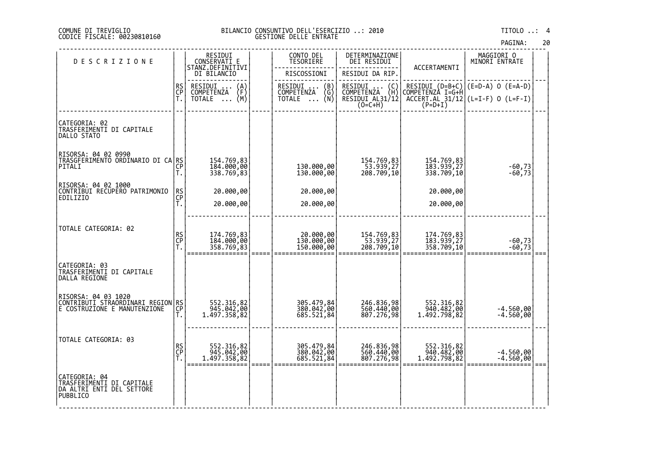#### DI TREVIGLIO BILANCIO CONSUNTIVO DELL'ESERCIZIO ..: 2010 TITOLO ..: 4 FISCALE: 00230810160 GESTIONE DELLE ENTRATE

| <b>DESCRIZIONE</b>                                                                             |                | RESIDUI<br>CONSERVATI E<br>STANZ.DEFINITIVI    | CONTO DEL<br><b>TESORIERE</b>          | DETERMINAZIONE<br>DEI RESIDUI           | ACCERTAMENTI                             | MAGGIORI 0<br>MINORI ENTRATE                              |  |
|------------------------------------------------------------------------------------------------|----------------|------------------------------------------------|----------------------------------------|-----------------------------------------|------------------------------------------|-----------------------------------------------------------|--|
|                                                                                                |                | DI BILANCIO                                    | RISCOSSIONI                            | RESIDUI DA RIP.                         |                                          |                                                           |  |
|                                                                                                | RS<br>CP       | RESIDUI<br>$\binom{A}{F}$<br><b>COMPETENZA</b> | RESIDUI  (B)<br>COMPETENZA (G)         | RESIDUI<br>$\binom{C}{H}$<br>COMPETENZA |                                          | RESIDUI (D=B+C) (E=D-A) O (E=A-D)<br>COMPETENZA I=G+H     |  |
|                                                                                                | Ť.             | (M)<br>TOTALE                                  | (Ñ)<br>TOTALE                          | RESIDUI AL31/12<br>(O=C+H)              |                                          | $\overline{ACCERT.RL}$ 31/12 (L=I-F) 0 (L=F-I)<br>(P=D+I) |  |
| CATEGORIA: 02<br>TRASFERIMENTI DI CAPITALE<br>DALLO STATO                                      |                |                                                |                                        |                                         |                                          |                                                           |  |
| RISORSA: 04 02 0990<br>TRASGFERIMENTO ORDINARIO DI CA RS<br>PITALI                             | СP<br>Т.       | 154.769,83<br>184.000,00<br>338.769,83         | 130.000,00<br>130.000,00               | 154.769,83<br>53.939,27<br>208.709,10   | 154.769,83<br>183.939,27<br>338.709,10   | $-60,73$<br>$-60,73$                                      |  |
| RISORSA: 04 02 1000<br>CONTRIBUI RECUPERO PATRIMONIO                                           | RS<br>CP       | 20.000,00                                      | 20.000,00                              |                                         | 20.000,00                                |                                                           |  |
| EDILIZIO                                                                                       | Ť.             | 20.000,00                                      | 20.000,00                              |                                         | 20.000,00                                |                                                           |  |
|                                                                                                |                |                                                |                                        |                                         |                                          |                                                           |  |
| TOTALE CATEGORIA: 02                                                                           | RS<br>CP<br>T. | 174.769,83<br>184.000,00<br>358.769,83         | 20.000,00<br>130.000,00<br>150.000,00  | 154.769,83<br>53.939,27<br>208.709,10   | 174.769,83<br>183.939,27<br>358.709,10   | $-60,73$<br>$-60,73$                                      |  |
| CATEGORIA: 03<br>TRASFERIMENTI DI CAPITALE<br>DALLA REGIONE                                    |                |                                                |                                        |                                         |                                          |                                                           |  |
| RISORSA: 04 03 1020<br> CONTRIBUTI STRAORDINARI REGION RS <br> CONTRIBUTI STRAORDINARI REGIONE | Τ.             | 552.316,82<br>945.042,00<br>1.497.358,82       | 305.479,84<br>380.042,00<br>685.521,84 | 246.836,98<br>560.440,00<br>807.276,98  | 552.316,82<br>940.482,00<br>1.492.798,82 | $-4.560,00$<br>$-4.560,00$                                |  |
| TOTALE CATEGORIA: 03                                                                           | RS<br>CP<br>T. | 552.316,82<br>945.042,00<br>1.497.358,82       | 305.479,84<br>380.042,00<br>685.521,84 | 246.836,98<br>560.440,00<br>807.276,98  | 552.316,82<br>940.482,00<br>1.492.798,82 | -4.560,00<br>-4.560,00                                    |  |
| CATEGORIA: 04<br> TRASF <u>ERIMENTI</u> DI CAPITALE<br>DA ALTRI ENTI DEL SETTORE<br>PUBBLICO   |                |                                                |                                        |                                         |                                          |                                                           |  |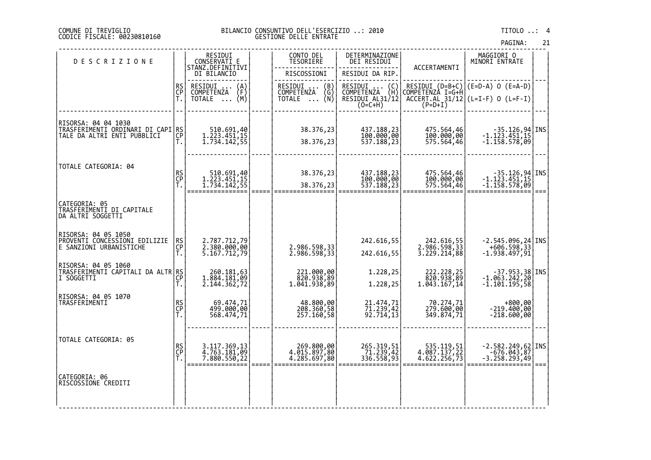#### DI TREVIGLIO BILANCIO CONSUNTIVO DELL'ESERCIZIO ..: 2010 TITOLO ..: 4 FISCALE: 00230810160 GESTIONE DELLE ENTRATE

PAGINA: 21

| <b>DESCRIZIONE</b>                                                                                                |                | RESIDUI<br>CONSERVATI E<br>STANZ.DEFINITIVI<br>DI BILANCIO      | CONTO DEL<br><b>TESORIERE</b><br>RISCOSSIONI                    | DETERMINAZIONE<br>DEI RESIDUI<br>RESIDUI DA RIP.           | ACCERTAMENTI                                          | MAGGIORI 0<br>MINORI ENTRATE                                                                                                                                   |  |
|-------------------------------------------------------------------------------------------------------------------|----------------|-----------------------------------------------------------------|-----------------------------------------------------------------|------------------------------------------------------------|-------------------------------------------------------|----------------------------------------------------------------------------------------------------------------------------------------------------------------|--|
|                                                                                                                   | RS<br>CP<br>Ť. | RESIDUI<br>$\binom{A}{F}$<br><b>COMPETENZA</b><br>(M)<br>TOTALE | RESIDUI  (B)<br>COMPETENZA (G)<br>COMPETENZA<br>ิ∖∩ั∫<br>TOTALE | RESIDUI<br>$\binom{C}{H}$<br>COMPETENZA<br>RESIDUI AL31/12 | COMPETENZA I=G+H                                      | RESIDUI $(D=B+C)$ $(E=D-A)$ O $(E=A-D)$<br>$\left[\begin{array}{cc} \text{ACCERT.AL} & 31/12 \\ \text{ACCERT.AL} & 31/12 \end{array}\right]$ (L=I-F) 0 (L=F-I) |  |
| RISORSA: 04 04 1030<br> TRASFERIMENTI ORDINARI DI CAPI <sup> </sup> RS<br> TALE DA ALTRI ENTI PUBBLICI   CP<br> T |                | 510.691,40<br>1.223.451,15<br>1.734.142,55                      | 38.376,23<br>38.376,23                                          | 437.188,23<br>100.000,00<br>537.188,23                     | 475.564,46<br>100.000,00<br>575.564,46                | -35.126,94 INS<br>-1.123.451,15<br>-1.158.578,09                                                                                                               |  |
| TOTALE CATEGORIA: 04                                                                                              | RS<br>CP<br>T. | 510.691,40<br>1.223.451,15<br>1.734.142,55                      | 38.376,23<br>38.376,23                                          | 437.188,23<br>100.000,00<br>537.188,23                     | 475.564,46<br>100.000,00<br>575.564,46                | $-35.126, 94$ INS<br>$-1.123.451, 15$<br>$-1.158.578,09$                                                                                                       |  |
| CATEGORIA: 05<br>TRASFERIMENTI DI CAPITALE<br>DA ALTRI SOGGETTI                                                   |                |                                                                 |                                                                 |                                                            |                                                       |                                                                                                                                                                |  |
| RISORSA: 04 05 1050<br>PROVENII CONCESSIONI EDILIZIE<br>E SANZIONI URBANISTICHE                                   | RS<br>CP<br>Τ. | 2.787.712,79<br>2.380.000,00<br>5.167.712,79                    | 2.986.598,33<br>2.986.598,33                                    | 242.616,55<br>242.616,55                                   | 242.616,55<br>2.986.598,33<br>3.229.214,88            | $-2.545.096, 24$ INS<br>606.598,33+<br>1.938.497,91-                                                                                                           |  |
| RISORSA: 04 05 1060<br>TRAŠFERIMENTI CAPITALI DA ALTR RS<br>I SOGGETTI                                            | СP<br>Τ.       | 260.181,63<br>1.884.181,09<br>2.144.362,72                      | 221.000,00<br>820.938,89<br>1.041.938,89                        | 1.228,25<br>1.228,25                                       | 222.228,25<br>820.938,89<br>$1.\overline{043}.167,14$ | $-37.953,38$ INS<br>-1.063.242,20<br>-1.101.195,58                                                                                                             |  |
| RISORSA: 04 05 1070<br>TRASFERIMENTI                                                                              | RS<br>CP<br>Τ. | 69.474,71<br>499.000,00<br>568.474,71                           | 48.800,00<br>208.360,58<br>257.160,58                           | 21.474,71<br>71.239,42<br>92.714,13                        | 70.274,71<br>279.600,00<br>349.874,71                 | 800,00+<br>00,000.219-<br>$-218.600,00$                                                                                                                        |  |
| TOTALE CATEGORIA: 05                                                                                              | RS<br>CP<br>T. | 3.117.369,13<br>4.763.181,09<br>7.880.550,22                    | 269.800,00<br>4.015.897,80<br>4.285.697,80                      | 265.319,51<br>- 71.239,42<br>336.558,93                    | 535.119,51<br>4.087.137,22<br>4.622.256,73            | $-2.582.249,62$ INS<br>$-676.043,87$<br>$-3.258.293,49$                                                                                                        |  |
| CATEGORIA: 06<br>RISCOSSIONE CREDITI                                                                              |                |                                                                 |                                                                 |                                                            |                                                       |                                                                                                                                                                |  |

‐‐‐‐‐‐‐‐‐‐‐‐‐‐‐‐‐‐‐‐‐‐‐‐‐‐‐‐‐‐‐‐‐‐‐‐‐‐‐‐‐‐‐‐‐‐‐‐‐‐‐‐‐‐‐‐‐‐‐‐‐‐‐‐‐‐‐‐‐‐‐‐‐‐‐‐‐‐‐‐‐‐‐‐‐‐‐‐‐‐‐‐‐‐‐‐‐‐‐‐‐‐‐‐‐‐‐‐‐‐‐‐‐‐‐‐‐‐‐‐‐‐‐‐‐‐‐‐‐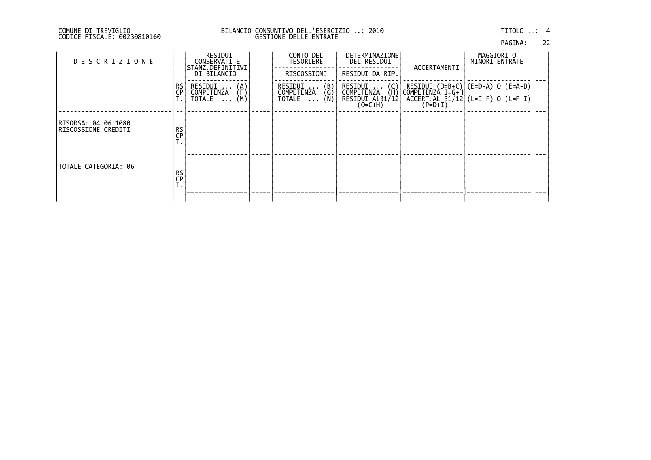## DI TREVIGLIO BILANCIO CONSUNTIVO DELL'ESERCIZIO ..: 2010 TITOLO ..: 4 FISCALE: 00230810160 GESTIONE DELLE ENTRATE

|         | 22 |
|---------|----|
| PAGINA: |    |

| <b>DESCRIZIONE</b>                          |                 | RESIDUI<br>CONSERVATI E<br>STANZ.DEFINITIVI<br>DI BILANCIO           | CONTO DEL<br>TESORIERE<br>RISCOSSIONI                                       | DETERMINAZIONE<br>DEI RESIDUI<br>RESIDUI DA RIP.                                    | ACCERTAMENTI | MAGGIORI O<br>MINORI ENTRATE                                                                     |  |
|---------------------------------------------|-----------------|----------------------------------------------------------------------|-----------------------------------------------------------------------------|-------------------------------------------------------------------------------------|--------------|--------------------------------------------------------------------------------------------------|--|
|                                             | RS<br>CP        | RESIDUI<br>$\binom{A}{F}$<br>COMPETENZA<br>(M)<br>TOTALE<br>$\cdots$ | $\binom{B}{G}$<br>RESIDUI<br><b>COMPETENZA</b><br>(Ñ)<br>TOTALE<br>$\cdots$ | RESIDUI  (C)<br>COMPETENZA (H)<br><b>COMPETENZA</b><br>RESIDUI AL31/12<br>$(0=C+H)$ | $(P=D+I)$    | RESIDUI (D=B+C) (E=D-A) O (E=A-D) <br> COMPETENZA I=G+H <br>$ACCERT. AL 31/12 (L=I-F) 0 (L=F-I)$ |  |
| RISORSA: 04 06 1080<br>IRISCOSSIONE CREDITI | RS<br>CP<br>. . |                                                                      |                                                                             |                                                                                     |              |                                                                                                  |  |
| TOTALE CATEGORIA: 06                        | RS<br>CP        |                                                                      |                                                                             |                                                                                     |              |                                                                                                  |  |
|                                             |                 |                                                                      |                                                                             |                                                                                     |              |                                                                                                  |  |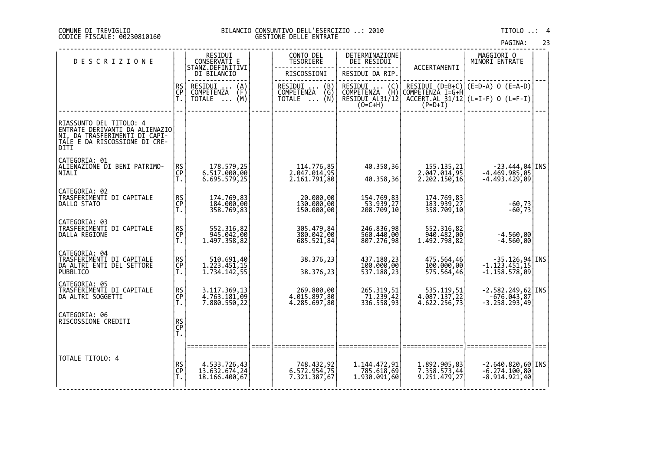#### DI TREVIGLIO BILANCIO CONSUNTIVO DELL'ESERCIZIO ..: 2010 TITOLO ..: 4 FISCALE: 00230810160 GESTIONE DELLE ENTRATE

| PAGINA: |  | 23 |
|---------|--|----|
|         |  |    |

| <b>DESCRIZIONE</b>                                                                                                                           |                | RESIDUI<br>CONSERVATI E                                               | CONTO DEL<br>TESORIERE                                     | DETERMINAZIONE<br>DEI RESIDUI                                                                   |                                              | MAGGIORI O<br>MINORI ENTRATE                                                         |  |
|----------------------------------------------------------------------------------------------------------------------------------------------|----------------|-----------------------------------------------------------------------|------------------------------------------------------------|-------------------------------------------------------------------------------------------------|----------------------------------------------|--------------------------------------------------------------------------------------|--|
|                                                                                                                                              |                | STANZ.DEFINITIVI<br>DI BILANCIO                                       | RISCOSSIONI                                                | RESIDUI DA RIP.                                                                                 | ACCERTAMENTI                                 |                                                                                      |  |
|                                                                                                                                              | RS<br>CP<br>Ť. | RESIDUI<br>$\binom{A}{F}$<br><b>COMPETENZA</b><br>TOTALE $\ldots$ (M) | RESIDUI<br>(B)<br>COMPETENZA<br>(G)<br>TOTALE $\ldots$ (N) | RESIDUI<br>$\begin{pmatrix} C \\ H \end{pmatrix}$<br>COMPETENZA<br>RESIDUI AL31/12<br>$(O=C+H)$ | COMPETENZÀ I=G+H<br>$(P=D+I)$                | RESIDUI $(D=B+C)$ $(E=D-A)$ O $(E=A-D)$<br>$ACCERT.AL_31/12$ (L=I-F) 0 (L=F-I)       |  |
| RIASSUNTO DEL TITOLO: 4<br>ENTRATE DERIVANTI DA ALIENAZIO<br>NI, DA TRASFERIMÊNTI DI CAPI-<br> T <u>ALE</u> E DA RISCOSSIONE DI CRE-<br>DITI |                |                                                                       |                                                            |                                                                                                 |                                              |                                                                                      |  |
| CATEGORIA: 01<br>ALIENAZIONE DI BENI PATRIMO-<br><b>NIALI</b>                                                                                | RS<br>CP<br>T. | 178.579,25<br>6.517.000,00<br>6.695.579,25                            | 114.776,85<br>2.047.014,95<br>2.161.791,80                 | 40.358,36<br>40.358,36                                                                          | 155.135,21<br>2.047.014,95<br>2.202.150,16   | $\begin{bmatrix} -23.444, 04 \\ -4.469.985, 05 \end{bmatrix}$ INS<br>$-4.493.429,09$ |  |
| CATEGORIA: 02<br>TRASFERIMENTI DI CAPITALE<br>DALLO STATO                                                                                    | RS<br>CP<br>T. | 174.769,83<br>184.000,00<br>358.769,83                                | 20.000,00<br>130.000,00<br>150.000,00                      | 154.769,83<br>$\overline{53.939,27}$<br>208.709,10                                              | 174.769,83<br>183.939,27<br>358.709,10       | $-60,73$<br>$-60,73$                                                                 |  |
| CATEGORIA: 03<br>TRASFERIMENTI DI CAPITALE<br>DALLA REGIONE                                                                                  | RS<br>CP<br>T. | 552.316,82<br>945.042,00<br>1.497.358,82                              | 305.479,84<br>380.042,00<br>685.521,84                     | 246.836,98<br>560.440,00<br>807.276,98                                                          | 552.316,82<br>940.482,00<br>1.492.798,82     | $-4.560,00$<br>$-4.560,00$                                                           |  |
| CATEGORIA: 04<br>TRASFERIMENTI DI CAPITALE<br>DA ALTRI ENTI DEL SETTORE<br><b>PUBBLICO</b>                                                   | RS<br>CP<br>Τ. | 510.691,40<br>1.223.451,15<br>1,734,142,55                            | 38.376,23<br>38.376,23                                     | 437.188,23<br>100.000,00<br>537.188,23                                                          | 475.564,46<br>100.000,00<br>575.564,46       | $-35.126, 94$ INS<br>$-1.123.451, 15$<br>$-1.158.578,09$                             |  |
| CATEGORIA: 05<br>TRASFERIMENTI DI CAPITALE<br>DA ALTRI SOGGETTI                                                                              | RS<br>CP<br>T. | 3.117.369,13<br>4.763.181,09<br>7.880.550,22                          | 269.800,00<br>4.015.897,80<br>4.285.697,80                 | 265.319,51<br>$71.239,42$<br>336.558,93                                                         | 535.119,51<br>4.087.137,22<br>4.622.256,73   | $-2.582.249,62$ INS<br>876.043, 676-<br>3.258.293,49-                                |  |
| CATEGORIA: 06<br>RISCÓSSIONE CREDITI                                                                                                         | RS<br>CP<br>T. |                                                                       |                                                            |                                                                                                 |                                              |                                                                                      |  |
| TOTALE TITOLO: 4                                                                                                                             | RS<br>CP<br>T. | 4.533.726,43<br>13.632.674,24<br>18.166.400,67                        | 748.432,92<br>6.572.954,75<br>7.321.387,67                 | 1.144.472,91<br>785.618,69<br>1.930.091,60                                                      | 1.892.905,83<br>7.358.573,44<br>9.251.479,27 | $-2.640.820,60$ INS<br>$-6.274.100,80$<br>$-8.914.921,40$                            |  |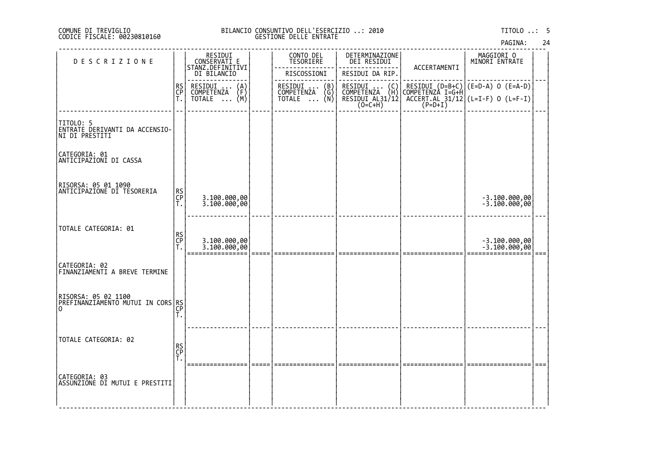### DI TREVIGLIO BILANCIO CONSUNTIVO DELL'ESERCIZIO ..: 2010 TITOLO ..: 5 FISCALE: 00230810160 GESTIONE DELLE ENTRATE

| <b>DESCRIZIONE</b>                                             |                | RESIDUI<br>CONSERVATI_E<br>STANZ.DEFINITIVI | CONTO DEL<br>TESORIERE                        | DETERMINAZIONE<br>DEI RESIDUI                                | ACCERTAMENTI | MAGGIORI O<br>MINORI ENTRATE                                                                               |      |
|----------------------------------------------------------------|----------------|---------------------------------------------|-----------------------------------------------|--------------------------------------------------------------|--------------|------------------------------------------------------------------------------------------------------------|------|
|                                                                |                | DI BILANCIO                                 | RISCOSSIONI                                   | RESIDUI DA RIP.                                              |              |                                                                                                            |      |
|                                                                | RS<br>CP       | RESIDUI  (A)<br>COMPETENZA (F)              | RESIDUI  (B)<br>COMPETENZA (G)<br>TOTALE  (N) |                                                              |              |                                                                                                            |      |
|                                                                | Ť.             | $\overline{NOTALE} \dots (M)$               |                                               | RESIDUI  (C)<br>COMPETENZA (H)<br>RESIDUI AL31/12<br>(O=C+H) |              | RESIDUI (D=B+C) (E=D-A) O (E=A-D)<br> COMPETENZA I=G+H<br>  ACCERT.AL 31/12 (L=I-F) O (L=F-I)<br>  (P=D+I) |      |
| TITOLO: 5<br>ENTRATE DERIVANTI DA ACCENSIO-<br> NI DI PRESTITI |                |                                             |                                               |                                                              |              |                                                                                                            |      |
| CATEGORIA: 01<br> ANTICIPAZIONI DI CASSA                       |                |                                             |                                               |                                                              |              |                                                                                                            |      |
| RISORSA: 05 01 1090<br>ANTICIPAZIONE DI TESORERIA              | RS<br>CP<br>Τ. | 3.100.000,00<br>3.100.000,00                |                                               |                                                              |              | -3.100.000,00<br>-3.100.000,00                                                                             |      |
| TOTALE CATEGORIA: 01                                           | RS<br>CP<br>T. | 3.100.000,00<br>3.100.000,00                |                                               |                                                              |              | -3.100.000,00<br>-3.100.000,00                                                                             | $==$ |
| CATEGORIA: 02<br> FINANZIAMENTI A BREVE TERMINE                |                |                                             |                                               |                                                              |              |                                                                                                            |      |
| RISORSA: 05 02 1100<br>PREFINANZIAMENTO MUTUI IN CORS RS       | Τ.             |                                             |                                               |                                                              |              |                                                                                                            |      |
| TOTALE CATEGORIA: 02                                           | RS<br>CP<br>T. |                                             |                                               |                                                              |              |                                                                                                            |      |
| CATEGORIA: 03<br> ASSUNZIONE DI MUTUI E PRESTITI               |                |                                             |                                               |                                                              |              |                                                                                                            |      |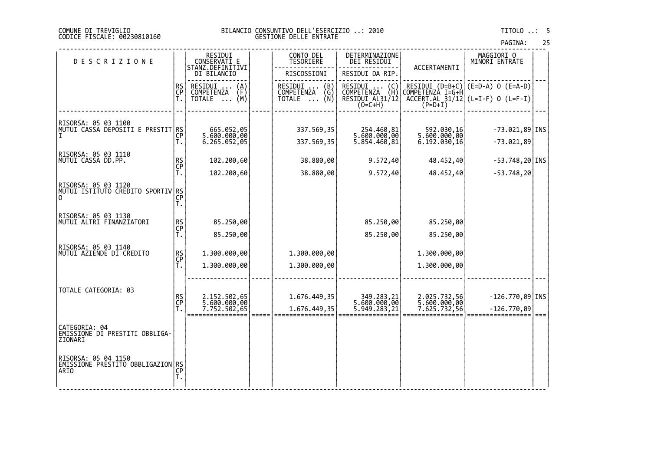#### DI TREVIGLIO BILANCIO CONSUNTIVO DELL'ESERCIZIO ..: 2010 TITOLO ..: 5 FISCALE: 00230810160 GESTIONE DELLE ENTRATE

| <b>DESCRIZIONE</b>                                               |                       | RESIDUI<br>CONSERVATI E                 | CONTO DEL<br>TESORIERE              | DETERMINAZIONE<br>DEI RESIDUI                                                       |                              | MAGGIORI 0<br>MINORI ENTRATE             |  |
|------------------------------------------------------------------|-----------------------|-----------------------------------------|-------------------------------------|-------------------------------------------------------------------------------------|------------------------------|------------------------------------------|--|
|                                                                  |                       | STANZ.DEFINITIVI<br>DI BILANCIO         | RISCOSSIONI                         | RESIDUI DA RIP.                                                                     | ACCERTAMENTI                 |                                          |  |
|                                                                  | RS<br>CP              | RESIDUI<br>$\binom{A}{F}$<br>COMPETENZA | RESIDUI<br>(B)<br>COMPETENZA<br>(G) | RESIDUI<br>$\left(\begin{smallmatrix} C \ H \end{smallmatrix}\right)$<br>COMPETENZA | COMPETENZÀ I=G+H             | RESIDUI $(D=B+C)$ $(E=D-A)$ 0 $(E=A-D)$  |  |
|                                                                  | Ť.                    | (M)<br>TOTALE                           | TOTALE $\ldots$ (N)                 | RESIDUI AL31/12<br>$(O=C+H)$                                                        | $(P=D+I)$                    | $ACCER$ T.AL_31/12 $(L=I-F)$ 0 $(L=F-I)$ |  |
|                                                                  |                       |                                         |                                     |                                                                                     |                              |                                          |  |
| RISORSA: 05 03 1100<br> MUTUI CASSA DEPOSITI E PRESTIT RS        |                       | 665.052,05                              | 337.569,35                          | 254.460,81                                                                          | 592.030,16                   | $-73.021,89$ INS                         |  |
|                                                                  | CP<br>Т.              | 5.600.000,00<br>6.265.052,05            | 337.569,35                          | 5.600.000,00<br>5.854.460,81                                                        | 5.600.000,00<br>6.192.030,16 | $-73.021,89$                             |  |
| RISORSA: 05 03 1110<br> MUTUI CASSA DD.PP.                       |                       |                                         | 38.880,00                           | 9.572,40                                                                            | 48.452,40                    | $-53.748, 20$ INS                        |  |
|                                                                  | RS<br>CP              | 102.200,60<br>102.200,60                | 38.880,00                           | 9.572,40                                                                            | 48.452,40                    | $-53.748, 20$                            |  |
| RISORSA: 05 03 1120                                              |                       |                                         |                                     |                                                                                     |                              |                                          |  |
| MUTUI ISTITUTO CREDITO SPORTIV RS<br> O                          |                       |                                         |                                     |                                                                                     |                              |                                          |  |
|                                                                  | T.                    |                                         |                                     |                                                                                     |                              |                                          |  |
| RISORSA: 05 03 1130<br>MUTUI ALTRI FINANZIATORI                  | RS<br>CP              | 85.250,00                               |                                     | 85.250,00                                                                           | 85.250,00                    |                                          |  |
|                                                                  |                       | 85.250,00                               |                                     | 85.250,00                                                                           | 85.250,00                    |                                          |  |
| RISORSA: 05 03 1140<br>MUTUI AZIENDE DI CREDITO                  |                       | 1.300.000,00                            | 1.300.000,00                        |                                                                                     | 1.300.000,00                 |                                          |  |
|                                                                  | RS<br>CP<br>T.        | 1.300.000,00                            | 1.300.000,00                        |                                                                                     | 1.300.000,00                 |                                          |  |
|                                                                  |                       |                                         |                                     |                                                                                     |                              |                                          |  |
| TOTALE CATEGORIA: 03                                             |                       |                                         |                                     |                                                                                     |                              |                                          |  |
|                                                                  | RS<br>CP<br>T.        | 2.152.502,65<br>5.600.000,00            | 1.676.449,35                        | 349.283,21<br>5.600.000,00<br>5.949.283,21                                          | 2.025.732,56<br>5.600.000,00 | $-126.770,09$ INS                        |  |
|                                                                  |                       | 7.752.502,65                            | 1.676.449,35                        |                                                                                     | 7.625.732,56                 | $-126.770,09$                            |  |
| CATEGORIA: 04<br>EMISSIONE DI PRESTITI OBBLIGA-<br>ZIONARI       |                       |                                         |                                     |                                                                                     |                              |                                          |  |
| RISORSA: 05 04 1150<br>EMISSIONE PRESTITO OBBLIGAZION RS<br>ARIO | $\overline{CP}$<br>T. |                                         |                                     |                                                                                     |                              |                                          |  |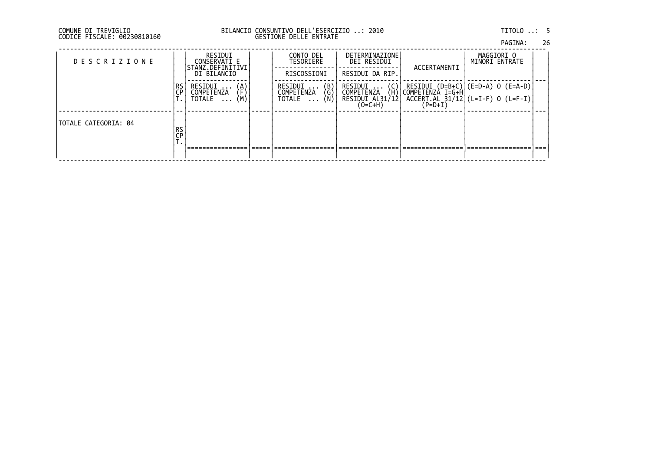# DI TREVIGLIO BILANCIO CONSUNTIVO DELL'ESERCIZIO ..: 2010 TITOLO ..: 5 FISCALE: 00230810160 GESTIONE DELLE ENTRATE

| PAGINA: | 26 |
|---------|----|
|         |    |

| <b>DESCRIZIONE</b>   |          | RESIDUI<br>CONSERVATI E<br>STANZ.DEFINITIVI<br>DI BILANCIO           | CONTO DEL<br>TESORIERE<br>RISCOSSIONI                | <b>DETERMINAZIONE</b><br>DEI RESIDUI<br>RESIDUI DA RIP.                        | ACCERTAMENTI | MAGGIORI O<br>MINORI ENTRATE                                                                       |  |
|----------------------|----------|----------------------------------------------------------------------|------------------------------------------------------|--------------------------------------------------------------------------------|--------------|----------------------------------------------------------------------------------------------------|--|
|                      | RS<br>CP | RESIDUI<br>$\binom{A}{F}$<br>COMPETENZA<br>(M∖<br>TOTALE<br>$\cdots$ | RESIDUI<br>(B)<br>(G)<br>COMPETENZA<br>(Ñ)<br>TOTALE | RESIDUI<br>$\binom{C}{H}$<br><b>COMPETENZA</b><br>RESIDUI AL31/12<br>$(O=C+H)$ | (P=D+I)      | RESIDUI (D=B+C) (E=D-A) O (E=A-D) <br> COMPETENZA I=G+H <br>$ACCERT. AL 31/12$ $(L=I-F) 0 (L=F-I)$ |  |
| TOTALE CATEGORIA: 04 | RS<br>CP |                                                                      |                                                      |                                                                                |              |                                                                                                    |  |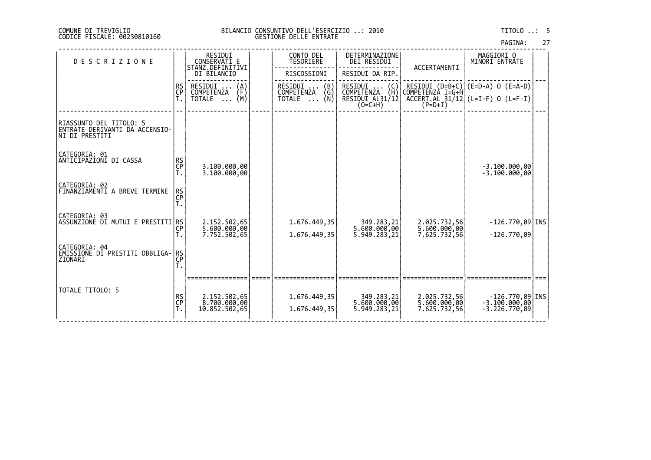#### DI TREVIGLIO BILANCIO CONSUNTIVO DELL'ESERCIZIO ..: 2010 TITOLO ..: 5 FISCALE: 00230810160 GESTIONE DELLE ENTRATE

| PAGINA: |  | 27 |
|---------|--|----|
|         |  |    |

| <b>DESCRIZIONE</b>                                                            |                | RESIDUI<br>CONSERVATI E<br>STANZ.DEFINITIVI  | CONTO DEL<br><b>TESORIERE</b>           | DETERMINAZIONE<br>DEI RESIDUI              | ACCERTAMENTI                                 | MAGGIORI O<br>MINORI ENTRATE                             |  |
|-------------------------------------------------------------------------------|----------------|----------------------------------------------|-----------------------------------------|--------------------------------------------|----------------------------------------------|----------------------------------------------------------|--|
|                                                                               |                | DI BILANCIO                                  | RISCOSSIONI                             | RESIDUI DA RIP.                            |                                              |                                                          |  |
|                                                                               | RS<br>CP       | RESIDUI<br>$\binom{A}{F}$                    | RESIDUI<br>$\binom{B}{G}$<br>COMPETENZA | RESIDUI<br>COMPETENZA<br>$\binom{C}{H}$    |                                              | RESIDUI (D=B+C) (E=D-A) O (E=A-D)<br> COMPETENZA I=G+H   |  |
|                                                                               |                | COMPETENZA<br>$\overline{NOTALE} \dots (M)$  | TOTALE $\ldots$ (N)                     | RESIDUI AL31/12<br>$(0=C+H)$               | $(P=D+I)$                                    | $ACCERT. AL 31/12 (L=I-F) 0 (L=F-I)$                     |  |
| RIASSUNTO DEL TITOLO: 5 <br>ENTRATE DERIVANTI DA ACCENSIO-<br>INI DI PRESTITI |                |                                              |                                         |                                            |                                              |                                                          |  |
| CATEGORIA: 01<br> ANTICIPAZIONI DI CASSA                                      | RS<br>CP       | 3.100.000,00<br>3.100.000,00                 |                                         |                                            |                                              | $-3.100.000,00$<br>$-3.100.000,00$                       |  |
| CATEGORIA: 02<br>FINANZIAMENTI A BREVE TERMINE                                | RS<br>CP<br>Ť. |                                              |                                         |                                            |                                              |                                                          |  |
| CATEGORIA: 03 <br>ASSUNZIONE DI MUTUI E PRESTITI RS                           | ĈP             | 2.152.502,65<br>5.600.000,00<br>7.752.502,65 | 1.676.449,35<br>1.676.449,35            | 349.283,21<br>5.600.000,00<br>5.949.283,21 | 2.025.732,56<br>5.600.000,00<br>7.625.732,56 | $-126.770,09$ INS<br>$-126.770,09$                       |  |
| CATEGORIA: 04<br> EMISSIONE DI PRESTITI OBBLIGA-<br>ZIONARI                   | RS<br>CP<br>T. |                                              |                                         |                                            |                                              |                                                          |  |
|                                                                               |                |                                              |                                         |                                            |                                              |                                                          |  |
| TOTALE TITOLO: 5                                                              |                | 2.152.502,65                                 | 1.676.449,35                            |                                            |                                              | $-126.770,09$ INS                                        |  |
|                                                                               | RS<br>CP<br>T. | 8.700.000,00<br>10.852.502,65                | 1.676.449,35                            | 349.283,21<br>5.600.000,00<br>5.949.283,21 | 2.025.732,56<br>5.600.000,00<br>7.625.732,56 | $-3.\overline{100}.000,\overline{00}$<br>$-3.226.770,09$ |  |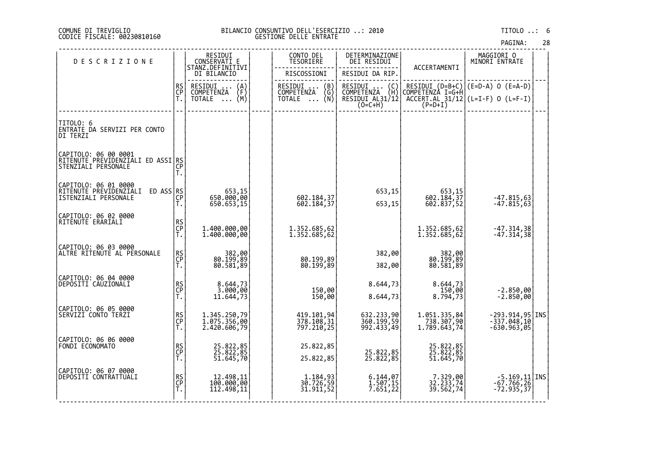#### DI TREVIGLIO BILANCIO CONSUNTIVO DELL'ESERCIZIO ..: 2010 TITOLO ..: 6 FISCALE: 00230810160 GESTIONE DELLE ENTRATE

| <b>DESCRIZIONE</b>                                                                      |                | RESIDUI<br>CONSERVATI E                                                     | CONTO DEL<br><b>TESORIERE</b>                 | DETERMINAZIONE<br>DEI RESIDUI                                                                                        |                                            | MAGGIORI 0<br>MINORI ENTRATE                                                                                       |  |
|-----------------------------------------------------------------------------------------|----------------|-----------------------------------------------------------------------------|-----------------------------------------------|----------------------------------------------------------------------------------------------------------------------|--------------------------------------------|--------------------------------------------------------------------------------------------------------------------|--|
|                                                                                         |                | STANZ.DEFINITIVI<br>DI BILANCIO                                             | RISCOSSIONI                                   | RESIDUI DA RIP.                                                                                                      | ACCERTAMENTI                               |                                                                                                                    |  |
|                                                                                         | RS<br>CP<br>T. | RESIDUI<br>$\binom{A}{F}$<br><b>COMPETENZA</b><br>(M)<br>TOTALE<br>$\cdots$ | RESIDUI  (B)<br>COMPETENZA (G)<br>TOTALE  (N) | RESIDUI<br>$\left(\begin{smallmatrix} C \\ H \end{smallmatrix}\right)$<br>COMPETENZA<br>RESIDUI AL31/12<br>$(0=C+H)$ |                                            | RESIDUI (D=B+C) (E=D-A) 0 (E=A-D)<br>COMPETENZA I=G+H<br>$\overline{ACCERT.AL}$ 31/12 (L=I-F) 0 (L=F-I)<br>(P=D+I) |  |
| TITOLO: 6<br>ENTRATE DA SERVIZI PER CONTO<br>DI TERZI                                   |                |                                                                             |                                               |                                                                                                                      |                                            |                                                                                                                    |  |
| CAPITOLO: 06 00 0001<br>RITENUTE PREVIDENZIALI ED ASSI RS<br>STENZIALI PERSONALE        | ĈP<br>T.       |                                                                             |                                               |                                                                                                                      |                                            |                                                                                                                    |  |
| CAPITOLO: 06 01 0000<br>RITENUTE PREVIDENZIALI ED ASS RS<br><b>ISTENZIALI PERSONALE</b> | СĔ<br>Τ.       | 15, 653<br>650.000,00<br>650.653,15                                         | 602.184,37<br>602.184,37                      | 653,15<br>653,15                                                                                                     | 653,15<br>602.184,37<br>602.837,52         | $-47.815,63$<br>$-47.815,63$                                                                                       |  |
| CAPITOLO: 06 02 0000<br>RITENUTE ERARIALI                                               | RS<br>CP<br>T. | 1.400.000,00<br>1.400.000,00                                                | 1.352.685,62<br>1.352.685,62                  |                                                                                                                      | 1.352.685,62<br>1.352.685,62               | $-47.314,38$<br>$-47.314,38$                                                                                       |  |
| CAPITOLO: 06 03 0000<br>ALTRE RITENUTE AL PERSONALE                                     | RS<br>CP<br>T. | 382,00<br>80.199,89<br>80.581,89                                            | 80.199,89<br>80.199,89                        | 382,00<br>382,00                                                                                                     | 382,00<br>80.199,89<br>80.581,89           |                                                                                                                    |  |
| CAPITOLO: 06 04 0000<br>DEPOSITI CAUZIONALI                                             | RS<br>CP<br>T. | 8.644,73<br>3.000,00<br>11.644,73                                           | 150,00<br>150,00                              | 8.644,73<br>8.644,73                                                                                                 | 8.644,73<br>150,00<br>8.794,73             | -2.850,00<br>-2.850,00                                                                                             |  |
| CAPITOLO: 06 05 0000<br>SERVIZI CONTO TERZI                                             | RS<br>CP<br>T. | 1.345.250,79<br>1.075.356,00<br>2.420.606,79                                | 419.101,94<br>378.108,31<br>797.210,25        | 632.233,90<br>360.199,59<br>992.433,49                                                                               | 1.051.335,84<br>738.307,90<br>1.789.643,74 | -293.914,95 INS<br>-337.048,10<br>$-630.963,05$                                                                    |  |
| CAPITOLO: 06 06 0000<br>FONDI ECONOMATO                                                 | RS<br>CP<br>T. | 25.822,85<br>25.822,85<br>51.645,70                                         | 25.822,85<br>25.822,85                        | 25.822,85<br>25.822,85                                                                                               | 25.822,85<br>25.822,85<br>51.645,70        |                                                                                                                    |  |
| CAPITOLO: 06 07 0000<br>DEPOSITI CONTRATTUALI                                           | RS<br>CP<br>T. | 12.498,11<br>100.000,00<br>112.498,11                                       | 1.184,93<br>30.726,59<br>31.911,52            | 6.144,07<br>1.507,15<br>7.651,22                                                                                     | 7.329,00<br>32.233,74<br>39.562,74         | $-5.169, 11$ TNS<br>$-67.766, 26$<br>$-72.935,37$                                                                  |  |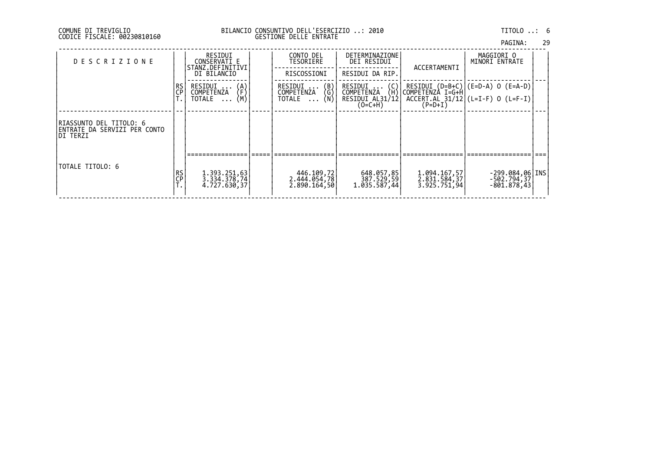### DI TREVIGLIO BILANCIO CONSUNTIVO DELL'ESERCIZIO ..: 2010 TITOLO ..: 6 FISCALE: 00230810160 GESTIONE DELLE ENTRATE

| PAGINA: |  | 29 |
|---------|--|----|
|         |  |    |

| <b>DESCRIZIONE</b>                                                    |          | RESIDUI<br>CONSERVATI E<br>STANZ.DEFINITIVI<br>DI BILANCIO    | CONTO DEL<br>TESORIERE<br>RISCOSSIONI                                          | DETERMINAZIONE<br>DEI RESIDUI<br>RESIDUI DA RIP.                      | ACCERTAMENTI                                 | MAGGIORI O<br>MINORI ENTRATE                                                                                                                        |  |
|-----------------------------------------------------------------------|----------|---------------------------------------------------------------|--------------------------------------------------------------------------------|-----------------------------------------------------------------------|----------------------------------------------|-----------------------------------------------------------------------------------------------------------------------------------------------------|--|
|                                                                       | RS<br>CP | RESIDUI<br>$\{A\}$<br>COMPETENZA<br>(M)<br>TOTALE<br>$\cdots$ | RESIDUI<br>$\begin{pmatrix} B \\ G \\ N \end{pmatrix}$<br>COMPETENZA<br>TOTALE | $RESIDUI$ $(C)$<br>(H)<br>COMPETENZA<br>RESIDUI AL31/121<br>$(0=C+H)$ | COMPETENZA I=G+H                             | RESIDUI $(D=B+C)$ $(E=D-A)$ O $(E=A-D)$<br>$\left[\begin{array}{cc} \overline{ACCERT.AL} & 31/12 \\ (P=D+1) & \end{array}\right]$ (L=I-F) 0 (L=F-I) |  |
| RIASSUNTO DEL TITOLO: 6<br>IENTRATE DA SERVIZI PER CONTO<br>IDI TERZI |          |                                                               |                                                                                |                                                                       |                                              |                                                                                                                                                     |  |
|                                                                       |          |                                                               |                                                                                |                                                                       |                                              |                                                                                                                                                     |  |
| TOTALE TITOLO: 6                                                      | RS<br>CP | 1.393.251,63<br>3.334.378,74<br>4.727.630,37                  | 446.109,72<br>2.444.054,78<br>2.890.164,50                                     | 648.057,85<br>387.529,59<br>1.035.587,44                              | 1.094.167,57<br>2.831.584,37<br>3.925.751,94 | $-299.084,06$ INS<br>$-502.794, 37$<br>-801.878,431                                                                                                 |  |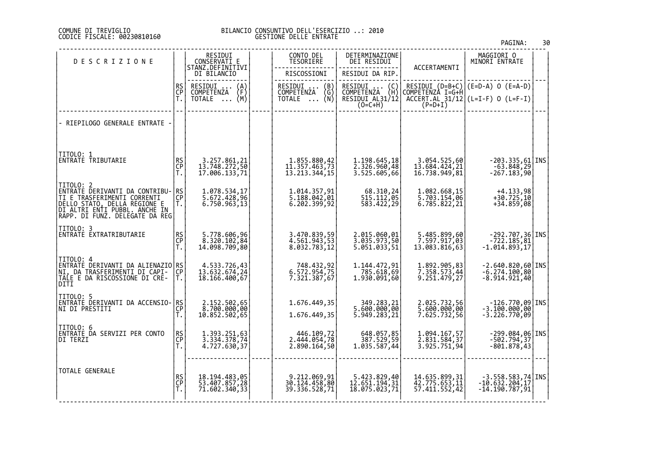#### DI TREVIGLIO BILANCIO CONSUNTIVO DELL'ESERCIZIO ..: 2010 FISCALE: 00230810160 GESTIONE DELLE ENTRATE

| DESCRIZIONE                                                                                                                                                                                                           |                       | RESIDUI<br>CONSERVATI E                                          | CONTO DEL<br><b>TESORIERE</b>                  | DETERMINAZIONE<br>DEI RESIDUI                                   |                                                 | MAGGIORI 0<br>MINORI ENTRATE                                |  |
|-----------------------------------------------------------------------------------------------------------------------------------------------------------------------------------------------------------------------|-----------------------|------------------------------------------------------------------|------------------------------------------------|-----------------------------------------------------------------|-------------------------------------------------|-------------------------------------------------------------|--|
|                                                                                                                                                                                                                       |                       | STANZ.DEFINITIVI<br>DI BILANCIO                                  | RISCOSSIONI                                    | RESIDUI DA RIP.                                                 | ACCERTAMENTI                                    |                                                             |  |
|                                                                                                                                                                                                                       | RS<br>CP              | RESIDUI<br>$\binom{A}{F}$<br><b>COMPETENZA</b>                   | $RESIDUI$ $(B)$<br>COMPETENZA<br>(G)           | RESIDUI<br>$\begin{pmatrix} C \\ H \end{pmatrix}$<br>COMPETENZA |                                                 | RESIDUI (D=B+C) (E=D-A) O (E=A-D)<br>COMPETENZA I=G+H       |  |
|                                                                                                                                                                                                                       |                       | (M)<br>TOTALE                                                    | TOTALE $\ldots$ (N)                            | RESIDUI AL31/12<br>$(0=C+H)$                                    |                                                 | $\overline{ACCERT.AL}$ 31/12 (L=I-F) 0 (L=F-I)<br>(P=D+I)   |  |
| - RIEPILOGO GENERALE ENTRATE                                                                                                                                                                                          |                       |                                                                  |                                                |                                                                 |                                                 |                                                             |  |
| TITOLO: 1<br>ENTRATE TRIBUTARIE                                                                                                                                                                                       | RS<br>CP<br>T.        | 3.257.861,21<br>13.748.272,50<br>17.006.133,71                   | 1.855.880,42<br>11.357.463,73<br>13.213.344,15 | 1.198.645,18<br>2.326.960,48<br>3.525.605,66                    | 3.054.525,60<br>13.684.424,21<br>16.738.949,81  | $-203.335,61$ INS<br>$-63.848,29$<br>$-267.183,90$          |  |
| TITOLO: 2<br>ENTRATE DERIVANTI DA CONTRIBU- RS<br> TI E TRASFERIMENTI CORRENTI   CP<br>TI E TRAŠFERIMENTI CORRENTI<br>DELLO STATO, DELLA REGIONE E<br>DI ALTRI ENTI PUBBL, ANCHE IN<br>RAPP. DI FUNZ. DELEGATE DA REG | Τ.                    | 1.078.534,17<br>5.672.428,96<br>6.750.963,13                     | 1.014.357,91<br>5.188.042,01<br>6.202.399,92   | 68.310,24<br>515.112,05<br>583.422,29                           | 1.082.668,15<br>5.703.154,06<br>6.785.822,21    | $+4.133,98$<br>$+30.725,10$<br>$+34.859,08$                 |  |
| TITOLO: 3<br>ENTRATE EXTRATRIBUTARIE                                                                                                                                                                                  | <b>RS</b><br>CP<br>T. | 5.778.606,96<br>8.320.102,84<br> 14.098.709,80                   | 3.470.839,59<br>4.561.943,53<br>8.032.783,12   | 2.015.060,01<br>3.035.973,50<br>5.051.033,51                    | 5.485.899,60<br>7.597.917,03<br>13.083.816,63   | $-292.707,36$ INS<br>722.185,81<br>1.014.893,17-            |  |
| TITOLO: 4<br>ENTRATE DERIVANTI DA ALIENAZIO RS<br> NI, DA TRASFERIMENTI DI CAPI-  CP<br>TALE E DA RISCOSSIONE DI CRE-<br>DITI                                                                                         | T.                    | 4.533.726,43<br>13.632.674,24<br>18.166.400,67                   | 92, 748.432<br>6.572.954, 75<br>7.321.387,67   | 1.144.472,91<br>785.618,69<br>1,930.091,60                      | 1.892.905,83<br>7.358.573,44<br>9.251.479,27    | $-2.640.820,60$ INS<br>$-6.274.100,80$<br>$-8.914.921,40$   |  |
| TITOLO: 5<br>ENTRATE DERIVANTI DA ACCENSIO- <br>INI DI PRESTITI                                                                                                                                                       | RS<br>CP<br>T.        | 2.152.502,65<br>8.700.000,00<br>10.852.502,65                    | 1.676.449,35<br>1.676.449,35                   | 349.283,21<br>5.600.000,00<br>5.949.283,21                      | 2.025.732,56<br>5.600.000,00<br>7.625.732,56    | $-126.770,09$ INS<br>$-3.100.000,00$<br>$-3.226.770,09$     |  |
| TITOLO: 6<br>ENTRATE DA SERVIZI PER CONTO<br>DI TERZI                                                                                                                                                                 | RS<br>CP<br>T.        | 1.393.251,63<br>$\left[\frac{3.334.378,74}{4.727.630,37}\right]$ | 446.109,72<br>2.444.054,78<br>2.890.164,50     | 648.057,85<br>387.529,59<br>1.035.587,44                        | 1.094.167,57<br>2.831.584,37<br>3.925.751,94    | $-299.084,06$ INS<br>$-502.794, 37$<br>$-801.878,43$        |  |
| <b>TOTALE GENERALE</b>                                                                                                                                                                                                | RS<br>CP<br>T.        | 18.194.483,05<br>53.407.857,28<br>71.602.340,33                  | 9.212.069,91<br>30.124.458,80<br>39.336.528,71 | 5.423.829,40<br>12.651.194,31<br>18.075.023,71                  | 14.635.899,31<br>42.775.653,11<br>57.411.552,42 | $-3.558.583,74$ INS<br>$-10.632.204,17$<br>$-14.190.787,91$ |  |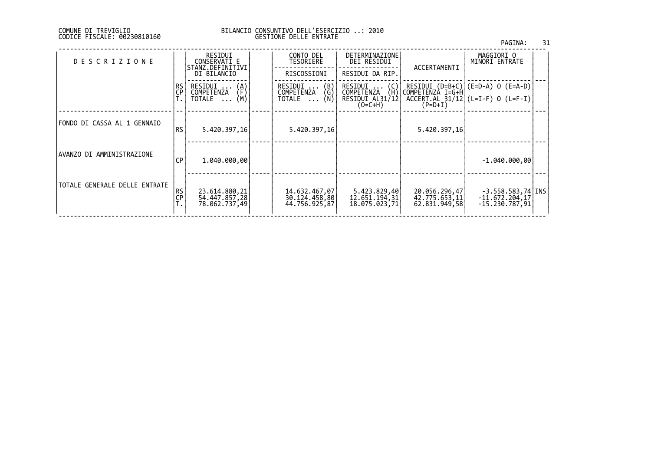#### DI TREVIGLIO BILANCIO CONSUNTIVO DELL'ESERCIZIO ..: 2010 FISCALE: 00230810160 GESTIONE DELLE ENTRATE

|                               |                   |                                                            |                                                 |                                                                |                                                 | PAGINA:                                                                                          | 31 |
|-------------------------------|-------------------|------------------------------------------------------------|-------------------------------------------------|----------------------------------------------------------------|-------------------------------------------------|--------------------------------------------------------------------------------------------------|----|
| <b>DESCRIZIONE</b>            |                   | RESIDUI<br>CONSERVATI E<br>STANZ.DEFINITIVI<br>DI BILANCIO | CONTO DEL<br>TESORIERE<br>RISCOSSIONI           | DETERMINAZIONE<br>DEI RESIDUI<br>RESIDUI DA RIP.               | ACCERTAMENTI                                    | MAGGIORI O<br>MINORI ENTRATE                                                                     |    |
|                               | l RS<br><b>CP</b> | RESIDUI<br>$\{A\}$<br>COMPETENZA<br>(M)<br>TOTALE          | RESIDUI  (B)<br>COMPETENZA (G)<br>TOTALE  (N)   | RESIDUI  (C)<br>COMPETENZA (H)<br>RESIDUI AL31/12<br>$(O=C+H)$ | $(P=D+I)$                                       | RESIDUI (D=B+C) (E=D-A) O (E=A-D) <br> COMPETENZA I=G+H <br>$ACCERT. AL$ 31/12 (L=I-F) 0 (L=F-I) |    |
| FONDO DI CASSA AL 1 GENNAIO   | <b>RS</b>         | 5.420.397,16                                               | 5.420.397,16                                    |                                                                | 5.420.397,16                                    |                                                                                                  |    |
| AVANZO DI AMMINISTRAZIONE     | СP                | 1,040,000,00                                               |                                                 |                                                                |                                                 | $-1.040.000,00$                                                                                  |    |
| TOTALE GENERALE DELLE ENTRATE | <b>RS</b><br>CP   | 23.614.880,21<br>54.447.857,28<br>78.062.737,49            | 14.632.467,07<br>30.124.458,80<br>44.756.925,87 | 5.423.829,40<br>12.651.194,31<br>18.075.023,71                 | 20.056.296,47<br>42.775.653,11<br>62.831.949,58 | $-3.558.583,74$ TNS<br>$-11.672.204,17$<br>-15.230.787,91                                        |    |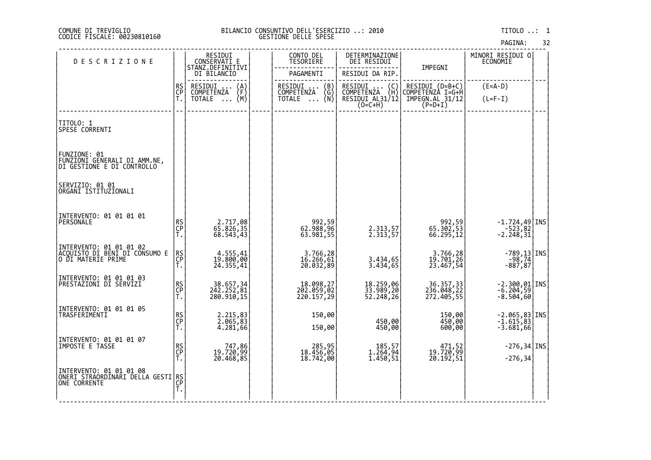#### DI TREVIGLIO BILANCIO CONSUNTIVO DELL'ESERCIZIO ..: 2010 TITOLO ..: 1 FISCALE: 00230810160 GESTIONE DELLE SPESE

| DESCRIZIONE                                                                          |                | RESIDUI<br>CONSERVATI_E<br>STANZ.DEFINITIVI                          |  | CONTO DEL<br>TESORIERE                                               | DETERMINAZIONE<br>DEI RESIDUI                    |                                       | MINORI RESIDUI O<br>ECONOMIE                                                      |  |
|--------------------------------------------------------------------------------------|----------------|----------------------------------------------------------------------|--|----------------------------------------------------------------------|--------------------------------------------------|---------------------------------------|-----------------------------------------------------------------------------------|--|
|                                                                                      |                | DI BILANCIO                                                          |  | PAGAMENTI                                                            | RESIDUI DA RIP.                                  | IMPEGNI                               |                                                                                   |  |
|                                                                                      | RS<br>CP<br>T. | RESIDUI<br>$\begin{Bmatrix} A \\ F \\ M \end{Bmatrix}$<br>COMPETENZA |  | RESIDUI<br>$\begin{pmatrix} B \\ G \\ N \end{pmatrix}$<br>COMPETENZA | RESIDUI (C)<br>COMPETENZA (H)<br>RESIDUI AL31/12 | RESIDUI (D=B+C)<br>COMPETENZÀ I=G+Ĥ   | $(E=A-D)$                                                                         |  |
|                                                                                      |                | TOTALE<br>$\cdots$                                                   |  | <b>TOTALE</b><br>$\cdots$                                            | $(O=C+H)$                                        | IMPEGN.AL 31/12<br>$(P=D+I)$          | $(L=F-I)$                                                                         |  |
| <b>TITOLO: 1</b><br>SPESE CORRENTI                                                   |                |                                                                      |  |                                                                      |                                                  |                                       |                                                                                   |  |
| FUNZIONE: 01<br>FUNZIONI GENERALI DI AMM.NE,<br>DI GESTIONE E DI CONTROLLO           |                |                                                                      |  |                                                                      |                                                  |                                       |                                                                                   |  |
| SERVIZIO: 01 01<br>ORGANI ISTITUZIONALI                                              |                |                                                                      |  |                                                                      |                                                  |                                       |                                                                                   |  |
| INTERVENTO: 01 01 01 01<br>PERSONALE                                                 | RS<br>CP<br>T. | 2.717,08<br>65.826,35<br>68.543,43                                   |  | 92,59<br>96,888,96<br>63.981,55                                      | 2.313,57<br>2.313,57                             | 992,59<br>65.302,53<br>66.295,12      | $\left[\begin{array}{c} -1.724,49 \\ -523,82 \\ -2.248,31 \end{array}\right]$ TNS |  |
| INTERVENTO: 01 01 01 02<br> ACQUISTO DI BENI DI CONSUMO E<br> O DI MATERIE PRIME     | RS<br>CP<br>T. | 4.555,41<br>19.800,00<br>24.355,41                                   |  | 3.766,28<br>16.266,61<br>20.032,89                                   | 3.434,65<br>3.434,65                             | 3.766,28<br>19.701,26<br>23.467,54    | -789,13 INS<br>-98,74<br>-887,87                                                  |  |
| INTERVENTO: 01 01 01 03<br> PRESTAZIONI DI SERVIZI                                   | RS<br>CP<br>T. | 38.657,34<br>242.252,81<br>280.910,15                                |  | 18.098,27<br>202.059,02<br>220.157,29                                | 18.259,06<br>33.989,20<br>52.248,26              | 36.357,33<br>236.048,22<br>272.405,55 | $-2.300, 01$ INS<br>$-6.204, 59$<br>$-8.504,60$                                   |  |
| INTERVENTO: 01 01 01 05<br>TRASFERIMENTI                                             | RS<br>CP<br>T. | 2.215,83<br>2.065,83<br>4.281,66                                     |  | 150,00<br>150,00                                                     | 450,00<br>450,00                                 | 150,00<br>450,00<br>600,00            | $-2.065, 83$ INS<br>$-1.615, 83$<br>$-3.681,66$                                   |  |
| INTERVENTO: 01 01 01 07<br>IMPOSTE E TAŠSE                                           | RS<br>CP<br>T. | 747,86<br>19.720,99<br>20.468,85                                     |  | 285,95<br>18.456,05<br>18.742,00                                     | 185,57<br>1.264,94<br>1.450,51                   | 471,52<br>19.720,99<br>20.192,51      | $-276, 34$ INS<br>$-276, 34$                                                      |  |
| INTERVENTO: 01 01 01 08<br>ŎŇĔŔĬ`ŠŤŔĂŎŖĎĨNĂŔI ĎEĽĽA GESTI RS<br> ONE CORRENTE<br> T. |                |                                                                      |  |                                                                      |                                                  |                                       |                                                                                   |  |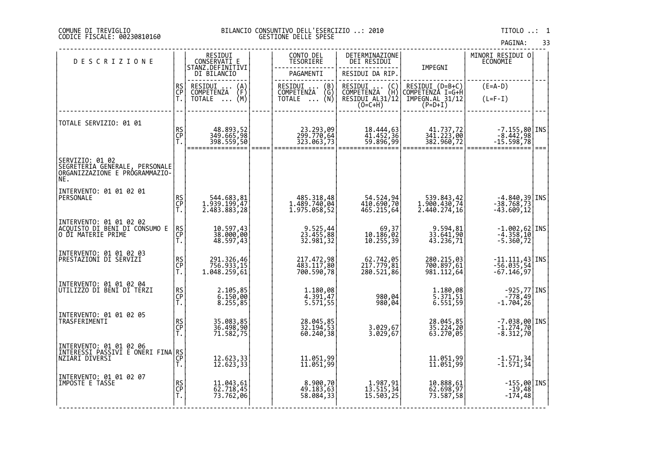#### COMUNE DI TREVIGLIO BILANCIO CONSUNTIVO DELL'ESERCIZIO ..: 2010 TITOLO ..: 1 CODICE FISCALE: 00230810160 GESTIONE DELLE SPESE

|                                                                                             |                |                                             |                                                                 |                                                                 |                                                  | PAGINA:                                                                              | 33   |
|---------------------------------------------------------------------------------------------|----------------|---------------------------------------------|-----------------------------------------------------------------|-----------------------------------------------------------------|--------------------------------------------------|--------------------------------------------------------------------------------------|------|
| <b>DESCRIZIONE</b>                                                                          |                | RESIDUI<br>CONSERVATI E<br>STANZ.DEFINITIVI | CONTO DEL<br><b>TESORIERE</b>                                   | DETERMINAZIONE<br>DEI RESIDUI                                   | IMPEGNI                                          | MINORI RESIDUI O<br>ECONOMIE                                                         |      |
|                                                                                             |                | DI BILANCIO                                 | PAGAMENTI                                                       | RESIDUI DA RIP.                                                 |                                                  |                                                                                      |      |
|                                                                                             | RS<br>CP       | RESIDUI<br>$\binom{A}{F}$                   | RESIDUI<br>COMPETENZA<br>$\begin{pmatrix} B \\ G \end{pmatrix}$ | RESIDUI<br>COMPETENZA<br>$\begin{pmatrix} C \\ H \end{pmatrix}$ | RESIDUI (D=B+C)                                  | $(E=A-D)$                                                                            |      |
|                                                                                             | Ť.             | <b>COMPETENZA</b><br>(M)<br>TOTALE          | (N)<br>TOTALE                                                   | RESIDUI AL31/12<br>$(O=C+H)$                                    | COMPETENZA I=G+H<br>IMPEGN.AL 31/12<br>$(P=D+I)$ | $(L=F-I)$                                                                            |      |
|                                                                                             |                |                                             |                                                                 |                                                                 |                                                  |                                                                                      |      |
| TOTALE SERVIZIO: 01 01                                                                      | RS<br>CP       |                                             |                                                                 |                                                                 |                                                  |                                                                                      |      |
|                                                                                             | T.             | 48.893,52<br>349.665,98<br>398.559,50       | 23.293,09<br>299.770,64<br>323.063,73                           | 18.444,63<br>41.452,36<br>59.896,99                             | 41.737,72<br>341.223,00<br>382.960,72            | $\begin{bmatrix} -7.155, 80   \text{INS} \\ -8.442, 98 \\ -15.598, 78 \end{bmatrix}$ | $==$ |
| SERVIZIO: 01 02<br> SEGRETERIA_GENERALE, PERSONALE<br>ORGANIZZAZIONE E PRÓGRAMMAZIO-<br>NE. |                |                                             |                                                                 |                                                                 |                                                  |                                                                                      |      |
| INTERVENTO: 01 01 02 01                                                                     |                |                                             |                                                                 |                                                                 |                                                  |                                                                                      |      |
| PERSONALE                                                                                   | RS<br>CP<br>T. | 544.683,81<br>1.939.199,47                  | 485.318,48<br>1.489.740,04<br>1.975.058,52                      | 54.524,94<br>410.690,70<br>465.215,64                           | 539.843,42<br>1.900.430,74<br>2.440.274,16       | $-4.840,39$ INS<br>$-38.768,73$<br>$-43.609,12$                                      |      |
|                                                                                             |                | 2.483.883,28                                |                                                                 |                                                                 |                                                  |                                                                                      |      |
| INTERVENTO: 01 01 02 02<br>ACQUISTO DI BENI DI CONSUMO E                                    | RS<br>CP       | 10.597,43<br>38.000,00                      |                                                                 |                                                                 | 9.594,81<br>33.641,90                            | $-1.002,62$ INS                                                                      |      |
| O DI MATERIE PRIME                                                                          | Ť.             | 48.597,43                                   | 9.525,44<br>23.455,88<br>32.981,32                              | 69,37<br>10.186,02<br>10.255,39                                 | 43.236,71                                        | -4.358,10<br>-5.360,72                                                               |      |
| INTERVENTO: 01 01 02 03<br>PRESTAZIONI DI SERVIZI                                           |                |                                             |                                                                 |                                                                 |                                                  |                                                                                      |      |
|                                                                                             | RS<br>CP<br>T. | 291.326,46<br>756.933,15<br>1.048.259,61    | 217.472,98<br>483.117,80<br>700.590,78                          | 62.742,05<br>217.779,81<br>280.521,86                           | 280.215,03<br>700.897,61<br>981.112,64           | -11.111,43 INS<br>-56.035,54<br>-67.146,97                                           |      |
|                                                                                             |                |                                             |                                                                 |                                                                 |                                                  |                                                                                      |      |
| INTERVENTO: 01 01 02 04<br>UTILIZZO DI BENI DI TERZI                                        | RS<br>CP<br>T. | 2.105,85                                    | 1.180,08                                                        |                                                                 | 1.180,08                                         | $-925, 77$ INS                                                                       |      |
|                                                                                             |                | $\overline{6}.150,00$<br>8.255,85           | 4.391,47<br>5.571,55                                            | 980,04<br>980,04                                                | 5.371,51<br>6.551,59                             | 49, 778-<br>1.704, 26-                                                               |      |
| INTERVENTO: 01 01 02 05<br>TRASFERIMENTI                                                    |                |                                             |                                                                 |                                                                 |                                                  |                                                                                      |      |
|                                                                                             | RS<br>CP<br>T. | 35.083,85<br>36.498,90<br>71.582,75         | 28.045,85<br>32.194,53<br>60.240, 38                            | 3.029,67<br>3.029,67                                            | 28.045,85<br>35.224,20<br>63.270,05              | $-7.038,00$ INS<br>$-1.274,70$<br>$-8.312,70$                                        |      |
| INTERVENTO: 01 01 02 06                                                                     |                |                                             |                                                                 |                                                                 |                                                  |                                                                                      |      |
| İNTERESSI PASSIVI E ONERI FINA RS<br> NZIARI DIVERSI<br> CP                                 |                |                                             |                                                                 |                                                                 |                                                  |                                                                                      |      |
|                                                                                             |                | 12.623,33<br>12.623,33                      | 11.051,99<br>11.051,99                                          |                                                                 | 11.051,99<br>11.051,99                           | $-1.571,34$<br>$-1.571,34$                                                           |      |
| INTERVENTO: 01 01 02 07<br>IMPOSTE E TASSE                                                  |                |                                             | 8.900,70<br>49.183,63                                           |                                                                 |                                                  | $-155,00$  INS                                                                       |      |
|                                                                                             | RS<br>CP<br>T. | 11.043,61<br>62.718,45<br>73.762,06         | 58.084,33                                                       | 1.987,91<br>13.515,34<br>15.503,25                              | 10.888,61<br>62.698,97<br>73.587,58              | $-19,48$<br>174,48                                                                   |      |
|                                                                                             |                |                                             |                                                                 |                                                                 |                                                  |                                                                                      |      |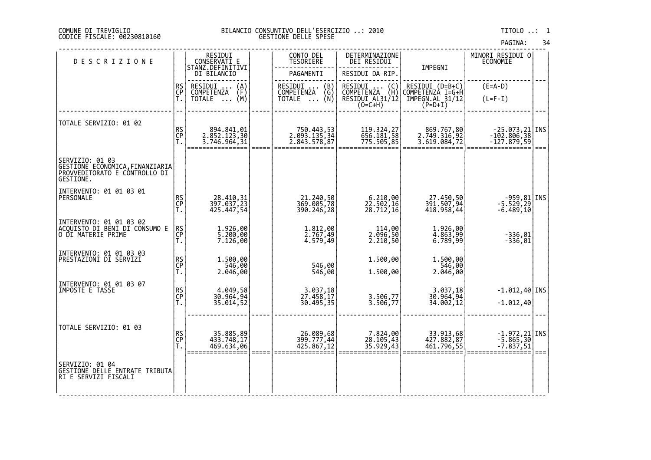#### DI TREVIGLIO BILANCIO CONSUNTIVO DELL'ESERCIZIO ..: 2010 TITOLO ..: 1 FISCALE: 00230810160 GESTIONE DELLE SPESE

| <b>DESCRIZIONE</b>                                                                                 |                | RESIDUI<br>CONSERVATI E<br>STANZ.DEFINITIVI                                 | CONTO DEL<br>TESORIERE                                                                            | DETERMINAZIONE<br>DEI RESIDUI                                                                                        |                                                                     | MINORI RESIDUI 0<br>ECONOMIE                    |      |
|----------------------------------------------------------------------------------------------------|----------------|-----------------------------------------------------------------------------|---------------------------------------------------------------------------------------------------|----------------------------------------------------------------------------------------------------------------------|---------------------------------------------------------------------|-------------------------------------------------|------|
|                                                                                                    |                | DI BILANCIO                                                                 | PAGAMENTI                                                                                         | RESIDUI DA RIP.                                                                                                      | IMPEGNI                                                             |                                                 |      |
|                                                                                                    | RS<br>CP<br>Ť. | RESIDUI<br>$\binom{A}{F}$<br>COMPETENZA<br>(M)<br><b>TOTALE</b><br>$\cdots$ | RESIDUI<br>$\begin{pmatrix} B \\ G \\ N \end{pmatrix}$<br>COMPETENZA<br><b>TOTALE</b><br>$\cdots$ | RESIDUI<br>$\left(\begin{smallmatrix} C \\ H \end{smallmatrix}\right)$<br>COMPETENZA<br>RESIDUI AL31/12<br>$(O=C+H)$ | RESIDUI (D=B+C)<br>COMPETENZA I=G+H<br>IMPEGN.AL_31/12<br>$(P=D+I)$ | $(E=A-D)$<br>$(L=F-I)$                          |      |
| TOTALE SERVIZIO: 01 02                                                                             | RS<br>CP<br>T. | 894.841,01<br>2.852.123,30<br>3.746.964,31                                  | 750.443,53<br>2.093.135,34<br>2.843.578,87                                                        | 119.324,27<br>656.181,58<br>775.505,85                                                                               | 869.767,80<br>2.749.316,92<br>3.619.084,72                          | 25.073,21   INS<br> -102.806,38<br> -127.879,59 | $==$ |
| SERVIZIO: 01 03<br> GESTIONE EČŌNŎMICA,FINANZIARIA <br> PROVVEDITORATO E CONTROLLO DI<br>GESTIONE. |                |                                                                             |                                                                                                   |                                                                                                                      |                                                                     |                                                 |      |
| INTERVENTO: 01 01 03 01<br>PERSONALE                                                               | RS<br>CP<br>T. | 28.410,31<br>397.037,23<br>425.447,54                                       | 21.240,50<br>369.005,78<br>390.246,28                                                             | 6.210,00<br>22.502,16<br>28.712,16                                                                                   | 27.450,50<br>391.507,94<br>418.958,44                               | -959,81 INS<br>-5.529,29<br>-6.489,10           |      |
| INTERVENTO: 01 01 03 02<br> ACQUISTO DI BENI DI CONSUMO E<br>O DI MATERIE PRIME                    | RS<br>CP<br>T. | 1.926,00<br>5.200,00<br>7.126,00                                            | 1.812,00<br>2.767,49<br>4.579,49                                                                  | 00, 114<br>09, 200, 2<br>2.210,50                                                                                    | 1.926,00<br>4.863,99<br>6.789,99                                    | $-336,01$<br>$-336,01$                          |      |
| INTERVENTO: 01 01 03 03<br>PRESTAZIONI DI SERVIZI                                                  | RS<br>CP<br>T. | 1.500,00<br>$2.046,00$<br>2.046,00                                          | 546,00<br>546,00                                                                                  | 1.500,00<br>1.500,00                                                                                                 | 1.500,00<br>546,00<br>2.046,00                                      |                                                 |      |
| INTERVENTO: 01 01 03 07<br>IMPOSTE E TASSE                                                         | RS<br>CP<br>T. | 4.049,58<br>30.964,94<br>35.014,52                                          | 3.037,18<br>27.458,17<br>30.495,35                                                                | 3.506,77<br>3.506,77                                                                                                 | 3.037,18<br>30.964,94<br>34.002,12                                  | $-1.012,40$ INS<br>$-1.012,40$                  |      |
| TOTALE SERVIZIO: 01 03                                                                             | RS<br>CP<br>Ť. | 35.885,89<br>433.748,17<br>469.634,06                                       | 26.089,68<br>399.777,44<br>425.867,12                                                             | 7.824,00<br>28.105,43<br>35.929,43                                                                                   | 33.913,68<br>427.882,87<br>461.796,55                               | -1.972,21 INS<br>-5.865,30<br>-7.837,51         | $==$ |
| SERVIZIO: 01 04<br>GESTIONE DELLE ENTRATE TRIBUTA<br>RI E SERVIZI FISCALI                          |                |                                                                             |                                                                                                   |                                                                                                                      |                                                                     |                                                 |      |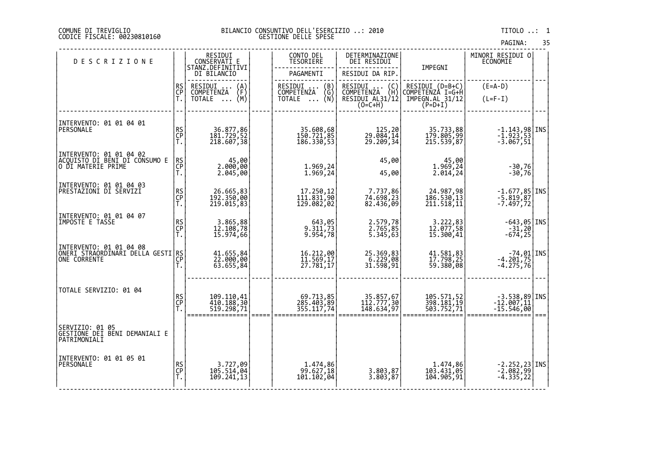#### DI TREVIGLIO BILANCIO CONSUNTIVO DELL'ESERCIZIO ..: 2010 TITOLO ..: 1 FISCALE: 00230810160 GESTIONE DELLE SPESE

| PAGINA: | 35 |
|---------|----|

| <b>DESCRIZIONE</b>                                                   |                | RESIDUI<br>CONSERVATI E                 |      | CONTO DEL<br><b>TESORIERE</b>         | DETERMINAZIONE<br>DEI RESIDUI                                                        |                                        | MINORI RESIDUI 0<br><b>ECONOMIE</b>                                 |      |
|----------------------------------------------------------------------|----------------|-----------------------------------------|------|---------------------------------------|--------------------------------------------------------------------------------------|----------------------------------------|---------------------------------------------------------------------|------|
|                                                                      |                | STANZ.DEFINITIVI<br>DI BILANCIO         |      | PAGAMENTI                             | RESIDUI DA RIP.                                                                      | IMPEGNI                                |                                                                     |      |
|                                                                      | RS<br>CP       | RESIDUI<br>$\binom{A}{F}$<br>COMPETENZA |      | RESIDUI<br>(B)<br>(Ğ)<br>COMPETENZA   | RESIDUI<br>$\left(\begin{smallmatrix} C \\ H \end{smallmatrix}\right)$<br>COMPETENZA | RESIDUI (D=B+C)<br>COMPETENZÀ I=G+H    | $(E=A-D)$                                                           |      |
|                                                                      | Ť.             | (M)<br>TOTALE                           |      | (N)<br><b>TOTALE</b><br>$\cdots$      | RESIDUI AL31/12<br>$(O=C+H)$                                                         | IMPEGN.AL 31/12<br>$(P=D+I)$           | $(L=F-I)$                                                           |      |
|                                                                      |                |                                         |      |                                       |                                                                                      |                                        |                                                                     |      |
| INTERVENTO: 01 01 04 01<br>PERSONALE                                 |                |                                         |      | 35.608,68                             |                                                                                      |                                        | $-1.143,98$ INS                                                     |      |
|                                                                      | RS<br>CP<br>T. | 36.877,86<br>181.729,52<br>218.607,38   |      | 150.721,85<br>186.330,53              | 125,20<br>29.084,14<br>29.209,34                                                     | 35.733,88<br>179.805,99<br>215.539,87  | $-1.923, 53$<br>$-3.067, 51$                                        |      |
| INTERVENTO: 01 01 04 02                                              |                |                                         |      |                                       | 45,00                                                                                |                                        |                                                                     |      |
| ACQUISTO DI BĒNI DI CŎÑSUMO E<br> O DI MATERIE PRIME                 | RS<br>CP<br>T. | 45,00<br>2.000,00<br>2.045,00           |      | 1.969,24<br>1.969,24                  | 45,00                                                                                | 45,00<br>1.969,24<br>2.014, 24         | $-30,76$<br>$-30,76$                                                |      |
| INTERVENTO: 01 01 04 03                                              |                |                                         |      |                                       |                                                                                      |                                        |                                                                     |      |
| PRESTAZIONI DI SERVIZI                                               | RS<br>CP<br>T. | 26.665,83<br>192.350,00<br>219.015,83   |      | 17.250,12<br>111.831,90<br>129.082,02 | 7.737,86<br>74.698,23<br>82.436,09                                                   | 24.987,98<br>186.530,13<br>211.518,11  | $-1.677,85$ INS<br>$-5.819,87$<br>$-7.497, 72$                      |      |
| INTERVENTO: 01 01 04 07                                              |                |                                         |      |                                       |                                                                                      |                                        |                                                                     |      |
| IMPOSTE E TASSE                                                      | RS<br>CP<br>T. | 3.865,88<br>12.108,78<br>15.974,66      |      | 643, 05<br>9.311, 73<br>9.954, 78     | 2.579,78<br>2.765,85<br>5.345,63                                                     | 3.222,83<br>12.077,58<br>15.300,41     | $\begin{bmatrix} -643, 05 \\ -31, 20 \\ -674, 25 \end{bmatrix}$ INS |      |
|                                                                      |                |                                         |      |                                       |                                                                                      |                                        |                                                                     |      |
| INTERVENTO: 01 01 04 08<br> ONERI STRAORDINARI DELLA GESTI RS<br> CP |                |                                         |      |                                       |                                                                                      |                                        |                                                                     |      |
|                                                                      | Ť.             | 41.655,84<br>22.000,00<br>63.655,84     |      | 16.212,00<br>11.569,17<br>27.781,17   | 25.369,83<br>6.229,08<br>31.598,91                                                   | 41.581,83<br>17.798,25<br>59.380,08    | $-74,01$ INS<br>-4.201,75<br>-4.275,76                              |      |
|                                                                      |                |                                         |      |                                       |                                                                                      |                                        |                                                                     |      |
| TOTALE SERVIZIO: 01 04                                               |                | 109.110,41<br>410.188,30                |      |                                       | 35.857,67<br>112.777,30                                                              |                                        | $-3.538,89$ INS<br>$-12.007,11$                                     |      |
|                                                                      | RS<br>CP<br>T. | 519.298,71                              |      | 69.713,85<br>285.403,89<br>355.117,74 | 148.634,97                                                                           | 105.571,52<br>398.181,19<br>503.752,71 | $-15.546,00$                                                        |      |
| SERVIZIO: 01 05                                                      |                |                                         | ==== |                                       |                                                                                      |                                        |                                                                     | $==$ |
| GESTIONE DEI BENI DEMANIALI E<br>PATRIMONIALI                        |                |                                         |      |                                       |                                                                                      |                                        |                                                                     |      |
| INTERVENTO: 01 01 05 01                                              |                |                                         |      |                                       |                                                                                      |                                        |                                                                     |      |
| PERSONALE                                                            | RS<br>CP<br>T. | 3.727,09<br>105.514,04<br>109.241,13    |      | 1.474,86<br>99.627,18<br>101.102,04   | 3.803,87<br>3.803,87                                                                 | 1.474,86<br>103.431,05<br>104.905,91   | -2.252,23 INS<br>-2.082,99<br>-4.335,22                             |      |
|                                                                      |                |                                         |      |                                       |                                                                                      |                                        |                                                                     |      |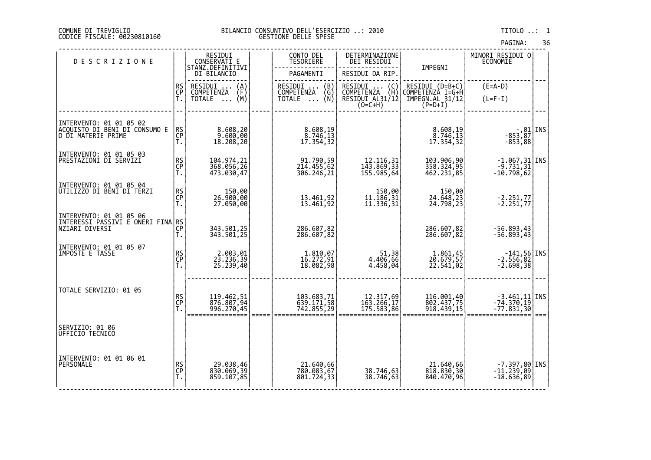#### DI TREVIGLIO BILANCIO CONSUNTIVO DELL'ESERCIZIO ..: 2010 TITOLO ..: 1 FISCALE: 00230810160 GESTIONE DELLE SPESE

| PAGINA: | 36 |
|---------|----|
|         |    |

| <b>DESCRIZIONE</b>                                                              |                 | RESIDUI<br>CONSERVATĪ E<br>STANZ.DEFINITIVI    |        | CONTO DEL<br>TESORIERE                         | DETERMINAZIONE<br>DEI RESIDUI                               |                                          | MINORI RESIDUI O<br><b>ECONOMIE</b>                                           |      |
|---------------------------------------------------------------------------------|-----------------|------------------------------------------------|--------|------------------------------------------------|-------------------------------------------------------------|------------------------------------------|-------------------------------------------------------------------------------|------|
|                                                                                 |                 | DI BILANCIO                                    |        | PAGAMENTI                                      | RESIDUI DA RIP.                                             | IMPEGNI                                  |                                                                               |      |
|                                                                                 | <b>RS</b><br>CP | RESIDUI<br>$\binom{A}{F}$<br><b>COMPETENZA</b> |        | RESIDUI<br>$\binom{B}{G}$<br><b>COMPETENZA</b> | RESIDUI<br>RESIDUI (C)<br>COMPETENZA (H)<br>RESIDUI AL31/12 | RESIDUI (D=B+C)<br>COMPETENZA I=G+H      | $(E=A-D)$                                                                     |      |
|                                                                                 | Ť.              | (M)<br>TOTALE                                  |        | TOTALE $\ldots$ (N)                            | $(0=C+H)$                                                   | IMPEGN.AL_31/12<br>$(P=D+I)$             | $(L=F-I)$                                                                     |      |
|                                                                                 |                 |                                                |        |                                                |                                                             |                                          |                                                                               |      |
| INTERVENTO: 01 01 05 02<br> ACQUISTO_DI_BENI_DI CONSUMO E<br>O DI MATERIE PRIME | RS<br>CP<br>T.  | 8.608,20<br>9.600,00<br>18.208,20              |        | 8.608,19<br>8.746, 13<br>17.354,32             |                                                             | 8.608,19<br>$\frac{8.746,13}{17.354,32}$ | -,01 INS<br>-853,87<br>-853,88                                                |      |
| INTERVENTO: 01 01 05 03<br>PRESTAZIONI DI SERVIZI                               | RS<br>CP<br>T.  | 104.974,21<br>368.056,26<br>473.030,47         |        | 91.790,59<br>214.455,62<br>306.246,21          | 12.116, 31<br>143.869, 33<br>155.985,64                     | 103.906,90<br>358.324,95<br>462.231,85   | $\begin{bmatrix} -1.067, 31 \\ -9.731, 31 \end{bmatrix}$ INS<br>$-10.798, 62$ |      |
| INTERVENTO: 01 01 05 04<br>UTILIZZO DI BENI DI TERZI                            | RS<br>CP<br>T.  | 00,00<br>00,000.00<br>00,050.07                |        | 13.461,92<br>13.461,92                         | 150,00<br>11.186,31<br>11.336,31                            | 150,00<br>24.648,23<br>24.798,23         | $-2.251,77$<br>$-2.251,77$                                                    |      |
| INTERVENTO: 01 01 05 06<br> INTERESSI PASSIVI E ONERI FINA RS <br> CP           |                 | 343.501,25<br>343.501,25                       |        | 286.607,82<br>286.607,82                       |                                                             | 286.607,82<br>286.607,82                 | -56.893,43<br>-56.893,43                                                      |      |
| INTERVENTO: 01 01 05 07<br>IMPOSTE E TASSE                                      | RS<br>CP<br>T.  | 2.003,01<br>23.236,39<br>25.239,40             |        | 1.810,07<br>16.272,91<br>18.082,98             | 51,38<br>4.406,66<br>4.458,04                               | 1.861,45<br>20.679,57<br>22.541,02       | $\begin{array}{c} -141,56 \\ -2.556,82 \\ -2.698,38 \end{array}$ TNS          |      |
| TOTALE SERVIZIO: 01 05                                                          | RS<br>CP<br>T.  | 119.462,51<br>876.807,94<br>996.270,45         | $====$ | 103.683,71<br>639.171,58<br>742.855,29         | 12.317,69<br>163.266,17<br>175.583,86                       | 116.001,40<br>802.437,75<br>918.439,15   | $-3.461, 11$ INS<br>$-74.370, 19$<br>$-77.831,30$                             | $==$ |
| SERVIZIO: 01 06<br>UFFICIO TECNICO                                              |                 |                                                |        |                                                |                                                             |                                          |                                                                               |      |
| INTERVENTO: 01 01 06 01<br>PERSONALE                                            | RS<br>CP<br>T.  | 29.038,46<br>830.069,39<br>859.107,85          |        | 21.640,66<br>780.083,67<br>801.724,33          | 38.746,63<br>38.746,63                                      | 21.640,66<br>818.830,30<br>840.470,96    | $-7.397,80$ INS<br>$-11.239,09$<br>$-18.636,89$                               |      |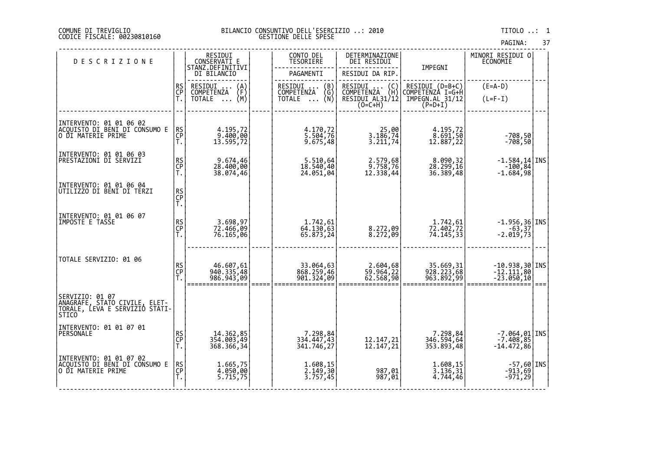### COMUNE DI TREVIGLIO BILANCIO CONSUNTIVO DELL'ESERCIZIO ..: 2010 TITOLO ..: 1 CODICE FISCALE: 00230810160 GESTIONE DELLE SPESE

| <b>DESCRIZIONE</b>                                        |                | RESIDUI<br>CONSERVATI E                                     | CONTO DEL<br><b>TESORIERE</b>                                | DETERMINAZIONE<br>DEI RESIDUI        | IMPEGNI                                                | MINORI RESIDUI O<br>ECONOMIE                          |      |
|-----------------------------------------------------------|----------------|-------------------------------------------------------------|--------------------------------------------------------------|--------------------------------------|--------------------------------------------------------|-------------------------------------------------------|------|
|                                                           |                | STĀNZ.DEFINĪTĪVI<br>DI BILANCIO                             | PAGAMENTI                                                    | RESIDUI DA RIP.                      |                                                        |                                                       |      |
|                                                           |                | RESIDUI                                                     | RESIDUI<br>(B)<br>$\cdots$                                   | RESIDUI .<br>(C)                     |                                                        | $(E=A-D)$                                             |      |
|                                                           | RS<br>CP<br>T. | $\binom{A}{F}$<br><b>COMPETENZA</b><br>(M)<br><b>TOTALE</b> | <b>COMPETENZA</b><br>$\binom{G}{N}$<br><b>TOTALE</b>         | COMPETENZA<br>(H)<br>RESIDUI AL31/12 | RESIDUI (D=B+C)<br>COMPETENZA I=G+H<br>IMPEGN.AL 31/12 | $(L=F-I)$                                             |      |
|                                                           |                | $\ddots$                                                    | $\cdots$                                                     | $(O=C+H)$                            | $(P=D+I)$                                              |                                                       |      |
|                                                           |                |                                                             |                                                              |                                      |                                                        |                                                       |      |
| INTERVENTO: 01 01 06 02<br> ACQUISTO DI BENI DI CONSUMO E |                | 4.195,72                                                    | 4.170,72                                                     |                                      | 4.195,72                                               |                                                       |      |
| O DI MATERIE PRIME                                        | RS<br>CP<br>T. | 9.400,00                                                    | 5.504,76                                                     | 00, 25<br>3.186, 24                  | 8.691,50                                               | $-708,50$                                             |      |
|                                                           |                | 13.595,72                                                   | 9.675,48                                                     | 3.211,74                             | 12.887,22                                              | $-708,50$                                             |      |
| INTERVENTO: 01 01 06 03                                   |                |                                                             |                                                              |                                      |                                                        |                                                       |      |
| PRESTAZIONI DI SERVIZI                                    | RS<br>CP<br>T. | 9.674,46<br>28.400,00                                       | 5.510,64<br>18.540,40                                        | 2.579,68                             | 8.090,32<br>28.299,16                                  | $-1.584, 14$ INS<br>$-100,84$                         |      |
|                                                           |                | 38.074,46                                                   | 24.051,04                                                    | 12.338,44                            | 36.389,48                                              | $-1.684,98$                                           |      |
| INTERVENTO: 01 01 06 04                                   |                |                                                             |                                                              |                                      |                                                        |                                                       |      |
| UTILIZZO DI BENI DI TERZI                                 | RS<br>CP<br>T. |                                                             |                                                              |                                      |                                                        |                                                       |      |
|                                                           |                |                                                             |                                                              |                                      |                                                        |                                                       |      |
| INTERVENTO: 01 01 06 07                                   |                |                                                             |                                                              |                                      |                                                        |                                                       |      |
| IMPOSTE E TASSE                                           | RS<br>CP<br>T. | 3.698,97<br>72.466,09                                       | 1.742,61<br>$6\overline{4}.13\overline{0}$ , $6\overline{3}$ | 8.272,09                             | 1.742,61<br>72.402,72                                  | $-1.956, 36$ INS                                      |      |
|                                                           |                | 76.165,06                                                   | 65.873,24                                                    | 8.272,09                             | 74.145,33                                              | $-2.019,73$                                           |      |
|                                                           |                |                                                             |                                                              |                                      |                                                        |                                                       |      |
| TOTALE SERVIZIO: 01 06                                    |                |                                                             |                                                              |                                      |                                                        |                                                       |      |
|                                                           | RS<br>CP<br>T. | 46.607,61<br>940.335,48                                     | 33.064,63                                                    | 2.604,68<br>59.964,22                | 35.669,31<br>928.223,68                                | $-10.938, 30$ INS<br>$-12.111,80$                     |      |
|                                                           |                | 986.943,09                                                  | 868.259,46<br>901.324,09                                     | 62.568,90                            | 963.892,99                                             | $-23.050,10$                                          |      |
|                                                           |                |                                                             |                                                              |                                      |                                                        |                                                       | $==$ |
| SERVIZIO: 01 07<br> ANAGRAFE, STAIO CIVILE, ELET-         |                |                                                             |                                                              |                                      |                                                        |                                                       |      |
| TORALE, LEVA E SERVIZIO STATI-                            |                |                                                             |                                                              |                                      |                                                        |                                                       |      |
| STICO                                                     |                |                                                             |                                                              |                                      |                                                        |                                                       |      |
| INTERVENTO: 01 01 07 01                                   |                |                                                             |                                                              |                                      |                                                        |                                                       |      |
| PERSONALE                                                 | RS<br>CP<br>T. | 14.362,85<br>354.003,49                                     | 7.298,84<br>334.447,43<br>341.746,27                         | 12.147,21<br>12.147,21               | 7.298,84<br>346.594,64                                 | $-7.064,01$   INS<br>7.408,85<br>14.472,86            |      |
|                                                           |                | 368.366,34                                                  |                                                              |                                      | 353.893,48                                             |                                                       |      |
| INTERVENTO: 01 01 07 02                                   |                |                                                             |                                                              |                                      |                                                        |                                                       |      |
| ACQUISTO DI BENI DI CONSUMO E<br>O DI MATERIE PRIME       | RS<br>CP<br>T. | 1.665,75<br>4.050,00                                        | 1.608,15<br>2.149,30<br>3.757,45                             |                                      | 1.608,15<br>3.136, 31                                  | $\begin{bmatrix} -57,60 \\ -913,69 \end{bmatrix}$ INS |      |
|                                                           |                | 5.715,75                                                    |                                                              | 987,01<br>987,01                     | 4.744,46                                               | $-971,29$                                             |      |
|                                                           |                |                                                             |                                                              |                                      |                                                        |                                                       |      |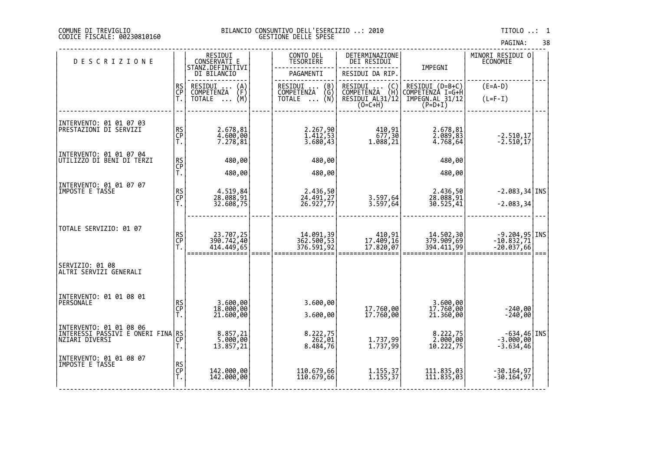| PAGINA: | 38 |
|---------|----|
|         |    |

| <b>DESCRIZIONE</b>                                                                       |                | RESIDUI<br>CONSERVATI E                 | CONTO DEL<br><b>TESORIERE</b>                            | DETERMINAZIONE<br>DEI RESIDUI                                                        |                                                                  | MINORI RESIDUI 0<br><b>ECONOMIE</b>             |      |
|------------------------------------------------------------------------------------------|----------------|-----------------------------------------|----------------------------------------------------------|--------------------------------------------------------------------------------------|------------------------------------------------------------------|-------------------------------------------------|------|
|                                                                                          |                | STANZ.DEFINITIVI<br>DI BILANCIO         | PAGAMENTI                                                | RESIDUI DA RIP.                                                                      | IMPEGNI                                                          |                                                 |      |
|                                                                                          | RS<br>CP       | RESIDUI<br>$\binom{A}{F}$<br>COMPETENZA | RESIDUI<br>(B)<br>COMPETENZA<br>(G)                      | RESIDUI<br>$\left(\begin{smallmatrix} C \\ H \end{smallmatrix}\right)$<br>COMPETENZA | RESIDUI (D=B+C)<br>COMPETENZÀ I=G+H                              | $(E=A-D)$                                       |      |
|                                                                                          | Ť.             | (M)<br>TOTALE                           | ∖Ñ)<br><b>TOTALE</b><br>$\cdots$                         | RESIDUI AL31/12<br>$(0=C+H)$                                                         | IMPEGN.AL 31/12<br>$(P=D+I)$                                     | $(L=F-I)$                                       |      |
| INTERVENTO: 01 01 07 03<br> PRESTAZIONI DI SERVIZI                                       | RS<br>CP<br>T. | 2.678,81<br>4.600,00<br>7.278,81        | 2.267,90<br>$\frac{1.412,53}{3.680,43}$                  | 410,91<br>677,30<br>1.088,21                                                         | 2.678,81<br>$\begin{matrix} 2.089, 83 \\ 4.768, 64 \end{matrix}$ | $-2.510, 17$<br>$-2.510, 17$                    |      |
| INTERVENTO: 01 01 07 04<br>UTILIZZO DI BENI DI TERZI                                     |                | 480,00                                  | 480,00                                                   |                                                                                      | 480,00                                                           |                                                 |      |
|                                                                                          | RS<br>CP<br>T. | 480,00                                  | 480,00                                                   |                                                                                      | 480,00                                                           |                                                 |      |
| INTERVENTO: 01 01 07 07<br>IMPOSTE E TASSE                                               | RS<br>CP<br>T. | 4.519,84<br>28.088,91<br>32.608,75      | 2.436,50<br>24.491,27<br>26.927,77                       | 3.597,64<br>3.597,64                                                                 | 2.436,50<br>28.088,91<br>30.525,41                               | $-2.083, 34$ INS<br>$-2.083, 34$                |      |
| TOTALE SERVIZIO: 01 07                                                                   | RS<br>CP<br>T. | 23.707,25<br>390.742,40<br>414.449,65   | 14.091,39<br>362.500,53<br>376.591,92                    | 410,91<br>17.409,16<br>17.820,07                                                     | 14.502,30<br>379.909,69<br>394.411,99                            | $-9.204,95$ INS<br>$-10.832,71$<br>$-20.037,66$ | $==$ |
| SERVIZIO: 01 08<br>ALTRI SERVIZI ĞENERALI                                                |                |                                         |                                                          |                                                                                      |                                                                  |                                                 |      |
| INTERVENTO: 01 01 08 01<br>PERSONALE                                                     | RS<br>CP<br>T. | 3.600,00<br>18.000,00<br>21.600,00      | 3.600,00<br>3.600,00                                     | 17.760,00<br>17.760,00                                                               | 3.600,00<br>17.760,00<br>21.360,00                               | $-240,00$<br>$-240,00$                          |      |
| INTERVENTO: 01 01 08 06<br>ÎNTERESSI PASSIVÎ E ONERI FINA RS<br>  NZIARI DIVERSI<br>  T. |                | 8.857,21<br>5.000,00<br>13.857,21       | $8.222,75$<br>262,01<br>$8.\overline{484},\overline{76}$ | 1.737,99<br>1.737,99                                                                 | 8.222,75<br>2.000,00<br>10.222,75                                | INS -634,46<br> 3.000,00 -3.<br>$-3.634,46$     |      |
| INTERVENTO: 01 01 08 07<br>IMPOSTE E TASSE                                               | RS<br>CP<br>T. | 142.000,00<br>142.000,00                | 110.679,66<br>110.679,66                                 | $1.155, 37$<br>1.155,37                                                              | 111.835,03<br>111.835,03                                         | $-30.164, 97$<br>$-30.164,97$                   |      |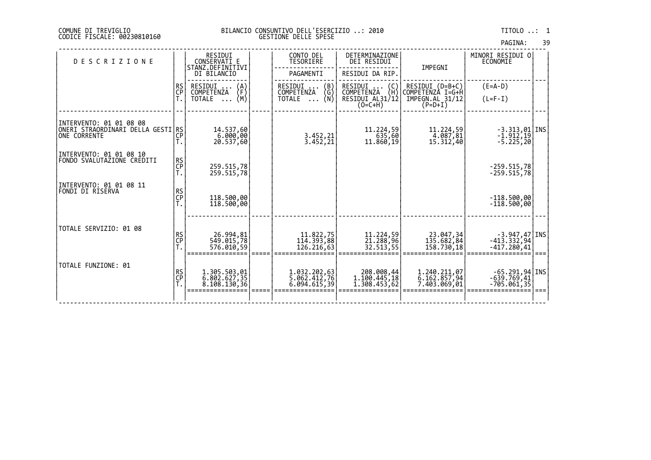| PAGINA: | 39 |
|---------|----|
|         |    |

| <b>DESCRIZIONE</b>                                     |                 | RESIDUI<br>CONSERVATI E<br>STANZ.DEFINITIVI | CONTO DEL<br>TESORIERE              | DETERMINAZIONE<br>DEI RESIDUI             | IMPEGNI                             | MINORI RESIDUI O<br>ECONOMIE                    |  |
|--------------------------------------------------------|-----------------|---------------------------------------------|-------------------------------------|-------------------------------------------|-------------------------------------|-------------------------------------------------|--|
|                                                        |                 | DI BILANCIO                                 | PAGAMENTI                           | RESIDUI DA RIP.                           |                                     |                                                 |  |
|                                                        | <b>RS</b><br>CP | RESIDUI<br>$\binom{A}{F}$<br>COMPETENZA     | RESIDUI<br>(B)<br>COMPETENZA<br>(G) | RESIDUI<br>$\{C_H\}$<br>COMPETENZA        | RESIDUI (D=B+C)<br>COMPETENZÀ I=G+H | $(E=A-D)$                                       |  |
|                                                        |                 | (M)<br>TOTALE<br>$\cdots$                   | TOTALE $\ldots$ (N)                 | RESIDUI AL31/12<br>$(O=C+H)$              | IMPEGN.AL 31/12<br>$(P=D+I)$        | $(L=F-I)$                                       |  |
| INTERVENTO: 01 01 08 08                                |                 |                                             |                                     |                                           |                                     |                                                 |  |
| ONERI STRAORDINARI DELLA GESTI RS<br>IONE CORRENTE     | CP<br>T.        | 14.537,60<br>6.000,00<br>20.537,60          | 3.452,21<br>3.452,21                | 11,224,59<br>635,60<br>11.860,19          | 11,224,59<br>4.087,81<br>15.312,40  | $-3.313,01$   INS<br>$-1.912,19$<br>$-5.225,20$ |  |
| INTERVENTO: 01 01 08 10<br> FONDO SVALUTAZIONE CREDITI | RS<br>CP        |                                             |                                     |                                           |                                     |                                                 |  |
|                                                        | Ť.              | 259.515,78<br>259.515,78                    |                                     |                                           |                                     | $-259.515,78$<br>$-259.515,78$                  |  |
| INTERVENTO: 01 01 08 11<br> FONDI DI RISERVA           |                 |                                             |                                     |                                           |                                     |                                                 |  |
|                                                        | RS<br>CP<br>T.  | 118.500,00<br>118.500,00                    |                                     |                                           |                                     | $-118.500,00$<br>$-118.500,00$                  |  |
|                                                        |                 |                                             |                                     |                                           |                                     |                                                 |  |
| TOTALE SERVIZIO: 01 08                                 | RS<br>CP<br>T.  | 26.994,81<br>549.015,78                     | 11.822,75<br>114.393,88             | 11.224,59<br>21.288,96                    | 23.047,34<br>135.682,84             | $-3.947, 47$ INS<br>$-413.332,94$               |  |
|                                                        |                 | 576.010,59                                  | 126.216,63                          | 32.513,55                                 | 158.730,18                          | $-417.280,41$                                   |  |
| TOTALE FUNZIONE: 01                                    |                 | 1.305.503,01                                | 1.032.202,63                        | 208.008,44                                | 1.240.211,07                        | $-65.291,94$ <i>INS</i>                         |  |
|                                                        | RS<br>CP<br>T.  | 6.802.627,35<br>8.108.130,36                | 5.062.412,76<br>6.094.615,39        | 1.100.445,18<br>$\overline{1.308.453,62}$ | 6.162.857,94<br>7.403.069,01        | $-639.769,41$<br>$-705.061,35$                  |  |
|                                                        |                 |                                             |                                     |                                           |                                     |                                                 |  |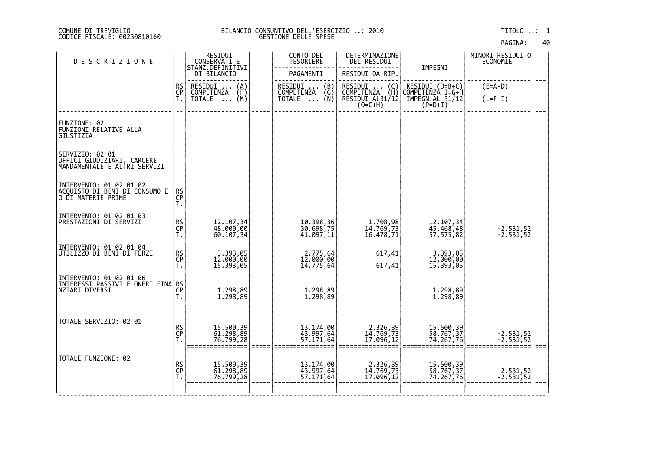# DI TREVIGLIO BILANCIO CONSUNTIVO DELL'ESERCIZIO ..: 2010 TITOLO ..: 1 FISCALE: 00230810160 GESTIONE DELLE SPESE

| <b>DESCRIZIONE</b>                                                             |                | RESIDUI<br>CONSERVATI E                                                     | CONTO DEL<br><b>TESORIERE</b>                                                                     | DETERMINAZIONE<br>DEI RESIDUI                                  |                                                                     | MINORI RESIDUI 0<br>ECONOMIE |  |
|--------------------------------------------------------------------------------|----------------|-----------------------------------------------------------------------------|---------------------------------------------------------------------------------------------------|----------------------------------------------------------------|---------------------------------------------------------------------|------------------------------|--|
|                                                                                |                | STANZ.DEFINITIVI<br>DI BILANCIO                                             | PAGAMENTI                                                                                         | RESIDUI DA RIP.                                                | IMPEGNI                                                             |                              |  |
|                                                                                | RS<br>CP<br>T. | RESIDUI<br>$\binom{A}{F}$<br>COMPETENZA<br>(M)<br><b>TOTALE</b><br>$\cdots$ | RESIDUI<br>COMPETENZA<br>$\begin{pmatrix} B \\ G \\ N \end{pmatrix}$<br><b>TOTALE</b><br>$\cdots$ | RESIDUI (C)<br>COMPETENZA (H)<br>RESIDUI AL31/12 <br>$(O=C+H)$ | RESIDUI (D=B+C)<br>COMPETENZA I=G+H<br>IMPEGN.AL 31/12<br>$(P=D+I)$ | $(E=A-D)$<br>$(L=F-I)$       |  |
| FUNZIONE: 02<br>FUNZIONI RELATIVE ALLA<br><b>GIUSTIZIA</b>                     |                |                                                                             |                                                                                                   |                                                                |                                                                     |                              |  |
| SERVIZIO: 02 01<br>UFFICI GIUDIZIARI, CARCERE<br>MANDAMENTALE E ALTRI SERVIZI  |                |                                                                             |                                                                                                   |                                                                |                                                                     |                              |  |
| INTERVENTO: 01 02 01 02<br>ACQUISTO DI BENI DI CONSUMO E<br>O DI MATERIE PRIME | RS<br>CP<br>T. |                                                                             |                                                                                                   |                                                                |                                                                     |                              |  |
| INTERVENTO: 01 02 01 03<br><b>PRESTAZIONI DI SERVIZI</b>                       | RS<br>CP<br>T. | 12.107,34<br>48.000,00<br>60.107,34                                         | 10.398,36<br>30.698,75<br>41.097,11                                                               | 1.708,98<br>14.769,73<br>16.478,71                             | 12.107,34<br>45.468,48<br>57.575,82                                 | $-2.531,52$<br>$-2.531,52$   |  |
| INTERVENTO: 01 02 01 04<br>UTILIZZO DI BENI DI TERZI                           | RS<br>CP<br>T. | 3.393,05<br>12.000,00<br>15.393,05                                          | 2.775,64<br>12.000,00<br>14.775,64                                                                | 617,41<br>617,41                                               | 3.393,05<br>12.000,00<br>15.393,05                                  |                              |  |
| INTERVENTO: 01 02 01 06<br> INTERESSI PASSIVI E ONERI FINA RS <br> CP          | Ť.             | 1.298,89<br>1.298,89                                                        | 1.298,89<br>1.298,89                                                                              |                                                                | 1.298,89<br>1.298,89                                                |                              |  |
| TOTALE SERVIZIO: 02 01                                                         | RS<br>CP<br>T. | 15.500,39<br>61.298,89<br>76.799,28                                         | 13.174,00<br>43.997,64<br>57.171,64                                                               | 2.326,39<br>14.769,73<br>17.096,12                             | 15.500,39<br>58.767,37<br>74.267,76                                 | $-2.531,52$<br>$-2.531,52$   |  |
| TOTALE FUNZIONE: 02                                                            | RS<br>CP<br>T. | 15.500,39<br>61.298,89<br>76.799,28                                         | 13.174,00<br>43.997,64<br>57.171,64                                                               | 2.326,39<br>14.769,73<br>17.096,12                             | 15.500,39<br>58.767,37<br>74.267,76                                 | $-2.531,52$<br>$-2.531,52$   |  |
|                                                                                |                |                                                                             |                                                                                                   |                                                                |                                                                     |                              |  |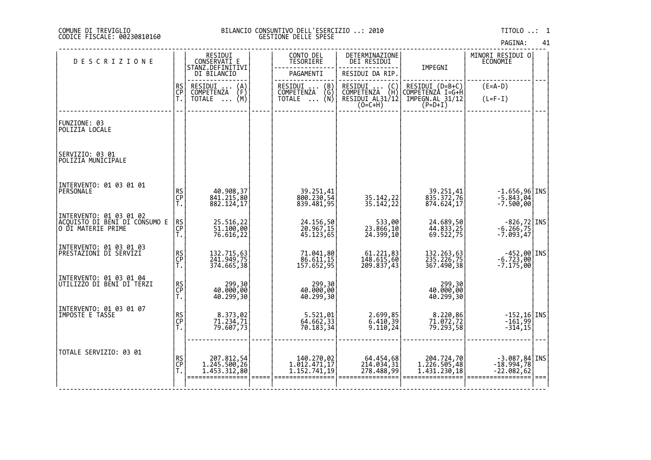| PAGINA: |  |  |  | 41 |
|---------|--|--|--|----|
|---------|--|--|--|----|

| <b>DESCRIZIONE</b>                                                             |                | RESIDUI<br>CONSERVATI E                    | CONTO DEL<br>TESORIERE                                                                      | DETERMINAZIONE<br>DEI RESIDUI                                  |                                            | MINORI RESIDUI O<br><b>ECONOMIE</b>                                              |  |
|--------------------------------------------------------------------------------|----------------|--------------------------------------------|---------------------------------------------------------------------------------------------|----------------------------------------------------------------|--------------------------------------------|----------------------------------------------------------------------------------|--|
|                                                                                |                | STANZ.DEFINITIVI<br>DI BILANCIO            | PAGAMENTI                                                                                   | RESIDUI DA RIP                                                 | IMPEGNI                                    |                                                                                  |  |
|                                                                                | RS<br>CP<br>T. | RESIDUI<br>$\binom{A}{F}$<br>COMPETENZA    | RESIDUI<br>[<br>[NŻA (G)<br>(N)<br>COMPETENZA                                               |                                                                | RESIDUI (D=B+C)<br>COMPETENZÀ I=G+H        | $(E=A-D)$                                                                        |  |
|                                                                                |                | (M)<br>TOTALE                              | <b>TOTALE</b>                                                                               | RESIDUI  (C)<br>COMPETENZA (H)<br>RESIDUI AL31/12<br>$(O=C+H)$ | IMPEGN.AL 31/12<br>$(P=D+I)$               | $(L=F-I)$                                                                        |  |
| FUNZIONE: 03<br>POLIZIA LOCALE                                                 |                |                                            |                                                                                             |                                                                |                                            |                                                                                  |  |
| SERVIZIO: 03 01<br>POLIZIA MUNICIPALE                                          |                |                                            |                                                                                             |                                                                |                                            |                                                                                  |  |
| INTERVENTO: 01 03 01 01<br>PERSONALE                                           | RS<br>CP<br>T. | 40.908,37<br>841.215,80<br>882.124,17      | 39.251,41<br>800.230,54<br>839.481,95                                                       | 35.142,22<br>35.142,22                                         | 39.251,41<br>835.372,76<br>874.624,17      | $\left[ -1.656, 96 \right]$ INS<br>$-7.500,00$                                   |  |
| INTERVENTO: 01 03 01 02<br>ACQUISTO DI BENI DI CONSUMO E<br>O DI MATERIE PRIME | RS<br>CP<br>T. | 25.516,22<br>51.100,00<br>76.616,22        | 24.156,50<br>20.967,15<br>45.123,65                                                         | 533,00<br>23.866,10<br>24.399,10                               | 24.689,50<br>44.833,25<br>69.522,75        | $\left[\begin{array}{c} -826, 72 \\ -6.266, 75 \\ -7.093, 47 \end{array}\right]$ |  |
| INTERVENTO: 01 03 01 03<br> PRESTAZIONI DI SERVIZI                             | RS<br>CP<br>T. | 132.715,63<br>241.949,75<br>374.665,38     | 71.041,80<br>86.611,15<br>157.652,95                                                        | 61.221,83<br>148.615,60<br>209.837,43                          | 132.263,63<br>235.226,75<br>367.490,38     | $-452,00$ INS<br>6.723,00<br>7.175,00                                            |  |
| INTERVENTO: 01 03 01 04<br>UTILIZZO DI BENI DI TERZI                           | RS<br>CP<br>T. | 299,30<br>40.000,00<br>40.299,30           | 299,30<br>40.000,00<br>40.299,30                                                            |                                                                | 30, 299<br>00, 40. 40<br>40.299,30         |                                                                                  |  |
| INTERVENTO: 01 03 01 07<br>IMPOSTE E TASSE                                     | RS<br>CP<br>T. | 8.373,02<br>71.234,71<br>79.607,73         | 5.521,01<br>64.662,33<br>70.183,34                                                          | 2.699,85<br>6.410,39<br>9.110,24                               | 8.220,86<br>71.072,72<br>79.293,58         | $-152,16$ INS<br>$-161,99$<br>$-314,15$                                          |  |
| TOTALE SERVIZIO: 03 01                                                         | RS<br>CP<br>T. | 207.812,54<br>1.245.500,26<br>1.453.312.80 | 140.270,02<br>$1.\overline{0}12.\overline{4}71,\overline{1}\overline{7}$<br>1, 152, 741, 19 | 64.454,68<br>214.034,31<br>278.488,99                          | 204.724,70<br>1.226.505,48<br>1.431.230,18 | $-3.087,84$ INS<br>$-18.994,78$<br>$-22.082,62$                                  |  |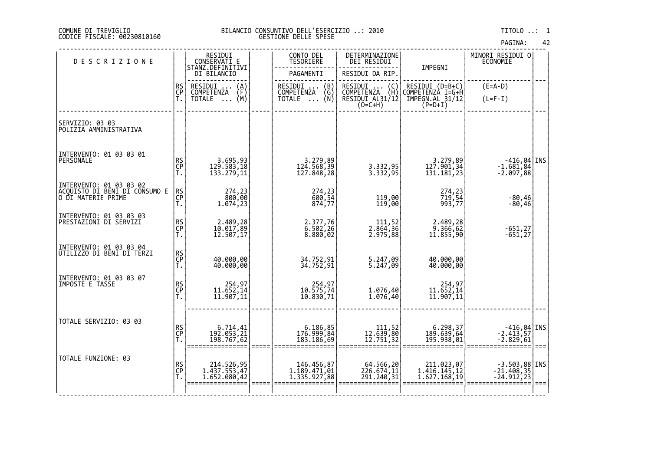| PAGINA: | 42 |
|---------|----|
|---------|----|

| <b>DESCRIZIONE</b>                                                              |                | RESIDUI<br>CONSERVATI_E                                                          | CONTO DEL<br>TESORIERE                                           | DETERMINAZIONE<br>DEI RESIDUI                                                     |                                                                     | MINORI RESIDUI 0<br><b>ECONOMIE</b>                                      |  |
|---------------------------------------------------------------------------------|----------------|----------------------------------------------------------------------------------|------------------------------------------------------------------|-----------------------------------------------------------------------------------|---------------------------------------------------------------------|--------------------------------------------------------------------------|--|
|                                                                                 |                | STANZ.DEFINITIVI<br>DI BILANCIO                                                  | PAGAMENTI                                                        | RESIDUI DA RIP                                                                    | IMPEGNI                                                             |                                                                          |  |
|                                                                                 | RS<br>CP<br>T. | RESIDUI<br>$\begin{Bmatrix} A \\ F \\ (M) \end{Bmatrix}$<br>COMPETENZA<br>TOTALE | RESIDUI<br>(B)<br>ENŻA (G)<br>(N)<br>COMPETENZA<br><b>TOTALE</b> | RESIDUI  (C)<br>COMPETENZA (H)<br>RESIDUI AL31/12<br>$(O=C+H)$                    | RESIDUI (D=B+C)<br>COMPETENZA I=G+H<br>IMPEGN.AL 31/12<br>$(P=D+I)$ | $(E=A-D)$<br>$(L=F-I)$                                                   |  |
| SERVIZIO: 03 03<br>POLIZIA AMMINISTRATIVA                                       |                |                                                                                  |                                                                  |                                                                                   |                                                                     |                                                                          |  |
| INTERVENTO: 01 03 03 01<br>PERSONALE                                            | RS<br>CP<br>T. | 3.695,93<br>129.583,18<br>133.279,11                                             | 3.279,89<br>124.568,39<br>127.848,28                             | 3.332,95<br>3.332,95                                                              | 3.279,89<br>127.901,34<br>131.181,23                                | $\begin{bmatrix} -416, 04 \\ -1.681, 84 \\ -2.097, 88 \end{bmatrix}$ INS |  |
| INTERVENTO: 01 03 03 02<br> ACQUISTO_DI_BENI_DI CONSUMO E<br>O DI MATERIE PRIME | RS<br>CP<br>T. | 274,23<br>800,00<br>1.074,23                                                     | 274,23<br>600,54<br>874,77                                       | 119,00<br>119,00                                                                  | 274, 23<br>719, 54<br>993, 77                                       | -80,46<br>-80,46                                                         |  |
| INTERVENTO: 01 03 03 03<br>PRESTAZIONI DI SERVIZI                               | RS<br>CP<br>T. | 2.489,28<br>10.017,89<br>12.507,17                                               | 2.377,76<br>6.502,26<br>8.880,02                                 | 111,52<br>2.864,36<br>2.975,88                                                    | 2.489,28<br>9.366,62<br>11.855,90                                   | -651,27<br>-651,27                                                       |  |
| INTERVENTO: 01.03.03.04<br>UTILIZZO DI BENI DI TERZI                            | RS<br>CP<br>T. | 40.000,00<br>40.000,00                                                           | 34.752,91<br>34.752,91                                           | 5.247,09<br>5.247,09                                                              | 40.000,00<br>40.000,00                                              |                                                                          |  |
| INTERVENTO: 01 03 03 07<br>IMPOSTE E TAŠSE                                      | RS<br>CP<br>T. | 254,97<br>11.652,14<br>11.907,11                                                 | 254,97<br>10.575,74<br>10.830,71                                 | 1.076,40<br>1.076,40                                                              | 254,97<br>11.652,14<br>11.907,11                                    |                                                                          |  |
| TOTALE SERVIZIO: 03 03                                                          | RS<br>CP<br>T. | 6.714,41<br>192.053,21<br>198.767,62                                             | 6.186,85<br> 176.999,84<br> 183.186,69                           | $\left. \begin{array}{c} 111, 52 \\ 12.639, 80 \\ 12.751, 32 \end{array} \right $ | 6.298,37<br>189.639,64<br>195.938,01                                | $-416,04$ INS<br>$-2.413,57$<br>$-2.829,61$                              |  |
| TOTALE FUNZIONE: 03                                                             | RS<br>CP<br>T. | 214.526,95<br>1.437.553,47<br>1.652.080,42                                       | 146.456,87<br>1.189.471,01<br>1.335.927,88                       | 64.566,20<br>226.674,11<br>291.240,31                                             | 211.023,07<br>1.416.145,12<br>1.627.168,19                          | -3.503,88 INS<br>-21.408,35<br>-24.912,23                                |  |
|                                                                                 |                |                                                                                  |                                                                  |                                                                                   |                                                                     |                                                                          |  |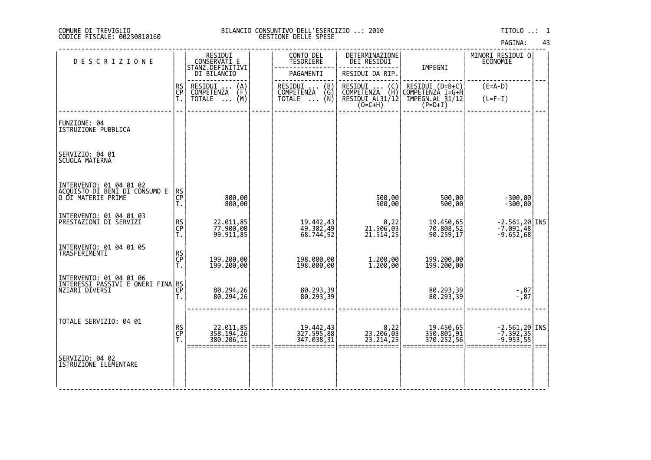| PAGINA: | 43 |  |
|---------|----|--|
|---------|----|--|

| <b>DESCRIZIONE</b>                                                               |                | RESIDUI<br>CONSERVATI E<br>STANZ.DEFINITIVI    | CONTO DEL<br>TESORIERE                                                      | DETERMINAZIONE<br>DEI RESIDUI                    |                                       | MINORI RESIDUI 0<br><b>ECONOMIE</b>     |      |
|----------------------------------------------------------------------------------|----------------|------------------------------------------------|-----------------------------------------------------------------------------|--------------------------------------------------|---------------------------------------|-----------------------------------------|------|
|                                                                                  |                | DI BILANCIO                                    | PAGAMENTI                                                                   | RESIDUI DA RIP.                                  | IMPEGNI                               |                                         |      |
|                                                                                  | RS<br>CP<br>T. | RESIDUI<br>$\binom{A}{F}$<br><b>COMPETENZA</b> | RESIDUI<br>$\begin{pmatrix} B \\ G \\ N \end{pmatrix}$<br><b>COMPETENZA</b> | RESIDUI (C)<br>COMPETENZA (H)<br>RESIDUI AL31/12 | RESIDUI (D=B+C)<br>COMPETENZA I=G+H   | $(E=A-D)$                               |      |
|                                                                                  |                | (M)<br>TOTALE                                  | TOTALE                                                                      | $(0=C+H)$                                        | IMPEGN.AL_31/12<br>$(P=D+I)$          | $(L=F-I)$                               |      |
| FUNZIONE: 04<br>ISTRUZIONE PUBBLICA                                              |                |                                                |                                                                             |                                                  |                                       |                                         |      |
| SERVIZIO: 04 01<br>SCUOLA MATERNA                                                |                |                                                |                                                                             |                                                  |                                       |                                         |      |
| INTERVENTO: 01 04 01 02<br> ACQUISTO DI BENI DI CONSUMO E<br> O DI MATERIE PRIME | RS<br>CP<br>T. | 800,00<br>800,00                               |                                                                             | 500,00<br>500,00                                 | 500,00<br>500,00                      | $-300,00$<br>$-300,00$                  |      |
| INTERVENTO: 01 04 01 03<br>PRESTAZIONI DI SERVIZI                                | RS<br>CP<br>T. | 22.011,85<br>77.900,00<br>99.911,85            | 19.442,43<br>49.302,49<br>68.744,92                                         | 8,22<br>21.506,03<br>21.514,25                   | 19.450,65<br>70.808,52<br>90.259,17   | -2.561,20 INS<br>-7.091,48<br>-9.652,68 |      |
| INTERVENTO: 01 04 01 05<br>TRASFERIMENTI                                         | RS<br>CP<br>T. | 199.200,00<br>199.200,00                       | 198.000,00<br>198.000,00                                                    | 1.200,00<br>1.200,00                             | 199.200,00<br>199.200,00              |                                         |      |
|                                                                                  | T.             | 80.294,26<br>80.294,26                         | 80.293,39<br>80.293,39                                                      |                                                  | 80.293,39<br>80.293,39                | 87, -<br>87, -                          |      |
| TOTALE SERVIZIO: 04 01                                                           | RS<br>CP<br>T. | 22.011,85<br>358.194,26<br>380.206,11          | 19.442,43<br>327.595,88<br>347.038,31                                       | 8,22<br>23.206,03<br>23.214,25                   | 19.450,65<br>350.801,91<br>370.252,56 | -2.561,20 INS<br>-7.392,35<br>-9.953,55 | $==$ |
| SERVIZIO: 04 02<br>ISTRUZIONE ELEMENTARE                                         |                |                                                |                                                                             |                                                  |                                       |                                         |      |
|                                                                                  |                |                                                |                                                                             |                                                  |                                       |                                         |      |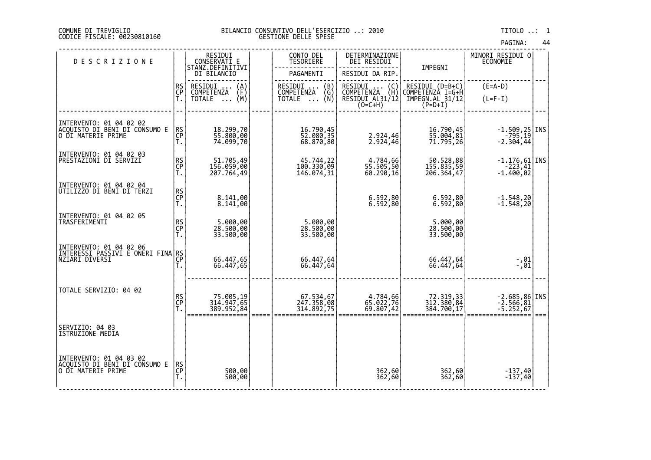| PAGINA: | 44 |
|---------|----|
|         |    |

| <b>DESCRIZIONE</b>                                                              |                | RESIDUI<br>CONSERVATI E                 |      | CONTO DEL<br><b>TESORIERE</b>         | DETERMINAZIONE<br>DEI RESIDUI                    |                                       | MINORI RESIDUI 0<br><b>ECONOMIE</b>           |      |
|---------------------------------------------------------------------------------|----------------|-----------------------------------------|------|---------------------------------------|--------------------------------------------------|---------------------------------------|-----------------------------------------------|------|
|                                                                                 |                | STĂNZ.DEFINITIVI<br>DI BILANCIO         |      | PAGAMENTI                             | RESIDUI DA RIP.                                  | IMPEGNI                               |                                               |      |
|                                                                                 | RS<br>CP       | RESIDUI<br>$\binom{A}{F}$<br>COMPETENZA |      | RESIDUI<br>(B)<br>(Ğ)<br>COMPETENZA   | RESIDUI (C)<br>COMPETENZA (H)<br>RESIDUI AL31/12 | RESIDUI (D=B+C)<br>COMPETENZA I=G+H   | $(E=A-D)$                                     |      |
|                                                                                 | Ť.             | (M)<br>TOTALE                           |      | …—…  \N\<br>TOTALE                    | $(O=C+H)$                                        | IMPEGN.AL 31/12<br>$(P=D+I)$          | $(L=F-I)$                                     |      |
|                                                                                 |                |                                         |      |                                       |                                                  |                                       |                                               |      |
| INTERVENTO: 01 04 02 02<br>ACQUISTO DI BENI DI CONSUMO E<br>O DI MATERIE PRIME  | RS<br>CP<br>T. | 18.299,70<br>55.800,00<br>74.099,70     |      | 16.790,45<br>52.080,35<br>68.870,80   | 2.924,46<br>2.924,46                             | 16.790,45<br>55.004,81<br>71.795,26   | $-1.509, 25$ INS<br>$-795, 19$<br>$-2.304,44$ |      |
| INTERVENTO: 01 04 02 03                                                         |                |                                         |      |                                       |                                                  |                                       |                                               |      |
| PRESTAZIONI DI SERVIZI                                                          | RS<br>CP<br>T. | 51.705,49<br>156.059,00<br>207.764,49   |      | 45.744,22<br>100.330,09<br>146.074,31 | 4.784,66<br>55.505,50<br>60.290,16               | 50.528,88<br>155.835,59<br>206.364,47 | $-1.176,61$ INS<br>$-223,41$<br>$-1.400,02$   |      |
| INTERVENTO: 01 04 02 04<br>UTILIZZO DI BENI DI TERZI                            |                |                                         |      |                                       |                                                  |                                       |                                               |      |
|                                                                                 | RS<br>CP<br>T. | 8.141,00<br>8.141,00                    |      |                                       | 6.592,80<br>6.592,80                             | 6.592,80<br>6.592,80                  | $-1.548,20$<br>$-1.548,20$                    |      |
| INTERVENTO: 01 04 02 05                                                         |                |                                         |      |                                       |                                                  |                                       |                                               |      |
| TRASFERIMENTI                                                                   | RS<br>CP<br>T. | 5.000,00<br>28.500,00<br>33.500,00      |      | 5.000,00<br>28.500,00<br>33.500,00    |                                                  | 5.000,00<br>28.500,00<br>33.500,00    |                                               |      |
|                                                                                 |                |                                         |      |                                       |                                                  |                                       |                                               |      |
| INTERVENTO: 01 04 02 06<br> INTERESSI PASSIVI E ONERI FINA RS <br> CP           |                |                                         |      |                                       |                                                  |                                       |                                               |      |
|                                                                                 | Ť.             | 66.447,65<br>66.447,65                  |      | 66.447,64<br>66.447,64                |                                                  | 66.447,64<br>66.447,64                | -,01<br>-,01                                  |      |
|                                                                                 |                |                                         |      |                                       |                                                  |                                       |                                               |      |
| TOTALE SERVIZIO: 04 02                                                          | RS<br>CP<br>T. | 75.005,19<br>314.947,65                 |      | 67.534,67<br>247.358,08<br>314.892,75 | 4.784,66<br>65.022,76<br>69.807,42               | 72.319,33<br>312.380,84               | $-2.685,86$ INS<br>$-2.566,81$                |      |
|                                                                                 |                | 389.952,84                              | ==== |                                       |                                                  | 384.700,17                            | $-5.252,67$                                   | $==$ |
| SERVIZIO: 04 03                                                                 |                |                                         |      |                                       |                                                  |                                       |                                               |      |
| <b>ISTRUZIONE MEDIA</b>                                                         |                |                                         |      |                                       |                                                  |                                       |                                               |      |
|                                                                                 |                |                                         |      |                                       |                                                  |                                       |                                               |      |
| INTERVENTO: 01 04 03 02<br> ACQUISTO_DI_BENI_DI CONSUMO E<br>O DI MATERIE PRIME | RS<br>CP<br>T. | 500,00<br>500,00                        |      |                                       |                                                  |                                       |                                               |      |
|                                                                                 |                |                                         |      |                                       | 362,60<br>362,60                                 | 362,60<br>362,60                      | $-137,40$<br>$-137,40$                        |      |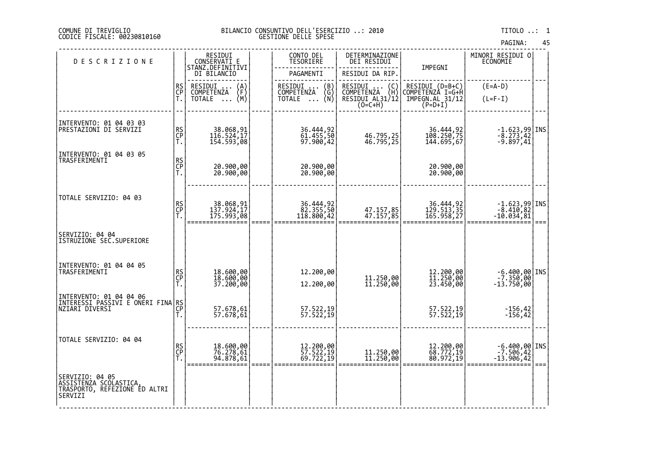# COMUNE DI TREVIGLIO BILANCIO CONSUNTIVO DELL'ESERCIZIO ..: 2010 TITOLO ..: 1 CODICE FISCALE: 00230810160 GESTIONE DELLE SPESE

| <b>DESCRIZIONE</b>                                                                    |                | RESIDUI<br>CONSERVATI E<br>STANZ.DEFINITIVI<br>DI BILANCIO | CONTO DEL<br>TESORIERE<br>PAGAMENTI                         | DETERMINAZIONE<br>DEI RESIDUI<br>RESIDUI DA RIP.                        | IMPEGNI                                                          | MINORI RESIDUI O<br>ECONOMIE                                        |  |
|---------------------------------------------------------------------------------------|----------------|------------------------------------------------------------|-------------------------------------------------------------|-------------------------------------------------------------------------|------------------------------------------------------------------|---------------------------------------------------------------------|--|
|                                                                                       | RS<br>CP<br>T. | RESIDUI<br>COMPETENZA<br>$\binom{A}{F}$<br>(M)<br>TOTALE   | (B)<br>RESIDUI<br><b>COMPETENZA</b><br>(G)<br>TOTALE<br>(N) | RESIDUI<br>$\binom{C}{H}$<br>COMPETENZA<br>RESIDUI AL31/12<br>$(0=CHH)$ | RESIDUI (D=B+C)<br>COMPETENZA I=G+H<br>IMPEGN.AL 31/12<br>P=D+I) | $(E=A-D)$<br>$(L=F-I)$                                              |  |
| INTERVENTO: 01 04 03 03<br>PRESTAZIONI DI SERVIZI                                     | RS<br>CP<br>T. | 38.068,91<br>116.524,17<br>154.593,08                      | 36.444,92<br>61.455,50<br>97.900,42                         | 46.795,25<br>46.795,25                                                  | 36.444,92<br>108.250,75<br>144.695,67                            | $\begin{array}{c} -1.623,99 \\ -8.273,42 \\ -9.897,41 \end{array}$  |  |
| INTERVENTO: 01 04 03 05<br>TRASFERIMENTI                                              | RS<br>CP<br>T. | 20.900,00<br>20.900,00                                     | 20.900,00<br>20.900,00                                      |                                                                         | 20.900,00<br>20.900,00                                           |                                                                     |  |
| TOTALE SERVIZIO: 04 03                                                                | RS<br>CP<br>T. | 38.068,91<br>137.924,17<br>175.993,08                      | 36.444,92<br>82.355,50<br>118.800,42                        | 47.157,85<br>47.157,85                                                  | 36.444,92<br>129.513,35<br>165.958,27                            | $\begin{array}{c} -1.623,99 \\ -8.410,82 \\ -10.034,81 \end{array}$ |  |
| SERVIZIO: 04 04<br>ISTRUZIONE SEC.SUPERIORE                                           |                |                                                            |                                                             |                                                                         |                                                                  |                                                                     |  |
| INTERVENTO: 01 04 04 05<br>TRASFERIMENTI                                              | RS<br>CP<br>T. | 18.600,00<br>18.600,00<br>37.200,00                        | 12.200,00<br>12.200,00                                      | 11.250,00<br>11.250,00                                                  | 12.200,00<br>11.250,00<br>23.450,00                              | -6.400,00 INS<br>-7.350,00<br>-13.750,00                            |  |
| INTERVENTO: 01 04 04 06<br> INTERESSI PASSIVI E ONERI FINA  RS<br> NZIARI DIVERSI     |                | 57.678,61<br>57.678,61                                     | 57.522,19<br>57.522,19                                      |                                                                         | 57.522,19<br>57.522,19                                           | $-156, 42$<br>$-156,42$                                             |  |
| TOTALE SERVIZIO: 04 04                                                                | RS<br>CP<br>T. | 18.600,00<br>76.278,61<br>94.878,61                        | 12.200,00<br>57.522,19<br>69.722,19                         | 11.250,00<br>11.250,00                                                  | 12.200,00<br>68.772,19<br>80.972,19                              | $-6.400,00$ INS<br>$-7.506,42$<br>-13.906,42                        |  |
| SERVIZIO: 04 05<br>ĀSSISTĒNZA SCOLASTICA,<br>TRASPORTO, REFEZIONE ED ALTRI<br>SERVIZI |                |                                                            |                                                             |                                                                         |                                                                  |                                                                     |  |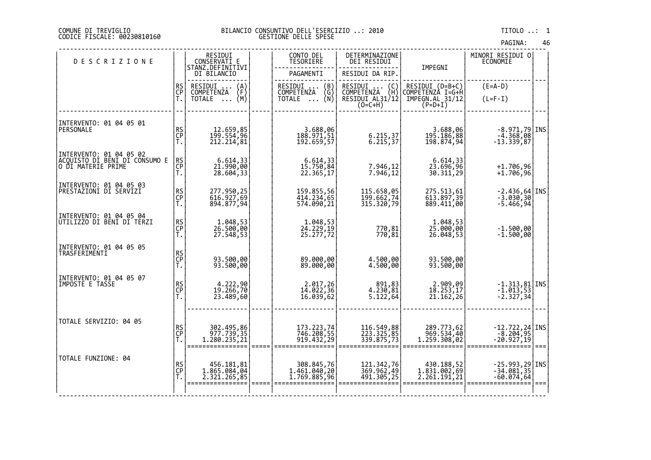# DI TREVIGLIO BILANCIO CONSUNTIVO DELL'ESERCIZIO ..: 2010 TITOLO ..: 1 FISCALE: 00230810160 GESTIONE DELLE SPESE

| <b>DESCRIZIONE</b>                                                             |                | RESIDUI<br>CONSERVATI E                       | CONTO DEL<br><b>TESORIERE</b>                                        | DETERMINAZIONE<br>DEI RESIDUI                                  |                                                                       | MINORI RESIDUI 0<br>ECONOMIE                                               |      |
|--------------------------------------------------------------------------------|----------------|-----------------------------------------------|----------------------------------------------------------------------|----------------------------------------------------------------|-----------------------------------------------------------------------|----------------------------------------------------------------------------|------|
|                                                                                |                | STANZ.DEFINITIVI<br>DI BILANCIO               | PAGAMENTI                                                            | RESIDUI DA RIP.                                                | IMPEGNI                                                               |                                                                            |      |
|                                                                                | RS<br>CP<br>T. | RESIDUI  (A)<br>COMPETENZA (F)<br>TOTALE  (M) | RESIDUI<br>(B)<br><b>COMPETENZA</b><br>COMPETENZA (G)<br>TOTALE  (N) | RESIDUI  (C)<br>COMPETENZA (H)<br>RESIDUI AL31/12<br>$(0=C+H)$ | RESIDUI (D=B+C)<br> COMPETENZA I=G+H<br> IMPEGN.AL_31/12<br>$(P=D+I)$ | $(E=A-D)$<br>$(L=F-I)$                                                     |      |
| INTERVENTO: 01 04 05 01<br>PERSONALE                                           | RS<br>CP<br>T. | 12.659,85<br>199.554,96<br>212.214,81         | 3.688,06<br>188.971,51<br>192.659,57                                 | 6.215,37<br>6.215,37                                           | 3.688,06<br>195.186,88<br>198.874,94                                  | -8.971,79 INS<br>-4.368,08<br>-13.339,87                                   |      |
| INTERVENTO: 01 04 05 02<br>ACQUISTO DI BENI DI CONSUMO E<br>O DI MATERIE PRIME | RS<br>CP<br>Ť. | 6.614,33<br>21.990,00<br>28.604,33            | 6.614,33<br>15.750,84<br>22.365,17                                   | 7.946,12<br>7.946,12                                           | 6.614,33<br>23.696,96<br>30.311,29                                    | $+1.706,96$<br>$+1.706,96$                                                 |      |
| INTERVENTO: 01 04 05 03<br>PRESTAZIONI DI SERVIZI                              | RS<br>CP<br>T. | 277.950,25<br>616.927,69<br>894.877,94        | 159.855,56<br>414.234,65<br>574.090,21                               | 115.658,05<br>199.662,74<br>315.320,79                         | 275.513,61<br>613.897,39<br>889.411,00                                | $\begin{bmatrix} -2.436,64 \\ -3.030,30 \end{bmatrix}$ INS<br>$-5.466,94$  |      |
| INTERVENTO: 01 04 05 04<br>UTILIZZO DI BENI DI TERZI                           | RS<br>CP<br>T. | 1.048,53<br>26.500,00<br>27.548,53            | 1.048,53<br>24.229,19<br>25.277,72                                   | 770,81<br>770,81                                               | 1.048,53<br>25.000,00<br>26.048,53                                    | $-1.500,00$<br>$-1.500,00$                                                 |      |
| INTERVENTO: 01 04 05 05<br>TRASFERIMENTI                                       | RS<br>CP<br>T. | 93.500,00<br>93.500,00                        | 89.000,00<br>89.000,00                                               | 4.500,00<br>4.500,00                                           | 93.500,00<br>93.500,00                                                |                                                                            |      |
| INTERVENTO: 01 04 05 07<br>IMPOSTE E TASSE                                     | RS<br>CP<br>T. | 4.222,90<br>19.266,70<br>23.489,60            | 2.017,26<br>14.022,36<br>16.039, 62                                  | 891,83<br>4.230,81<br>5.122,64                                 | 2.909,09<br>18.253,17<br>21.162,26                                    | $\begin{bmatrix} -1.313, 81 \\ -1.013, 53 \\ -2.327, 34 \end{bmatrix}$ INS |      |
| TOTALE SERVIZIO: 04 05                                                         | RS<br>CP<br>Ť. | 302.495,86<br>977.739,35<br>1.280.235,21      | 173.223,74<br>746.208,55<br>919.432,29                               | 116.549,88<br>223.325,85<br>339.875,73                         | 289.773,62<br>969.534,40<br>1.259.308,02                              | $-12.722, 24$ INS<br>-8.204,95<br>-20.927,19                               | $==$ |
| TOTALE FUNZIONE: 04                                                            | RS<br>CP<br>T. | 456.181,81<br>1.865.084,04<br>2.321.265,85    | 308.845,76<br>1.461.040,20<br>1.769.885,96                           | 121.342,76<br>369.962,49<br>491.305,25                         | 430.188,52<br>1.831.002,69<br>2.261.191,21                            | $-25.993, 29$ INS<br>$-34.081, 35$<br>$-60.074,64$                         | $==$ |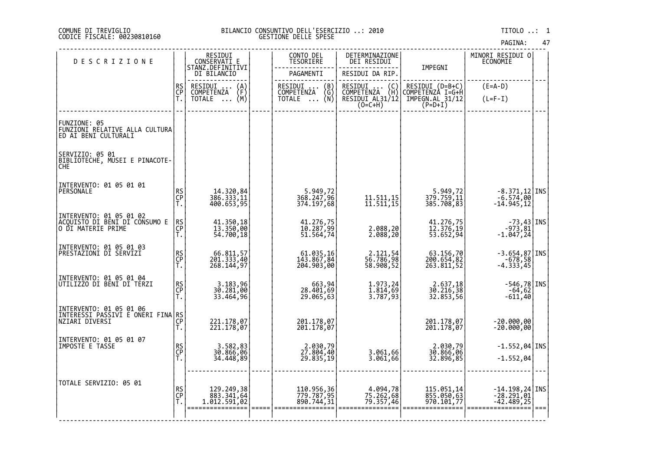# DI TREVIGLIO BILANCIO CONSUNTIVO DELL'ESERCIZIO ..: 2010 TITOLO ..: 1 FISCALE: 00230810160 GESTIONE DELLE SPESE

| <b>DESCRIZIONE</b>                                                               |                | RESIDUI<br>CONSERVATI E<br>STANZ.DEFINITIVI        | CONTO DEL<br>TESORIERE                                          | DETERMINAZIONE<br>DEI RESIDUI                                             |                                        | MINORI RESIDUI 0<br>ECONOMIE                                    |      |
|----------------------------------------------------------------------------------|----------------|----------------------------------------------------|-----------------------------------------------------------------|---------------------------------------------------------------------------|----------------------------------------|-----------------------------------------------------------------|------|
|                                                                                  |                | DI BILANCIO                                        | PAGAMENTI                                                       | RESIDUI DA RIP.                                                           | IMPEGNI                                |                                                                 |      |
|                                                                                  | RS<br>CP<br>T. | RESIDUI<br>COMPETENZA<br>$\binom{A}{F}$<br>$\cdot$ | RESIDUI<br>COMPETENZA<br>$\begin{pmatrix} B \\ G \end{pmatrix}$ | RESIDUI<br>COMPETENZA<br>RESIDUI (C)<br>COMPETENZA (H)<br>RESIDUI AL31/12 | RESIDUI (D=B+C)<br>COMPETENZA I=G+H    | $(E=A-D)$                                                       |      |
|                                                                                  |                | (M)<br><b>TOTALE</b><br>$\ddots$                   | (N)<br><b>TOTALE</b><br>$\cdots$                                | $(0=C+H)$                                                                 | IMPEGN.AL_31/12<br>$(P=D+I)$           | $(L=F-I)$                                                       |      |
| FUNZIONE: 05<br>FUNZIONI RELATIVE ALLA CULTURA<br>ED AI BENI CULTURALI           |                |                                                    |                                                                 |                                                                           |                                        |                                                                 |      |
| SERVIZIO: 05 01<br>BIBLIOTECHE, MUSEI E PINACOTE-<br>ČĤĔ                         |                |                                                    |                                                                 |                                                                           |                                        |                                                                 |      |
| INTERVENTO: 01 05 01 01<br>PERSONALE                                             | RS<br>CP<br>T. | 14.320,84<br>386.333,11<br>400.653,95              | 5.949,72<br>368.247,96<br>374.197,68                            | 11.511,15<br>11.511,15                                                    | 5.949,72<br>379.759,11<br>385.708,83   | -8.371,12 INS<br>-6.574,00<br>-14.945,12                        |      |
| INTERVENTO: 01 05 01 02<br> ACQUISTO DI BENI DI CONSUMO E<br> O DI MATERIE PRIME | RS<br>CP<br>Ť. | 41.350,18<br>13.350,00<br>54.700,18                | 41.276,75<br>10.287,99<br>51.564,74                             | 2.088,20<br>2.088,20                                                      | 41.276,75<br>12.376,19<br>53.652,94    | $\begin{array}{c} -73,43 \ -973,81 \ -1.047,24 \end{array}$ INS |      |
| INTERVENTO: 01 05 01 03<br>PRESTAZIONI DI SERVIZI                                | RS<br>CP<br>T. | 66.811,57<br>201.333,40<br>268.144,97              | 61.035,16<br>143.867,84<br>204.903,00                           | 2.121,54<br>56.786,98<br>58.908,52                                        | 63.156,70<br>200.654,82<br>263.811,52  | $-3.654,87$ INS<br>$-678,58$<br>-4.333,45                       |      |
| INTERVENTO: 01 05 01 04<br>UTILIZZO DI BENI DI TERZI                             | RS<br>CP<br>T. | 3.183,96<br>30.281,00<br>33.464,96                 | 663,94<br>28.401,69<br>29.065,63                                | 1.973,24<br>1.814,69<br>3.787,93                                          | 2.637,18<br>30.216,38<br>32.853,56     | $-546,78$ INS<br>$-64,62$<br>$-611,40$                          |      |
| INTERVENTO: 01 05 01 06<br> INTERESSI PAŠŠIVI E ONĚRI FINA RS<br> NZIARI DIVERSI | Ť.             | 221.178,07<br>221.178,07                           | 201.178,07<br>201.178,07                                        |                                                                           | 201.178,07<br>201.178,07               | $-20.000,00$<br>$-20.000,00$                                    |      |
| INTERVENTO: 01 05 01 07<br>IMPOSTE E TASSE                                       | RS<br>CP<br>T. | 3.582,83<br>30.866,06<br>34.448,89                 | 2.030,79<br>27.804,40<br>29.835,19                              | 3.061,66<br>3.061,66                                                      | 2.030,79<br>30.866,06<br>32.896,85     | $-1.552,04$ INS<br>$-1.552,04$                                  |      |
| TOTALE SERVIZIO: 05 01                                                           | RS<br>CP<br>Τ. | 129.249,38<br>883.341,64<br>1.012.591,02           | 110.956,36<br>779.787,95<br>890.744,31                          | 4.094,78<br>75.262,68<br>79.357,46                                        | 115.051,14<br>855.050,63<br>970.101,77 | $-14.198, 24$ INS<br>$-28.291, 01$<br>$-42.489,25$              | $==$ |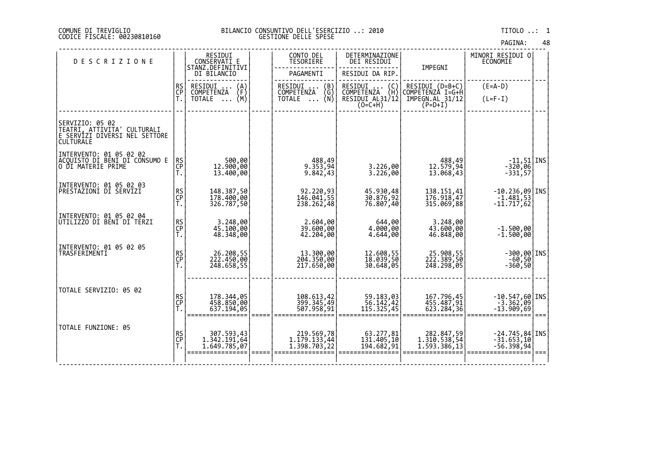| PAGINA: | 48 |
|---------|----|
|---------|----|

| <b>DESCRIZIONE</b>                                                                                  |                | RESIDUI<br>CONSERVATI E<br>STANZ.DEFINITIVI |      | CONTO DEL<br><b>TESORIERE</b>                                            | DETERMINAZIONE<br>DEI RESIDUI                     | IMPEGNI                             | MINORI RESIDUI O<br>ECONOMIE           |      |
|-----------------------------------------------------------------------------------------------------|----------------|---------------------------------------------|------|--------------------------------------------------------------------------|---------------------------------------------------|-------------------------------------|----------------------------------------|------|
|                                                                                                     |                | DI BILANCIO                                 |      | PAGAMENTI                                                                | RESIDUI DA RIP.                                   |                                     |                                        |      |
|                                                                                                     | RS<br>CP       | RESIDUI<br>$\binom{A}{F}$<br>COMPETENZA     |      | RESIDUI<br>COMPETENZA                                                    | RESIDUI  (C)<br>COMPETENZA (H)<br>RESIDUI AL31/12 | RESIDUI (D=B+C)<br>COMPETENZA I=G+H | $(E=A-D)$                              |      |
|                                                                                                     | Ť.             | (M)<br>TOTALE<br>$\cdots$                   |      | $\begin{Bmatrix} B \\ G \\ N \end{Bmatrix}$<br><b>TOTALE</b><br>$\cdots$ |                                                   | IMPEGN.AL 31/12                     | $(L=F-I)$                              |      |
|                                                                                                     |                |                                             |      |                                                                          | $(O=C+H)$                                         | $(P=D+I)$                           |                                        |      |
| SERVIZIO: 05 02<br>TEATRI, ATTIVITA' CULTURALI<br>E SERVÍZI DIVERSI NEL SETTORE<br><b>CULTURALE</b> |                |                                             |      |                                                                          |                                                   |                                     |                                        |      |
| INTERVENTO: 01 05 02 02                                                                             |                |                                             |      |                                                                          |                                                   |                                     |                                        |      |
| ĀCQŪISTO DI BĒNI DI CŎÑSUMO E<br> O DI MATERIE PRIME                                                | RS<br>CP<br>T. | 500,00<br>12.900,00<br>13.400,00            |      | 488,49<br>9.353,94<br>9.842,43                                           | 3.226,00<br>3.226,00                              | 488,49<br>12.579,94<br>13.068,43    | $-11,51$ INS<br>$-320,06$<br>$-331,57$ |      |
| INTERVENTO: 01 05 02 03                                                                             |                |                                             |      |                                                                          |                                                   |                                     |                                        |      |
| PRESTAZIONI DI SERVIZI                                                                              | RS<br>CP<br>T. | 148.387,50<br>178.400,00<br>326.787,50      |      | 92.220,93<br>146.041,55                                                  | 45.930,48<br>30.876,92                            | 138.151,41<br>176.918,47            | $-10.236,09$ <i>INS</i><br>$-1.481,53$ |      |
|                                                                                                     |                |                                             |      | 238.262,48                                                               | 76.807,40                                         | 315.069,88                          | $-11.717,62$                           |      |
| INTERVENTO: 01 05 02 04<br>UTILIZZO DI BENI DI TERZI                                                |                |                                             |      |                                                                          |                                                   |                                     |                                        |      |
|                                                                                                     | RS<br>CP<br>T. | 3.248,00<br>45.100,00<br>48.348,00          |      | 2.604,00<br>39.600,00<br>42.204,00                                       | 644,00<br>4.000,00<br>4.644,00                    | 3.248,00<br>43.600,00<br>46.848,00  | $-1.500,00$<br>$-1.500,00$             |      |
| INTERVENTO: 01 05 02 05                                                                             |                |                                             |      |                                                                          |                                                   |                                     |                                        |      |
| TRASFERIMENTI                                                                                       | RS<br>CP<br>T. | 26.208,55<br>222.450,00                     |      | 13.300,00<br>204.350,00                                                  | 12.608,55<br>18.039,50                            | 25.908,55<br>222.389,50             | $-300,00$ INS                          |      |
|                                                                                                     |                | 248.658,55                                  |      | 217.650,00                                                               | 30.648,05                                         | $\overline{248.298, 05}$            | $-60,50$<br>$-360,50$                  |      |
|                                                                                                     |                |                                             |      |                                                                          |                                                   |                                     |                                        |      |
| TOTALE SERVIZIO: 05 02                                                                              |                |                                             |      |                                                                          |                                                   |                                     |                                        |      |
|                                                                                                     | RS<br>CP<br>T. | 178.344,05<br>458.850,00<br>637.194,05      |      | 108.613,42<br>399.345,49                                                 | 59.183,03<br>56.142,42<br>115.325,45              | 167.796,45<br>455.487,91            | $-10.547,60$ INS<br>$-3.362,09$        |      |
|                                                                                                     |                |                                             | ==== | 507.958,91                                                               |                                                   | 623.284,36                          | $-13.909,69$                           | $==$ |
| TOTALE FUNZIONE: 05                                                                                 |                |                                             |      |                                                                          |                                                   |                                     |                                        |      |
|                                                                                                     | RS<br>CP<br>T. | 307.593,43<br>1.342.191,64                  |      | 219.569,78<br>1.179.133,44                                               | 63.277,81<br>131.405,10                           | 282.847,59<br>1.310.538,54          | $-24.745,84$ INS<br>$-31.653,10$       |      |
|                                                                                                     |                | 1.649.785,07                                |      | $\overline{1.398.703,22}$                                                | 194.682,91                                        | 1.593.386,13                        | $-56.398,94$                           |      |
|                                                                                                     |                |                                             |      |                                                                          |                                                   |                                     |                                        |      |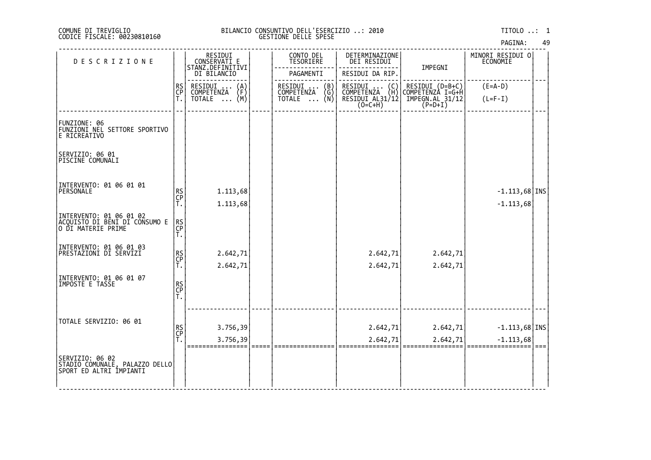| PAGINA: | 49 |
|---------|----|
|---------|----|

| <b>DESCRIZIONE</b>                                                              |                | RESIDUI<br>CONSERVATI E          | CONTO DEL<br>TESORIERE        | DETERMINAZIONE<br>DEI RESIDUI                                                          |                                     | MINORI RESIDUI 0<br><b>ECONOMIE</b> |  |
|---------------------------------------------------------------------------------|----------------|----------------------------------|-------------------------------|----------------------------------------------------------------------------------------|-------------------------------------|-------------------------------------|--|
|                                                                                 |                | STANZ.DEFINITIVI<br>DI BILANCIO  | PAGAMENTI                     | RESIDUI DA RIP.                                                                        | IMPEGNI                             |                                     |  |
|                                                                                 | RS             | RESIDUI<br>$\{A\}$<br>COMPETENZA | RESIDUI<br>(B)                | RESIDUI .<br>$\left(\begin{smallmatrix} 0 \\ H \end{smallmatrix}\right)$<br>COMPETENZA | RESIDUI (D=B+C)<br>COMPETENZA I=G+H | $(E=A-D)$                           |  |
|                                                                                 | CP<br>T.       | (M)<br>TOTALE                    | COMPETENZA (G)<br>TOTALE  (N) | RESIDUI AL31/12<br>(O=C+H)                                                             | IMPEGN.AL_31/12<br>$(P=D+I)$        | $(L=F-I)$                           |  |
|                                                                                 |                |                                  |                               |                                                                                        |                                     |                                     |  |
| FUNZIONE: 06<br>FUNZIONI NĚL SETTORE SPORTIVO<br>E RICREATIVO                   |                |                                  |                               |                                                                                        |                                     |                                     |  |
| SERVIZIO: 06 01<br>PISCINE COMUNALI                                             |                |                                  |                               |                                                                                        |                                     |                                     |  |
|                                                                                 |                |                                  |                               |                                                                                        |                                     |                                     |  |
| INTERVENTO: 01 06 01 01<br>PERSONALE                                            | RS<br>CP<br>T. | 1.113,68                         |                               |                                                                                        |                                     | $-1.113,68$ INS                     |  |
|                                                                                 |                | 1.113,68                         |                               |                                                                                        |                                     | $-1.113,68$                         |  |
| INTERVENTO: 01 06 01 02<br>ACQUISTO DI BENI DI CONSUMO E<br>O DI MATERIE PRIME  | RS<br>CP<br>T. |                                  |                               |                                                                                        |                                     |                                     |  |
| INTERVENTO: 01 06 01 03<br> PRESTAZIONI DI SERVIZI                              |                |                                  |                               |                                                                                        |                                     |                                     |  |
|                                                                                 | RS<br>CP<br>T. | 2.642,71<br>2.642,71             |                               | 2.642,71<br>2.642,71                                                                   | 2.642,71<br>2.642,71                |                                     |  |
| INTERVENTO: 01 06 01 07                                                         |                |                                  |                               |                                                                                        |                                     |                                     |  |
| IMPOSTE E TASSE                                                                 | RS<br>CP<br>T. |                                  |                               |                                                                                        |                                     |                                     |  |
|                                                                                 |                |                                  |                               |                                                                                        |                                     |                                     |  |
| TOTALE SERVIZIO: 06 01                                                          |                |                                  |                               |                                                                                        |                                     |                                     |  |
|                                                                                 | RS<br>CP<br>T. | 3.756,39                         |                               | 2.642,71                                                                               | 2.642,71                            | $-1.113,68$ INS                     |  |
|                                                                                 |                | 3.756,39                         |                               | 2.642,71                                                                               | 2.642,71                            | $-1.113,68$                         |  |
| SERVIZIO: 06 02<br> STADIO COMUNALE, PALAZZO DELLO <br> SPORT ED ALTRI IMPIANTI |                |                                  |                               |                                                                                        |                                     |                                     |  |
|                                                                                 |                |                                  |                               |                                                                                        |                                     |                                     |  |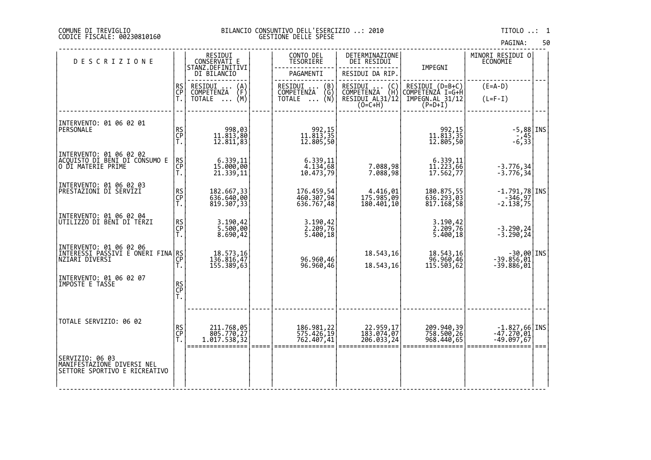# DI TREVIGLIO BILANCIO CONSUNTIVO DELL'ESERCIZIO ..: 2010 TITOLO ..: 1 FISCALE: 00230810160 GESTIONE DELLE SPESE

| <b>DESCRIZIONE</b>                                           |                | RESIDUI<br>CONSERVATI E                        | CONTO DEL<br><b>TESORIERE</b>       | DETERMINAZIONE<br>DEI RESIDUI                                                        |                                        | MINORI RESIDUI 0<br><b>ECONOMIE</b>    |  |
|--------------------------------------------------------------|----------------|------------------------------------------------|-------------------------------------|--------------------------------------------------------------------------------------|----------------------------------------|----------------------------------------|--|
|                                                              |                | STANZ.DEFINITIVI<br>DI BILANCIO                | PAGAMENTI                           | RESIDUI DA RIP.                                                                      | IMPEGNI                                |                                        |  |
|                                                              | RS<br>CP       | RESIDUI<br>$\binom{A}{F}$<br><b>COMPETENZA</b> | RESIDUI<br>(B)<br>(Ğ)<br>COMPETENZA | RESIDUI<br>$\left(\begin{smallmatrix} C \\ H \end{smallmatrix}\right)$<br>COMPETENZA | RESIDUI (D=B+C)<br>COMPETENZÀ I=G+H    | $(E=A-D)$                              |  |
|                                                              | Ť.             | (M)<br>TOTALE                                  | (Ñ)<br><b>TOTALE</b><br>$\cdots$    | RESIDUI AL31/12<br>$(0=C+H)$                                                         | IMPEGN.AL 31/12<br>$(P=D+I)$           | $(L=F-I)$                              |  |
|                                                              |                |                                                |                                     |                                                                                      |                                        |                                        |  |
| INTERVENTO: 01 06 02 01<br>PERSONALE                         |                |                                                |                                     |                                                                                      |                                        | $-5,88$ INS                            |  |
|                                                              | RS<br>CP<br>T. | 998,03<br>11.813,80<br>12.811,83               | 992,15<br>11.813,35<br>12.805,50    |                                                                                      | 992,15<br>11.813,35<br>12.805,50       | $-45$<br>33, 6-                        |  |
| INTERVENTO: 01 06 02 02<br>ACQUISTO DI BENI DI CONSUMO E     |                |                                                |                                     |                                                                                      |                                        |                                        |  |
| O DI MATERIE PRIME                                           | RS<br>CP<br>T. | 6.339,11<br>15.000,00<br>21.339,11             | 6.339,11<br>4.134,68<br>10.473,79   | 7.088,98<br>7.088,98                                                                 | $6.339,11$<br>$11.223,66$<br>17.562,77 | $-3.776, 34$<br>$-3.776, 34$           |  |
| INTERVENTO: 01 06 02 03                                      |                |                                                |                                     |                                                                                      |                                        |                                        |  |
| PRESTAZIONI DI SERVIZI                                       | RS<br>CP<br>T. | 182.667,33<br>636.640,00                       | 176.459,54<br>460.307,94            | 4.416,01<br>175.985,09                                                               | 180.875,55<br>636.293,03               | $-1.791,78$ INS<br>-346,97             |  |
| INTERVENTO: 01 06 02 04                                      |                | 819.307,33                                     | 636.767,48                          | 180.401,10                                                                           | 817.168,58                             | $-2.138,75$                            |  |
| UTILIZZO DI BENI DI TERZI                                    | RS<br>CP<br>T. | 3.190,42<br>5.500,00                           | 3.190,42<br>2.209,76<br>5.400,18    |                                                                                      | 3.190,42<br>2.209,76<br>5.400,18       |                                        |  |
|                                                              |                | 8.690,42                                       |                                     |                                                                                      |                                        | $-3.290, 24$<br>$-3.290, 24$           |  |
| INTERVENTO: 01 06 02 06<br>INTERESSI PASSIVI E ONERI FINA RS |                | 18.573,16                                      |                                     | 18.543,16                                                                            | 18.543,16                              |                                        |  |
|                                                              | Ť.             | 136.816,47<br>155.389,63                       | 96.960,46<br>96.960,46              | 18.543,16                                                                            | 96.960,46<br>115.503,62                | -30,00 INS<br>-39.856,01<br>-39.886,01 |  |
| INTERVENTO: 01 06 02 07<br>IMPOSTE E TASSE                   |                |                                                |                                     |                                                                                      |                                        |                                        |  |
|                                                              | RS<br>CP<br>T. |                                                |                                     |                                                                                      |                                        |                                        |  |
|                                                              |                |                                                |                                     |                                                                                      |                                        |                                        |  |
| TOTALE SERVIZIO: 06 02                                       |                |                                                |                                     |                                                                                      |                                        |                                        |  |
|                                                              | RS<br>CP<br>T. | 211.768,05<br>805.770,27                       | 186.981,22<br>575.426,19            | 22.959,17<br>183.074,07                                                              | 209.940,39<br>758.500,26               | $-1.827,66$ INS<br>$-47.270,01$        |  |
|                                                              |                | 1.017.538,32                                   | 762.407,41                          | 206.033,24                                                                           | 968.440,65                             | $-49.097,67$                           |  |
| SERVIZIO: 06 03<br>MANIFESTAZIONE DIVERSI NEL                |                |                                                |                                     |                                                                                      |                                        |                                        |  |
| SETTORE SPORTIVO E RICREATIVO                                |                |                                                |                                     |                                                                                      |                                        |                                        |  |
|                                                              |                |                                                |                                     |                                                                                      |                                        |                                        |  |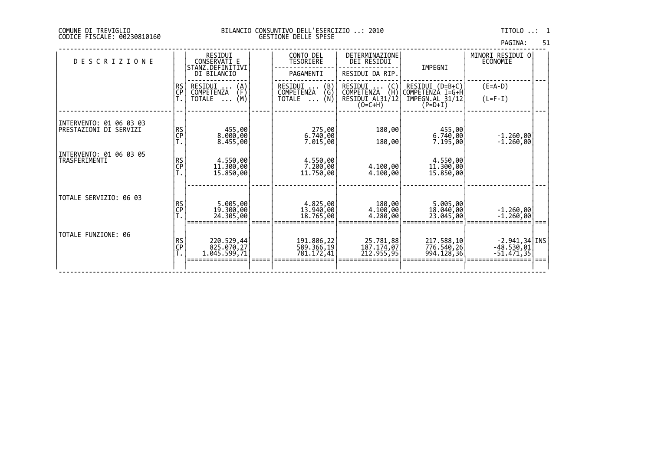| PAGINA: | 51 |
|---------|----|
|         |    |

| <b>DESCRIZIONE</b>                                 |                | RESIDUI<br>CONSERVATI E<br>STANZ.DEFINITIVI<br>DI BILANCIO       | CONTO DEL<br>TESORIERE<br>PAGAMENTI                                                          | DETERMINAZIONE<br><b>DEI RESIDUI</b><br>RESIDUI DA RIP.                    | IMPEGNI                                                             | MINORI RESIDUI 0<br>ECONOMIE                     |      |
|----------------------------------------------------|----------------|------------------------------------------------------------------|----------------------------------------------------------------------------------------------|----------------------------------------------------------------------------|---------------------------------------------------------------------|--------------------------------------------------|------|
|                                                    | RS<br>CP       | RESIDUI<br>(A)<br>(F)<br>COMPETENZA<br>(M)<br>TOTALE<br>$\cdots$ | $\begin{pmatrix} B \\ G \end{pmatrix}$<br>RESIDUI<br>COMPETENZA<br>(N)<br>TOTALE<br>$\cdots$ | RESIDUI<br>(C)<br>(H)<br><b>COMPETENZA</b><br>RESIDUI AL31/12<br>$(O=C+H)$ | RESIDUI (D=B+C)<br>COMPETENZA I=G+H<br>IMPEGN.AL 31/12<br>$(P=D+I)$ | $(E=A-D)$<br>$(L=F-I)$                           |      |
| INTERVENTO: 01 06 03 03<br> PRESTAZIONI DI SERVIZI | RS<br>CP<br>T. | 455,00<br>8.000,00<br>8.455,00                                   | $275,00$<br>6.740,00<br>7.015,00                                                             | 180,00<br>180,00                                                           | 455,00<br> 5,740,00<br>7.195,00                                     | $-1.260,00$<br>$-1.260,00$                       |      |
| INTERVENTO: 01 06 03 05<br>TRASFERIMENTI           | RS<br>CP<br>T. | 4.550,00<br>11.300,00<br>15.850,00                               | 4.550,00<br>7.200,00<br>11.750,00                                                            | 4.100,00<br>4.100,00                                                       | 4.550,00<br>11.300,00<br>15.850,00                                  |                                                  |      |
| TOTALE SERVIZIO: 06 03                             | RS<br>CP<br>T. | 5.005,00<br>19.300,00<br>24.305,00                               | 4.825,00<br>13.940,00<br>18.765,00                                                           | 4.180,00<br>4.280,00                                                       | 5.005,00<br> 18.040,00<br>23.045,00                                 | $-1.260,00$<br>$-1.260,00$                       |      |
| TOTALE FUNZIONE: 06                                | RS<br>CP<br>T. | 220.529,44<br>825.070,27<br>1.045.599,71                         | 191.806,22<br>589.366,19<br>781.172,41                                                       | 25.781,88<br>187.174,07<br>212.955,95                                      | 217.588,10<br>776.540,26<br>994.128,36                              | $-2.941,34$ TNS<br>$-48.530, 01$<br>$-51.471,35$ | $==$ |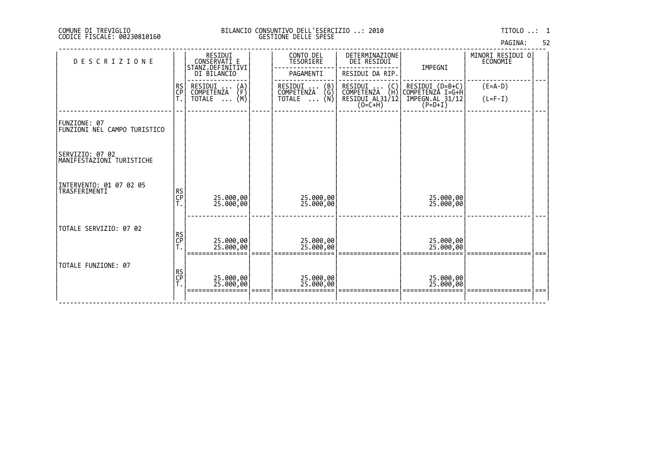# DI TREVIGLIO BILANCIO CONSUNTIVO DELL'ESERCIZIO ..: 2010 TITOLO ..: 1 FISCALE: 00230810160 GESTIONE DELLE SPESE

52

| PAGINA: |
|---------|
|---------|

| DESCRIZIONE                                  |                | RESIDUI<br>CONSERVATI E<br>STANZ.DEFINITIVI<br>DI BILANCIO           | CONTO DEL<br>TESORIERE<br>PAGAMENTI           | DETERMINAZIONE<br>DEI RESIDUI<br>RESIDUI DA RIP.                                                                                | IMPEGNI                                                              | MINORI RESIDUI O<br>ECONOMIE |      |
|----------------------------------------------|----------------|----------------------------------------------------------------------|-----------------------------------------------|---------------------------------------------------------------------------------------------------------------------------------|----------------------------------------------------------------------|------------------------------|------|
|                                              | RS<br>CP<br>T. | RESIDUI<br>COMPETENZA<br>$\binom{A}{F}$<br>(M)<br>TOTALE<br>$\cdots$ | RESIDUI  (B)<br>COMPETENZA (G)<br>TOTALE  (N) | RESIDUI<br>COMPETENZA<br>$\binom{C}{H}$<br>$\begin{array}{c}\n\overline{\text{RESIDUI AL31}/12} \\ (0=\text{C+H})\n\end{array}$ | RESIDUI (D=B+C)<br> COMPETENZA I=G+H<br>IMPEGN.AL 31/12<br>$(P=D+I)$ | $(E=A-D)$<br>$(L=F-I)$       |      |
| FUNZIONE: 07<br>FUNZIONI NEL CAMPO TURISTICO |                |                                                                      |                                               |                                                                                                                                 |                                                                      |                              |      |
| SERVIZIO: 07 02<br>MANIFESTAZIONI TURISTICHE |                |                                                                      |                                               |                                                                                                                                 |                                                                      |                              |      |
| INTERVENTO: 01 07 02 05<br>TRASFERIMENTI     | RS<br>CP<br>T. | 25.000,00<br>25.000,00                                               | 25.000,00<br>25.000,00                        |                                                                                                                                 | 25.000,00<br>25.000,00                                               |                              |      |
| TOTALE SERVIZIO: 07 02                       | RS<br>CP<br>T. | 25.000,00<br>25.000,00                                               | 25.000,00<br>25.000,00                        |                                                                                                                                 | 25.000,00<br>25.000,00                                               |                              |      |
| TOTALE FUNZIONE: 07                          | RS<br>CP<br>T. | 25.000,00<br>25.000,00                                               | 25.000,00<br>25.000,00                        |                                                                                                                                 | 25.000,00<br>25.000,00                                               |                              | $==$ |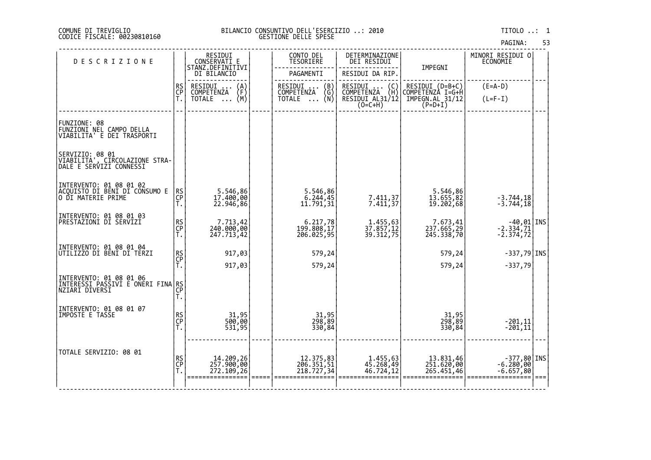|  | PAGINA: | 53 |
|--|---------|----|
|  |         |    |

| <b>DESCRIZIONE</b>                                                               |                | RESIDUI<br>CONSERVATI E                        | CONTO DEL<br>TESORIERE                                          | DETERMINAZIONE<br>DEI RESIDUI                                                        |                                       | MINORI RESIDUI O<br>ECONOMIE                 |      |
|----------------------------------------------------------------------------------|----------------|------------------------------------------------|-----------------------------------------------------------------|--------------------------------------------------------------------------------------|---------------------------------------|----------------------------------------------|------|
|                                                                                  |                | STANZ.DEFINITIVI<br>DI BILANCIO                | PAGAMENTI                                                       | RESIDUI DA RIP.                                                                      | IMPEGNI                               |                                              |      |
|                                                                                  | RS<br>CP<br>T. | RESIDUI<br>$\binom{A}{F}$<br><b>COMPETENZA</b> | $\begin{pmatrix} B \\ G \end{pmatrix}$<br>RESIDUI<br>COMPETENZA | RESIDUI<br>COMPETENZA<br>$\left(\begin{smallmatrix} C \\ H \end{smallmatrix}\right)$ | RESIDUI (D=B+C)<br>COMPETENZA I=G+H   | $(E=A-D)$                                    |      |
|                                                                                  |                | (M)<br>TOTALE                                  | (Ñ)<br><b>TOTALE</b><br>$\cdots$                                | RESIDUI AL31/12<br>$(0=C+H)$                                                         | $IMPEGN.AL$ 31/12<br>(P=D+I)          | $(L=F-I)$                                    |      |
|                                                                                  |                |                                                |                                                                 |                                                                                      |                                       |                                              |      |
| FUNZIONE: 08<br> FUNZIONI NEL CAMPO DELLA<br>VIABILITA' E DEI TRASPORTI          |                |                                                |                                                                 |                                                                                      |                                       |                                              |      |
| SERVIZIO: 08 01<br>VIABILITA', CIRCOLAZIONE STRA-<br>DALE E SERVIZI CONNESSI     |                |                                                |                                                                 |                                                                                      |                                       |                                              |      |
| INTERVENTO: 01 08 01 02<br> ACQUISTO DI BĒNĪ DĪ CŎÑSUMO E<br> O DI MATERIE PRIME | RS<br>CP<br>T. | 5.546,86<br>17.400,00<br>22.946,86             | 5.546,86<br>6.244,45<br>11.791,31                               | 7.411,37<br>7.411,37                                                                 | 5.546,86<br>13.655,82<br>19.202,68    | $-3.744, 18$<br>$-3.744, 18$                 |      |
| INTERVENTO: 01 08 01 03<br>PRESTAZIONI DI SERVIZI                                | RS<br>CP<br>T. | 7.713,42<br>240.000,00<br>247.713,42           | 6.217,78<br> 199.808,17<br> 206.025,95                          | 1.455,63<br>37.857,12<br>39.312,75                                                   | 7.673,41<br>237.665,29<br>245.338,70  | -40,01 INS<br>$-2.334,71$<br>$-2.374,72$     |      |
| INTERVENTO: 01 08 01 04<br> UTILIZZO DI BENI DI TERZI                            |                | 917,03                                         | 579,24                                                          |                                                                                      | 579,24                                | $-337,79$ INS                                |      |
|                                                                                  | RS<br>CP<br>T. | 917,03                                         | 579,24                                                          |                                                                                      | 579,24                                | $-337,79$                                    |      |
| INTERVENTO: 01 08 01 06<br>INTERESSI PASSIVI E ONERI FINA<br>NZIARI DIVERSI      | RS<br>CP<br>Ť. |                                                |                                                                 |                                                                                      |                                       |                                              |      |
| INTERVENTO: 01 08 01 07<br>IMPOSTE E TASSE                                       | RS<br>CP<br>T. | 31,95<br>500,00<br>531,95                      | 31,95<br>298,89<br>330,84                                       |                                                                                      | 31,95<br>298,89<br>330,84             | $-201, 11$<br>$-201, 11$                     |      |
| TOTALE SERVIZIO: 08 01                                                           | RS<br>CP<br>T. | 14.209,26<br>257.900,00<br>272.109,26          | 12.375,83<br>206.351,51<br>218.727,34                           | 1.455,63<br>45.268,49<br>46.724,12                                                   | 13.831,46<br>251.620,00<br>265.451,46 | INS -377,80<br> 10,000,000,00<br>$-6.657,80$ | $==$ |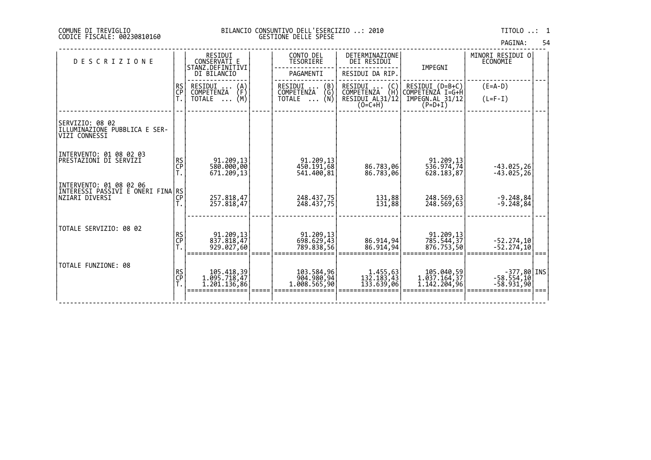| PAGINA: | 54 |
|---------|----|
|         |    |

| <b>DESCRIZIONE</b>                                                             |                | RESIDUI<br>CONSERVATI E                    | CONTO DEL<br>TESORIERE                   | DETERMINAZIONE<br>DEI RESIDUI        |                                            | MINORI RESIDUI O<br>ECONOMIE                    |  |
|--------------------------------------------------------------------------------|----------------|--------------------------------------------|------------------------------------------|--------------------------------------|--------------------------------------------|-------------------------------------------------|--|
|                                                                                |                | STANZ.DEFINITIVI<br>DI BILANCIO            | PAGAMENTI                                | RESIDUI DA RIP.                      | IMPEGNI                                    |                                                 |  |
|                                                                                | RS<br>CP       | RESIDUI<br>$\binom{A}{F}$<br>COMPETENZA    | RESIDUI<br>$\binom{B}{G}$<br>COMPETENZA  | RESIDUI<br>$\{C_H\}$<br>COMPETENZA   | RESIDUI (D=B+C)<br>COMPETENZÀ I=G+H        | $(E=A-D)$                                       |  |
|                                                                                |                | (M)<br>TOTALE<br>$\cdots$                  | TOTALE $\ldots$ (N)                      | RESIDUI AL31/12<br>$(O=C+H)$         | IMPEGN.AL 31/12<br>$(P=D+I)$               | $(L=F-I)$                                       |  |
| SERVIZIO: 08 02<br>ILLUMINAZIONE PUBBLICA E SER-<br>VIZI CONNESSI              |                |                                            |                                          |                                      |                                            |                                                 |  |
| INTERVENTO: 01 08 02 03<br> PRESTAZIONI DI SERVIZI                             | RS<br>CP       | 91.209,13<br>580.000,00<br>671,209,13      | 91.209,13<br>450.191,68<br>541,400,81    | 86.783,06<br>86.783,06               | 91.209.13<br>536.974,74<br>628.183,87      | $-43.025, 26$<br>$-43.025, 26$                  |  |
| INTERVENTO: 01 08 02 06<br>INTERESSI PASSIVI E ONERI FINA RS<br>NZIARI DIVERSI | CP             | 257.818,47<br>257.818,47                   | 248.437.75<br>248.437,75                 | 131,88<br>131,88                     | 248.569.63<br>248.569,63                   | $-9.248.84$<br>$-9.248,84$                      |  |
| TOTALE SERVIZIO: 08 02                                                         | RS<br>CP<br>T. | 91.209,13<br>837.818,47<br>929.027,60      | 91.209,13<br>698.629,43<br>789.838,56    | 86.914,94<br>86,914,94               | 91.209,13<br>785.544,37<br>876.753,50      | $-52.274,10$<br>$-52.274,10$                    |  |
| TOTALE FUNZIONE: 08                                                            | RS<br>CP<br>T. | 105.418,39<br>1.095.718,47<br>1.201.136,86 | 103.584,96<br>904.980,94<br>1.008.565,90 | 1.455,63<br>132.183,43<br>133.639,06 | 105.040,59<br>1.037.164,37<br>1.142.204,96 | $-377,80$  INS <br>$-58.554,10$<br>$-58.931,90$ |  |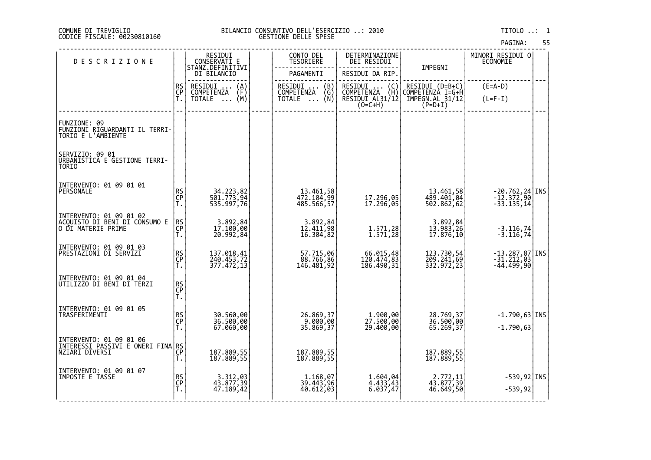# DI TREVIGLIO BILANCIO CONSUNTIVO DELL'ESERCIZIO ..: 2010 TITOLO ..: 1 FISCALE: 00230810160 GESTIONE DELLE SPESE

| <b>DESCRIZIONE</b>                                                              |                | RESIDUI<br>CONSERVATI E                 | CONTO DEL<br><b>TESORIERE</b>         | DETERMINAZIONE<br>DEI RESIDUI                                   |                                        | MINORI RESIDUI 0<br>ECONOMIE                                                                                               |  |
|---------------------------------------------------------------------------------|----------------|-----------------------------------------|---------------------------------------|-----------------------------------------------------------------|----------------------------------------|----------------------------------------------------------------------------------------------------------------------------|--|
|                                                                                 |                | STANZ.DEFINITIVI<br>DI BILANCIO         | PAGAMENTI                             | RESIDUI DA RIP.                                                 | IMPEGNI                                |                                                                                                                            |  |
|                                                                                 | RS<br>CP<br>T. | RESIDUI<br>COMPETENZA<br>$\binom{A}{F}$ | RESIDUI  (B)<br>COMPETENZA (G)        | RESIDUI<br>$\begin{pmatrix} C \\ H \end{pmatrix}$<br>COMPETENZA | RESIDUI (D=B+C)<br>COMPETENZA I=G+H    | $(E=A-D)$                                                                                                                  |  |
|                                                                                 |                | (M)<br><b>TOTALE</b><br>$\cdots$        | (Ñ)<br><b>TOTALE</b><br>$\cdots$      | RESIDUI AL31/12<br>$(0=C+H)$                                    | $\tilde{IMPEGN.RL}$ 31/12<br>(P=D+I)   | $(L=F-I)$                                                                                                                  |  |
| FUNZIONE: 09<br>FUNZIONI RIGUARDANTI IL TERRI-<br>TORIO E L'AMBIENTE            |                |                                         |                                       |                                                                 |                                        |                                                                                                                            |  |
| SERVIZIO: 09 01<br>URBANISTICA E GESTIONE TERRI-<br>TORIO                       |                |                                         |                                       |                                                                 |                                        |                                                                                                                            |  |
| INTERVENTO: 01 09 01 01<br>PERSONALE                                            | RS<br>CP<br>T. | 34.223,82<br>501.773,94<br>535.997,76   | 13.461,58<br>472.104,99<br>485.566,57 | 05, 17.296<br>17.296, 17                                        | 13.461,58<br>489.401,04<br>502.862,62  | $\left. \begin{array}{l} -20.762, 24 \,   \, \text{INS} \\ -12.372, 90 \,   \, \\ -33.135, 14 \,   \, \end{array} \right $ |  |
| INTERVENTO: 01 09 01 02<br> ACQUISTO_DI_BENI_DI CONSUMO E<br>O DI MATERIE PRIME | RS<br>CP<br>T. | 3.892,84<br>17.100,00<br>20.992,84      | 3.892,84<br>12.411,98<br>16.304,82    | 1.571,28<br>1.571,28                                            | 3.892,84<br>13.983,26<br>17.876,10     | $-3.116, 74$<br>$-3.116, 74$                                                                                               |  |
| INTERVENTO: 01 09 01 03<br> PRESTAZIONI DI SERVIZI                              | RS<br>CP<br>T. | 137.018,41<br>240.453,72<br>377.472,13  | 57.715,06<br>88.766,86<br>146.481,92  | 66.015,48<br>120.474,83<br>186.490,31                           | 123.730,54<br>209.241,69<br>332.972,23 | $-13.287,87$ INS<br>$-31.212,03$<br>$-44.499,90$                                                                           |  |
| INTERVENTO: 01 09 01 04<br> UTILIZZO DI BENI DI TERZI                           | RS<br>CP<br>T. |                                         |                                       |                                                                 |                                        |                                                                                                                            |  |
| INTERVENTO: 01 09 01 05<br>TRASFERIMENTI                                        | RS<br>CP<br>T. | 30.560,00<br>36.500,00<br>67.060,00     | 26.869,37<br>9.000,00<br>35.869,37    | 1.900,00<br>27.500,00<br>29.400,00                              | 28.769,37<br>36.500,00<br>65.269,37    | $-1.790,63$ INS<br>$-1.790,63$                                                                                             |  |
| INTERVENTO: 01 09 01 06<br>INTERESSI PASSIVI E ONERI FINA RS<br>NZIARI DIVERSI  | CP<br>T.       | 187.889,55<br>187.889,55                | 187.889,55<br>187.889,55              |                                                                 | 187.889,55<br>187.889,55               |                                                                                                                            |  |
| INTERVENTO: 01 09 01 07<br>IMPOSTE E TASSE                                      | RS<br>CP<br>T. | 3.312,03<br>43.877,39<br>47.189,42      | 1.168,07<br>39.443,96<br>40.612,03    | 1.604,04<br>4.433,43<br>6.037,47                                | 2.772,11<br>43.877,39<br>46.649,50     | $-539,92$ INS<br>$-539,92$                                                                                                 |  |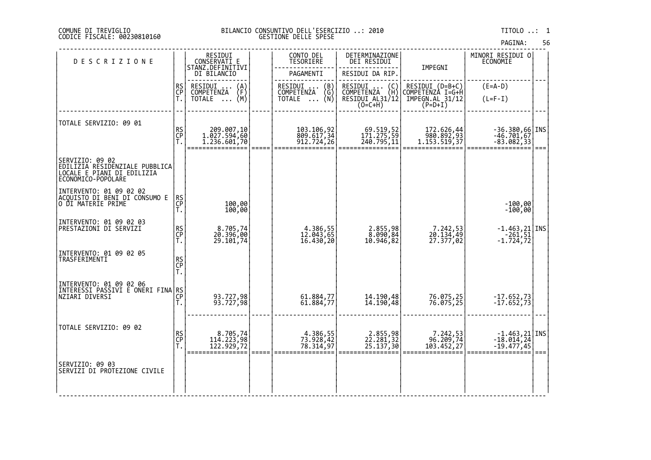# DI TREVIGLIO BILANCIO CONSUNTIVO DELL'ESERCIZIO ..: 2010 TITOLO ..: 1 FISCALE: 00230810160 GESTIONE DELLE SPESE

| <b>DESCRIZIONE</b>                                                                                    |                | RESIDUI<br>CONSERVATI E                                                     | CONTO DEL<br><b>TESORIERE</b>                                                                     | DETERMINAZIONE<br>DEI RESIDUI                                                                                           |                                                                     | MINORI RESIDUI 0<br>ECONOMIE                                                              |      |
|-------------------------------------------------------------------------------------------------------|----------------|-----------------------------------------------------------------------------|---------------------------------------------------------------------------------------------------|-------------------------------------------------------------------------------------------------------------------------|---------------------------------------------------------------------|-------------------------------------------------------------------------------------------|------|
|                                                                                                       |                | STANZ.DEFINITIVI<br>DI BILANCIO                                             | PAGAMENTI                                                                                         | RESIDUI DA RIP.                                                                                                         | IMPEGNI                                                             |                                                                                           |      |
|                                                                                                       | RS<br>CP<br>Ť. | RESIDUI<br>$\binom{A}{F}$<br>COMPETENZA<br>(M)<br><b>TOTALE</b><br>$\cdots$ | RESIDUI<br>COMPETENZA<br>$\begin{pmatrix} B \\ G \\ N \end{pmatrix}$<br><b>TOTALE</b><br>$\cdots$ | RESIDUI<br>$\left(\begin{smallmatrix} C \ H \end{smallmatrix}\right)$<br>COMPETENZA (H)<br>RESIDUI AL31/12<br>$(O=C+H)$ | RESIDUI (D=B+C)<br>COMPETENZA I=G+H<br>IMPEGN.AL_31/12<br>$(P=D+I)$ | $(E=A-D)$<br>$(L=F-I)$                                                                    |      |
| TOTALE SERVIZIO: 09 01                                                                                | RS<br>CP<br>T. | 209.007,10<br>1.027.594,60<br>1.236.601,70                                  | 103.106,92<br>809.617,34<br>912.724,26                                                            | 69.519,52<br>171.275,59<br>240.795,11                                                                                   | 172.626,44<br> 980.892,93<br> 1.153.519,37                          | $-36.380,66$ INS<br>$-46.701,67$<br>$-83.082, 33$                                         | $==$ |
| SERVIZIO: 09 02<br>EDILIZIA RESIDENZIALE PUBBLICA<br>LOCALE E PIANI DI EDILIZIA<br>ECONOMICO-POPOLARE |                |                                                                             |                                                                                                   |                                                                                                                         |                                                                     |                                                                                           |      |
| INTERVENTO: 01.09.02.02<br>ACQUISTO DI BENÍ DÍ CÓNSUMO E<br>O DI MATERIE PRIME                        | RS<br>CP<br>T. | 100,00<br>100,00                                                            |                                                                                                   |                                                                                                                         |                                                                     | $-100,00$<br>$-100,00$                                                                    |      |
| INTERVENTO: 01 09 02 03<br> PRESTAZIONI DI SERVIZI                                                    | RS<br>CP<br>T. | 8.705,74<br>20.396,00<br>29.101,74                                          | 4.386,55<br>12.043,65<br>16.430,20                                                                | 2.855,98<br>8.090,84<br>10.946,82                                                                                       | 7.242,53<br>20.134,49<br>27.377,02                                  | $\begin{array}{ c c c }\n-1.463,21 & \text{INS} \\ -261,51 & \end{array}$<br>$-1.724, 72$ |      |
| INTERVENTO: 01 09 02 05<br>TRASFERIMENTI                                                              | RS<br>CP<br>T. |                                                                             |                                                                                                   |                                                                                                                         |                                                                     |                                                                                           |      |
|                                                                                                       |                | 93.727,98<br>93.727,98                                                      | 61.884,77<br>61.884,77                                                                            | 14.190,48<br>14.190,48                                                                                                  | 76.075,25<br>76.075,25                                              | -17.652,73<br>-17.652,73                                                                  |      |
| TOTALE SERVIZIO: 09 02                                                                                | RS<br>CP<br>T. | 8.705,74<br>114.223,98<br>122.929,72                                        | 4.386,55<br>73.928,42<br>78.314,97                                                                | 2.855,98<br>22.281,32<br>25.137,30                                                                                      | 7.242,53<br> 96.209,74<br> 103.452,27                               | $\begin{array}{c} -1.463, 21   \text{INS} \\ -18.014, 24   -19.477, 45 \end{array}$       |      |
| SERVIZIO: 09 03<br>SERVIZI DI PROTEZIONE CIVILE                                                       |                |                                                                             |                                                                                                   |                                                                                                                         |                                                                     |                                                                                           |      |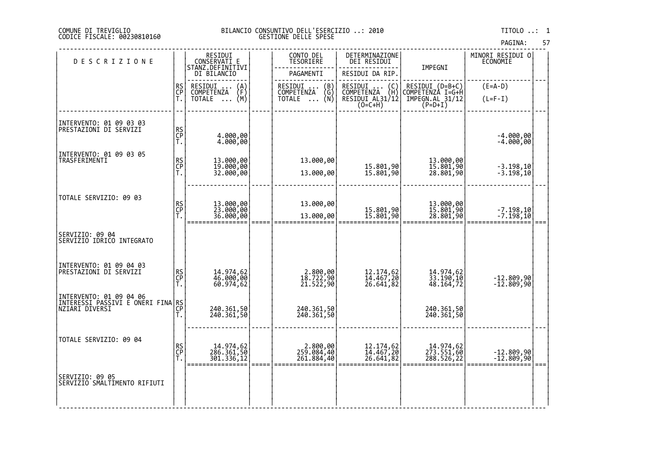# COMUNE DI TREVIGLIO BILANCIO CONSUNTIVO DELL'ESERCIZIO ..: 2010 TITOLO ..: 1 CODICE FISCALE: 00230810160 GESTIONE DELLE SPESE

|                                                   |                |                                                |                                         |                                                                                                 |                                     | PAGINA:                      | 57 |
|---------------------------------------------------|----------------|------------------------------------------------|-----------------------------------------|-------------------------------------------------------------------------------------------------|-------------------------------------|------------------------------|----|
| <b>DESCRIZIONE</b>                                |                | RESIDUI<br>CONSERVATI E<br>STANZ.DEFINITIVI    | CONTO DEL<br>TESORIERE                  | DETERMINAZIONE<br>DEI RESIDUI                                                                   |                                     | MINORI RESIDUI O<br>ECONOMIE |    |
|                                                   |                | DI BILANCIO                                    | PAGAMENTI                               | RESIDUI DA RIP.                                                                                 | IMPEGNI                             |                              |    |
|                                                   | RS<br>CP       | RESIDUI<br>$\binom{A}{F}$<br>$\cdot$           | RESIDUI<br>COMPETENZA<br>$\binom{B}{G}$ | RESIDUI<br>$\left(\begin{smallmatrix} C \\ H \end{smallmatrix}\right)$<br>RESIDUI<br>COMPETENZA | RESIDUI (D=B+C)<br>COMPETENZA I=G+H | $(E=A-D)$                    |    |
|                                                   | Ť.             | <b>COMPETENZA</b><br>(M)<br>TOTALE<br>$\ddots$ | (Ñ)<br>TOTALE<br>$\cdots$               | RESIDUI AL31/12<br>$(O=C+H)$                                                                    | IMPEGN.AL 31/12<br>$(P=D+I)$        | $(L=F-I)$                    |    |
|                                                   |                |                                                |                                         |                                                                                                 |                                     |                              |    |
| INTERVENTO: 01 09 03 03<br>PRESTAZIONI DI SERVIZI | RS<br>CP<br>T. | 4.000,00<br>4.000,00                           |                                         |                                                                                                 |                                     | $-4.000,00$<br>$-4.000,00$   |    |
| INTERVENTO: 01 09 03 05<br>TRASFERIMENTI          |                |                                                | 13.000,00                               |                                                                                                 |                                     |                              |    |
|                                                   | RS<br>CP<br>T. | 13.000,00<br>19.000,00<br>32.000,00            | 13.000,00                               | 15.801,90<br>15.801,90                                                                          | 13.000,00<br>15.801,90<br>28.801,90 | $-3.198,10$<br>$-3.198,10$   |    |
| TOTALE SERVIZIO: 09 03                            |                |                                                |                                         |                                                                                                 |                                     |                              |    |
|                                                   | RS<br>CP<br>T. | 13.000,00<br>23.000,00<br>36.000,00            | 13.000,00                               |                                                                                                 | 13.000,00<br>15.801,90<br>28.801,90 |                              |    |
|                                                   |                | =========                                      | 13.000,00                               | 15.801,90<br>15.801,90                                                                          |                                     | -7.198,10<br>-7.198,10       |    |
| SERVIZIO: 09 04<br>SERVIZIO IDRICO INTEGRATO      |                |                                                |                                         |                                                                                                 |                                     |                              |    |
| INTERVENTO: 01 09 04 03                           |                |                                                |                                         |                                                                                                 |                                     |                              |    |
| PRESTAZIONI DI SERVIZI                            | RS<br>CP<br>T. | 14.974,62<br>46.000,00<br>60.974,62            | 2.800,00<br>18.722,90<br>21.522,90      | 12.174,62<br>14.467,20<br>26.641,82                                                             | 14.974,62<br>33.190,10<br>48.164,72 | -12.809,90<br>-12.809,90     |    |
|                                                   |                |                                                |                                         |                                                                                                 |                                     |                              |    |
|                                                   | Τ.             | 240.361,50<br>240.361,50                       | 240.361,50<br>240.361,50                |                                                                                                 | 240.361,50<br>240.361,50            |                              |    |
|                                                   |                |                                                |                                         |                                                                                                 |                                     |                              |    |
|                                                   |                | 14.974,62                                      | 2.800,00                                |                                                                                                 |                                     |                              |    |
|                                                   |                | 301.336,12                                     | 261.884,40                              | 26.641,82                                                                                       | 288.526,22                          |                              |    |
| SERVIZIO: 09 05<br>SERVĪZĪO SMALTIMENTO RIFIUTI   |                |                                                |                                         |                                                                                                 |                                     |                              |    |
|                                                   |                |                                                |                                         |                                                                                                 |                                     |                              |    |
| TOTALE SERVIZIO: 09 04                            | RS<br>CP<br>T. | 286.361,50                                     | 259.084,40                              | 12.174,62<br>14.467,20                                                                          | 14.974,62<br>273.551,60             | -12.809,90<br>-12.809,90     |    |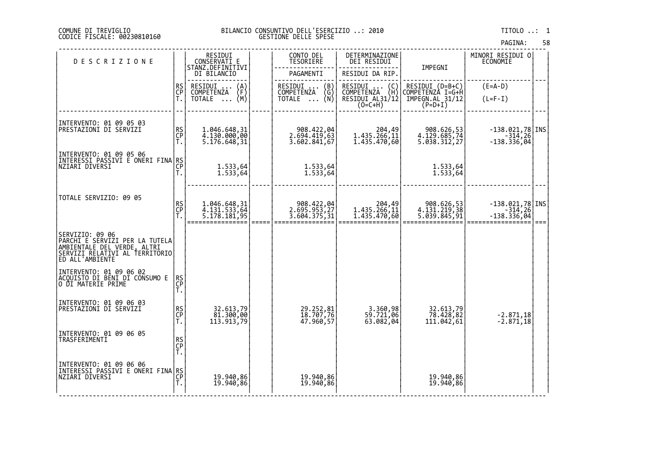# COMUNE DI TREVIGLIO BILANCIO CONSUNTIVO DELL'ESERCIZIO ..: 2010 TITOLO ..: 1 CODICE FISCALE: 00230810160 GESTIONE DELLE SPESE

|                                                                                                                                                                |                |                                                |                                            |                                                                 |                                            | PAGINA:                                        | 58   |
|----------------------------------------------------------------------------------------------------------------------------------------------------------------|----------------|------------------------------------------------|--------------------------------------------|-----------------------------------------------------------------|--------------------------------------------|------------------------------------------------|------|
| <b>DESCRIZIONE</b>                                                                                                                                             |                | RESIDUI<br>CONSERVATI E<br>STANZ.DEFINITIVI    | CONTO DEL<br>TESORIERE                     | DETERMINAZIONE<br><b>DEI RESIDUI</b>                            | IMPEGNI                                    | MINORI RESIDUI O<br>ECONOMIE                   |      |
|                                                                                                                                                                |                | DI BILANCIO                                    | PAGAMENTI                                  | RESIDUI DA RIP.                                                 |                                            |                                                |      |
|                                                                                                                                                                | RS<br>CP<br>T. | RESIDUI<br>$\binom{A}{F}$<br><b>COMPETENZA</b> | RESIDUI<br>$\binom{B}{G}$<br>COMPETENZA    | RESIDUI<br>$\begin{pmatrix} C \\ H \end{pmatrix}$<br>COMPETENZA | RESIDUI (D=B+C)<br>COMPETENZA I=G+H        | $(E=A-D)$                                      |      |
|                                                                                                                                                                |                | (M)<br>TOTALE<br>$\ddots$                      | (N)<br>TOTALE<br>$\cdots$                  | RESIDUI AL31/12                                                 | $\tilde{T}$ MPEGN.AL 31/12<br>(P=D+I)      | $(L=F-I)$                                      |      |
|                                                                                                                                                                |                |                                                |                                            |                                                                 |                                            |                                                |      |
| INTERVENTO: 01 09 05 03<br>PRESTAZIONI DI SERVIZI                                                                                                              | RS<br>CP<br>T. | 1.046.648,31<br>4.130.000,00<br>5.176.648,31   | 908.422,04<br>2.694.419,63<br>3.602.841,67 | 204,49<br>1.435.266,11<br>1.435.470,60                          | 908.626,53<br>4.129.685,74<br>5.038.312,27 | $-138.021,78$ INS<br>$-314, 26$<br>-138.336,04 |      |
| INTERVENTO: 01 09 05 06<br> INTERESSI PASSIVI E ONERI FINA RS<br> NZIARI DIVERSI                                                                               |                |                                                |                                            |                                                                 |                                            |                                                |      |
|                                                                                                                                                                | Τ.             | 1.533,64<br>1.533,64                           | 1.533,64<br>1.533,64                       |                                                                 | 1.533,64<br>1.533,64                       |                                                |      |
|                                                                                                                                                                |                |                                                |                                            |                                                                 |                                            |                                                |      |
| TOTALE SERVIZIO: 09 05                                                                                                                                         | RS<br>CP       | 1.046.648,31<br>4.131.533,64<br>5.178.181,95   | 908.422,04<br>2.695.953,27                 | 204,49<br>1.435.266,11                                          | 908.626,53<br>4.131.219,38<br>5.039.845,91 | $-138.021,78$ INS<br>$-314,26$                 |      |
|                                                                                                                                                                | Ť.             |                                                | 3.604.375,31                               | 1.435.470,60                                                    |                                            | $-138.336,04$                                  | $==$ |
| <br> PARCHI E SERVIZI PER LA TUTELA<br> AMBIENTALE DEL VERDE, ALTRI<br> SERVIZI RELATIVI AL TERRITORIO <br> SERVIZI RELATIVI AL TERRITORIO <br>ED ALL'AMBIENTE |                |                                                |                                            |                                                                 |                                            |                                                |      |
| INTERVENTO: 01 09 06 02<br>ACQUISTO DI BENI DI CONSUMO E<br>O DI MATERIE PRIME                                                                                 | RS<br>CP<br>T. |                                                |                                            |                                                                 |                                            |                                                |      |
| INTERVENTO: 01 09 06 03<br>PRESTAZIONI DI SERVIZI                                                                                                              | RS<br>CP<br>T. | 32.613,79<br>81.300,00<br>113.913,79           | 29.252,81<br>18.707,76<br>47.960,57        | 3.360,98<br>59.721,06<br>63.082,04                              | 32.613,79<br>78.428,82<br>111.042,61       | $-2.871,18$<br>$-2.871,18$                     |      |
| INTERVENTO: 01 09 06 05<br>TRASFERIMENTI                                                                                                                       | RS<br>CP<br>T. |                                                |                                            |                                                                 |                                            |                                                |      |
| INTERVENTO: 01 09 06 06                                                                                                                                        |                |                                                |                                            |                                                                 |                                            |                                                |      |
| INTERESSI PASSIVI E ONËRI FINA RS<br> NZIARI DIVERSI                                                                                                           | T.             | 19.940,86<br>19.940,86                         | 19.940,86<br>19.940,86                     |                                                                 | 19.940,86<br>19.940,86                     |                                                |      |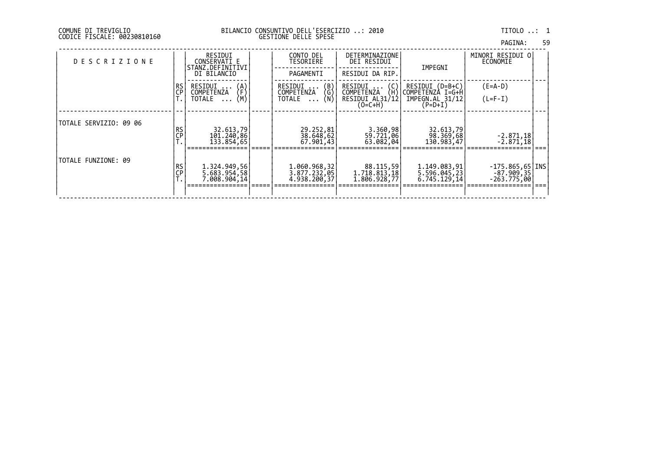| PAGINA: | 59 |
|---------|----|
|         |    |

| <b>DESCRIZIONE</b>     |             | RESIDUI<br>CONSERVATI E<br>STANZ.DEFINITIVI               | CONTO DEL<br>TESORIERE                                                | DETERMINAZIONE<br>DEI RESIDUI             | IMPEGNI                                      | MINORI RESIDUI O<br>ECONOMIE                                       |  |
|------------------------|-------------|-----------------------------------------------------------|-----------------------------------------------------------------------|-------------------------------------------|----------------------------------------------|--------------------------------------------------------------------|--|
|                        |             | DI BILANCIO                                               | PAGAMENTI                                                             | RESIDUI DA RIP.                           |                                              |                                                                    |  |
|                        | RS<br>CP    | RESIDUI<br>$\binom{\mathsf{A}}{\mathsf{F}}$<br>COMPETENZA | $\binom{B}{G}$<br>RESIDUI<br>COMPETENZA                               | RESIDUI<br>(C)<br>(H)<br>COMPETENZA       | RESIDUI (D=B+C)<br>COMPETENZÀ I=G+H          | $(E=A-D)$                                                          |  |
|                        |             | (M)<br>TOTALE<br>$\cdots$                                 | (Ñ)<br>TOTALE<br>$\cdots$                                             | RESIDUI AL31/12<br>$(O=C+H)$              | IMPEGN.AL 31/12<br>$(P=D+I)$                 | $(L=F-I)$                                                          |  |
|                        |             |                                                           |                                                                       |                                           |                                              |                                                                    |  |
| TOTALE SERVIZIO: 09 06 | RS<br>$C$ P | 32.613,79<br>101.240,86<br>133.854,65                     | 29.252,81<br>$\begin{bmatrix} 38.648, 62 \\ 67.901, 43 \end{bmatrix}$ | 3.360,98<br>59.721,06<br>63.082,04        | 32.613,79<br>98.369,68<br>130.983,47         | $\left[\begin{array}{c} -2.871,18 \\ -2.871,18 \end{array}\right]$ |  |
|                        |             |                                                           |                                                                       |                                           |                                              |                                                                    |  |
| TOTALE FUNZIONE: 09    | RS<br>ÇP    | 1.324.949,56<br>5.683.954,58<br>7.008.904,14              | 1.060.968,32<br>3.877.232,05<br>4.938.200,37                          | 88.115,59<br>1.718.813,18<br>1.806.928,77 | 1.149.083,91<br>5.596.045,23<br>6.745.129,14 | $-175.865,65$ [INS<br>$-87.909,35$<br>-263.775,001                 |  |
|                        |             |                                                           |                                                                       |                                           |                                              |                                                                    |  |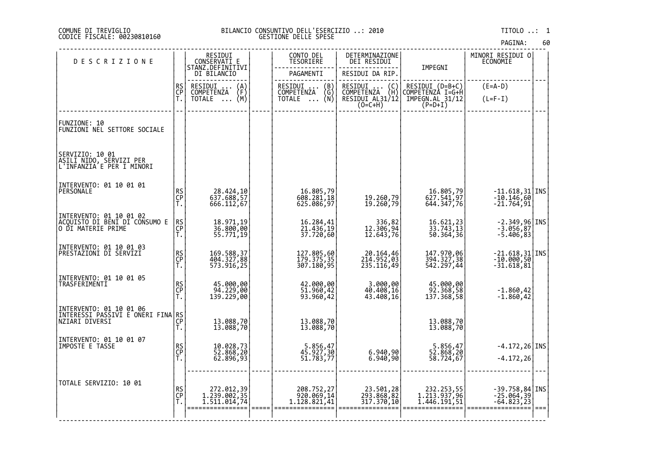# COMUNE DI TREVIGLIO BILANCIO CONSUNTIVO DELL'ESERCIZIO ..: 2010 TITOLO ..: 1 CODICE FISCALE: 00230810160 GESTIONE DELLE SPESE

|                                                                                  |                |                                                                      |                                             |                                         |                                            | <b>PAULIVA.</b>                            |      |
|----------------------------------------------------------------------------------|----------------|----------------------------------------------------------------------|---------------------------------------------|-----------------------------------------|--------------------------------------------|--------------------------------------------|------|
| <b>DESCRIZIONE</b>                                                               |                | RESIDUI<br>CONSERVATI E<br>STANZ.DEFINITIVI                          | CONTO DEL<br>TESORIERE                      | DETERMINAZIONE<br>DEI RESIDUI           | IMPEGNI                                    | MINORI RESIDUI 0<br><b>ECONOMIE</b>        |      |
|                                                                                  |                | DI BILANCIO                                                          | PAGAMENTI                                   | RESIDUI DA RIP.                         |                                            |                                            |      |
|                                                                                  | RS<br>CP<br>T. | RESIDUI<br>COMPETENZA<br>$\begin{Bmatrix} A \\ F \\ M \end{Bmatrix}$ | RESIDUI<br>COMPETENZA<br>(B)                | RESIDUI<br>COMPETENZA<br>$\binom{C}{H}$ | RESIDUI (D=B+C)<br>COMPETENZA I=G+H        | $(E=A-D)$                                  |      |
|                                                                                  |                | <b>TOTALE</b><br>$\ldots$                                            | $\binom{G}{N}$<br><b>TOTALE</b><br>$\cdots$ | RESIDUI AL31/12<br>$(0=C+H)$            | IMPEGN.AL 31/12<br>P=D+I)                  | $(L=F-I)$                                  |      |
| FUNZIONE: 10<br>FUNZIONI NEL SETTORE SOCIALE                                     |                |                                                                      |                                             |                                         |                                            |                                            |      |
| SERVIZIO: 10 01<br>ASILI NIDO, SERVIZI PER<br> L'INFANZIA E PER I MINORI         |                |                                                                      |                                             |                                         |                                            |                                            |      |
| INTERVENTO: 01 10 01 01<br>PERSONALE                                             | RS<br>CP<br>Ť. | 28.424,10<br>637.688,57<br>666.112,67                                | 16.805,79<br>608.281,18<br>625.086, 97      | 19.260,79<br>19.260,79                  | 16.805,79<br>627.541,97<br>644.347,76      | -11.618,31 INS<br>-10.146,60<br>-21.764,91 |      |
| INTERVENTO: 01 10 01 02<br>ACQUISTO DI BENI DI CONSUMO E<br>O DI MATERIE PRIME   | RS<br>CP<br>Ť. | 18.971,19<br>36.800,00<br>55.771,19                                  | 16.284,41<br>21.436,19<br>37.720,60         | 336,82<br>306,94,12.643,76              | 16.621,23<br>33.743,13<br>50.364,36        | -2.349,96 INS<br>-3.056,87<br>-5.406,83    |      |
| INTERVENTO: 01 10 01 03<br>PRESTAZIONI DI SERVIZI                                | RS<br>CP<br>T. | 169.588,37<br>404.327,88<br>573.916,25                               | 127.805,60<br>179.375,35<br>307.180,95      | 20.164,46<br>214.952,03<br>235.116,49   | 147.970,06<br>394.327,38<br>542.297,44     | -21.618,31 INS<br>-10.000,50<br>-31.618,81 |      |
| INTERVENTO: 01 10 01 05<br>TRASFERIMENTI                                         | RS<br>CP<br>T. | 45.000,00<br>94.229,00<br>139.229,00                                 | 42.000,00<br>51.960,42<br>93.960,42         | 3.000,00<br>40.408,16<br>43.408,16      | 45.000,00<br>92.368,58<br>137.368,58       | $-1.860, 42$<br>$-1.860, 42$               |      |
| INTERVENTO: 01 10 01 06<br> INTERESSI PASSIVI E ONERI FINA RS <br>"TART DIVERSI" |                | 13.088,70<br>13.088,70                                               | 13.088,70<br>13.088,70                      |                                         | 13.088,70<br>13.088,70                     |                                            |      |
| INTERVENTO: 01 10 01 07<br>IMPOSTE E TASSE                                       | RS<br>CP<br>T. | 10.028,73<br>52.868,20<br>62.896,93                                  | 5.856,47<br>45.927,30<br>51.783,77          | 6.940,90<br>6.940,90                    | 5.856,47<br>52.868,20<br>58.724,67         | $-4.172, 26$ INS<br>$-4.172, 26$           |      |
| TOTALE SERVIZIO: 10 01                                                           | RS<br>CP<br>Τ. | 272.012,39<br>1.239.002,35<br>1,511,014,74                           | 208.752,27<br>920.069,14<br>1.128.821,41    | 23.501,28<br>293.868,82<br>317.370,10   | 232.253,55<br>1.213.937,96<br>1.446.191.51 | -39.758,84 INS<br>-25.064,39<br>-64.823,23 | $==$ |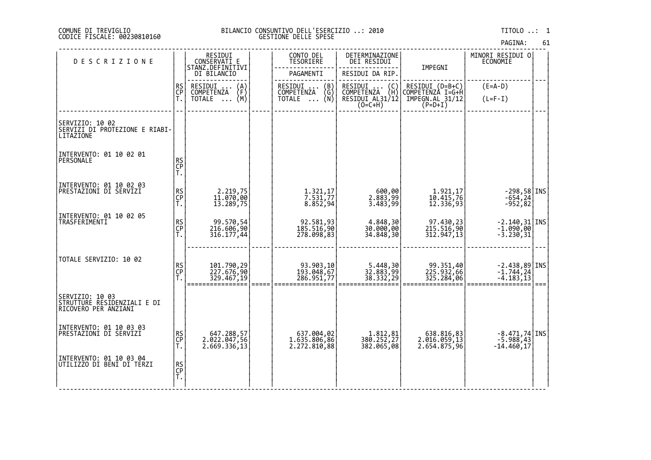# DI TREVIGLIO BILANCIO CONSUNTIVO DELL'ESERCIZIO ..: 2010 TITOLO ..: 1 FISCALE: 00230810160 GESTIONE DELLE SPESE

| <b>DESCRIZIONE</b>                                                     |                | RESIDUI<br>CONSERVATI E                 | CONTO DEL<br><b>TESORIERE</b>         | DETERMINAZIONE<br>DEI RESIDUI                    |                                            | MINORI RESIDUI 0<br><b>ECONOMIE</b>                                        |      |
|------------------------------------------------------------------------|----------------|-----------------------------------------|---------------------------------------|--------------------------------------------------|--------------------------------------------|----------------------------------------------------------------------------|------|
|                                                                        |                | STANZ.DEFINITIVI<br>DI BILANCIO         | PAGAMENTI                             | RESIDUI DA RIP.                                  | IMPEGNI                                    |                                                                            |      |
|                                                                        | RS<br>CP<br>T. | RESIDUI<br>$\binom{A}{F}$<br>COMPETENZA | RESIDUI<br>(B)<br>COMPETENZA          | RESIDUI (C)<br>COMPETENZA (H)<br>RESIDUI AL31/12 | RESIDUI (D=B+C)<br>COMPETENZA I=G+H        | $(E=A-D)$                                                                  |      |
|                                                                        |                | (M)<br>TOTALE                           | NŻA (Ğ)<br>(N)<br><b>TOTALE</b>       | $(O=C+H)$                                        | IMPEGN.AL 31/12<br>$(P=D+I)$               | $(L=F-I)$                                                                  |      |
|                                                                        |                |                                         |                                       |                                                  |                                            |                                                                            |      |
| SERVIZIO: 10 02<br>SERVIZI DI PROTEZIONE E RIABI-<br>LITAZIONE         |                |                                         |                                       |                                                  |                                            |                                                                            |      |
| INTERVENTO: 01 10 02 01                                                |                |                                         |                                       |                                                  |                                            |                                                                            |      |
| PERSONALE                                                              | RS<br>CP<br>T. |                                         |                                       |                                                  |                                            |                                                                            |      |
| INTERVENTO: 01 10 02 03                                                |                |                                         |                                       |                                                  |                                            |                                                                            |      |
| PRESTAZIONI DI SERVIZI                                                 | RS<br>CP<br>T. | 2.219,75<br>11.070,00<br>13.289,75      | 1.321, 17<br>7.531, 77                | 00,00<br>2.883,99<br>3.483,99                    | 1.921,17<br>10.415,76<br>12.336,93         | -298,58 INS<br>-654,24<br>-952,82                                          |      |
|                                                                        |                |                                         | 8.852,94                              |                                                  |                                            |                                                                            |      |
| INTERVENTO: 01 10 02 05<br>TRASFERIMENTI                               |                | 99.570,54                               |                                       | 4.848,30<br>30.000,00                            |                                            |                                                                            |      |
|                                                                        | RS<br>CP<br>T. | 216.606,90<br>316.177,44                | 92.581,93<br>185.516,90<br>278.098,83 | 34.848,30                                        | 97.430,23<br>215.516,90<br>312.947,13      | $\begin{bmatrix} -2.140, 31 \\ -1.090, 00 \\ -3.230, 31 \end{bmatrix}$ INS |      |
|                                                                        |                |                                         |                                       |                                                  |                                            |                                                                            |      |
| TOTALE SERVIZIO: 10 02                                                 |                |                                         |                                       |                                                  |                                            |                                                                            |      |
|                                                                        | RS<br>CP<br>T. | 101.790,29<br>227.676,90<br>329.467,19  | 93.903,10<br>193.048,67<br>286.951,77 | 5.448,30<br>32.883,99<br>38.332,29               | 99.351,40<br>225.932,66<br>325.284,06      | $-2.438,89$ INS<br>$-1.744,24$<br>$-4.183,13$                              |      |
|                                                                        |                |                                         |                                       |                                                  |                                            |                                                                            | $==$ |
| SERVIZIO: 10 03<br>STRUTTURE RESIDENZIALI E DI<br>RICOVERO PER ANZIANI |                |                                         |                                       |                                                  |                                            |                                                                            |      |
|                                                                        |                |                                         |                                       |                                                  |                                            |                                                                            |      |
| INTERVENTO: 01 10 03 03<br><b>PRESTAZIONI DI SERVIZI</b>               | RS<br>CP<br>T. | 647.288,57<br>2.022.047,56              | 637.004,02<br>1.635.806,86            |                                                  |                                            | $\begin{bmatrix} -8.471, 74 \\ -5.988, 43 \end{bmatrix}$ INS               |      |
|                                                                        |                | 2.669.336,13                            | 2.272.810,88                          | 1.812,81<br>380.252,27<br>382.065,08             | 638.816,83<br>2.016.059,13<br>2.654.875,96 | $-14.460,17$                                                               |      |
| INTERVENTO: 01 10 03 04<br>UTILIZZO DI BENI DI TERZI                   |                |                                         |                                       |                                                  |                                            |                                                                            |      |
|                                                                        | RS<br>CP<br>T. |                                         |                                       |                                                  |                                            |                                                                            |      |
|                                                                        |                |                                         |                                       |                                                  |                                            |                                                                            |      |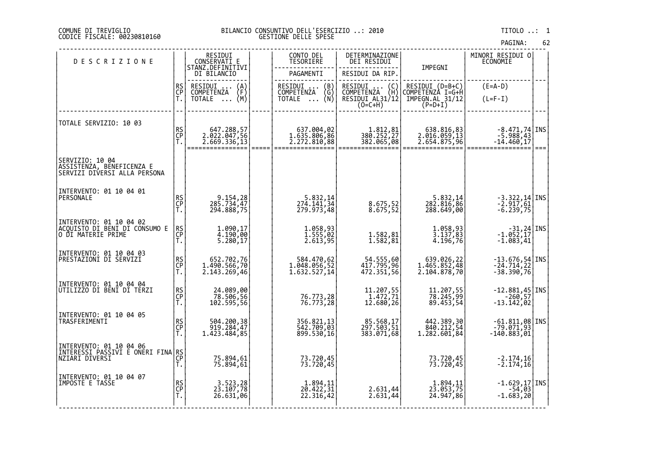### DI TREVIGLIO BILANCIO CONSUNTIVO DELL'ESERCIZIO ..: 2010 TITOLO ..: 1 FISCALE: 00230810160 GESTIONE DELLE SPESE

| <b>DESCRIZIONE</b>                                                               |                | RESIDUI<br>CONSERVATI E                          |                     | CONTO DEL<br>TESORIERE                 | DETERMINAZIONE<br>DEI RESIDUI                  |                                                                                                                                         | MINORI RESIDUI 0<br>ECONOMIE                                               |       |
|----------------------------------------------------------------------------------|----------------|--------------------------------------------------|---------------------|----------------------------------------|------------------------------------------------|-----------------------------------------------------------------------------------------------------------------------------------------|----------------------------------------------------------------------------|-------|
|                                                                                  |                | STANZ.DEFINITIVI<br>DI BILANCIO                  |                     | PAGAMENTI                              | RESIDUI DA RIP.                                | IMPEGNI                                                                                                                                 |                                                                            |       |
|                                                                                  | RS<br>CP<br>T. | RESIDUI<br>$\binom{A}{F}$<br><b>COMPETENZA</b>   |                     | RESIDUI  (B)<br>COMPETENZA (G)         | RESIDUI<br>$\binom{C}{H}$<br><b>COMPETENZA</b> | RESIDUI (D=B+C)<br>COMPETENZA I=G+H                                                                                                     | $(E=A-D)$                                                                  |       |
|                                                                                  |                | (M)<br><b>TOTALE</b><br>$\ldots$                 |                     | (Ñ)<br><b>TOTALE</b><br>$\cdots$       | RESIDUI AL31/12<br>$(0=C+H)$                   | $\texttt{\small \textsf{IMPEGN.AL}}\substack{\textsf{31/12}}\begin{smallmatrix} \textsf{5}\ \textsf{P} \textsf{=D+1} \end{smallmatrix}$ | $(L=F-I)$                                                                  |       |
|                                                                                  |                |                                                  |                     |                                        |                                                |                                                                                                                                         |                                                                            |       |
| TOTALE SERVIZIO: 10 03                                                           |                | 647.288,57                                       |                     | 637.004,02                             | 1.812,81                                       | 638.816,83                                                                                                                              | $-8.471,74$ INS                                                            |       |
|                                                                                  | RS<br>CP<br>T. | 2.022.047,56<br>2.669.336,13<br>================ | $=$ $=$ $=$ $=$ $=$ | 1.635.806,86<br>2.272.810,88           | 380.252,27<br>382.065,08                       | 2.016.059,13<br>2.654.875,96                                                                                                            | 5.988,43<br>14.460,17-                                                     | ∣ === |
| SERVIZIO: 10 04<br>ASSISTENZA, BENEFICENZA E<br>SERVIZI DIVERSI ALLA PERSONA     |                |                                                  |                     |                                        |                                                |                                                                                                                                         |                                                                            |       |
|                                                                                  |                |                                                  |                     |                                        |                                                |                                                                                                                                         |                                                                            |       |
| INTERVENTO: 01 10 04 01<br>PERSONALE                                             |                |                                                  |                     |                                        |                                                |                                                                                                                                         |                                                                            |       |
|                                                                                  | RS<br>CP<br>T. | 9.154,28<br>285.734,47<br>294.888,75             |                     | 5.832,14<br>274.141,34<br>279.973,48   | 8.675,52<br>8.675,52                           | 5.832,14<br>282.816,86<br>288.649,00                                                                                                    | $\begin{bmatrix} -3.322, 14 \\ -2.917, 61 \\ -6.239, 75 \end{bmatrix}$ TNS |       |
| INTERVENTO: 01 10 04 02<br> ACQUISTO DI BENI DI CONSUMO E<br> O DI MATERIE PRIME |                |                                                  |                     |                                        |                                                |                                                                                                                                         |                                                                            |       |
|                                                                                  | RS<br>CP<br>Ť. | 1.090,17<br>4.190,00<br>5.280,17                 |                     | 1.058,93<br>1.555,02<br>2.613,95       | 1.582,81<br>1.582,81                           | 1.058,93<br>3.137,83<br>$4.\overline{196},\overline{76}$                                                                                | $\begin{bmatrix} -31, 24 \\ -1.052, 17 \end{bmatrix}$ INS<br>$-1.083, 41$  |       |
| INTERVENTO: 01 10 04 03                                                          |                |                                                  |                     |                                        |                                                |                                                                                                                                         |                                                                            |       |
| PRESTAZIONI DI SERVIZI                                                           | RS<br>CP<br>T. | 652.702,76<br>1.490.566,70                       |                     | 584.470,62<br>1.048.056,52             | 54.555,60<br>96, 117.795                       | 639.026,22<br>1.465.852,48<br>2.104.878,70                                                                                              | -13.676,54 INS<br>-24.714,22<br>-38.390,76                                 |       |
|                                                                                  |                | 2.143.269,46                                     |                     | 1.632.527,14                           | 472.351,56                                     |                                                                                                                                         |                                                                            |       |
| INTERVENTO: 01 10 04 04<br>UTILIZZO DI BENI DI TERZI                             | RS<br>CP<br>T. | 24.089,00                                        |                     |                                        |                                                |                                                                                                                                         | $-12.881,45$ INS                                                           |       |
|                                                                                  |                | 78.506,56<br>56,595.50                           |                     | 76.773,28<br>76.773,28                 | 11.207,55<br>1.472,71<br>12.680,26             | 11.207,55<br>78.245,99<br>89.453,54                                                                                                     | $-260, 57$<br>-13.142,02                                                   |       |
| INTERVENTO: 01 10 04 05<br>TRASFERIMENTI                                         |                |                                                  |                     |                                        |                                                |                                                                                                                                         |                                                                            |       |
|                                                                                  | RS<br>CP<br>Ť. | 504.200,38<br>919.284,47<br>1.423.484,85         |                     | 356.821,13<br>542.709,03<br>899.530,16 | 85.568,17<br>297.503,51<br>383.071,68          | 442.389,30<br>840.212,54<br>1.282.601,84                                                                                                | -61.811,08 INS<br>-79.071,93<br>$-140.883,01$                              |       |
| INTERVENTO: 01 10 04 06                                                          |                |                                                  |                     |                                        |                                                |                                                                                                                                         |                                                                            |       |
| INTERESSI PASSIVI E ONERI FINA<br>NZIARI DIVERSI                                 | RS<br>CP<br>T. | 75.894,61<br>75.894,61                           |                     | 73.720,45<br>73.720,45                 |                                                | 73.720,45<br>73.720,45                                                                                                                  | $-2.174,16$<br>$-2.174,16$                                                 |       |
|                                                                                  |                |                                                  |                     |                                        |                                                |                                                                                                                                         |                                                                            |       |
| INTERVENTO: 01 10 04 07<br>IMPOSTE E TASSE                                       | RS<br>CP<br>T. | 3.523,28<br>23.107,78                            |                     | 1.894,11<br>20.422,31                  |                                                | 1.894,11<br>23.053,75<br>24.947,86                                                                                                      | $\begin{array}{c} -1.629,17   \text{INS} -54,03 \\ -1.683,20 \end{array}$  |       |
|                                                                                  |                | 26.631,06                                        |                     | 22.316,42                              | 2.631,44<br>2.631,44                           |                                                                                                                                         |                                                                            |       |
|                                                                                  |                |                                                  |                     |                                        |                                                |                                                                                                                                         |                                                                            |       |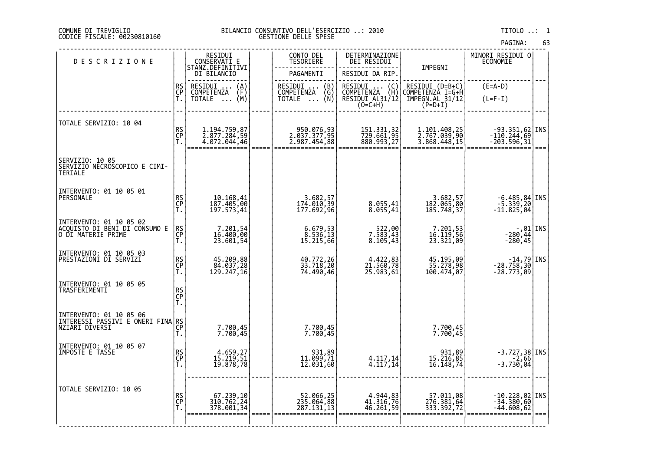### DI TREVIGLIO BILANCIO CONSUNTIVO DELL'ESERCIZIO ..: 2010 TITOLO ..: 1 FISCALE: 00230810160 GESTIONE DELLE SPESE

| <b>DESCRIZIONE</b>                                                          |                | RESIDUI<br>CONSERVATI E<br>STANZ.DEFINITIVI  |       | CONTO DEL<br><b>TESORIERE</b>               | DETERMINAZIONE<br>DEI RESIDUI                     |                                              | MINORI RESIDUI 0<br><b>ECONOMIE</b>                                    |      |
|-----------------------------------------------------------------------------|----------------|----------------------------------------------|-------|---------------------------------------------|---------------------------------------------------|----------------------------------------------|------------------------------------------------------------------------|------|
|                                                                             |                | DI BILANCIO                                  |       | PAGAMENTI                                   | RESIDUI DA RIP.                                   | IMPEGNI                                      |                                                                        |      |
|                                                                             | RS<br>CP       | RESIDUI<br>COMPETENZA<br>$\binom{A}{F}$      |       | RESIDUI<br>COMPETENZA<br>TOTALE             | RESIDUI  (C)<br>COMPETENZA (H)<br>RESIDUI AL31/12 | RESIDUI (D=B+C)<br>COMPETENZA I=G+H          | $(E=A-D)$                                                              |      |
|                                                                             | Ť.             | (M)<br><b>TOTALE</b><br>$\cdots$             |       | $\begin{pmatrix} B \\ G \\ N \end{pmatrix}$ | $(0=CHH)$                                         | IMPEGN.AL 31/12<br>(P=D+I)                   | $(L=F-I)$                                                              |      |
|                                                                             |                |                                              |       |                                             |                                                   |                                              |                                                                        |      |
| TOTALE SERVIZIO: 10 04                                                      |                |                                              |       |                                             |                                                   |                                              |                                                                        |      |
|                                                                             | RS<br>CP<br>T. | 1.194.759,87<br>2.877.284,59<br>4.072.044,46 |       | 950.076,93<br>2.037.377,95<br>2.987.454,88  | 151.331,32<br>729.661,95<br>880.993,27            | 1.101.408,25<br>2.767.039,90<br>3.868.448,15 | -93.351,62 INS<br>-110.244,69<br>-203.596,31                           |      |
|                                                                             |                |                                              | ====: |                                             |                                                   |                                              |                                                                        | $==$ |
| SERVIZIO: 10 05<br>SERVIZIO NECROSCOPICO E CIMI-<br>TERIALE                 |                |                                              |       |                                             |                                                   |                                              |                                                                        |      |
| INTERVENTO: 01 10 05 01<br>PERSONALE                                        |                |                                              |       |                                             |                                                   |                                              |                                                                        |      |
|                                                                             | RS<br>CP<br>T. | 10.168,41<br>187.405,00<br>197.573,41        |       | 3.682,57<br>174.010,39<br>177.692,96        | 8.055,41<br>8.055,41                              | 3.682,57<br>182.065,80<br>185.748,37         | -6.485,84 INS<br>-5.339,20<br>-11.825,04                               |      |
|                                                                             |                |                                              |       |                                             |                                                   |                                              |                                                                        |      |
| INTERVENTO: 01 10 05 02<br>ACQUISTO DI BENI DI CONSUMO E                    | RS<br>CP       | 7.201,54<br>16.400,00                        |       |                                             |                                                   |                                              | $\begin{bmatrix} 01 \\ -280 \\ 44 \end{bmatrix}$ INS                   |      |
| O DI MATERIE PRIME                                                          | T.             | 23.601,54                                    |       | 6.679,53<br>8.536,13<br>15.215,66           | 522,00<br>7.583,43<br>8.105,43                    | 7.201,53<br>16.119,56<br>23.321,09           | $-280,45$                                                              |      |
| INTERVENTO: 01 10 05 03                                                     |                |                                              |       |                                             |                                                   |                                              |                                                                        |      |
| PRESTAZIONI DI SERVIZI                                                      | RS<br>CP<br>T. | 45.209,88<br>84.037,28<br>129.247,16         |       | 40.772,26<br>33.718,20<br>74.490,46         | 4.422,83<br>21.560,78<br>25.983,61                | 45.195,09<br>55.278,98<br>100.474,07         | -14,79 INS<br>-28.758,30<br>-28.773,09                                 |      |
|                                                                             |                |                                              |       |                                             |                                                   |                                              |                                                                        |      |
| INTERVENTO: 01 10 05 05<br>TRASFERIMENTI                                    |                |                                              |       |                                             |                                                   |                                              |                                                                        |      |
|                                                                             | RS<br>CP<br>T. |                                              |       |                                             |                                                   |                                              |                                                                        |      |
|                                                                             |                |                                              |       |                                             |                                                   |                                              |                                                                        |      |
| INTERVENTO: 01 10 05 06<br>INTERESSI PASSIVI E ONERI FINA<br>NZIARI DIVERSI | RS<br>CP       |                                              |       |                                             |                                                   |                                              |                                                                        |      |
|                                                                             | Ť.             | 7.700,45<br>7.700,45                         |       | 7.700,45<br>7.700,45                        |                                                   | 7.700,45<br>7.700,45                         |                                                                        |      |
| INTERVENTO: 01 10 05 07<br>IMPOSTE E TASSE                                  |                |                                              |       |                                             |                                                   |                                              |                                                                        |      |
|                                                                             | RS<br>CP<br>T. | 4.659,27<br>15.219,51<br>19.878,78           |       | 931,89<br>11.099,71<br>12.031,60            | 4.117,14<br>4.117,14                              | 931,89<br>15.216,85<br>16.148,74             | $\begin{bmatrix} -3.727, 38 \\ -2, 66 \\ -3.730, 04 \end{bmatrix}$ INS |      |
|                                                                             |                |                                              |       |                                             |                                                   |                                              |                                                                        |      |
| TOTALE SERVIZIO: 10 05                                                      |                |                                              |       |                                             |                                                   |                                              |                                                                        |      |
|                                                                             | RS<br>CP       | 67.239,10<br>310.762,24                      |       | 52.066,25<br>235.064,88                     | 4.944,83<br>41.316,76                             | 57.011,08<br>276.381,64                      | $-10.228, 02$ INS<br>$-34.380, 60$                                     |      |
|                                                                             | Ť.             | 378.001,34                                   |       | 287.131,13                                  | 46.261,59                                         | 333.392,72                                   | $-44.608,62$                                                           | $==$ |
|                                                                             |                |                                              |       |                                             |                                                   |                                              |                                                                        |      |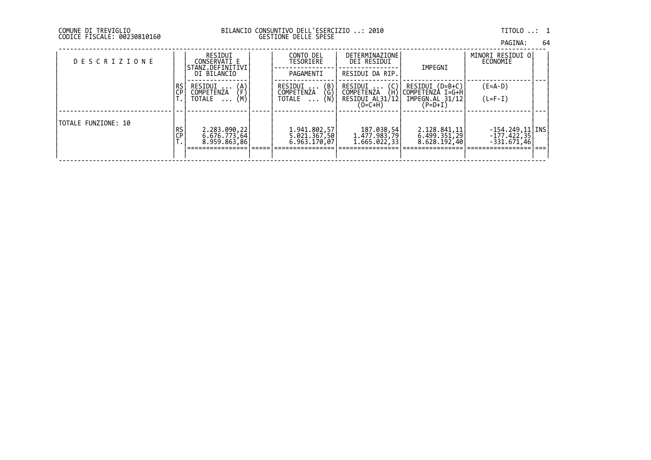| PAGINA: | 64 |
|---------|----|
|         |    |

| <b>DESCRIZIONE</b>  |            | RESIDUI<br>CONSERVATI E<br>STANZ.DEFINITIVI<br>DI BILANCIO                     | CONTO DEL<br>TESORIERE<br>PAGAMENTI                                            | <b>DETERMINAZIONE</b><br>DEI RESIDUI<br>RESIDUI DA RIP.             | IMPEGNI                                                           | MINORI RESIDUI O <br>ECONOMIE                        |  |
|---------------------|------------|--------------------------------------------------------------------------------|--------------------------------------------------------------------------------|---------------------------------------------------------------------|-------------------------------------------------------------------|------------------------------------------------------|--|
|                     | l RS<br>ÇP | RESIDUI<br>$\begin{pmatrix} A \\ F \\ M \end{pmatrix}$<br>COMPETENZA<br>TOTALE | $\begin{pmatrix} B \\ G \\ N \end{pmatrix}$<br>RESIDUI<br>COMPETENZA<br>TOTALE | RESIDUI<br>(C)<br>COMPETENZA<br>(H)<br>RESIDUI AL31/12<br>$(O=C+H)$ | RESIDUI (D=B+C)<br>COMPETENZÀ I=G+H<br>IMPEGN.AL 31/12<br>(P=D+I) | $(E=A-D)$<br>$(L=F-I)$                               |  |
| TOTALE FUNZIONE: 10 | RS<br>CP   | 2.283.090,22<br>$6.676.773,64$<br>8.959.863,86                                 | 1.941.802,57<br>5.021.367,50<br>6.963.170,07                                   | 187.038,54<br> 1.477.983,79<br> 1.665.022,33                        | 2.128.841, 11<br>6.499.351,29<br>8.628.192,40                     | $-154.249, 11$ TNS<br>$-177.422.35$<br>$-331.671.46$ |  |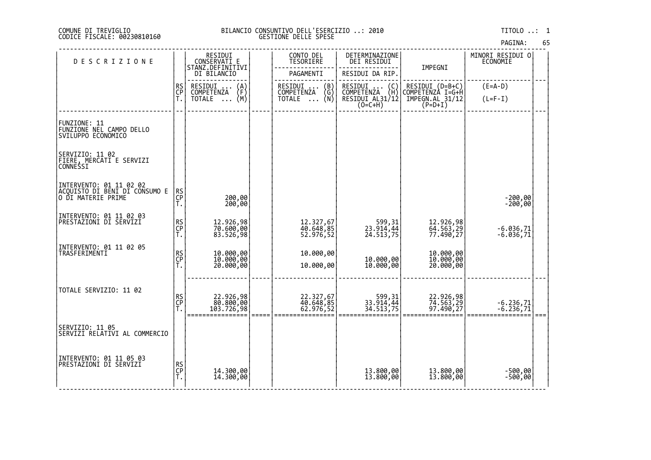# DI TREVIGLIO BILANCIO CONSUNTIVO DELL'ESERCIZIO ..: 2010 TITOLO ..: 1 FISCALE: 00230810160 GESTIONE DELLE SPESE

| <b>DESCRIZIONE</b>                                                               |                | RESIDUI<br>CONSERVATI E                 | CONTO DEL<br>TESORIERE                                          | DETERMINAZIONE<br>DEI RESIDUI                                  |                                     | MINORI RESIDUI 0<br><b>ECONOMIE</b> |  |
|----------------------------------------------------------------------------------|----------------|-----------------------------------------|-----------------------------------------------------------------|----------------------------------------------------------------|-------------------------------------|-------------------------------------|--|
|                                                                                  |                | STANZ.DEFINITIVI<br>DI BILANCIO         | PAGAMENTI                                                       | RESIDUI DA RIP.                                                | IMPEGNI                             |                                     |  |
|                                                                                  | RS<br>CP<br>T. | RESIDUI<br>$\binom{A}{F}$<br>COMPETENZA | RESIDUI<br>$\begin{pmatrix} B \\ G \end{pmatrix}$<br>COMPETENZA |                                                                | RESIDUI (D=B+C)<br>COMPETENZA I=G+H | $(E=A-D)$                           |  |
|                                                                                  |                | (M)<br>TOTALE                           | (N)<br><b>TOTALE</b><br>$\cdots$                                | RESIDUI  (C)<br>COMPETENZA (H)<br>RESIDUI AL31/12<br>$(0=C+H)$ | IMPEGN.AL 31/12<br>$(P=D+I)$        | $(L=F-I)$                           |  |
|                                                                                  |                |                                         |                                                                 |                                                                |                                     |                                     |  |
| FUNZIONE: 11<br> FUNZIONE NEL CAMPO DELLO<br>SVILUPPO ECONOMICO                  |                |                                         |                                                                 |                                                                |                                     |                                     |  |
| SERVIZIO: 11 02<br> FIERE, MERCATI E SERVIZI<br> CONNESSI                        |                |                                         |                                                                 |                                                                |                                     |                                     |  |
| INTERVENTO: 01 11 02 02<br> ACQUISTO DI BENI DI CONSUMO E<br> O DI MATERIE PRIME |                |                                         |                                                                 |                                                                |                                     |                                     |  |
|                                                                                  | RS<br>CP<br>T. | 200,00<br>200,00                        |                                                                 |                                                                |                                     | $-200,00$<br>$-200,00$              |  |
| INTERVENTO: 01 11 02 03                                                          |                |                                         |                                                                 |                                                                |                                     |                                     |  |
| PRESTAZIONI DI SERVIZI                                                           | RS<br>CP<br>T. | 12.926,98<br>70.600,00<br>83.526,98     | 12.327,67<br>40.648,85<br>52.976,52                             | 599, 31<br>23.914, 44<br>24.513, 75                            | 12.926,98<br>64.563,29<br>77.490,27 | -6.036,71<br>-6.036,71              |  |
| INTERVENTO: 01 11 02 05                                                          |                |                                         |                                                                 |                                                                |                                     |                                     |  |
| TRASFERIMENTI                                                                    | RS<br>CP<br>T. | 10.000,00<br>10.000,00<br>20.000,00     | 10.000,00<br>10.000,00                                          | 10.000,00<br>10.000,00                                         | 10.000,00<br>10.000,00<br>20.000,00 |                                     |  |
|                                                                                  |                |                                         |                                                                 |                                                                |                                     |                                     |  |
| TOTALE SERVIZIO: 11 02                                                           |                |                                         |                                                                 |                                                                |                                     |                                     |  |
|                                                                                  | RS<br>CP<br>T. | 22.926,98<br>80.800,00<br>103.726,98    | 22.327,67<br>40.648,85<br>62.976,52                             | 599, 31<br>33.914, 44<br>34.513, 75                            | 22.926,98<br>74.563,29<br>97.490,27 | $-6.236,71$<br>$-6.236,71$          |  |
|                                                                                  |                |                                         |                                                                 |                                                                |                                     |                                     |  |
| SERVIZIO: 11 05<br>SERVIZI RELATIVI AL COMMERCIO                                 |                |                                         |                                                                 |                                                                |                                     |                                     |  |
|                                                                                  |                |                                         |                                                                 |                                                                |                                     |                                     |  |
| INTERVENTO: 01 11 05 03<br> PRESTAZIONI DI SERVIZI                               |                |                                         |                                                                 |                                                                |                                     |                                     |  |
|                                                                                  | RS<br>CP<br>T. | 14.300,00<br>14.300,00                  |                                                                 | 13.800,00<br>13.800,00                                         | 13.800,00<br>13.800,00              | -500,00<br>500,00                   |  |
|                                                                                  |                |                                         |                                                                 |                                                                |                                     |                                     |  |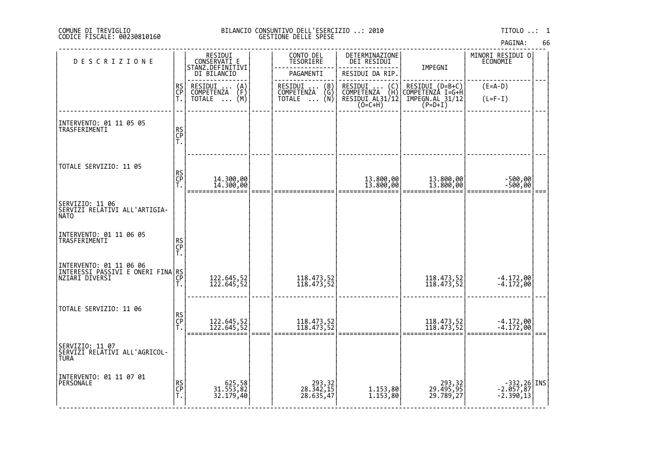# DI TREVIGLIO BILANCIO CONSUNTIVO DELL'ESERCIZIO ..: 2010 TITOLO ..: 1 FISCALE: 00230810160 GESTIONE DELLE SPESE

| <b>DESCRIZIONE</b>                                              |                | RESIDUI<br>CONSERVATI E                        | CONTO DEL<br>TESORIERE                | DETERMINAZIONE<br>DEI RESIDUI                                                        | IMPEGNI                                                                                                                                 | MINORI RESIDUI 0<br>ECONOMIE             |  |
|-----------------------------------------------------------------|----------------|------------------------------------------------|---------------------------------------|--------------------------------------------------------------------------------------|-----------------------------------------------------------------------------------------------------------------------------------------|------------------------------------------|--|
|                                                                 |                | STANZ.DEFINITIVI<br>DI BILANCIO                | PAGAMENTI                             | RESIDUI DA RIP.                                                                      |                                                                                                                                         |                                          |  |
|                                                                 | RS<br>CP<br>T. | RESIDUI<br>$\binom{A}{F}$<br><b>COMPETENZA</b> | RESIDUI  (B)<br>COMPETENZA (G)        | RESIDUI<br>COMPETENZA<br>$\left(\begin{smallmatrix} C \\ H \end{smallmatrix}\right)$ | RESIDUI (D=B+C)<br>COMPETENZA I=G+H                                                                                                     | $(E=A-D)$                                |  |
|                                                                 |                | (M)<br><b>TOTALE</b><br>$\ddots$               | (Ñ)<br><b>TOTALE</b><br>$\cdots$      | RESIDUI AL31/12<br>(O=C+H)                                                           | $\texttt{\small \textsf{IMPEGN.AL}}\substack{\textsf{31/12}}\begin{smallmatrix} \textsf{5}\ \textsf{P} \textsf{=D+1} \end{smallmatrix}$ | $(L=F-I)$                                |  |
|                                                                 |                |                                                |                                       |                                                                                      |                                                                                                                                         |                                          |  |
| INTERVENTO: 01 11 05 05<br>TRASFERIMENTI                        | RS<br>CP<br>T. |                                                |                                       |                                                                                      |                                                                                                                                         |                                          |  |
|                                                                 |                |                                                |                                       |                                                                                      |                                                                                                                                         |                                          |  |
| TOTALE SERVIZIO: 11 05                                          |                |                                                |                                       |                                                                                      |                                                                                                                                         |                                          |  |
|                                                                 | RS<br>CP<br>T. |                                                |                                       |                                                                                      |                                                                                                                                         |                                          |  |
|                                                                 |                | 14.300,00<br>14.300,00                         |                                       | 13.800,00<br>13.800,00                                                               | 13.800,00<br>13.800,00                                                                                                                  | -500,00<br>-500,00                       |  |
| SERVIZIO: 11 06<br> SERVIZI RELATIVI ALL'ARTIGIA-<br> NATO      |                |                                                |                                       |                                                                                      |                                                                                                                                         |                                          |  |
| INTERVENTO: 01 11 06 05                                         |                |                                                |                                       |                                                                                      |                                                                                                                                         |                                          |  |
| TRASFERIMENTI                                                   | RS<br>CP<br>T. |                                                |                                       |                                                                                      |                                                                                                                                         |                                          |  |
| INTERVENTO: 01 11 06 06<br>INTERESSI PASSIVI E ONERI FINA RS    |                |                                                |                                       |                                                                                      |                                                                                                                                         |                                          |  |
| NZIARI DIVERSI                                                  | CP             | 122.645,52<br>122.645,52                       | 118.473,52<br>118.473,52              |                                                                                      | 118.473,52<br>118.473,52                                                                                                                | $-4.172,00$<br>$-4.172,00$               |  |
|                                                                 | Ť.             |                                                |                                       |                                                                                      |                                                                                                                                         |                                          |  |
| TOTALE SERVIZIO: 11 06                                          |                |                                                |                                       |                                                                                      |                                                                                                                                         |                                          |  |
|                                                                 | RS<br>CP<br>T. | 122.645,52<br>122.645,52                       | 118.473,52<br>118.473,52              |                                                                                      | 118.473,52<br>118.473,52                                                                                                                | $-4.172,00$<br>$-4.172,00$               |  |
|                                                                 |                |                                                |                                       |                                                                                      |                                                                                                                                         |                                          |  |
| SERVIZIO: 11 07<br>SERVIZI RELATIVI ALL'AGRICOL-<br><b>TURA</b> |                |                                                |                                       |                                                                                      |                                                                                                                                         |                                          |  |
| INTERVENTO: 01 11 07 01<br> PERSONALE                           |                |                                                |                                       |                                                                                      |                                                                                                                                         |                                          |  |
|                                                                 | RS<br>CP<br>T. | 625,58<br>31.553,82<br>32.179,40               | 293, 32<br>28. 342, 15<br>28. 635, 47 | 1.153,80<br>1.153,80                                                                 | 293,32<br>29.495,95<br>29.789,27                                                                                                        | -332, 26 INS<br>-2.057, 87<br>-2.390, 13 |  |
|                                                                 |                |                                                |                                       |                                                                                      |                                                                                                                                         |                                          |  |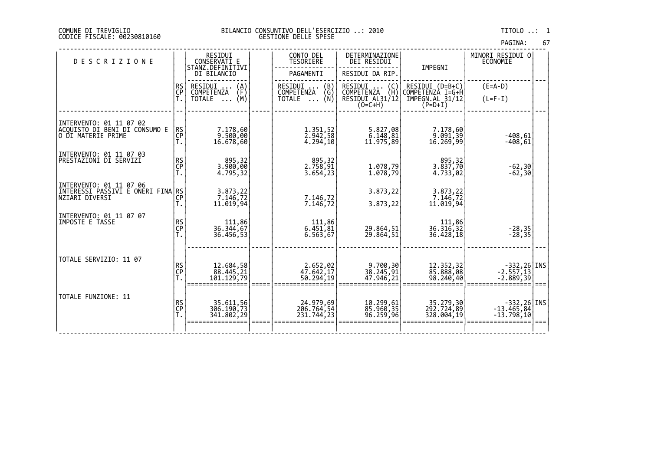| PAGINA: | 67 |
|---------|----|

| <b>DESCRIZIONE</b>                                                             |                | RESIDUI<br>CONSERVATI E<br>STANZ.DEFINITIVI | CONTO DEL<br><b>TESORIERE</b>                                                    | DETERMINAZIONE<br><b>DEI RESIDUI</b>                                               | IMPEGNI                               | MINORI RESIDUI O<br><b>ECONOMIE</b>           |  |
|--------------------------------------------------------------------------------|----------------|---------------------------------------------|----------------------------------------------------------------------------------|------------------------------------------------------------------------------------|---------------------------------------|-----------------------------------------------|--|
|                                                                                |                | DI BILANCIO                                 | PAGAMENTI                                                                        | RESIDUI DA RIP.                                                                    |                                       |                                               |  |
|                                                                                | RS<br>CP<br>T. | RESIDUI<br>$\binom{A}{F}$<br>COMPETENZA     | RESIDUI<br>$\begin{pmatrix} B \\ G \\ N \end{pmatrix}$<br>$\cdots$<br>COMPETENZA | RESIDUI<br>$\begin{pmatrix} 0 \\ H \end{pmatrix}$<br>$\cdots$<br><b>COMPETENZA</b> | $RESIDUI (D=B+C)$<br>COMPETENZA I=G+H | $(E=A-D)$                                     |  |
|                                                                                |                | (M)<br><b>TOTALE</b><br>$\cdot$             | <b>TOTALE</b><br>$\cdots$                                                        | RESIDUI AL31/12<br>$(0=C+H)$                                                       | IMPEGN.AL 31/12<br>$(P=D+I)$          | $(L=F-I)$                                     |  |
| INTERVENTO: 01 11 07 02<br>ACQUISTO DI BENI DI CÓNSUMO E<br>O DI MATERIE PRIME | RS<br>CP<br>T. | 7.178,60<br> 9.500,00<br>16.678,60          | 1.351,52<br>2.942,58<br>4.294,10                                                 | 5.827,08<br>6.148,81<br>11.975,89                                                  | 7.178,60<br> 9.091,39<br> 16.269,99   | $-408,61$<br>$-408,61$                        |  |
| INTERVENTO: 01 11 07 03<br><b>PRESTAZIONI DI SERVIZI</b>                       | RS<br>CP<br>T. | 895,32<br>3.900,00<br>4.795,32              | 895,32<br>2.758,91<br>3.654, 23                                                  | 1.078,79<br>1.078,79                                                               | 895,32<br>3.837,70<br>4.733,02        | $-62,30$<br>$-62,30$                          |  |
| INTERVENTO: 01 11 07 06<br>INTERESSI PASSIVI È ONËRI FINA RS<br>NZIARI DIVERSI | Ť.             | 3.873, 22<br>7.146, 72<br>11.019,94         | 7.146,72<br>7.146, 72                                                            | 3.873,22<br>3.873,22                                                               | 3.873, 22<br>7.146, 72<br>11.019,94   |                                               |  |
| INTERVENTO: 01 11 07 07<br>IMPOSTE E TASSE                                     | RS<br>CP<br>T. | 111,86<br>36.344,67<br>36.456,53            | 111,86<br>6.451,81<br>6.563,67                                                   | 29.864,51<br>29.864,51                                                             | 111,86<br>36.316,32<br>36.428,18      | $-28,35$<br>$-28,35$                          |  |
| TOTALE SERVIZIO: 11 07                                                         | RS<br>CP<br>T. | 12.684,58<br>88.445,21<br>101.129,79        | 2.652,02<br>47.642,17<br>50.294,19                                               | 9.700,30<br>38.245,91<br>47.946,21                                                 | 12.352,32<br>85.888,08<br>98.240,40   | $-332,26$ INS<br>-2.557,13<br>$-2.889,39$     |  |
| TOTALE FUNZIONE: 11                                                            | RS<br>CP<br>T. | 35.611,56<br>306.190,73<br>341.802,29       | 24.979,69<br>206.764,54<br>231.744,23                                            | 10.299,61<br>85.960,35<br>96.259,96                                                | 35.279,30<br>292.724,89<br>328.004,19 | $-332,26$ INS<br>$-13.465,84$<br>$-13.798,10$ |  |
|                                                                                |                |                                             |                                                                                  |                                                                                    |                                       |                                               |  |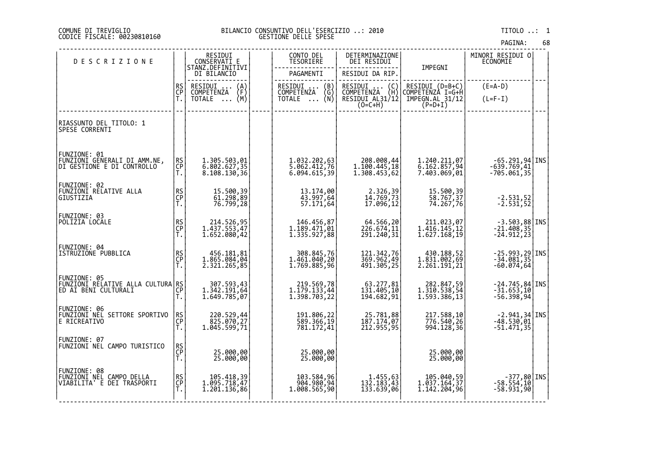# DI TREVIGLIO BILANCIO CONSUNTIVO DELL'ESERCIZIO ..: 2010 TITOLO ..: 1 FISCALE: 00230810160 GESTIONE DELLE SPESE

| <b>DESCRIZIONE</b>                                                                        |                | RESIDUI<br>CONSERVATI E                                       | CONTO DEL<br>TESORIERE                       | DETERMINAZIONE<br>DEI RESIDUI                                                                                   |                                              | MINORI RESIDUI 0<br>ECONOMIE                                                  |  |
|-------------------------------------------------------------------------------------------|----------------|---------------------------------------------------------------|----------------------------------------------|-----------------------------------------------------------------------------------------------------------------|----------------------------------------------|-------------------------------------------------------------------------------|--|
|                                                                                           |                | STANZ.DEFINITIVI<br>DI BILANCIO                               | PAGAMENTI                                    | RESIDUI DA RIP.                                                                                                 | IMPEGNI                                      |                                                                               |  |
|                                                                                           | RS<br>CP       | RESIDUI<br>COMPETENZA<br>$\binom{A}{F}$                       | RESIDUI  (B)<br>COMPETENZA (G)               | RESIDUI<br>$\left\{ \begin{smallmatrix} \mathsf{C}\ \mathsf{H} \end{smallmatrix} \right\}$<br><b>COMPETENZA</b> | RESIDUI (D=B+C)<br>COMPETENZA I=G+H          | $(E=A-D)$                                                                     |  |
|                                                                                           | Ť.             | $\overline{NOTALE} \dots (M)$                                 | ∖Ñ)<br>TOTALE                                | RESIDUI AL31/12<br>$(0=C+H)$                                                                                    | IMPEGN.AL 31/12<br>(P=D+I)                   | $(L=F-I)$                                                                     |  |
| RIASSUNTO DEL TITOLO: 1<br>SPESE CORRENTI                                                 |                |                                                               |                                              |                                                                                                                 |                                              |                                                                               |  |
| FUNZIONE: 01<br>FŬNZIONI GENERALI DI AMM.NE,<br>DI GESTIONE E DI CONTROLLO                | RS<br>CP<br>Ť. | 1.305.503,01<br>6.802.627,35<br>8.108.130,36                  | 1.032.202,63<br>5.062.412,76<br>6.094.615,39 | 208.008,44<br>1.100.445,18<br>1.308.453,62                                                                      | 1.240.211,07<br>6.162.857,94<br>7.403.069,01 | $-65.291,94$ INS<br>$-639.769,41$<br>$-705.061,35$                            |  |
| FUNZIONE: 02<br>FUNZIONI RELATIVE ALLA<br>GIUSTIZIA                                       | RS<br>CP<br>Ť. | 15.500,39<br>61.298,89<br>76.799,28                           | 13.174,00<br>43.997,64<br>57.171,64          | 2.326,39<br>14.769,73<br>17.096,12                                                                              | 15.500,39<br>58.767,37<br>74.267,76          | $-2.531,52$<br>$-2.531,52$                                                    |  |
| FUNZIONE: 03<br>POLIZIA LOCALE                                                            | RS<br>CP<br>T. | 214.526,95<br>1.437.553,47<br>1.652.080,42                    | 146.456,87<br>1.189.471,01<br>1.335.927,88   | 64.566,20<br>226.674,11<br>291.240,31                                                                           | 211.023,07<br>1.416.145,12<br>1.627.168,19   | $-3.503,88$ INS<br>$-21.408,35$<br>$-24.912,23$                               |  |
| FUNZIONE: 04<br>ISTRUZIONE PUBBLICA                                                       | RS<br>CP<br>T. | 456.181,81<br>1.865.084,04<br>2.321.265,85                    | 308.845,76<br>1.461.040,20<br>1.769.885,96   | 121.342,76<br>369.962,49<br>491.305,25                                                                          | 430.188,52<br>1.831.002,69<br>2.261.191,21   | $-25.993, 29$ TNS<br>$-34.081, 35$<br>$-60.074,64$                            |  |
| FUNZIONE: 05<br> EUNZIONI RELATIVE ALLA CULTURA RS <br> CUNZIONI RELATIVE ALLA CULTURA CP | T.             | 307.593,43<br>1.342.191,64<br>1.649.785,07                    | 219.569,78<br>1.179.133,44<br>1.398.703,22   | 63.277,81<br>131.405,10<br>194.682,91                                                                           | 282.847,59<br>1.310.538,54<br>1.593.386,13   | $-24.745,84$ INS<br>$-31.653,10$<br>$-56.398,94$                              |  |
| FUNZIONE: 06<br>FUNZIONI NEL SETTORE SPORTIVO<br>E RICREATIVO                             | RS<br>CP<br>Ť. | 220.529,44<br>$1.\overline{045}.\overline{599},\overline{71}$ | 191.806,22<br>589.366,19<br>781.172,41       | 25.781,88<br> 187.174,07<br> 212.955,95                                                                         | 217.588,10<br>994.128, 36                    | $\begin{bmatrix} -2.941, 34 \\ -48.530, 01 \end{bmatrix}$ INS<br>$-51.471,35$ |  |
| FUNZIONE: 07<br>FŪNZĪŎNĪ NĚL CAMPO TURISTICO                                              | RS<br>CP<br>T. | 25.000,00<br>25.000,00                                        | 25.000,00<br>25.000,00                       |                                                                                                                 | 25.000,00<br>25.000,00                       |                                                                               |  |
| FUNZIONE: 08<br>FUNZIONI NEL CAMPO DELLA<br>VIABILITA' E DEI TRASPORTI                    | RS<br>CP<br>Ť. | 105.418,39<br>1.095.718,47<br>1.201.136,86                    | 103.584,96<br>904.980,94<br>1.008.565,90     | 1.455,63<br>132.183,43<br>133.639,06                                                                            | 105.040,59<br>1.037.164,37<br>1.142.204,96   | $-377,80$ INS<br>$-58.554,10$<br>$-58.931,90$                                 |  |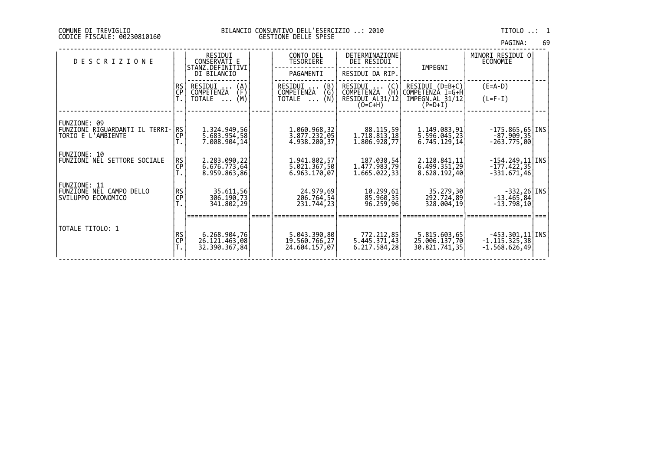| PAGINA: | 69 |
|---------|----|
|         |    |

| <b>DESCRIZIONE</b>                                                      |                 | RESIDUI<br>CONSERVATI E<br>STANZ.DEFINITIVI<br>DI BILANCIO       | CONTO DEL<br>TESORIERE<br>PAGAMENTI                                                               | DETERMINAZIONE<br>DEI RESIDUI<br>RESIDUI DA RIP.                    | IMPEGNI                                                               | MINORI RESIDUI O <br>ECONOMIE                               |  |
|-------------------------------------------------------------------------|-----------------|------------------------------------------------------------------|---------------------------------------------------------------------------------------------------|---------------------------------------------------------------------|-----------------------------------------------------------------------|-------------------------------------------------------------|--|
|                                                                         | RS<br><b>CP</b> | RESIDUI<br>(A)<br>(F∖<br>COMPETENZA<br>(M)<br>TOTALE<br>$\cdots$ | $\begin{array}{c} \text{(B)} \\ \text{(G)} \end{array}$<br>RESIDUI<br>COMPETENZA<br>(N)<br>TOTALE | RESIDUI<br>(C)<br>ζHΣ<br>COMPETENZA<br>RESIDUI AL31/12<br>$(O=C+H)$ | $RESIDUI (D=B+C)$<br>COMPETENZÀ I=G+H<br>IMPEGN.AL 31/12<br>$(P=D+I)$ | $(E=A-D)$<br>$(L=F-I)$                                      |  |
| FUNZIONE: 09<br>FUNZIONI RIGUARDANTI IL TERRI- RS<br>TORIO E L'AMBIENTE | <b>CP</b>       | 1.324.949,56<br>5.683.954,58<br>7.008.904,14                     | 1.060.968,32<br>3.877.232,05<br>4.938.200,37                                                      | 88.115,59<br>1.718.813,18<br>1.806.928,77                           | 1.149.083,91<br>5.596.045,23<br>6.745.129,14                          | $-175.865,65$   INS<br>$-87.909, 35$<br>$-263.775,00$       |  |
| FUNZIONE: 10<br><b>FUNZIONI NEL SETTORE SOCIALE</b>                     | <b>RS</b><br>CP | 2.283.090, 22<br>6.676.773,64<br>8.959.863,86                    | 1.941.802,57<br>5.021.367,50<br>6.963.170.07                                                      | 187.038,54<br>1.477.983,79<br>1.665.022,33                          | 2.128.841,11<br>6.499.351,29<br>8.628.192,40                          | $-154.249, 11$ TNS<br>$-177.422,35$<br>$-331.671,46$        |  |
| FUNZIONE: 11<br>FUNZIONE NEL CAMPO DELLO<br>SVILUPPO ECONOMICO          | $R$ S<br>CP     | 35.611,56<br>306.190,73<br>341.802,29                            | 24.979,69<br>206.764,54<br>231.744,23                                                             | 10.299,61<br>85.960,35<br>96.259,96                                 | 35,279,30<br>292.724,89<br>328.004,19                                 | $-332,26$ [INS]<br>$-13.465,84$<br>$-13.798,10$             |  |
| TOTALE TITOLO: 1                                                        | <b>RS</b><br>CP | 6.268.904,76<br>26.121.463,08<br>32.390.367,84                   | 5.043.390,80<br>19.560.766,27<br>24.604.157,07                                                    | 772.212,85<br>5.445.371,43<br>6.217.584,28                          | 5.815.603,65<br>25.006.137,70<br>30.821.741,35                        | $-453.301, 11$   INS <br>$-1.115.325,38$<br>$-1.568.626,49$ |  |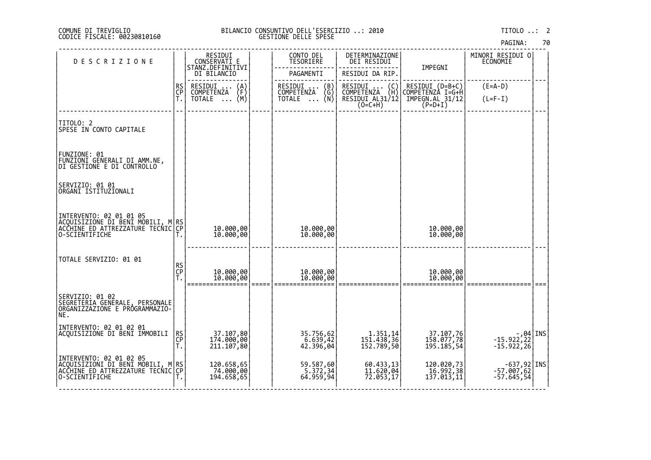|  | PAGINA: |  | 70 |
|--|---------|--|----|
|  |         |  |    |

| <b>DESCRIZIONE</b>                                                                                                       |                | RESIDUI<br>CONSERVATI E                 | CONTO DEL<br>TESORIERE                                               | DETERMINAZIONE<br>DEI RESIDUI                                                        |                                                                                              | MINORI RESIDUI O<br>ECONOMIE                                  |      |
|--------------------------------------------------------------------------------------------------------------------------|----------------|-----------------------------------------|----------------------------------------------------------------------|--------------------------------------------------------------------------------------|----------------------------------------------------------------------------------------------|---------------------------------------------------------------|------|
|                                                                                                                          |                | STANZ.DEFINITIVI<br>DI BILANCIO         | PAGAMENTI                                                            | RESIDUI DA RIP.                                                                      | IMPEGNI                                                                                      |                                                               |      |
|                                                                                                                          | RS<br>CP<br>T. | RESIDUI<br>$\binom{A}{F}$<br>COMPETENZA | $\binom{B}{G}$<br>RESIDUI .<br>COMPETENZA                            | RESIDUI<br>COMPETENZA<br>$\left(\begin{smallmatrix} 0 \\ H \end{smallmatrix}\right)$ | RESIDUI (D=B+C)<br>COMPETENZA I=G+H                                                          | $(E=A-D)$                                                     |      |
|                                                                                                                          |                | (M)<br>TOTALE                           | (Ñ)<br>TOTALE                                                        | RESIDUI AL31/12<br>$(0=C+H)$                                                         | $\texttt{\small \textsf{IMPEGN.AL}}\texttt{31/12} \newline \texttt{\small \textsf{(P=D+I)}}$ | $(L=F-I)$                                                     |      |
|                                                                                                                          |                |                                         |                                                                      |                                                                                      |                                                                                              |                                                               |      |
| TITOLO: 2<br>SPESE IN CONTO CAPITALE                                                                                     |                |                                         |                                                                      |                                                                                      |                                                                                              |                                                               |      |
| FUNZIONE: 01<br>FUNZIONI GENERALI DI AMM.NE,<br>DI GESTIONE E DI CONTROLLO                                               |                |                                         |                                                                      |                                                                                      |                                                                                              |                                                               |      |
| SERVIZIO: 01 01<br>ORGANI ISTITUZIONALI                                                                                  |                |                                         |                                                                      |                                                                                      |                                                                                              |                                                               |      |
| INTERVENTO: 02 01 01 05<br> ACQUISIZIONE DI BENI MOBILI, M RS <br> ACCHINE ED ATTREZZATURE TECNIC CP <br> O-SCIENTIFICHE |                | 10.000,00<br>10.000,00                  | 10.000,00<br>10.000,00                                               |                                                                                      | 10.000,00<br>10.000,00                                                                       |                                                               |      |
| TOTALE SERVIZIO: 01 01                                                                                                   | RS<br>CP<br>T. | 10.000,00<br>10.000,00                  | 10.000,00<br>10.000,00                                               |                                                                                      | 10.000,00<br>10.000,00                                                                       |                                                               | $==$ |
| <br> SERVIZIO: 01 02<br> SEGRETERIA GENERALE, PERSONALE<br>ORGANIZZAZIONE E PROGRAMMAZIO-<br>NE.                         |                |                                         |                                                                      |                                                                                      |                                                                                              |                                                               |      |
| INTERVENTO: 02 01 02 01<br>ACQUISIZIONE DI BENI IMMOBILI                                                                 | RS<br>CP<br>T. | 37.107,80<br>174.000,00<br>211.107,80   | 35.756,62<br>6.639,42<br>42.396,04                                   | 1.351,14<br>151.438,36<br>152.789,50                                                 | 37.107,76<br>158.077,78<br>195.185,54                                                        | 44   44   -<br>  422, 22   -15. 922, 22<br>  42, 15. 922, 15. |      |
| INTERVENTO: 02 01 02 05<br> ACQUISIZIONI DI BENI MOBILI, M RS<br>ACCHINE ED ATTREZZATURE TECNIC CP<br>O-SCIENTIFICHE     |                | 120.658,65<br>74.000,00<br>194.658,65   | 59.587,60<br>$\begin{bmatrix} 5.372, 34 \\ 64.959, 94 \end{bmatrix}$ | 60.433,13<br>11.620,04<br>72.053,17                                                  | 120.020,73<br>16.992,38<br>137.013,11                                                        | $-637,92$ INS<br>$-57.007,62$<br>$-57.645,54$                 |      |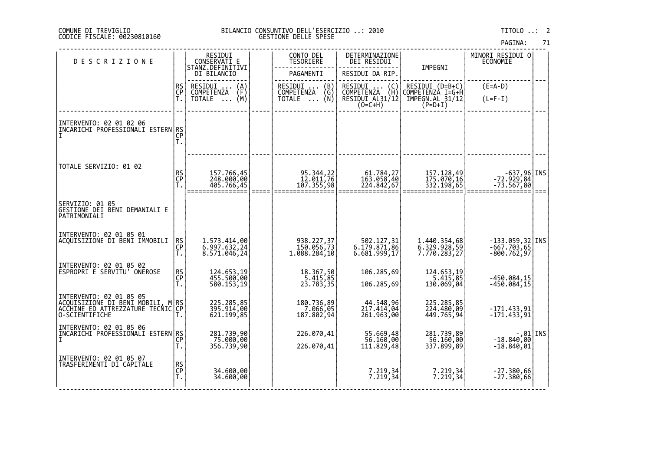# DI TREVIGLIO BILANCIO CONSUNTIVO DELL'ESERCIZIO ..: 2010 TITOLO ..: 2 FISCALE: 00230810160 GESTIONE DELLE SPESE

| <b>DESCRIZIONE</b>                                                                                                    |                | RESIDUI<br>CONSERVATI E                      | CONTO DEL<br>TESORIERE                                               | DETERMINAZIONE<br>DEI RESIDUI                                                        |                                                                     | MINORI RESIDUI O<br><b>ECONOMIE</b>                 |      |
|-----------------------------------------------------------------------------------------------------------------------|----------------|----------------------------------------------|----------------------------------------------------------------------|--------------------------------------------------------------------------------------|---------------------------------------------------------------------|-----------------------------------------------------|------|
|                                                                                                                       |                | STANZ.DEFINITIVI<br>DI BILANCIO              | PAGAMENTI                                                            | RESIDUI DA RIP.                                                                      | IMPEGNI                                                             |                                                     |      |
|                                                                                                                       | RS<br>CP<br>T. | RESIDUI<br>$\binom{A}{F}$<br>COMPETENZA      | RESIDUI<br>(B)<br>COMPETENZA<br>(G)                                  | RESIDUI<br>$\left(\begin{smallmatrix} C \\ H \end{smallmatrix}\right)$<br>COMPETENZA | RESIDUI (D=B+C)<br>COMPETENZÀ I=G+H                                 | $(E=A-D)$                                           |      |
|                                                                                                                       |                | (M)<br>TOTALE                                | _ (Ñ)<br>TOTALE                                                      | RESIDUI AL31/12<br>$(O=C+H)$                                                         | IMPEGN.AL 31/12<br>$(P=D+I)$                                        | $(L=F-I)$                                           |      |
| INTERVENTO: 02 01 02 06<br>INCARICHI PROFESSIONALI ESTERN RS                                                          | CP<br>T.       |                                              |                                                                      |                                                                                      |                                                                     |                                                     |      |
| TOTALE SERVIZIO: 01 02                                                                                                | RS<br>CP<br>T. | 157.766,45<br>248.000,00<br>405.766,45       | 95.344,22<br>12.011,76<br>107.355,98                                 | 61.784,27<br>163.058,40<br>224.842,67                                                | 157.128,49<br>175.070,16<br>332.198,65                              | INS -637,96<br> 72.929,84<br> 73.567,80             | $==$ |
| SERVIZIO: 01 05<br> GE <u>STIONE DEI</u> BENI DEMANIALI E<br>PATRIMONIALI                                             |                |                                              |                                                                      |                                                                                      |                                                                     |                                                     |      |
| INTERVENTO: 02 01 05 01<br>ACQUISIZIONE DI BENI IMMOBILI                                                              | RS<br>CP<br>Т. | 1.573.414,00<br>6.997.632,24<br>8.571.046,24 | 938.227,37<br>150.056,73<br>1.088.284,10                             | 502.127,31<br>6.179.871,86<br>6.681.999,17                                           | 1.440.354,68<br>6.329.928,59<br>7.770.283,27                        | $-133.059,32$ INS<br>$-667.703,65$<br>$-800.762,97$ |      |
| INTERVENTO: 02 01 05 02<br> ESPROPRI E SERVITU' ONEROSE                                                               | RS<br>CP<br>T. | 124.653,19<br>455.500,00<br>580.153,19       | 18.367,50<br>$\begin{bmatrix} 5.415, 85 \\ 23.783, 35 \end{bmatrix}$ | 106.285,69<br>106.285,69                                                             | 124.653,19<br>$\begin{array}{r} 6.415,85 \\ 130.069,04 \end{array}$ | -450.084,15<br>-450.084,15                          |      |
| INTERVENTO: 02 01 05 05<br> ACQUISIZIONE DI BENI MOBILI, M RS<br> ACCHINE_ED_ATTREZZATURE TECNIC CP<br>O-SCIENTIFICHE |                | 225.285,85<br>395.914,00<br>621.199,85       | 180.736,89<br>7.066,05<br>187.802,94                                 | 44.548,96<br>217.414,04<br>261.963,00                                                | 225.285,85<br>224.480,09<br>449.765,94                              | $-171.433,91$<br>$-171.433,91$                      |      |
| INTERVENTO: 02 01 05 06<br>ĬNCARICHI PRŎFEŠŜIŎŇAĽĬ ESTERN RS<br> I                                                    | T.             | 281.739,90<br>75.000,00<br>356.739,90        | 226.070,41<br>226.070,41                                             | 55.669,48<br>56.160,00<br>111.829,48                                                 | 281.739,89<br>56.160,00<br>337.899,89                               | $-18.840,00$ TNS<br>$-18.840,01$                    |      |
| INTERVENTO: 02 01 05 07<br>TRASFERIMENTI DI CAPITALE                                                                  | RS<br>CP<br>T. | 34.600,00<br>34.600,00                       |                                                                      | 7.219,34<br>7.219,34                                                                 | 7.219,34<br>7.219,34                                                | $-27.380,66$<br>$-27.380,66$                        |      |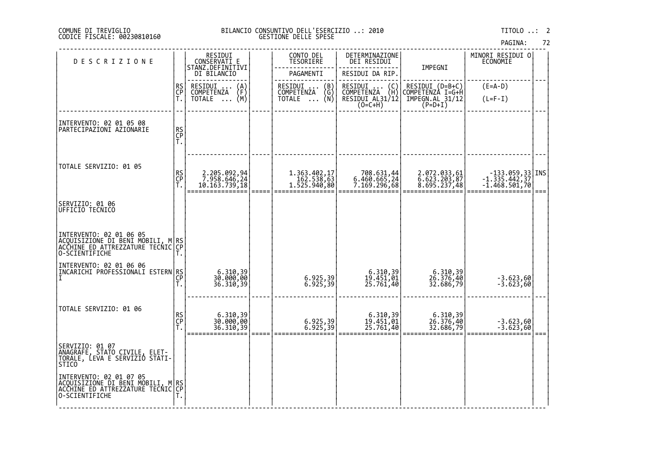# DI TREVIGLIO BILANCIO CONSUNTIVO DELL'ESERCIZIO ..: 2010 TITOLO ..: 2 FISCALE: 00230810160 GESTIONE DELLE SPESE

| <b>DESCRIZIONE</b>                                                                                                     |                | RESIDUI<br>CONSERVATI E                        | CONTO DEL<br><b>TESORIERE</b>                  | DETERMINAZIONE<br>DEI RESIDUI                                   |                                              | MINORI RESIDUI 0<br>ECONOMIE                              |  |
|------------------------------------------------------------------------------------------------------------------------|----------------|------------------------------------------------|------------------------------------------------|-----------------------------------------------------------------|----------------------------------------------|-----------------------------------------------------------|--|
|                                                                                                                        |                | STANZ.DEFINITIVI<br>DI BILANCIO                | PAGAMENTI                                      | RESIDUI DA RIP.                                                 | IMPEGNI                                      |                                                           |  |
|                                                                                                                        | RS<br>CP       | RESIDUI<br>$\binom{A}{F}$<br><b>COMPETENZA</b> | RESIDUI<br>$\binom{B}{G}$<br><b>COMPETENZA</b> | RESIDUI<br>$\begin{pmatrix} 0 \\ H \end{pmatrix}$<br>COMPETENZA | RESIDUI (D=B+C)<br>COMPETENZA I=G+H          | $(E=A-D)$                                                 |  |
|                                                                                                                        | Ť.             | (M)<br>TOTALE<br>$\cdots$                      | (Ñ)<br>TOTALE                                  | RESIDUI AL31/12<br>(O=C+H)                                      | $IMPEGN.AL 31/12$<br>$(P=D+I)$               | $(L=F-I)$                                                 |  |
| INTERVENTO: 02 01 05 08<br>PARTECIPAZIONI AZIONARIE                                                                    |                |                                                |                                                |                                                                 |                                              |                                                           |  |
|                                                                                                                        | RS<br>CP<br>T. |                                                |                                                |                                                                 |                                              |                                                           |  |
|                                                                                                                        |                |                                                |                                                |                                                                 |                                              |                                                           |  |
| TOTALE SERVIZIO: 01 05                                                                                                 |                |                                                |                                                |                                                                 |                                              |                                                           |  |
|                                                                                                                        | RS<br>CP<br>T. | 2.205.092,94<br>7.958.646,24<br>10.163.739,18  | 1.363.402,17<br>162.538,63<br>1.525.940,80     | 708.631,44<br>6.460.665,24<br>7.169.296,68                      | 2.072.033,61<br>6.623.203,87<br>8.695.237,48 | $-133.059, 33$ INS<br>$-1.335.442, 37$<br>$-1.468.501,70$ |  |
| SERVIZIO: 01 06<br>UFFICIO TECNICO                                                                                     |                |                                                |                                                |                                                                 |                                              |                                                           |  |
|                                                                                                                        |                |                                                |                                                |                                                                 |                                              |                                                           |  |
| INTERVENTO: 02 01 06 05<br> ACQUISIZIONE DI BENI MOBILI, M RS<br> ACCHINE ED ATTREZZATURE TECNIC CP<br> O-SCIENTIFICHE |                |                                                |                                                |                                                                 |                                              |                                                           |  |
| INTERVENTO: 02 01 06 06<br> INCARICHI PROFESSIONALI ESTERN RS                                                          |                |                                                |                                                |                                                                 |                                              |                                                           |  |
|                                                                                                                        | CP<br>T.       | 6.310,39<br>30.000,00<br>36.310,39             | 6.925,39<br>6.925,39                           | 6.310,39<br>19.451,01<br>25.761,40                              | 6.310,39<br>26.376,40<br>32.686,79           | $-3.623,60$<br>$-3.623,60$                                |  |
| TOTALE SERVIZIO: 01 06                                                                                                 |                |                                                |                                                |                                                                 |                                              |                                                           |  |
|                                                                                                                        | RS<br>CP<br>T. | 6.310,39<br>30.000,00<br>36.310,39             | 6.925,39<br>6.925,39                           | 6.310,39<br>19.451,01                                           | 6.310,39<br>26.376,40                        | $-3.623,60$<br>$-3.623,60$                                |  |
|                                                                                                                        |                |                                                |                                                | 25.761,40                                                       | 32.686,79                                    |                                                           |  |
| SERVIZIO: 01 07<br> <br> ANAGRAFĔ, ŠTAŤÓ CIVILE, ELET-<br> TORALE, LEVA E SERVIZIÓ STATI-<br>STICO                     |                |                                                |                                                |                                                                 |                                              |                                                           |  |
| INTERVENTO: 02 01 07 05<br>ACQUISIZIONE DI BENI MOBILI, M RS<br>ACCHINE ED ATTREZZATURE TECNIC CP                      |                |                                                |                                                |                                                                 |                                              |                                                           |  |
| O-SCIENTIFICHE                                                                                                         | т.             |                                                |                                                |                                                                 |                                              |                                                           |  |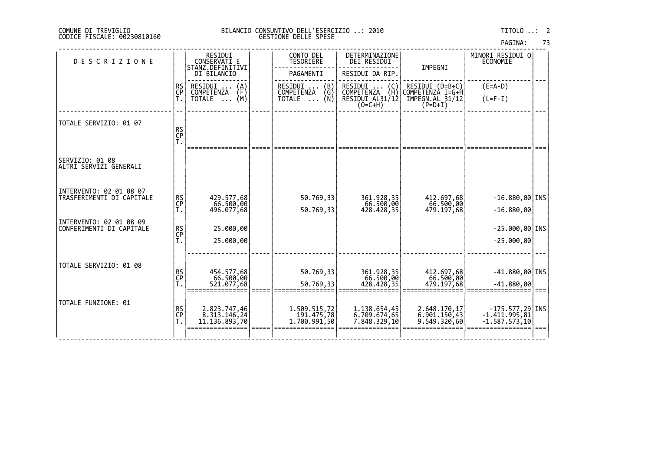|  | PAGINA: | 73 |
|--|---------|----|
|  |         |    |

| <b>DESCRIZIONE</b>                                  |                | RESIDUI<br>CONSERVATI E<br>STANZ.DEFINITIVI   | CONTO DEL<br>TESORIERE                  | DETERMINAZIONE<br>DEI RESIDUI         | IMPEGNI                             | MINORI RESIDUI 0<br><b>ECONOMIE</b>                                                                                                                                                       |  |
|-----------------------------------------------------|----------------|-----------------------------------------------|-----------------------------------------|---------------------------------------|-------------------------------------|-------------------------------------------------------------------------------------------------------------------------------------------------------------------------------------------|--|
|                                                     |                | DI BILANCIO                                   | PAGAMENTI                               | RESIDUI DA RIP.                       |                                     |                                                                                                                                                                                           |  |
|                                                     | RS<br>CP<br>T. | RESIDUI<br>(A)<br>(F)<br>COMPETENZA           | RESIDUI<br>$\binom{B}{G}$<br>COMPETENZA | RESIDUI<br>(C)<br>(H)<br>COMPETENZA   | RESIDUI (D=B+C)<br>COMPETENZÀ I=G+H | $(E=A-D)$                                                                                                                                                                                 |  |
|                                                     |                | (M)<br>TOTALE                                 | TOTALE $\ldots$ (N)                     | RESIDUI AL31/12<br>$(O=C+H)$          | IMPEGN.AL_31/12<br>$(P=D+I)$        | $(L=F-I)$                                                                                                                                                                                 |  |
| TOTALE SERVIZIO: 01 07                              |                |                                               |                                         |                                       |                                     |                                                                                                                                                                                           |  |
|                                                     | RS<br>CP<br>T. |                                               |                                         |                                       |                                     |                                                                                                                                                                                           |  |
|                                                     |                |                                               |                                         |                                       |                                     |                                                                                                                                                                                           |  |
| SERVIZIO: 01 08<br>ALTRI SERVIZI GENERALI           |                |                                               |                                         |                                       |                                     |                                                                                                                                                                                           |  |
| INTERVENTO: 02 01 08 07                             |                |                                               |                                         |                                       |                                     |                                                                                                                                                                                           |  |
| TRASFERIMENTI DI CAPITALE                           | RS<br>CP<br>T. | 429.577,68<br>66.500,00<br>496.077,68         | 50.769,33                               | 361.928,35<br>66.500,00<br>428.428,35 | 412.697,68<br>66.500,00             | $-16.880,00$ INS                                                                                                                                                                          |  |
|                                                     |                |                                               | 50.769,33                               |                                       | 479.197,68                          | $-16.880,00$                                                                                                                                                                              |  |
| INTERVENTO: 02 01 08 09<br>CONFERIMENTI DI CAPITALE | RS<br>CP<br>T. | 25.000,00                                     |                                         |                                       |                                     | $-25.000,00$ INS                                                                                                                                                                          |  |
|                                                     |                | 25.000,00                                     |                                         |                                       |                                     | $-25.000,00$                                                                                                                                                                              |  |
|                                                     |                |                                               |                                         |                                       |                                     |                                                                                                                                                                                           |  |
| TOTALE SERVIZIO: 01 08                              |                | 454.577,68                                    | 50.769,33                               | 361.928,35                            | 412.697,68                          | $-41.880,00$ INS                                                                                                                                                                          |  |
|                                                     | RS<br>CP<br>T. | 66.500,00<br>521.077,68                       | 50.769,33                               | 66.500,00<br>428,428,35               | 66.500,00<br>479.197,68             | $-41.880,00$                                                                                                                                                                              |  |
|                                                     |                |                                               |                                         |                                       |                                     |                                                                                                                                                                                           |  |
| TOTALE FUNZIONE: 01                                 | RS<br>CP<br>T. | 2.823.747,46<br>8.313.146,24<br>11.136.893,70 | 1.509.515,72<br>191.475,78              | 1.138.654,45                          | 2.648.170,17                        | $\left. \begin{array}{r} -175.577,29 \ \text{INS} \\ -1.411.995,81 \\ -1.587.573,10 \end{array} \right  \hspace{.5cm} \left. \begin{array}{r} \text{INS} \\ \text{S} \end{array} \right $ |  |
|                                                     |                |                                               | 1,700.991,50                            | 6.709.674,65<br>7.848.329,10          | 6.901.150,43<br>9.549.320,60        |                                                                                                                                                                                           |  |
|                                                     |                |                                               |                                         |                                       |                                     |                                                                                                                                                                                           |  |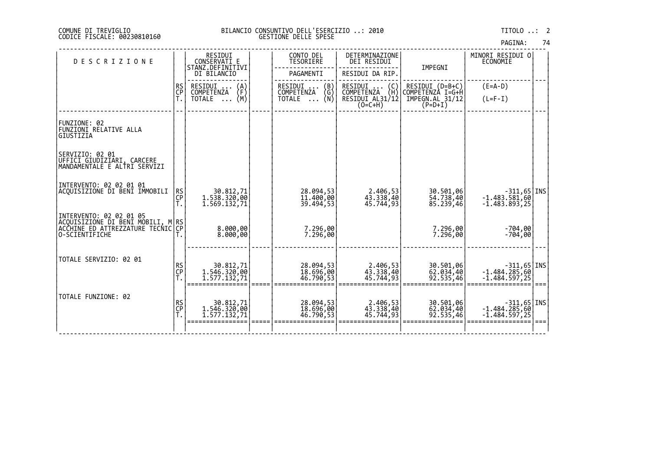|  | PAGINA: | 74 |
|--|---------|----|
|  |         |    |

| <b>DESCRIZIONE</b>                                                                                                   |                | RESIDUI<br>CONSERVATI E<br>STANZ.DEFINITIVI | CONTO DEL<br>TESORIERE                  | DETERMINAZIONE<br>DEI RESIDUI                                          | IMPEGNI                               | MINORI RESIDUI O<br>ECONOMIE                        |  |
|----------------------------------------------------------------------------------------------------------------------|----------------|---------------------------------------------|-----------------------------------------|------------------------------------------------------------------------|---------------------------------------|-----------------------------------------------------|--|
|                                                                                                                      |                | DI BILANCIO                                 | PAGAMENTI                               | RESIDUI DA RIP.                                                        |                                       |                                                     |  |
|                                                                                                                      | RS<br>CP<br>T. | RESIDUI<br>$\binom{A}{F}$<br>COMPETENZA     | RESIDUI<br>$\binom{B}{G}$<br>COMPETENZA | RESIDUI<br>$\begin{pmatrix} 0 \\ H \end{pmatrix}$<br>COMPETENZA        | RESIDUI (D=B+C)<br>COMPETENZÀ I=G+H   | $(E=A-D)$                                           |  |
|                                                                                                                      |                | (M)<br>TOTALE<br>$\cdots$                   | (N)<br><b>TOTALE</b><br>$\cdots$        | RESIDUI AL31/12<br>$(O=C+H)$                                           | IMPEGN.AL 31/12<br>$(P=D+I)$          | $(L=F-I)$                                           |  |
| FUNZIONE: 02<br>FUNZIONI RELATIVE ALLA<br>GIUSTIZIA                                                                  |                |                                             |                                         |                                                                        |                                       |                                                     |  |
| SERVIZIO: 02 01<br> ŬFFICI ĞIUDIZIĀRI, CARCERE<br> MANDAMENTALE E ALTRI SERVIZI                                      |                |                                             |                                         |                                                                        |                                       |                                                     |  |
| INTERVENTO: 02 02 01 01<br>ACQUISIZIONE DI BENI IMMOBILI                                                             | RS<br>CP       | 30.812,71<br>1.538.320,00<br>1.569.132,71   | 28.094,53<br>11.400,00<br>39.494,53     | 2.406,53<br>43.338,40<br>45.744,93                                     | 30.501,06<br>54.738,40<br>85.239,46   | $-1.483.581,68$   INS  <br>$-1.483.893,25$          |  |
| INTERVENTO: 02 02 01 05<br>ACQUISIZIONE DI BENI MOBILI, M RS<br> ACCHINE ED ATTREZZATURE TECNIC CP<br>O-SCIENTIFICHE |                | 8.000,00<br>8.000,00                        | 7.296,00<br>7.296,00                    |                                                                        | 7.296,00<br>7.296,00                  | $-704,00$<br>$-704,00$                              |  |
| TOTALE SERVIZIO: 02 01                                                                                               | RS<br>CP       | 30.812,71<br>1.546.320,00<br>1.577.132,71   | 28.094,53<br>18.696,00<br>46.790,53     | 2.406,53<br>$4\bar{3}\cdot 3\bar{3}\bar{8}\cdot 4\bar{0}$<br>45.744,93 | 30.501,06<br>$62.034,40$<br>92.535,46 | $-311,65$ INS<br>$-1.484.285,60$<br>$-1.484.597,25$ |  |
| TOTALE FUNZIONE: 02                                                                                                  | RS<br>CP       | 30.812,71<br>1.546.320,00<br>1.577.132,71   | 28.094,53<br>18.696,00<br>46.790,53     | 2.406,53<br>43.338,40<br>45,744,93                                     | 30.501,06<br>62.034,40<br>92.535,46   | $-311,65$ INS<br>$-1.484.285,60$<br>$-1.484.597,25$ |  |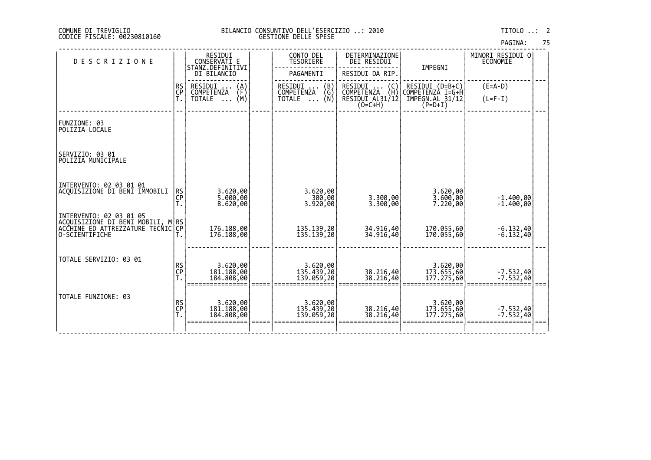| PAGINA: | 75 |
|---------|----|
|         |    |

| <b>DESCRIZIONE</b>                                                                                                      |                | RESIDUI<br>CONSERVATI E                 | CONTO DEL<br><b>TESORIERE</b>                                                    | DETERMINAZIONE<br>DEI RESIDUI                                          | IMPEGNI                               | MINORI RESIDUI O<br>ECONOMIE |  |
|-------------------------------------------------------------------------------------------------------------------------|----------------|-----------------------------------------|----------------------------------------------------------------------------------|------------------------------------------------------------------------|---------------------------------------|------------------------------|--|
|                                                                                                                         |                | STANZ.DEFINITIVI<br>DI BILANCIO         | PAGAMENTI                                                                        | RESIDUI DA RIP.                                                        |                                       |                              |  |
|                                                                                                                         | RS<br>CP<br>T. | RESIDUI<br>$\binom{A}{F}$<br>COMPETENZA | RESIDUI<br>$\begin{pmatrix} B \\ G \\ N \end{pmatrix}$<br>$\cdots$<br>COMPETENZA | RESIDUI<br>$\begin{pmatrix} 0 \\ H \end{pmatrix}$<br><b>COMPETENZA</b> | $RESIDUI (D=B+C)$<br>COMPETENZÀ I=G+H | $(E=A-D)$                    |  |
|                                                                                                                         |                | (M)<br>TOTALE<br>$\cdots$               | <b>TOTALE</b><br>$\cdots$                                                        | RESIDUI AL31/12<br>$(O=C+H)$                                           | IMPEGN.AL 31/12<br>$(P=D+I)$          | $(L=F-I)$                    |  |
| FUNZIONE: 03<br>POLIZIA LOCALE                                                                                          |                |                                         |                                                                                  |                                                                        |                                       |                              |  |
| SERVIZIO: 03 01<br>POLIZIA MUNICIPALE                                                                                   |                |                                         |                                                                                  |                                                                        |                                       |                              |  |
| INTERVENTO: 02 03 01 01<br>ACOUISIZIONE DI BENI IMMOBILI                                                                | RS<br>CP<br>T. | 3.620,00<br>5.000,00<br>8.620,00        | 3.620,00<br>300,00<br>3.920,00                                                   | 3.300,00<br>3.300,00                                                   | 3.620,00<br>3.600,00<br>7.220,00      | $-1.400,00$<br>$-1.400,00$   |  |
| INTERVENTO: 02 03 01 05<br> ACQUISIZIONE DI BENI MOBILI, M RS <br> ACCHINE ED ATTREZZATURE TECNIC CP <br>O-SCIENTIFICHE |                | 176.188,00<br>176.188,00                | 135.139,20<br>135.139,20                                                         | 34.916,40<br>34.916,40                                                 | 170.055,60<br>170.055,60              | $\left[-6.132,40\right]$     |  |
| TOTALE SERVIZIO: 03 01                                                                                                  | RS<br>CP<br>T. | 3.620,00<br>181.188,00<br>184.808,00    | 3.620,00<br>135.439,20<br>139.059,20                                             | 38.216,40<br>38.216,40                                                 | 3.620,00<br>173.655,60<br>177.275,60  | $-7.532,40$<br>$-7.532,40$   |  |
| TOTALE FUNZIONE: 03                                                                                                     | RS<br>CP<br>T. | 3.620,00<br>181.188,00<br>184.808,00    | 3.620,00<br>135.439,20<br>139.059,20                                             | 38.216,40<br>38.216,40                                                 | 3.620,00<br>173.655,60<br>177.275,60  | $-7.532,40$<br>$-7.532,40$   |  |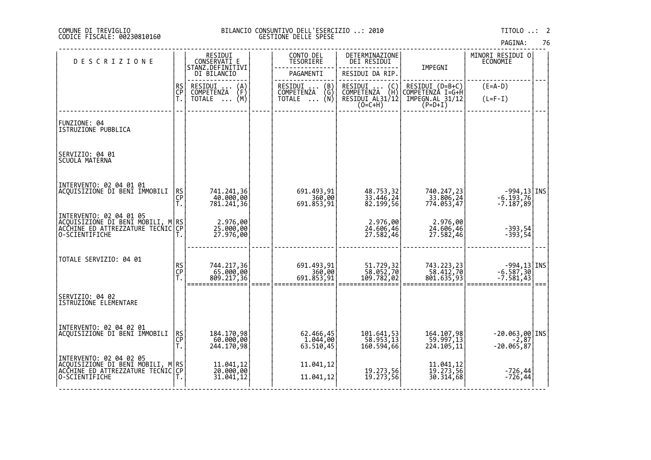| PAGINA: |  | 76 |
|---------|--|----|
|         |  |    |

| <b>DESCRIZIONE</b>                                                                                                     |                | RESIDUI<br>CONSERVATI E<br>STANZ.DEFINITIVI    | CONTO DEL<br>TESORIERE                                          | DETERMINAZIONE<br>DEI RESIDUI                     | IMPEGNI                                | MINORI RESIDUI O<br><b>ECONOMIE</b>         |  |
|------------------------------------------------------------------------------------------------------------------------|----------------|------------------------------------------------|-----------------------------------------------------------------|---------------------------------------------------|----------------------------------------|---------------------------------------------|--|
|                                                                                                                        |                | DI BILANCIO                                    | PAGAMENTI                                                       | RESIDUI DA RIP.                                   |                                        |                                             |  |
|                                                                                                                        | <b>RS</b>      | RESIDUI<br>$\binom{A}{F}$<br><b>COMPETENZA</b> | RESIDUI<br>$\begin{pmatrix} B \\ G \end{pmatrix}$<br>COMPETENZA | RESIDUI  (C)<br>COMPETENZA (H)<br>RESIDUI AL31/12 | RESIDUI (D=B+C)<br>COMPETENZA I=G+H    | $(E=A-D)$                                   |  |
|                                                                                                                        | CP<br>T.       | (M)<br>TOTALE                                  | (Ñ)<br>TOTALE                                                   | $(0=C+H)$                                         | IMPEGN.AL 31/12<br>$(P=D+I)$           | $(L=F-I)$                                   |  |
| FUNZIONE: 04<br>ISTRUZIONE PUBBLICA                                                                                    |                |                                                |                                                                 |                                                   |                                        |                                             |  |
| SERVIZIO: 04 01<br>SCUOLA MATERNA                                                                                      |                |                                                |                                                                 |                                                   |                                        |                                             |  |
| INTERVENTO: 02 04 01 01<br>ACQUISIZIONE DI BENI IMMOBILI                                                               | $R$ SCP<br>Ť.  | 741.241,36<br>40.000,00<br>781.241,36          | 691.493,91<br>360,00<br>691.853,91                              | 48.753,32<br>33.446,24<br>82.199,56               | 740.247,23<br>_33.806,24<br>774.053,47 | $-994,13$ INS<br>$-6.193,76$<br>$-7.187,89$ |  |
| INTERVENTO: 02 04 01 05<br> ACQUISIZIONE DI BENI MOBILI, M RS<br> ACCHINE_ED_ATTREZZATURE TECNIC CP <br>O-SCIENTIFICHE |                | 2.976,00<br>25.000,00<br>27.976,00             |                                                                 | 2.976,00<br>24.606,46<br>27.582,46                | 2.976,00<br>24.606,46<br>27.582,46     | - 393, 54<br>- 393, 54                      |  |
| TOTALE SERVIZIO: 04 01                                                                                                 | RS<br>CP<br>T. | 744.217,36<br>65.000,00<br>809.217,36          | 691.493,91<br>360,00<br>691.853,91                              | 51.729,32<br>58.052,70<br>109.782,02              | 743.223,23<br>58.412,70<br>801.635,93  | $-994,13$ INS<br>$-6.587,30$<br>$-7.581,43$ |  |
| SERVIZIO: 04 02<br>ISTRUZIONE ELEMENTARE                                                                               |                |                                                |                                                                 |                                                   |                                        |                                             |  |
| INTERVENTO: 02 04 02 01<br>ACQUISIZIONE DI BENI IMMOBILI                                                               | RS<br>CP<br>T. | 184.170,98<br>60.000,00<br>244.170,98          | 62.466,45<br>63.510,45                                          | 101.641,53<br>58.953,13<br>160.594,66             | 164.107,98<br>59.997,13<br>224.105,11  | $-20.063,00$ INS<br>$-20.065,87$            |  |
| INTERVENTO: 02 04 02 05<br> ACQUISIZIONE DI BENI MOBILI, M RS<br> ACCHINE_ED_ATTREZZATURE TECNIC CP<br>O-SCIENTIFICHE  |                | 11.041,12<br>20.000,00<br>31.041,12            | 11.041,12<br>11.041,12                                          | 19.273,56<br>19.273,56                            | 11.041,12<br>19.273,56<br>30.314,68    | $-726,44$<br>$-726,44$                      |  |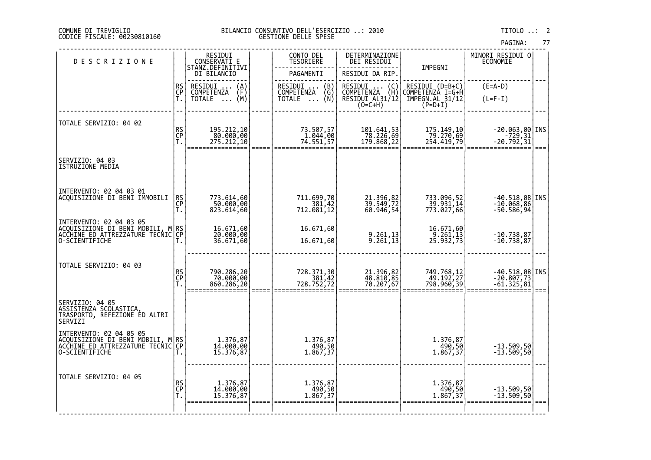## DI TREVIGLIO BILANCIO CONSUNTIVO DELL'ESERCIZIO ..: 2010 TITOLO ..: 2 FISCALE: 00230810160 GESTIONE DELLE SPESE

| CONSERVATI E<br>STANZ.DEFINITIVI<br>IMPEGNI<br>PAGAMENTI<br>RESIDUI DA RIP.<br>DI BILANCIO                                                                                                                                                                                           |                                                  |
|--------------------------------------------------------------------------------------------------------------------------------------------------------------------------------------------------------------------------------------------------------------------------------------|--------------------------------------------------|
| RS<br>CP<br>T.<br>$(E=A-D)$<br>RESIDUI<br>COMPETENZA<br>RESIDUI<br>COMPETENZA<br>$\begin{pmatrix} B \\ G \\ N \end{pmatrix}$<br>RESIDUI<br>RESIDUI (D=B+C)<br>COMPETENZA I=G+H<br>$\left(\begin{smallmatrix} 0 \\ H \end{smallmatrix}\right)$<br>$\binom{A}{F}$<br><b>COMPETENZA</b> |                                                  |
| IMPEGN.AL 31/12<br>(M)<br>RESIDUI AL31/12<br><b>TOTALE</b><br><b>TOTALE</b><br>$(L=F-I)$<br>$\dddot{\phantom{0}}$<br>$\ldots$<br>$(0=C+H)$<br>$(P=D+I)$                                                                                                                              |                                                  |
| TOTALE SERVIZIO: 04 02                                                                                                                                                                                                                                                               |                                                  |
| RS<br>CP<br>T.<br>195.212,10<br>73.507,57<br>1.044,00<br>101.641,53<br>175.149,10<br>78.226,69<br>80.000,00<br>79.270,69                                                                                                                                                             | $-20.063,00$ INS<br>$-729,31$<br>-20.792,31      |
| 254.419,79<br>275.212,10<br>74.551,57<br>179.868,22                                                                                                                                                                                                                                  | $==$                                             |
| SERVIZIO: 04 03<br>ISTRUZIONE MEDIA                                                                                                                                                                                                                                                  |                                                  |
| INTERVENTO: 02 04 03 01                                                                                                                                                                                                                                                              |                                                  |
| ACQUISIZIONE DI BENI IMMOBILI<br>RS<br>CP<br>T.<br>711.699,70<br>381,42<br>712.081,12<br>21.396,82<br>39.549,72<br>60.946,54<br>773.614,60<br>733.096,52<br>39.931,14<br>773.027,66<br>50.000,00                                                                                     | $-40.518,08$ INS<br>$-10.068,86$                 |
| 823.614,60                                                                                                                                                                                                                                                                           | $-50.586,94$                                     |
| INTERVENTO: 02 04 03 05<br>ACQUISIZIONE DI BENI MOBILI,<br>_M RS<br>IC CP<br>16.671,60<br>20.000,00<br>16.671,60<br>16.671,60<br>9.261,13<br>$\frac{5}{2}$ . 261,13<br>25.932,73<br>ACCHINE ED ATTREZZATURE TECNIC                                                                   | $-10.738,87$                                     |
| 9.261,13<br>36.671,60<br>O-SCIENTIFICHE<br>16.671,60<br>Т.                                                                                                                                                                                                                           | $-10.738,87$                                     |
| TOTALE SERVIZIO: 04 03                                                                                                                                                                                                                                                               |                                                  |
| RS<br>CP<br>T.<br>790.286,20<br>70.000,00<br>728.371,30<br>381,42<br>728.752,72<br>21.396,82<br>48.810,85<br>70.207,67<br>749.768,12<br>49.192,27                                                                                                                                    | $-40.518,08$ INS<br>$-20.807,73$<br>$-61.325,81$ |
| 860.286,20<br>798.960,39                                                                                                                                                                                                                                                             |                                                  |
| SERVIZIO: 04 05<br>ASSISTENZA SCOLASTICA,<br>TRASPORTO, REFEZIONE ED ALTRI<br>SERVIZI                                                                                                                                                                                                |                                                  |
| INTERVENTO: 02 04 05 05<br> ACQUISIZIONE DI BENI MOBILI, M RS<br> ACCHINE_ED_ATTREZZATURE TECNIC CP<br>1.376,87<br>14.000,00<br>1.376,87<br>490,50<br>1.376,87<br>490,50<br>1.867,37                                                                                                 | $-13.509,50$                                     |
| 15.376,87<br>1.867,37<br>O-SCIENTIFICHE                                                                                                                                                                                                                                              | $-13.509,50$                                     |
| TOTALE SERVIZIO: 04 05                                                                                                                                                                                                                                                               |                                                  |
| RS<br>CP<br>T.<br>1.376,87<br>1.376,87<br>1.376,87<br>14.000,00<br>$\begin{array}{c} 7.490, 50 \\ 1.867, 37 \end{array}$<br>1.867, 37<br>15.376,87                                                                                                                                   | -13.509,50<br>-13.509,50                         |
|                                                                                                                                                                                                                                                                                      |                                                  |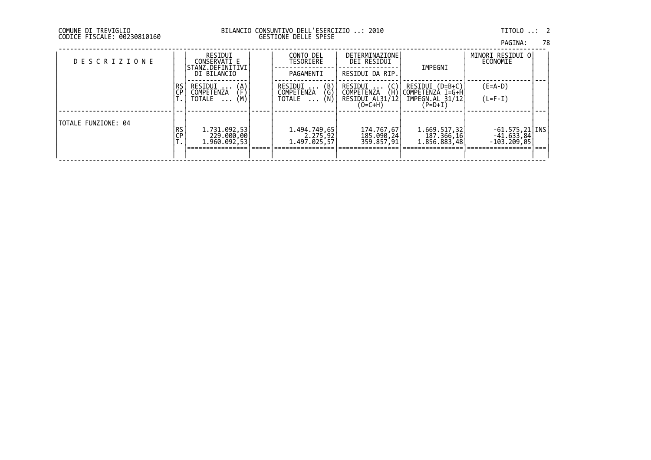DI TREVIGLIO BILANCIO CONSUNTIVO DELL'ESERCIZIO ..: 2010 TITOLO ..: 2 FISCALE: 00230810160 GESTIONE DELLE SPESE

| COMUNE DI TREVIGLIO |                             |
|---------------------|-----------------------------|
|                     | CODICE FISCALE: 00230810160 |

| <b>DESCRIZIONE</b>  |          | RESIDUI<br>CONSERVATI E<br>STANZ.DEFINITIVI<br>DI BILANCIO | CONTO DEL<br>TESORIERE<br>PAGAMENTI                                            | <b>DETERMINAZIONE</b><br>DEI RESIDUI<br>RESIDUI DA RIP.      | IMPEGNI                                                                      | MINORI RESIDUI O <br>ECONOMIE                                                              |  |
|---------------------|----------|------------------------------------------------------------|--------------------------------------------------------------------------------|--------------------------------------------------------------|------------------------------------------------------------------------------|--------------------------------------------------------------------------------------------|--|
|                     | RS<br>CP | RESIDUI<br>(A)<br>(F)<br>COMPETENZA<br>(M)<br>TOTALE       | $\begin{pmatrix} B \\ G \\ N \end{pmatrix}$<br>RESIDUI<br>COMPETENZA<br>TOTALE | RESIDUI<br>COMPETENZA<br>(H)<br>RESIDUI AL31/12<br>$(O=C+H)$ | RESIDUI (D=B+C)<br>COMPETENZA I=G+H<br>IMPEGN.AL 31/12<br>(P=D+I)            | $(E=A-D)$<br>$(L=F-I)$                                                                     |  |
| TOTALE FUNZIONE: 04 | RS<br>CP | 1.731.092,53<br>229.000,00<br> 1.960.092,53                | 1.494.749,65<br> 2.275,92<br> 1.497.025,57                                     | 174.767,67<br>185.090,24<br>359.857,91                       | 1.669.517,32<br>$\begin{bmatrix} 187.366, 16 \\ 1.856.883, 48 \end{bmatrix}$ | $-61.575, 21$ INS<br>$-4\overline{1}\cdot 6\overline{3}\cdot 8\overline{4}$<br>-103.209,05 |  |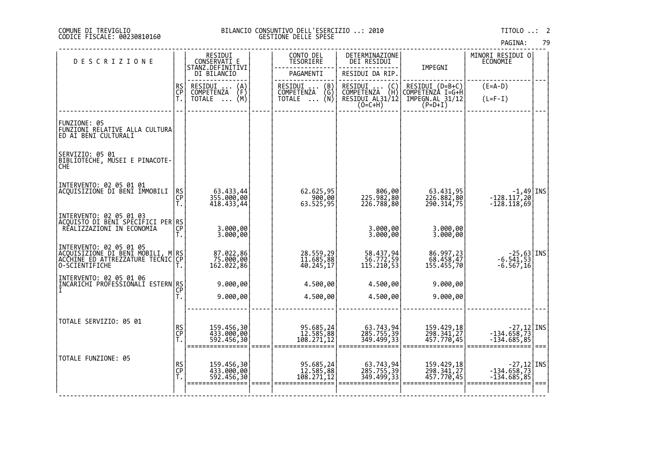|  | PAGINA: |  | 79 |
|--|---------|--|----|
|--|---------|--|----|

| DESCRIZIONE                                                                                                            |                | RESIDUI<br>CONSERVATI E                                                     | CONTO DEL<br>TESORIERE                                   | DETERMINAZIONE<br>DEI RESIDUI                                       |                                                                     | MINORI RESIDUI O<br>ECONOMIE                                                                  |  |
|------------------------------------------------------------------------------------------------------------------------|----------------|-----------------------------------------------------------------------------|----------------------------------------------------------|---------------------------------------------------------------------|---------------------------------------------------------------------|-----------------------------------------------------------------------------------------------|--|
|                                                                                                                        |                | STANZ.DEFINITIVI<br>DI BILANCIO                                             | PAGAMENTI                                                | RESIDUI DA RIP.                                                     | IMPEGNI                                                             |                                                                                               |  |
|                                                                                                                        | RS<br>CP<br>T. | RESIDUI<br>$\binom{A}{F}$<br><b>COMPETENZA</b><br>(M)<br>TOTALE<br>$\cdots$ | RESIDUI<br>COMPETENZA<br>(B)<br>NŻA (Ğ)<br>(N)<br>TOTALE | RESIDUI<br>(C)<br>(Ĥ)<br>COMPETENZA<br>RESIDUI AL31/12<br>$(O=C+H)$ | RESIDUI (D=B+C)<br>COMPETENZA I=G+H<br>IMPEGN.AL_31/12<br>$(P=D+I)$ | $(E=A-D)$<br>$(L=F-I)$                                                                        |  |
| FUNZIONE: 05<br>FUNZIONI RELATIVE ALLA CULTURA<br>ED AI BENI CULTURALI                                                 |                |                                                                             |                                                          |                                                                     |                                                                     |                                                                                               |  |
| SERVIZIO: 05 01<br>BIBLIOTECHE, MUSEI E PINACOTE-<br><b>CHE</b>                                                        |                |                                                                             |                                                          |                                                                     |                                                                     |                                                                                               |  |
| INTERVENTO: 02 05 01 01<br>ACQUISIZIONE DI BENI IMMOBILI                                                               | RS<br>CP<br>T. | 63.433,44<br>355.000,00<br>418.433,44                                       | 62.625,95<br>900,00<br>63.525,95                         | 806,00<br>225.982,80<br>226.788,80                                  | 63.431,95<br>226.882,80<br>290.314,75                               | $\begin{bmatrix} -1.49 \\ -128.117.20 \end{bmatrix}$ INS<br>$-128.118,69$                     |  |
| INTERVENTO: 02 05 01 03<br> ACQUISTO DI BENI SPECIFICI PER RS<br>  REALIZZAZIONI IN ECONOMIA<br>  T.                   |                | 3.000,00<br>3.000,00                                                        |                                                          | 3.000,00<br>3.000,00                                                | 3.000,00<br>3.000,00                                                |                                                                                               |  |
| INTERVENTO: 02 05 01 05<br> ACQUISIZIONE DI BENI MOBILI, M RS<br> ACCHINE ED ATTREZZATURE TECNIC CP<br> O-SCIENTIFICHE |                | 87.022,86<br>75.000,00<br>162.022,86                                        | 28.559,29<br>11.685,88<br>40.245,17                      | 58.437,94<br>56.772,59<br>115.210,53                                | 86.997,23<br>68.458,47<br>155.455,70                                | $\begin{array}{c} -25,63   \text{INS} \\ -6.541,53   -6.567,16 \end{array}$                   |  |
| INTERVENTO: 02 05 01 06<br> INCARICHI PROFESSIONALI ESTERN RS <br> CP                                                  | Τ.             | 9.000,00<br>9.000,00                                                        | 4.500,00<br>4.500,00                                     | 4.500,00<br>4.500,00                                                | 9.000,00<br>9.000,00                                                |                                                                                               |  |
| TOTALE SERVIZIO: 05 01                                                                                                 | RS<br>CP<br>T. | 159.456,30<br>433.000,00<br>592.456,30                                      | 95.685,24<br>12.585,88<br>100.271,12                     | 63.743,94<br>285.755,39<br>349.499,33                               | 159.429,18<br>298.341,27<br>457.770,45                              | $\begin{array}{c} -27,12   \text{INS} \\ -134.658,73   \text{S} \\ -134.685,85   \end{array}$ |  |
| TOTALE FUNZIONE: 05                                                                                                    | RS<br>CP<br>T. | 159.456,30<br>433.000,00<br>592.456,30                                      | 95.685,24<br>12.585,88<br>108.271,12                     | 63.743,94<br>285.755,39<br>349.499,33                               | 159.429,18<br>298.341,27<br>457.770,45                              | 27,12 INS -<br>134.658,73<br>134.685,85 -                                                     |  |
|                                                                                                                        |                |                                                                             |                                                          |                                                                     |                                                                     |                                                                                               |  |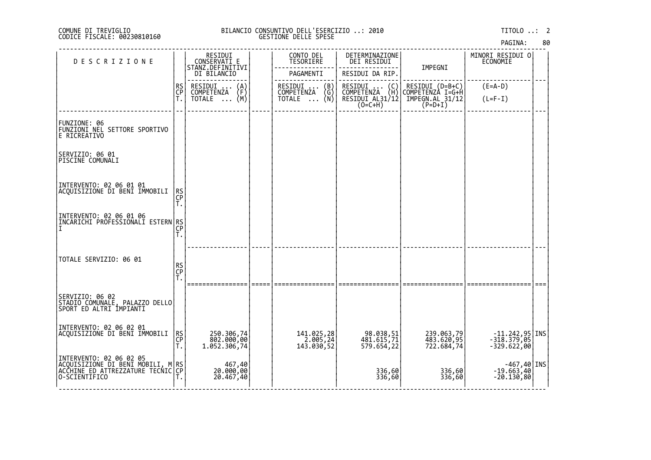# DI TREVIGLIO BILANCIO CONSUNTIVO DELL'ESERCIZIO ..: 2010 TITOLO ..: 2 FISCALE: 00230810160 GESTIONE DELLE SPESE

| <b>DESCRIZIONE</b>                                                                          |                | RESIDUI<br>CONSERVATI E                 | CONTO DEL<br>TESORIERE                                          | DETERMINAZIONE<br>DEI RESIDUI                                                        |                                                                                                                                         | MINORI RESIDUI 0<br>ECONOMIE              |  |
|---------------------------------------------------------------------------------------------|----------------|-----------------------------------------|-----------------------------------------------------------------|--------------------------------------------------------------------------------------|-----------------------------------------------------------------------------------------------------------------------------------------|-------------------------------------------|--|
|                                                                                             |                | STANZ.DEFINITIVI<br>DI BILANCIO         | PAGAMENTI                                                       | RESIDUI DA RIP.                                                                      | IMPEGNI                                                                                                                                 |                                           |  |
|                                                                                             | RS<br>CP<br>T. | RESIDUI<br>$\binom{A}{F}$<br>COMPETENZA | $\begin{pmatrix} B \\ G \end{pmatrix}$<br>RESIDUI<br>COMPETENZA | RESIDUI<br>COMPETENZA<br>$\left(\begin{smallmatrix} C \\ H \end{smallmatrix}\right)$ | RESIDUI (D=B+C)<br>COMPETENZA I=G+H                                                                                                     | $(E=A-D)$                                 |  |
|                                                                                             |                | (M)<br>TOTALE                           | (Ñ)<br>TOTALE                                                   | RESIDUI AL31/12                                                                      | $\texttt{\small \textsf{IMPEGN.AL}}\substack{\textsf{31/12}}\begin{smallmatrix} \textsf{5}\ \textsf{P} \textsf{=D+1} \end{smallmatrix}$ | $(L=F-I)$                                 |  |
|                                                                                             |                |                                         |                                                                 |                                                                                      |                                                                                                                                         |                                           |  |
| FUNZIONE: 06<br>FUNZIONI NEL SETTORE SPORTIVO<br>E RICREATIVO                               |                |                                         |                                                                 |                                                                                      |                                                                                                                                         |                                           |  |
| SERVIZIO: 06 01<br>PISCINE COMUNALI                                                         |                |                                         |                                                                 |                                                                                      |                                                                                                                                         |                                           |  |
|                                                                                             |                |                                         |                                                                 |                                                                                      |                                                                                                                                         |                                           |  |
| INTERVENTO: 02 06 01 01<br>ACQUISIZIONE DI BENI IMMOBILI                                    |                |                                         |                                                                 |                                                                                      |                                                                                                                                         |                                           |  |
|                                                                                             | RS<br>CP<br>Τ. |                                         |                                                                 |                                                                                      |                                                                                                                                         |                                           |  |
| INTERVENTO: 02 06 01 06                                                                     |                |                                         |                                                                 |                                                                                      |                                                                                                                                         |                                           |  |
| INCARICHI PROFEŠŠIONALI ESTERN RS<br> I                                                     | Τ.             |                                         |                                                                 |                                                                                      |                                                                                                                                         |                                           |  |
|                                                                                             |                |                                         |                                                                 |                                                                                      |                                                                                                                                         |                                           |  |
| TOTALE SERVIZIO: 06 01                                                                      |                |                                         |                                                                 |                                                                                      |                                                                                                                                         |                                           |  |
|                                                                                             | RS<br>CP<br>T. |                                         |                                                                 |                                                                                      |                                                                                                                                         |                                           |  |
|                                                                                             |                | ================                        |                                                                 |                                                                                      |                                                                                                                                         |                                           |  |
| SERVIZIO: 06 02<br>STADIO COMUNALE, PALAZZO DELLO<br>SPORT ED ALTRI IMPIANTI                |                |                                         |                                                                 |                                                                                      |                                                                                                                                         |                                           |  |
|                                                                                             |                |                                         |                                                                 |                                                                                      |                                                                                                                                         |                                           |  |
| INTERVENTO: 02 06 02 01<br>ACQUISIZIONE DI BENI IMMOBILI                                    | RS<br>CP       | 250.306,74<br>802.000,00                | 141.025,28<br>2.005,24<br>143.030,52                            | 98.038,51<br>481.615,71<br>579.654,22                                                | 239.063,79<br>483.620,95                                                                                                                | 11.242,95<br>  318.379,05<br>  329.622,00 |  |
|                                                                                             | Τ.             | 1.052.306,74                            |                                                                 |                                                                                      | 722.684,74                                                                                                                              |                                           |  |
| INTERVENTO: 02 06 02 05                                                                     |                | 467,40<br>00,000,00                     |                                                                 |                                                                                      |                                                                                                                                         | $-467,40$ INS<br>-19.663,40               |  |
| ĀCOŪISĪZIŎNE DI BENĪ MOBILI, M RS <br> ACCHINE ED ATTREZZATURE TECNIC CP <br> O-SCIENTIFICO |                | 20.467,40                               |                                                                 | 336,60<br>336,60                                                                     | 336,60<br>336,60                                                                                                                        | $-20.130,80$                              |  |
|                                                                                             |                |                                         |                                                                 |                                                                                      |                                                                                                                                         |                                           |  |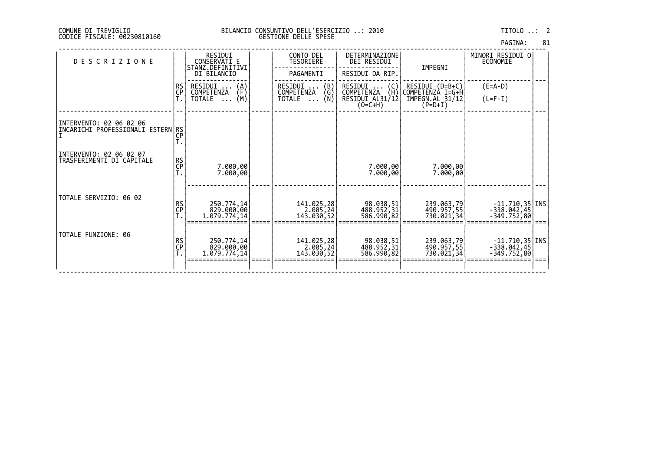| PAGINA: | 81 |
|---------|----|
|         |    |

| <b>DESCRIZIONE</b>                                           |                | RESIDUI<br>CONSERVATI E<br>STANZ.DEFINITIVI<br>DI BILANCIO       | CONTO DEL<br>TESORIERE<br>PAGAMENTI                                                          | DETERMINAZIONE<br>DEI RESIDUI<br>RESIDUI DA RIP.                    | IMPEGNI                                                             | MINORI RESIDUI O<br>ECONOMIE                       |  |
|--------------------------------------------------------------|----------------|------------------------------------------------------------------|----------------------------------------------------------------------------------------------|---------------------------------------------------------------------|---------------------------------------------------------------------|----------------------------------------------------|--|
|                                                              | RS<br>CP       | RESIDUI<br>(A)<br>(F)<br>COMPETENZA<br>(M)<br>TOTALE<br>$\ddots$ | $\begin{pmatrix} B \\ G \end{pmatrix}$<br>RESIDUI<br>COMPETENZA<br>(N)<br>TOTALE<br>$\cdots$ | RESIDUI<br>(C)<br>(H)<br>COMPETENZA<br>RESIDUI AL31/12<br>$(O=C+H)$ | RESIDUI (D=B+C)<br>COMPETENZÀ I=G+H<br>IMPEGN.AL 31/12<br>$(P=D+I)$ | $(E=A-D)$<br>$(L=F-I)$                             |  |
| INTERVENTO: 02 06 02 06<br>INCARICHI PROFESSIONALI ESTERNIRS | CP             |                                                                  |                                                                                              |                                                                     |                                                                     |                                                    |  |
| INTERVENTO: 02 06 02 07<br>TRASFERIMENTI DI CAPITALE         | RS<br>CP<br>T. | 7.000,00<br>7.000,00                                             |                                                                                              | 7.000,00<br>7.000,00                                                | 7.000,00<br>7.000,00                                                |                                                    |  |
| TOTALE SERVIZIO: 06 02                                       | RS<br>CP<br>T. | 250.774,14<br>829.000,00<br>1.079.774,14                         | 141.025,28<br>2.005,24<br>143.030,52                                                         | 98.038,51<br>488.952,31<br>586.990,82                               | 239.063,79<br>490.957,55<br>730.021,341                             | $-11.710,35$ INS<br>$-338.042,45$<br>$-349.752,80$ |  |
| TOTALE FUNZIONE: 06                                          | RS<br>CP<br>T. | 250.774,14<br>829.000,00<br>1.079.774,14                         | 141.025,28<br>2.005,24<br>143.030,52                                                         | 98.038,51<br>488.952,31<br>586.990,82                               | 239.063,79<br>490.957,55<br>730.021,34                              | 11.710,35<br>  338.042,45<br>  349.752,80          |  |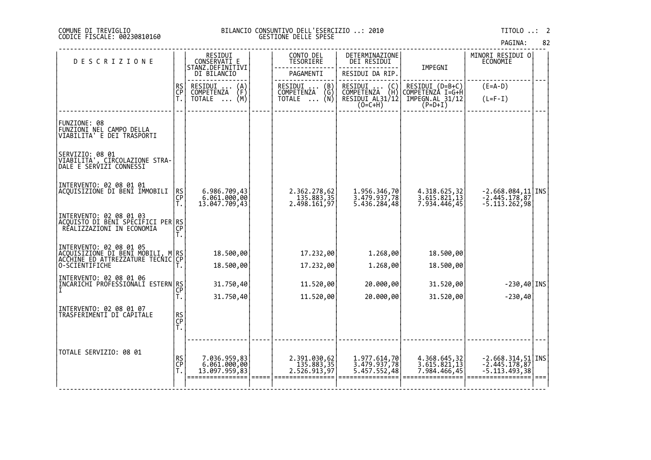| 82<br>PAGINA: |  |  |
|---------------|--|--|
|---------------|--|--|

| <b>DESCRIZIONE</b>                                                                                                     |                | RESIDUI<br>CONSERVATI E                        | CONTO DEL<br>TESORIERE                     | DETERMINAZIONE<br>DEI RESIDUI                                                        |                                              | MINORI RESIDUI 0<br>ECONOMIE                                |  |
|------------------------------------------------------------------------------------------------------------------------|----------------|------------------------------------------------|--------------------------------------------|--------------------------------------------------------------------------------------|----------------------------------------------|-------------------------------------------------------------|--|
|                                                                                                                        |                | STANZ.DEFINITIVI<br>DI BILANCIO                | PAGAMENTI                                  | RESIDUI DA RIP.                                                                      | IMPEGNI                                      |                                                             |  |
|                                                                                                                        | <b>RS</b>      | RESIDUI<br>$\binom{A}{F}$<br><b>COMPETENZA</b> | RESIDUI<br>(B)<br>COMPETENZA<br>(Ğ)        | RESIDUI<br>$\left(\begin{smallmatrix} C \\ H \end{smallmatrix}\right)$<br>COMPETENZA | RESIDUI (D=B+C)<br>COMPETENZA I=G+H          | $(E=A-D)$                                                   |  |
|                                                                                                                        | CP<br>T.       | (M)<br>TOTALE                                  | (Ñ)<br>TOTALE                              | RESIDUI AL31/12<br>$(0=C+H)$                                                         | IMPEGN.AL 31/12<br>$(P=D+I)$                 | $(L=F-I)$                                                   |  |
|                                                                                                                        |                |                                                |                                            |                                                                                      |                                              |                                                             |  |
| FUNZIONE: 08<br>FUNZIONI NĚL CAMPO DELLA<br>VIABILITA' E DEI TRASPORTI                                                 |                |                                                |                                            |                                                                                      |                                              |                                                             |  |
| SERVIZIO: 08 01<br>VIABILITA', CIRCOLAZIONE STRA-<br>DALE E SERVIZI CONNESSI                                           |                |                                                |                                            |                                                                                      |                                              |                                                             |  |
| INTERVENTO: 02 08 01 01<br>ACQUISIZIONE DI BENI IMMOBILI                                                               | $R$ SCP<br>T.  | 6.986.709,43<br>6.061.000,00<br>13.047.709,43  | 2.362.278,62<br>135.883,35<br>2.498.161,97 | 1.956.346,70<br>3.479.937,78<br>5.436.284,48                                         | 4.318.625,32<br>3.615.821,13<br>7.934.446,45 | $-2.668.084, 11$ INS<br>$-2.445.178, 87$<br>$-5.113.262,98$ |  |
| INTERVENTO: 02 08 01 03<br> ACOUISTO DI BENI SPECIFICI PER RS<br> CP                                                   |                |                                                |                                            |                                                                                      |                                              |                                                             |  |
|                                                                                                                        |                | 18.500,00                                      | 17.232,00                                  | 1.268,00                                                                             | 18.500,00                                    |                                                             |  |
| INTERVENTO: 02 08 01 05<br> ACQUISIZIONE DI BENI MOBILI, M RS<br> ACCHINE ED ATTREZZATURE TECNIC CP<br> O-SCIENTIFICHE |                | 18.500,00                                      | 17.232,00                                  | 1.268,00                                                                             | 18.500,00                                    |                                                             |  |
| INTERVENTO: 02 08 01 06<br>ĬĨŊĹĊŔĬĊĤĬ <sup>Ŷ</sup> ŔŎĔĔŠŠIŎÑAĽĬ ĔSTĔŔŊŖS<br>Ţ                                          |                | 31.750,40                                      | 11.520,00                                  | 20.000,00                                                                            | 31.520,00                                    | $-230,40$ INS                                               |  |
|                                                                                                                        | Т.             | 31.750,40                                      | 11.520,00                                  | 20.000,00                                                                            | 31.520,00                                    | $-230,40$                                                   |  |
| INTERVENTO: 02 08 01 07<br>TRASFERIMENTI DI CAPITALE                                                                   | RS<br>CP<br>T. |                                                |                                            |                                                                                      |                                              |                                                             |  |
|                                                                                                                        |                |                                                |                                            |                                                                                      |                                              |                                                             |  |
| TOTALE SERVIZIO: 08 01                                                                                                 | RS<br>CP<br>Ť. | 7.036.959,83<br>6.061.000,00<br>13.097.959,83  | 2.391.030,62<br>135.883,35<br>2.526.913,97 | 1.977.614,70<br>3.479.937,78<br>5.457.552,48                                         | 4.368.645,32<br>3.615.821,13<br>7.984.466,45 | $-2.668.314, 51$ INS<br>$-2.445.178, 87$<br>$-5.113.493,38$ |  |
|                                                                                                                        |                |                                                |                                            |                                                                                      |                                              |                                                             |  |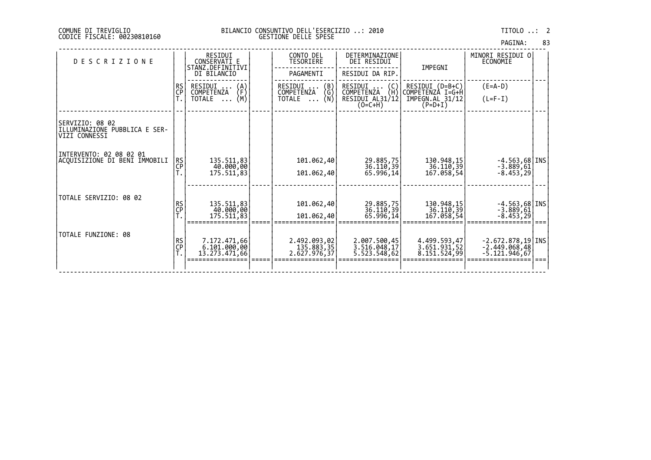| PAGINA: | 83 |
|---------|----|
|         |    |

| <b>DESCRIZIONE</b>                                                |                 | RESIDUI<br>CONSERVATI E<br>STANZ.DEFINITIVI<br>DI BILANCIO       | CONTO DEL<br>TESORIERE<br>PAGAMENTI                                                  | DETERMINAZIONE<br><b>DEI RESIDUI</b><br>RESIDUI DA RIP.             | IMPEGNI                                                             | MINORI RESIDUI 0<br>ECONOMIE                              |  |
|-------------------------------------------------------------------|-----------------|------------------------------------------------------------------|--------------------------------------------------------------------------------------|---------------------------------------------------------------------|---------------------------------------------------------------------|-----------------------------------------------------------|--|
|                                                                   | RS<br>CP        | RESIDUI<br>(A)<br>(F)<br>COMPETENZA<br>(M)<br>TOTALE<br>$\cdots$ | $\binom{B}{G}$<br>$RESIDUI$ <sub></sub> .<br>COMPETENZA<br>(N)<br>TOTALE<br>$\cdots$ | RESIDUI<br>(C)<br>≀H\<br>COMPETENZA<br>RESIDUI AL31/12<br>$(O=C+H)$ | RESIDUI (D=B+C)<br>COMPETENZÀ I=G+H<br>IMPEGN.AL 31/12<br>$(P=D+I)$ | $(E=A-D)$<br>$(L=F-I)$                                    |  |
| SERVIZIO: 08 02<br>ILLUMINAZIONE PUBBLICA E SER-<br>VIZI CONNESSI |                 |                                                                  |                                                                                      |                                                                     |                                                                     |                                                           |  |
| INTERVENTO: 02 08 02 01<br>ACQUISIZIONE DI BENI IMMOBILI          | <b>RS</b><br>CP | 135.511,83<br>40.000,00<br>175.511,83                            | 101.062,40<br>101.062,40                                                             | 29.885,75<br>36.110,39<br>65.996,14                                 | 130.948,15<br>36.110,39<br>167.058,54                               | $-4.563,68$   INS<br>$-3.889,61$<br>$-8.453,29$           |  |
| TOTALE SERVIZIO: 08 02                                            | RS<br>CP        | 135.511,83<br>40.000,00<br>175.511,83                            | 101.062,40<br>101.062,40                                                             | 29.885,75<br>36.110,39<br>65.996,14                                 | 130.948,15<br>36.110, 39<br>167.058,54                              | $-4.563,68$   INS<br>$-3.889,61$<br>$-8.453,29$           |  |
| TOTALE FUNZIONE: 08                                               | RS<br>CP<br>T.  | 7.172.471,66<br>6.101.000,00<br>13.273.471,66                    | 2.492.093,02<br>135.883,35<br>2.627.976,37                                           | 2.007.500,45<br>3.516.048,17<br>5.523.548,62                        | 4.499.593,47<br>3.651.931,52<br>8.151.524,99                        | $-2.672.878,19$ INS<br>$-2.449.068,48$<br>$-5.121.946,67$ |  |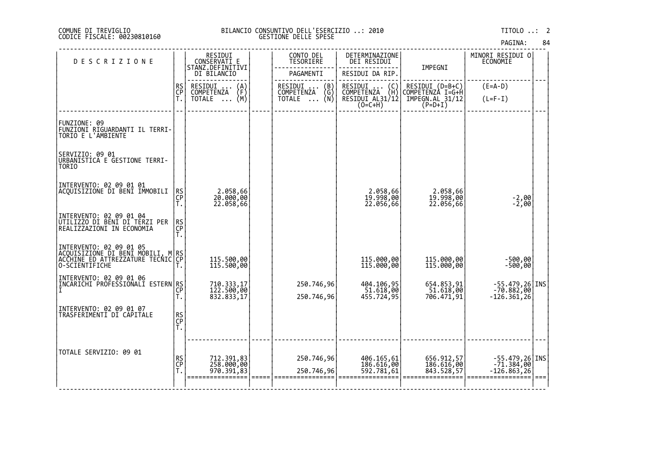| PAGINA: | 84 |
|---------|----|
|---------|----|

| <b>DESCRIZIONE</b>                                                                                                  |                | RESIDUI<br>CONSERVATI E<br>STANZ.DEFINITIVI | CONTO DEL<br>TESORIERE              | DETERMINAZIONE<br>DEI RESIDUI                    | IMPEGNI                                | MINORI RESIDUI 0<br><b>ECONOMIE</b>           |  |
|---------------------------------------------------------------------------------------------------------------------|----------------|---------------------------------------------|-------------------------------------|--------------------------------------------------|----------------------------------------|-----------------------------------------------|--|
|                                                                                                                     |                | DI BILANCIO                                 | PAGAMENTI                           | RESIDUI DA RIP.                                  |                                        |                                               |  |
|                                                                                                                     | RS<br>CP       | RESIDUI<br>$\binom{A}{F}$<br>COMPETENZA     | RESIDUI<br>(B)<br>COMPETENZA<br>(G) | RESIDUI (C)<br>COMPETENZA (H)<br>RESIDUI AL31/12 | RESIDUI (D=B+C)<br>COMPETENZÀ I=G+H    | $(E=A-D)$                                     |  |
|                                                                                                                     | Ť.             | (M)<br>TOTALE                               | ∵ (N)<br>TOTALE                     | $(0=C+H)$                                        | IMPEGN.AL_31/12<br>$(P=D+I)$           | $(L=F-I)$                                     |  |
|                                                                                                                     |                |                                             |                                     |                                                  |                                        |                                               |  |
| FUNZIONE: 09<br>FUNZIONI RIGUARDANTI IL TERRI-<br>TORIO E L'AMBIENTE                                                |                |                                             |                                     |                                                  |                                        |                                               |  |
| SERVIZIO: 09 01<br>URBANISTICA E GESTIONE TERRI-<br>TOR <sub>I0</sub>                                               |                |                                             |                                     |                                                  |                                        |                                               |  |
| INTERVENTO: 02 09 01 01<br>ACQUISIZIONE DI BENI IMMOBILI                                                            | RS<br>CP<br>Т. | 2.058,66<br>20.000,00<br>22.058,66          |                                     | 2.058,66<br>19.998,00<br>22.056,66               | 2.058,66<br>19.998,00<br>22.056,66     | $-2,00$<br>$-2,00$                            |  |
| INTERVENTO: 02 09 01 04<br>UTILIZZO DI BENI DI TERZI PER<br>REALIZZAZIONI IN ECONOMIA                               | RS<br>CP<br>Т. |                                             |                                     |                                                  |                                        |                                               |  |
| INTERVENTO: 02 09 01 05<br>ACQUISIZIONE DI BENI MOBILI, M RS<br>ACCHINE ED ATTREZZATURE TECNIC CP<br>O-SCIENTIFICHE |                | 115.500,00<br>115.500,00                    |                                     | 115.000,00<br>115.000,00                         | 115.000,00<br>115.000,00               | -500,00<br>-500,00                            |  |
| INTERVENTO: 02 09 01 06<br>INCARICHI PROFESSIONALI ESTERN RS                                                        | CP<br>T.       | 710.333,17<br>122.500,00<br>832.833,17      | 250.746,96<br>250.746,96            | 404.106,95<br>51.618,00<br>455.724,95            | 654.853,91<br>51.618,00<br>706.471,91  | -55.479,26 INS<br>-70.882,00<br>$-126.361,26$ |  |
| INTERVENTO: 02 09 01 07<br>TRASFERIMENTI DI CAPITALE                                                                | RS<br>CP<br>T. |                                             |                                     |                                                  |                                        |                                               |  |
| TOTALE SERVIZIO: 09 01                                                                                              | RS<br>CP<br>Ť. | 712.391,83<br>258.000,00<br>970.391,83      | 250.746,96<br>250.746,96            | 406.165,61<br>186.616,00<br>592.781,61           | 656.912,57<br>186.616,00<br>843.528,57 | -55.479,26 INS<br>-71.384,00<br>-126.863,26   |  |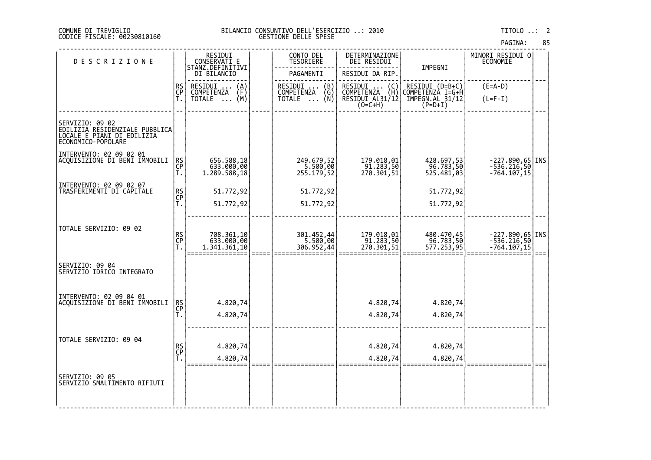## DI TREVIGLIO BILANCIO CONSUNTIVO DELL'ESERCIZIO ..: 2010 TITOLO ..: 2 FISCALE: 00230810160 GESTIONE DELLE SPESE

PAGINA: 85

| <b>DESCRIZIONE</b>                                                                                    |                | RESIDUI<br>CONSERVATI E                          | CONTO DEL<br><b>TESORIERE</b>        | DETERMINAZIONE<br>DEI RESIDUI                                          |                                                                                                                                         | MINORI RESIDUI 0<br>ECONOMIE                    |             |
|-------------------------------------------------------------------------------------------------------|----------------|--------------------------------------------------|--------------------------------------|------------------------------------------------------------------------|-----------------------------------------------------------------------------------------------------------------------------------------|-------------------------------------------------|-------------|
|                                                                                                       |                | STANZ.DEFINITIVI<br>DI BILANCIO                  | PAGAMENTI                            | RESIDUI DA RIP.                                                        | IMPEGNI                                                                                                                                 |                                                 |             |
|                                                                                                       | RS<br>CP       | RESIDUI .<br>$\binom{A}{F}$<br><b>COMPETENZA</b> | RESIDUI  (B)<br>COMPETENZA (G)       | RESIDUI<br>$\begin{pmatrix} C \\ H \end{pmatrix}$<br><b>COMPETENZA</b> | RESIDUI (D=B+C)<br>COMPETENZA I=G+H                                                                                                     | $(E=A-D)$                                       |             |
|                                                                                                       | Ť.             | (M)<br>TOTALE                                    | (Ñ)<br>TOTALE                        | RESIDUI AL31/12<br>(O=C+H)                                             | $\texttt{\small \textsf{IMPEGN.AL}}\substack{\textsf{31/12}}\begin{smallmatrix} \textsf{5}\ \textsf{P} \textsf{=D+1} \end{smallmatrix}$ | $(L=F-I)$                                       |             |
|                                                                                                       |                |                                                  |                                      |                                                                        |                                                                                                                                         |                                                 |             |
| SERVIZIO: 09 02<br>EDILIZIA RESIDENZIALE PUBBLICA<br>LOCALE E PIANI DI EDILIZIA<br>ECONOMICO-POPOLARE |                |                                                  |                                      |                                                                        |                                                                                                                                         |                                                 |             |
| INTERVENTO: 02 09 02 01<br> ACQUISIZIONE DI BENI IMMOBILI                                             |                |                                                  |                                      |                                                                        |                                                                                                                                         |                                                 |             |
|                                                                                                       | RS<br>CP<br>Т. | 656.588,18<br>633.000,00<br>1.289.588,18         | 249.679,52<br>5.500,00<br>255.179,52 | 179.018,01<br>91.283,50<br>270.301,51                                  | 428.697,53<br>96.783,50<br>525.481,03                                                                                                   | -227.890,65 INS <br>-536.216,50 <br>-764.107,15 |             |
| INTERVENTO: 02 09 02 07                                                                               |                |                                                  |                                      |                                                                        |                                                                                                                                         |                                                 |             |
| TRASFERIMENTI DI CAPITALE                                                                             | RS<br>CP       | 51.772,92                                        | 51.772,92                            |                                                                        | 51.772,92                                                                                                                               |                                                 |             |
|                                                                                                       | Ť.             | 51.772,92                                        | 51.772,92                            |                                                                        | 51.772,92                                                                                                                               |                                                 |             |
| TOTALE SERVIZIO: 09 02                                                                                |                |                                                  |                                      |                                                                        |                                                                                                                                         |                                                 |             |
|                                                                                                       | RS<br>CP<br>T. | 708.361,10                                       | 301.452,44<br>5.500,00<br>306.952,44 | 179.018,01<br>91.283,50<br>270.301,51                                  | 480.470,45<br>96.783,50<br>577.253,95                                                                                                   | -227.890,65 INS<br>-536.216,50<br>-764.107,15   |             |
|                                                                                                       |                | 633.000,00<br>1.341.361,10                       |                                      |                                                                        |                                                                                                                                         |                                                 | $=$ $=$ $=$ |
| SERVIZIO: 09 04<br>SERVIZIO IDRICO INTEGRATO                                                          |                |                                                  |                                      |                                                                        |                                                                                                                                         |                                                 |             |
| INTERVENTO: 02 09 04 01<br> ACQUISIZIONE DI BENI IMMOBILI                                             |                |                                                  |                                      |                                                                        |                                                                                                                                         |                                                 |             |
|                                                                                                       | RS<br>CP       | 4.820,74                                         |                                      | 4.820,74                                                               | 4.820,74                                                                                                                                |                                                 |             |
|                                                                                                       | Т.             | 4.820,74                                         |                                      | 4.820,74                                                               | 4.820,74                                                                                                                                |                                                 |             |
| TOTALE SERVIZIO: 09 04                                                                                |                |                                                  |                                      |                                                                        |                                                                                                                                         |                                                 |             |
|                                                                                                       | RS<br>CP<br>T. | 4.820,74                                         |                                      | 4.820,74                                                               | 4.820,74                                                                                                                                |                                                 |             |
|                                                                                                       |                | 4.820,74                                         |                                      | 4.820,74                                                               | 4.820,74                                                                                                                                |                                                 |             |
| SERVIZIO: 09 05<br>SERVIZIO SMALTIMENTO RIFIUTI                                                       |                |                                                  |                                      |                                                                        |                                                                                                                                         |                                                 |             |
|                                                                                                       |                |                                                  |                                      |                                                                        |                                                                                                                                         |                                                 |             |

‐‐‐‐‐‐‐‐‐‐‐‐‐‐‐‐‐‐‐‐‐‐‐‐‐‐‐‐‐‐‐‐‐‐‐‐‐‐‐‐‐‐‐‐‐‐‐‐‐‐‐‐‐‐‐‐‐‐‐‐‐‐‐‐‐‐‐‐‐‐‐‐‐‐‐‐‐‐‐‐‐‐‐‐‐‐‐‐‐‐‐‐‐‐‐‐‐‐‐‐‐‐‐‐‐‐‐‐‐‐‐‐‐‐‐‐‐‐‐‐‐‐‐‐‐‐‐‐‐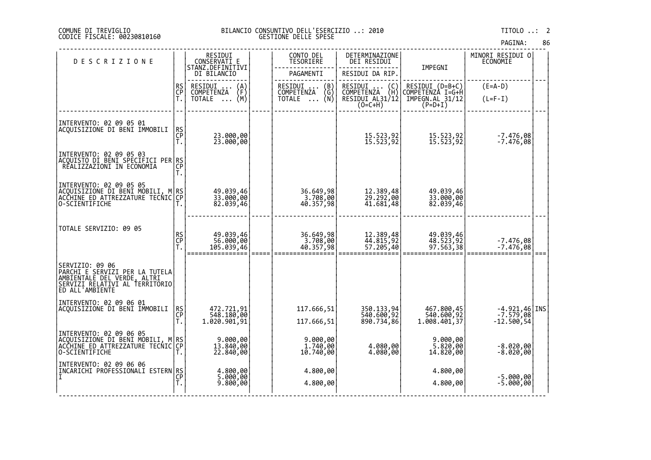## DI TREVIGLIO BILANCIO CONSUNTIVO DELL'ESERCIZIO ..: 2010 TITOLO ..: 2 FISCALE: 00230810160 GESTIONE DELLE SPESE

| <b>DESCRIZIONE</b>                                                                                                                     |                | RESIDUI<br>CONSERVATI E                                  | CONTO DEL<br>TESORIERE                                                      | DETERMINAZIONE<br>DEI RESIDUI                                    |                                                                     | MINORI RESIDUI 0<br>ECONOMIE                                                |  |
|----------------------------------------------------------------------------------------------------------------------------------------|----------------|----------------------------------------------------------|-----------------------------------------------------------------------------|------------------------------------------------------------------|---------------------------------------------------------------------|-----------------------------------------------------------------------------|--|
|                                                                                                                                        |                | STANZ.DEFINITIVI<br>DI BILANCIO                          | PAGAMENTI                                                                   | RESIDUI DA RIP.                                                  | IMPEGNI                                                             |                                                                             |  |
|                                                                                                                                        | RS<br>CP<br>Ť. | RESIDUI<br>$\binom{A}{F}$<br>COMPETENZA<br>(M)<br>TOTALE | RESIDUI<br>(B)<br>$\binom{G}{N}$<br>COMPETENZA<br><b>TOTALE</b><br>$\cdots$ | RESIDUI<br>(C)<br>COMPETENZA (H)<br>RESIDUI AL31/12<br>$(O=C+H)$ | RESIDUI (D=B+C)<br>COMPETENZA I=G+H<br>IMPEGN.AL 31/12<br>$(P=D+I)$ | $(E=A-D)$<br>$(L=F-I)$                                                      |  |
| INTERVENTO: 02 09 05 01<br>ACQUISIZIONE DI BENI IMMOBILI                                                                               | RS<br>CP<br>T. | 23.000,00<br>23.000,00                                   |                                                                             | 15.523,92<br>15.523,92                                           | 15.523,92<br>15.523,92                                              | -7.476,08<br>-7.476,08                                                      |  |
| INTERVENTO: 02 09 05 03<br> ACOUISTO DI BENI SPECIFICI PER RS <br> ACOUISTO DI BENI SPECONOMIA                                         | Т.             |                                                          |                                                                             |                                                                  |                                                                     |                                                                             |  |
| INTERVENTO: 02 09 05 05<br> ACQUISIZIONE DI BENI MOBILI, M RS <br> ACQUISIZIONE DI BENI MOBILI, M RS <br>O-SCIENTIFICHE                |                | 49.039,46<br>33.000,00<br>82.039,46                      | 36.649,98<br>3.708,00<br>40.357,98                                          | 12.389,48<br>29.292,00<br>41.681,48                              | 49.039,46<br>33.000,00<br>82.039,46                                 |                                                                             |  |
| TOTALE SERVIZIO: 09 05                                                                                                                 | RS<br>CP<br>T. | 49.039,46<br>56.000,00<br>105.039,46                     | 36.649,98<br>$3.708,00$<br>40.357,98                                        | 12.389,48<br>44.815,92<br>57.205,40                              | 49.039,46<br>48.523,92<br>97.563,38                                 | -7.476,08<br>-7.476,08                                                      |  |
| SERVIZIO: 09 06<br> PARCHI E SERVIZI PER LA TUTELA<br>AMBIENTALE DEL VERDE, ALTRI<br>SERVIZI RELATIVI AL TERRITORIO<br>ED ALL'AMBIENTE |                |                                                          |                                                                             |                                                                  |                                                                     |                                                                             |  |
| INTERVENTO: 02 09 06 01<br>ACQUISIZIONE DI BENI IMMOBILI                                                                               | ŖS<br>CP<br>Ť. | 472.721,91<br>548.180,00<br>1.020.901,91                 | 117.666,51<br>117.666,51                                                    | 350.133,94<br>540.600,92<br>890.734,86                           | 467.800,45<br>540.600,92<br>1.008.401,37                            | $\begin{bmatrix} -4.921, 46 \\ -7.579, 08 \\ -12.500, 54 \end{bmatrix}$ INS |  |
| INTERVENTO: 02 09 06 05<br>ACQUISIZIONE DI BENI MOBILI,<br>ACCHINE ED ATTREZZATURE TECNIC<br>O-SCIENTIFICHE                            | M RS<br>IC CP  | 9.000,00<br>13.840,00<br>22.840,00                       | 9.000,00<br>1.740,00<br>10.740,00                                           | 4.080,00<br>4.080,00                                             | 9.000,00<br>5.820,00<br>14.820,00                                   | $-8.020,00$<br>$-8.020,00$                                                  |  |
| INTERVENTO: 02 09 06 06<br>ĪNCĀRICHI PROFEŠSIONALI ESTERN RS<br>I                                                                      |                | 4.800,00<br>5.000,00<br>9.800,00                         | 4.800,00<br>4.800,00                                                        |                                                                  | 4.800,00<br>4.800,00                                                | $-5.000,00$<br>$-5.000,00$                                                  |  |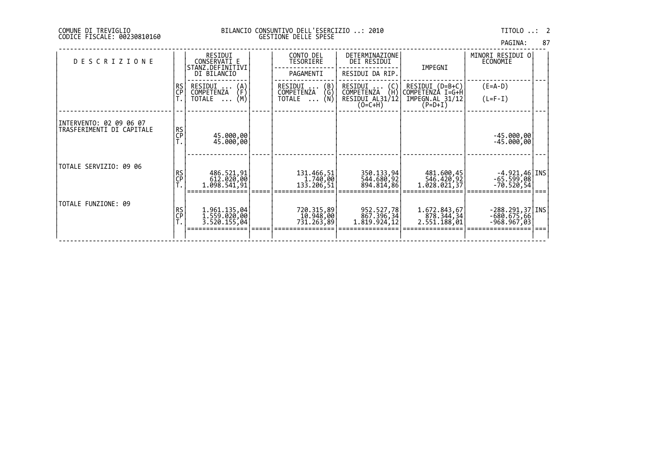| PAGINA: | 87 |
|---------|----|
|         |    |

| <b>DESCRIZIONE</b>                                   |          | RESIDUI<br>CONSERVATI E<br>STANZ.DEFINITIVI<br>DI BILANCIO       | CONTO DEL<br>TESORIERE<br>PAGAMENTI                  | DETERMINAZIONE<br>DEI RESIDUI<br>RESIDUI DA RIP.                           | IMPEGNI                                                             | MINORI RESIDUI O<br>ECONOMIE                        |  |
|------------------------------------------------------|----------|------------------------------------------------------------------|------------------------------------------------------|----------------------------------------------------------------------------|---------------------------------------------------------------------|-----------------------------------------------------|--|
|                                                      | RS<br>CP | RESIDUI<br>(A)<br>(F)<br>COMPETENZA<br>(M)<br>TOTALE<br>$\cdots$ | (B)<br>(G)<br>RESIDUI<br>COMPETENZA<br>(Ñ)<br>TOTALE | RESIDUI<br>(C)<br>(H)<br><b>COMPETENZA</b><br>RESIDUI AL31/12<br>$(O=C+H)$ | RESIDUI (D=B+C)<br>COMPETENZÀ I=G+H<br>IMPEGN.AL 31/12<br>$(P=D+I)$ | $(E=A-D)$<br>$(L=F-I)$                              |  |
| INTERVENTO: 02 09 06 07<br>TRASFERIMENTI DI CAPITALE | RS<br>CP | 45.000,00<br>45.000,00                                           |                                                      |                                                                            |                                                                     | $-45.000,00$<br>-45.000,00                          |  |
| TOTALE SERVIZIO: 09 06                               | RS<br>CP | 486.521,91<br>612.020,00<br>1.098.541,91                         | 131.466,51<br>1.740,00<br>133.206,51                 | 350.133,94<br>544.680,92<br>894.814,86                                     | 481.600,45<br>546.420,92<br>1.028.021,37                            | $-4.921, 46$   INS <br>$-65.599,08$<br>-70.520,54   |  |
| TOTALE FUNZIONE: 09                                  | RS<br>CP | 1.961.135,04<br>1.559.020,00<br>3.520.155,04                     | 720.315,89<br>10.948,00<br>731,263,89                | 952.527,78<br>867.396,34<br>1.819.924,12                                   | 1.672.843,67<br>878.344,34<br>2.551.188,01                          | $-288.291,37$   INS<br>$-680.675,66$<br>-968.967,03 |  |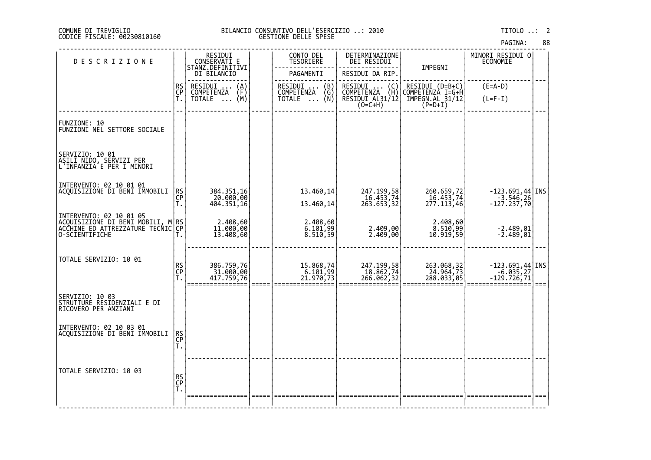# DI TREVIGLIO BILANCIO CONSUNTIVO DELL'ESERCIZIO ..: 2010 TITOLO ..: 2 FISCALE: 00230810160 GESTIONE DELLE SPESE

| <b>DESCRIZIONE</b>                                                                        |                | RESIDUI<br>CONSERVATI_E                 | CONTO DEL<br><b>TESORIERE</b>      | DETERMINAZIONE<br>DEI RESIDUI                                                        |                                                                                                                                         | MINORI RESIDUI 0<br>ECONOMIE                                                                                                                                           |      |
|-------------------------------------------------------------------------------------------|----------------|-----------------------------------------|------------------------------------|--------------------------------------------------------------------------------------|-----------------------------------------------------------------------------------------------------------------------------------------|------------------------------------------------------------------------------------------------------------------------------------------------------------------------|------|
|                                                                                           |                | STANZ.DEFINITIVI<br>DI BILANCIO         | PAGAMENTI                          | RESIDUI DA RIP.                                                                      | IMPEGNI                                                                                                                                 |                                                                                                                                                                        |      |
|                                                                                           | RS<br>CP<br>T. | RESIDUI<br>$\binom{A}{F}$<br>COMPETENZA | RESIDUI  (B)<br>COMPETENZA (G)     | RESIDUI<br>$\left(\begin{smallmatrix} C \\ H \end{smallmatrix}\right)$<br>COMPETENZA | RESIDUI (D=B+C)<br>COMPETENZÀ I=G+H                                                                                                     | $(E=A-D)$                                                                                                                                                              |      |
|                                                                                           |                | (M)<br>TOTALE<br>$\cdot$                | (Ñ)<br>TOTALE                      | RESIDUI AL31/12                                                                      | $\texttt{\small \textsf{IMPEGN.AL}}\substack{\textsf{31/12}}\begin{smallmatrix} \textsf{5}\ \textsf{P} \textsf{=D+1} \end{smallmatrix}$ | $(L=F-I)$                                                                                                                                                              |      |
| FUNZIONE: 10<br>FUNZIONI NEL SETTORE SOCIALE                                              |                |                                         |                                    |                                                                                      |                                                                                                                                         |                                                                                                                                                                        |      |
| SERVIZIO: 10 01<br> ASILI NIDO, SERVIZI PER<br> L'INFANZIA E PER I MINORI                 |                |                                         |                                    |                                                                                      |                                                                                                                                         |                                                                                                                                                                        |      |
| INTERVENTO: 02 10 01 01<br>ACQUISIZIONE DI BENI IMMOBILI                                  |                |                                         | 13.460,14                          |                                                                                      |                                                                                                                                         |                                                                                                                                                                        |      |
|                                                                                           | RS<br>CP<br>T. | 384.351,16<br>20.000,00<br>404.351,16   | 13.460,14                          | 247.199,58<br>16.453,74<br>263.653,32                                                | 260.659,72<br>16.453,74<br>277.113,46                                                                                                   | $-123.691,44$ INS<br>$-3.546,26$<br>$-127.237,70$                                                                                                                      |      |
| INTERVENTO: 02 10 01 05                                                                   |                |                                         |                                    |                                                                                      |                                                                                                                                         |                                                                                                                                                                        |      |
| ACQUISIZIONE DI BENI MOBILI, M RS<br> ACCHINE ED ATTREZZATURE TECNIC CP<br>O-SCIENTIFICHE |                | 2.408,60<br>11.000,00<br>13.408,60      | 2.408,60<br>6.101,99<br>8.510,59   | 2.409,00<br>2.409,00                                                                 | 2.408,60<br>8.510,99<br>10.919,59                                                                                                       | $-2.489,01$<br>$-2.489,01$                                                                                                                                             |      |
|                                                                                           |                |                                         |                                    |                                                                                      |                                                                                                                                         |                                                                                                                                                                        |      |
| TOTALE SERVIZIO: 10 01                                                                    |                |                                         |                                    |                                                                                      |                                                                                                                                         |                                                                                                                                                                        |      |
|                                                                                           | RS<br>CP<br>T. | 386.759,76<br>31.000,00<br>417.759,76   | 15.868,74<br>6.101,99<br>21.970,73 | 247.199,58<br>18.862,74<br>266.062,32                                                | 263.068,32<br>24.964,73<br>288.033,05                                                                                                   | $\left. \begin{array}{r} -123.691,44 \\ -6.035,27 \\ -129.726,71 \end{array} \right  \hspace{-1em} \left. \begin{array}{r} \text{INS} \\ \text{S} \end{array} \right $ |      |
| SERVIZIO: 10 03<br>STRUTTURE RESIDENZIALI E DI<br>RICOVERO PER ANZIANI                    |                |                                         |                                    |                                                                                      |                                                                                                                                         |                                                                                                                                                                        | $==$ |
| INTERVENTO: 02 10 03 01<br>ACQUISIZIONE DI BENI IMMOBILI                                  | RS<br>CP<br>Ť. |                                         |                                    |                                                                                      |                                                                                                                                         |                                                                                                                                                                        |      |
| TOTALE SERVIZIO: 10 03                                                                    | RS<br>CP<br>T. |                                         |                                    |                                                                                      |                                                                                                                                         |                                                                                                                                                                        |      |
|                                                                                           |                |                                         |                                    |                                                                                      |                                                                                                                                         |                                                                                                                                                                        |      |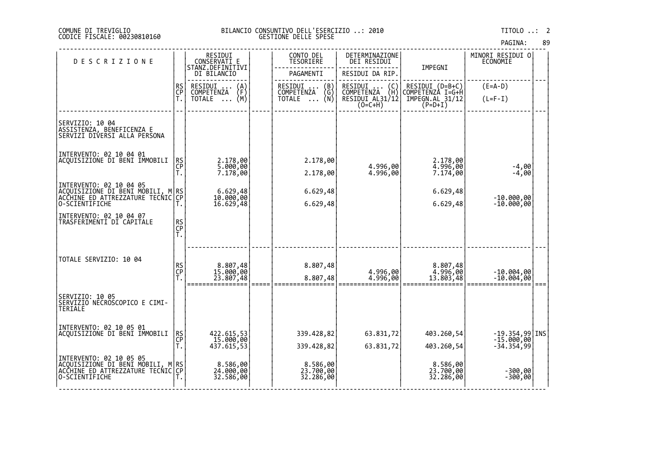## DI TREVIGLIO BILANCIO CONSUNTIVO DELL'ESERCIZIO ..: 2010 TITOLO ..: 2 FISCALE: 00230810160 GESTIONE DELLE SPESE

| <b>DESCRIZIONE</b>                                                                                  |                | RESIDUI<br>CONSERVATI E                                                                           | CONTO DEL<br>TESORIERE              | DETERMINAZIONE<br>DEI RESIDUI     |                                     | MINORI RESIDUI 0<br><b>ECONOMIE</b> |  |
|-----------------------------------------------------------------------------------------------------|----------------|---------------------------------------------------------------------------------------------------|-------------------------------------|-----------------------------------|-------------------------------------|-------------------------------------|--|
|                                                                                                     |                | STANZ.DEFINITIVI<br>DI BILANCIO                                                                   | PAGAMENTI                           | RESIDUI DA RIP.                   | IMPEGNI                             |                                     |  |
|                                                                                                     | RS<br>CP       | RESIDUI<br>$\binom{A}{F}$<br>COMPETENZA                                                           | RESIDUI<br>(B)<br>COMPETENZA<br>(Gʻ | RESIDUI<br>$\{C \}$<br>COMPETENZA | RESIDUI (D=B+C)<br>COMPETENZÀ I=G+H | $(E=A-D)$                           |  |
|                                                                                                     | Ť.             | (M)<br>TOTALE                                                                                     | (Ñ)<br><b>TOTALE</b><br>$\cdots$    | RESIDUI AL31/12<br>$(0=C+H)$      | IMPEGN.AL 31/12<br>$(P=D+I)$        | $(L=F-I)$                           |  |
|                                                                                                     |                |                                                                                                   |                                     |                                   |                                     |                                     |  |
| SERVIZIO: 10 04<br>ASSISTENZA, BENEFICENZA E<br>SERVIZI DIVERSI ALLA PERSONA                        |                |                                                                                                   |                                     |                                   |                                     |                                     |  |
| INTERVENTO: 02 10 04 01                                                                             |                |                                                                                                   |                                     |                                   |                                     |                                     |  |
| ACQUISIZIONE DI BENI IMMOBILI                                                                       | RS<br>CP<br>T. | 2.178,00<br>5.000,00                                                                              | 2.178,00                            | 4.996,00                          | 2.178,00<br>4.996,00                | $-4,00$                             |  |
|                                                                                                     |                | 7.178,00                                                                                          | 2.178,00                            | 4.996,00                          | 7.174,00                            | $-4,00$                             |  |
| INTERVENTO: 02 10 04 05<br> ACQUISIZIONE DI BENI MOBILI, M RS<br> ACCHINE ED ATTREZZATURE TECNIC CP |                | $6.629,48$<br>10.000,00                                                                           | 6.629,48                            |                                   | 6.629,48                            |                                     |  |
| 0-SCIENTIFICHE                                                                                      | Т.             | 16.629,48                                                                                         | 6.629,48                            |                                   | 6.629,48                            | $-10.000,00$<br>$-10.000,00$        |  |
| INTERVENTO: 02 10 04 07<br>TRASFERIMENTI DI CAPITALE                                                |                |                                                                                                   |                                     |                                   |                                     |                                     |  |
|                                                                                                     | RS<br>CP<br>T. |                                                                                                   |                                     |                                   |                                     |                                     |  |
|                                                                                                     |                |                                                                                                   |                                     |                                   |                                     |                                     |  |
| TOTALE SERVIZIO: 10 04                                                                              |                |                                                                                                   |                                     |                                   |                                     |                                     |  |
|                                                                                                     | RS<br>CP<br>T. | 8.807,48<br>15.000,00                                                                             | 8.807,48                            | 4.996,00                          | 8.807,48<br>4.996,00                | $-10.004,00$                        |  |
|                                                                                                     |                | 23.807,48                                                                                         | 8.807,48                            | 4.996,00                          | 13.803,48                           | $-10.004,00$                        |  |
| SERVIZIO: 10 05<br>SERVIZIO NECROSCOPICO E CIMI-<br>TERIALE                                         |                |                                                                                                   |                                     |                                   |                                     |                                     |  |
| INTERVENTO: 02 10 05 01                                                                             |                |                                                                                                   |                                     |                                   |                                     |                                     |  |
| ACOUISIZIONE DI BENI IMMOBILI                                                                       | RS<br>CP<br>T. | 422.615,53<br>15.000,00                                                                           | 339.428,82                          | 63.831,72                         | 403.260,54                          | $-19.354,99$ INS<br>$-15.000,00$    |  |
|                                                                                                     |                | $4\overline{3}\overline{7}\cdot\overline{6}\overline{1}\overline{5}\cdot\overline{5}\overline{3}$ | 339.428,82                          | 63.831,72                         | 403.260,54                          | $-34.354,99$                        |  |
| INTERVENTO: 02 10 05 05<br>ACQUISIZIONE DI BENI MOBILI, M RS<br>ACCHINE ED ATTREZZATURE TECNIC CP   |                | 8.586,00<br>24.000,00                                                                             | 8.586,00<br>23.700,00               |                                   |                                     |                                     |  |
| O-SCIENTIFICHE                                                                                      |                | 32.586,00                                                                                         | 32.286,00                           |                                   | 8.586,00<br>23.700,00<br>32.286,00  | $-300,00$<br>$-300,00$              |  |
|                                                                                                     |                |                                                                                                   |                                     |                                   |                                     |                                     |  |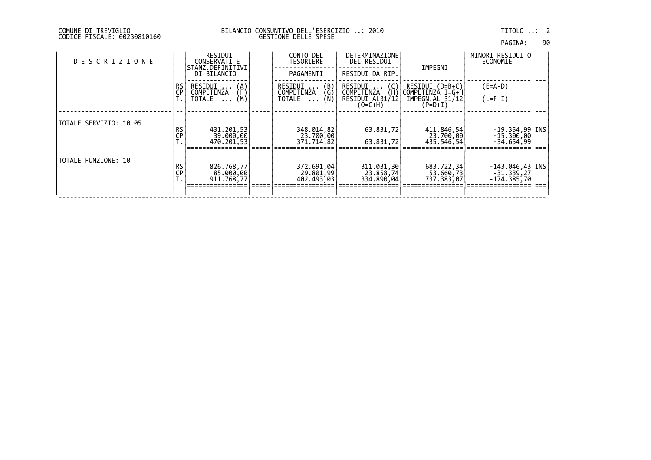| PAGINA: | 90 |
|---------|----|
|         |    |

| <b>DESCRIZIONE</b>     |                          | RESIDUI<br>CONSERVATI E<br>STANZ.DEFINITIVI | CONTO DEL<br>TESORIERE                                          | DETERMINAZIONE<br>DEI RESIDUI       | IMPEGNI                             | MINORI RESIDUI O<br>ECONOMIE         |  |
|------------------------|--------------------------|---------------------------------------------|-----------------------------------------------------------------|-------------------------------------|-------------------------------------|--------------------------------------|--|
|                        |                          | DI BILANCIO                                 | PAGAMENTI                                                       | RESIDUI DA RIP.                     |                                     |                                      |  |
|                        | RS<br>CP                 | RESIDUI<br>$\binom{A}{F}$<br>COMPETENZA     | $\begin{pmatrix} B \\ G \end{pmatrix}$<br>RESIDUI<br>COMPETENZA | RESIDUI<br>(C)<br>COMPETENZA<br>(H) | RESIDUI (D=B+C)<br>COMPETENZA I=G+H | $(E=A-D)$                            |  |
|                        |                          | (M)<br>TOTALE<br>$\cdots$                   | (Ñ)<br>TOTALE<br>$\cdots$                                       | RESIDUI AL31/12<br>$(O=C+H)$        | IMPEGN.AL 31/12<br>$(P=D+I)$        | $(L=F-I)$                            |  |
|                        |                          |                                             |                                                                 |                                     |                                     |                                      |  |
| TOTALE SERVIZIO: 10 05 | <b>RS</b>                | 431.201,53                                  | 348.014,82                                                      | 63.831,72                           | 411.846,54                          | $-19.354,99$   INS                   |  |
|                        | <u>CP</u>                | 39.000,00<br>470.201,53                     | 23.700,00<br>371,714,821                                        | 63.831,72                           | 23.700,001<br>435.546,541           | $-15.300,00$<br>-34.654,991          |  |
| TOTALE FUNZIONE: 10    |                          |                                             |                                                                 |                                     |                                     |                                      |  |
|                        | <b>RS</b><br>$C_{F}^{P}$ | 826.768,77<br>85.000,00                     | 372.691,04<br>29.801,99                                         | 311.031,30<br>23.858,74             | 683.722,34<br>53.660,73             | $-143.046, 43$   INS<br>$-31.339,27$ |  |
|                        |                          | 911,768,77                                  | 402.493,03                                                      | 334.890,04                          | 737.383,07                          | $-174.385,70$                        |  |
|                        |                          |                                             |                                                                 |                                     |                                     |                                      |  |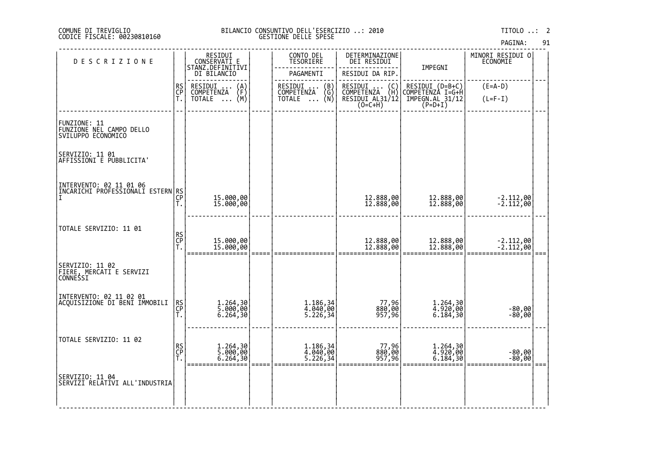## DI TREVIGLIO BILANCIO CONSUNTIVO DELL'ESERCIZIO ..: 2010 TITOLO ..: 2 FISCALE: 00230810160 GESTIONE DELLE SPESE

|  | PAGINA: |  | 91 |
|--|---------|--|----|
|--|---------|--|----|

| <b>DESCRIZIONE</b>                                                 |                | RESIDUI<br>CONSERVATI E<br>STANZ.DEFINITIVI | CONTO DEL<br>TESORIERE                        | DETERMINAZIONE<br>DEI RESIDUI                  | IMPEGNI                                                           | MINORI RESIDUI 0<br>ECONOMIE |  |
|--------------------------------------------------------------------|----------------|---------------------------------------------|-----------------------------------------------|------------------------------------------------|-------------------------------------------------------------------|------------------------------|--|
|                                                                    |                | DI BILANCIO                                 | PAGAMENTI                                     | RESIDUI DA RIP.                                |                                                                   |                              |  |
|                                                                    | RS<br>CP<br>T. | RESIDUI<br>COMPETENZA<br>$\binom{A}{F}$     | RESIDUI  (B)<br>COMPETENZA (G)<br>TOTALE  (N) | RESIDUI<br>$\binom{C}{H}$<br><b>COMPETENZA</b> |                                                                   | $(E=A-D)$                    |  |
|                                                                    |                | (M)<br><b>TOTALE</b><br>$\cdots$            |                                               | RESIDUI AL31/12                                | RESIDUI (D=B+C)<br>COMPETENZA I=G+H<br>IMPEGN.AL 31/12<br>(P=D+I) | $(L=F-I)$                    |  |
| FUNZIONE: 11<br>FUNZIONE NEL CAMPO DELLO<br>SVILUPPO ECONOMICO     |                |                                             |                                               |                                                |                                                                   |                              |  |
| SERVIZIO: 11 01<br> AFFISSIONI E PUBBLICITA'                       |                |                                             |                                               |                                                |                                                                   |                              |  |
| INTERVENTO: 02 11 01 06<br>INILIVLII PROFESSIONALI ESTERN RS<br> T |                |                                             |                                               | 12.888,00<br>12.888,00                         |                                                                   | $-2.112,00$<br>$-2.112,00$   |  |
|                                                                    | Т.             | 15.000,00<br>15.000,00                      |                                               |                                                | 12.888,00<br>12.888,00                                            |                              |  |
| TOTALE SERVIZIO: 11 01                                             |                |                                             |                                               |                                                |                                                                   |                              |  |
|                                                                    | RS<br>CP<br>T. | 15.000,00<br>15.000,00                      |                                               | 12.888,00<br>12.888,00                         | 12.888,00<br>12.888,00                                            | $-2.112,00$<br>$-2.112,00$   |  |
|                                                                    |                |                                             |                                               |                                                |                                                                   |                              |  |
| SERVIZIO: 11 02<br> FIERE, MERCATI E SERVIZI<br>CONNESSI           |                |                                             |                                               |                                                |                                                                   |                              |  |
| INTERVENTO: 02 11 02 01<br> ACQUISIZIONE DI BENI IMMOBILI          | RS<br>CP       |                                             | 1.186,34<br>4.040,00                          |                                                |                                                                   |                              |  |
|                                                                    | T.             | 1.264,30<br>5.000,00<br>6.264,30            | 5.226, 34                                     | 77,96<br>880,00<br>957,96                      | 1.264,30<br>4.920,00<br>6.184,30                                  | $-80,00$<br>$-80,00$         |  |
| TOTALE SERVIZIO: 11 02                                             |                |                                             |                                               |                                                |                                                                   |                              |  |
|                                                                    | RS<br>CP<br>T. | 1.264,30<br>5.000,00<br>6.264,30            | 1.186,34<br>4.040,00<br>5.226,34              | ,96, 77<br> 880, 88<br> 957, 96                | 1.264,30<br>4.920,00<br>6.184,30                                  | -80,00<br>-80,00             |  |
| <br> SERVIZIO: 11 04<br> SERVIZI RELATIVI ALL'INDUSTRIA            |                |                                             |                                               |                                                |                                                                   |                              |  |
|                                                                    |                |                                             |                                               |                                                |                                                                   |                              |  |

‐‐‐‐‐‐‐‐‐‐‐‐‐‐‐‐‐‐‐‐‐‐‐‐‐‐‐‐‐‐‐‐‐‐‐‐‐‐‐‐‐‐‐‐‐‐‐‐‐‐‐‐‐‐‐‐‐‐‐‐‐‐‐‐‐‐‐‐‐‐‐‐‐‐‐‐‐‐‐‐‐‐‐‐‐‐‐‐‐‐‐‐‐‐‐‐‐‐‐‐‐‐‐‐‐‐‐‐‐‐‐‐‐‐‐‐‐‐‐‐‐‐‐‐‐‐‐‐‐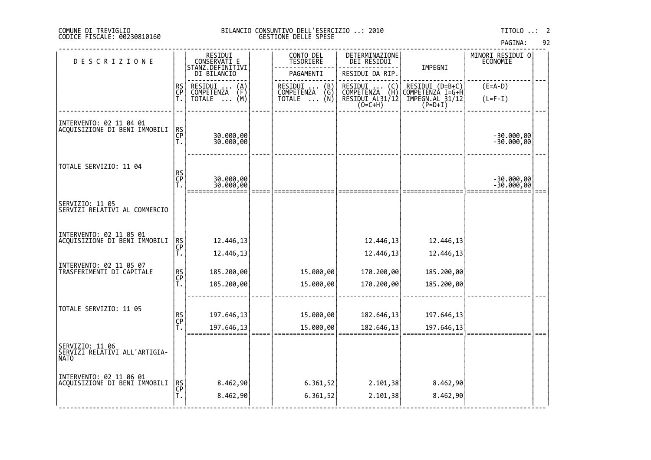## COMUNE DI TREVIGLIO BILANCIO CONSUNTIVO DELL'ESERCIZIO ..: 2010 TITOLO ..: 2 CODICE FISCALE: 00230810160 GESTIONE DELLE SPESE

|                                                                 |                |                                             |                                  |                                                                 |                                                                                      | <b>PAULIVA.</b>              |  |
|-----------------------------------------------------------------|----------------|---------------------------------------------|----------------------------------|-----------------------------------------------------------------|--------------------------------------------------------------------------------------|------------------------------|--|
| DESCRIZIONE                                                     |                | RESIDUI<br>CONSERVATI E<br>STANZ.DEFINITIVI | CONTO DEL<br>TESORIERE           | DETERMINAZIONE<br>DEI RESIDUI                                   | IMPEGNI                                                                              | MINORI RESIDUI O<br>ECONOMIE |  |
|                                                                 |                | DI BILANCIO                                 | PAGAMENTI                        | RESIDUI DA RIP.                                                 |                                                                                      |                              |  |
|                                                                 | RS<br>CP<br>T. | RESIDUI<br>COMPETENZA<br>(A)<br>(F)         | RESIDUI<br>COMPETENZA<br>$\{B\}$ |                                                                 | RESIDUI (D=B+C)<br>COMPETENZA I=G+H                                                  | $(E=A-D)$                    |  |
|                                                                 |                | (M)<br>TOTALE                               | ิ (N)<br>TOTALE                  | C)<br>UMPETĒNZA (H)<br>RESIDUI AL31/12<br>(O=C+H)<br>C=C=C=C+H) | $\texttt{\small \textsf{IMPEGN.AL}}\substack{\textsf{31/12}}\limits(\textsf{P=D+I})$ | $(L=F-I)$                    |  |
| INTERVENTO: 02 11 04 01<br>ACQUISIZIONE DI BENI IMMOBILI        | RS<br>CP<br>T. | 30.000,00<br>30.000,00                      |                                  |                                                                 |                                                                                      | -30.000,00<br>-30.000,00     |  |
|                                                                 |                |                                             |                                  |                                                                 |                                                                                      |                              |  |
| TOTALE SERVIZIO: 11 04                                          | RS<br>CP<br>T. | 30.000,00                                   |                                  |                                                                 |                                                                                      | $-30.000,00$                 |  |
|                                                                 |                | 30.000,00                                   |                                  |                                                                 |                                                                                      | $-30.000,00$                 |  |
| SERVIZIO: 11 05<br>SERVIZI RELATIVI AL COMMERCIO                |                |                                             |                                  |                                                                 |                                                                                      |                              |  |
| INTERVENTO: 02 11 05 01                                         |                |                                             |                                  |                                                                 |                                                                                      |                              |  |
| ACQUISIZIONE DI BENI IMMOBILI                                   | RS<br>CP<br>T. | 12.446,13<br>12.446,13                      |                                  | 12.446,13<br>12.446,13                                          | 12.446,13<br>12.446,13                                                               |                              |  |
| INTERVENTO: 02 11 05 07<br>TRASFERIMENTI DI CAPITALE            |                | 185.200,00                                  | 15.000,00                        | 170.200,00                                                      | 185.200,00                                                                           |                              |  |
|                                                                 | RS<br>CP<br>T. | 185.200,00                                  | 15.000,00                        | 170.200,00                                                      | 185.200,00                                                                           |                              |  |
|                                                                 |                |                                             |                                  |                                                                 |                                                                                      |                              |  |
| TOTALE SERVIZIO: 11 05                                          | RS<br>CP<br>T. | 197.646,13                                  | 15.000,00                        | 182.646,13                                                      | 197.646,13                                                                           |                              |  |
|                                                                 |                | 197.646,13                                  | 15.000,00                        | 182.646,13                                                      | 197.646,13                                                                           |                              |  |
| SERVIZIO: 11 06<br>SERVIZI RELATIVI ALL'ARTIGIA-<br><b>NATO</b> |                |                                             |                                  |                                                                 |                                                                                      |                              |  |
| INTERVENTO: 02 11 06 01<br>ACQUISIZIONE DI BENI IMMOBILI        |                | 8.462,90                                    | 6.361,52                         | 2.101,38                                                        | 8.462,90                                                                             |                              |  |
|                                                                 | RS<br>CP<br>T. | 8.462,90                                    | 6.361,52                         | 2.101,38                                                        | 8.462,90                                                                             |                              |  |
|                                                                 |                |                                             |                                  |                                                                 |                                                                                      |                              |  |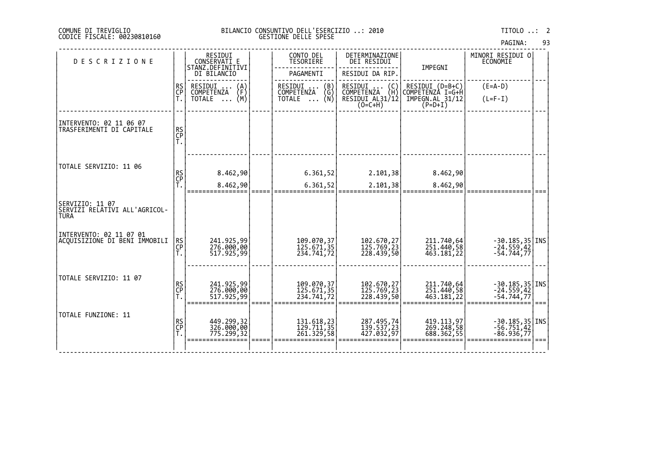| PAGINA: | 93 |  |
|---------|----|--|
|---------|----|--|

| <b>DESCRIZIONE</b>                                              |                | RESIDUI<br>CONSERVATI E<br>STANZ.DEFINITIVI | CONTO DEL<br><b>TESORIERE</b>                                   | DETERMINAZIONE<br>DEI RESIDUI                                  | IMPEGNI                                                | MINORI RESIDUI O<br>ECONOMIE                        |      |
|-----------------------------------------------------------------|----------------|---------------------------------------------|-----------------------------------------------------------------|----------------------------------------------------------------|--------------------------------------------------------|-----------------------------------------------------|------|
|                                                                 |                | DI BILANCIO                                 | PAGAMENTI                                                       | RESIDUI DA RIP.                                                |                                                        |                                                     |      |
|                                                                 | RS<br>CP       | RESIDUI<br>COMPETENZA<br>$\binom{A}{F}$     | RESIDUI<br>COMPETENZA<br>$\begin{pmatrix} B \\ G \end{pmatrix}$ |                                                                | RESIDUI (D=B+C)<br>COMPETENZA I=G+H                    | $(E=A-D)$                                           |      |
|                                                                 |                | (M)<br>TOTALE<br>$\cdots$                   | (N)<br>TOTALE                                                   | RESIDUI  (C)<br>COMPETENZA (H)<br>RESIDUI AL31/12<br>$(0=C+H)$ | $\text{IMPEGN.AL}$ $\overline{31/12}$ $(\text{P=D+I})$ | $(L=F-I)$                                           |      |
| INTERVENTO: 02 11 06 07                                         |                |                                             |                                                                 |                                                                |                                                        |                                                     |      |
| TRASFERIMENTI DI CAPITALE                                       | RS<br>CP<br>T. |                                             |                                                                 |                                                                |                                                        |                                                     |      |
|                                                                 |                |                                             |                                                                 |                                                                |                                                        |                                                     |      |
| TOTALE SERVIZIO: 11 06                                          |                | 8.462,90                                    | 6.361,52                                                        | 2.101,38                                                       | 8.462,90                                               |                                                     |      |
|                                                                 | RS<br>CP<br>T. | 8.462,90                                    | 6.361,52                                                        | 2.101,38                                                       | 8.462,90                                               |                                                     |      |
|                                                                 |                |                                             |                                                                 |                                                                |                                                        |                                                     |      |
| SERVIZIO: 11 07<br>SERVIZI RELATIVI ALL'AGRICOL-<br><b>TURA</b> |                |                                             |                                                                 |                                                                |                                                        |                                                     |      |
| INTERVENTO: 02 11 07 01<br>ACQUISIZIONE DI BENI IMMOBILI        |                |                                             |                                                                 |                                                                |                                                        |                                                     |      |
|                                                                 | RS<br>CP<br>T. | 241.925,99<br>276.000,00<br>517.925,99      | 109.070,37<br>125.671,35<br>234.741,72                          | 102.670,27<br>125.769,23<br>228.439,50                         | 211.740,64<br>251.440,58<br>463.181,22                 | $-30.185, 35$ TNS<br>$-24.559, 42$<br>$-54.744, 77$ |      |
|                                                                 |                |                                             |                                                                 |                                                                |                                                        |                                                     |      |
| TOTALE SERVIZIO: 11 07                                          |                | 241.925,99                                  |                                                                 |                                                                | 211.740,64                                             |                                                     |      |
|                                                                 | RS<br>CP<br>Ť. | 276.000,00<br>517.925,99                    | 109.070, 37<br>125.671, 35<br>234.741,72                        | 102.670,27<br>125.769,23<br>228.439,50                         | 251.440,58<br>463.181,22                               | $-30.185, 35$ TNS<br>$-24.559, 42$<br>$-54.744, 77$ |      |
| TOTALE FUNZIONE: 11                                             |                |                                             |                                                                 |                                                                |                                                        |                                                     | $==$ |
|                                                                 | RS<br>CP       | 449.299,32<br>326.000,00<br>775.299,32      | 131.618,23<br>129.711,35<br>261.329,58                          | 287.495,74<br>139.537,23                                       | 419.113,97<br>269.248,58                               | $-30.185, 35$ INS<br>$-56.751, 42$                  |      |
|                                                                 | Ť.             |                                             |                                                                 | 427.032,97                                                     | 688.362,55                                             | $-86.936,77$                                        |      |
|                                                                 |                |                                             |                                                                 |                                                                |                                                        |                                                     |      |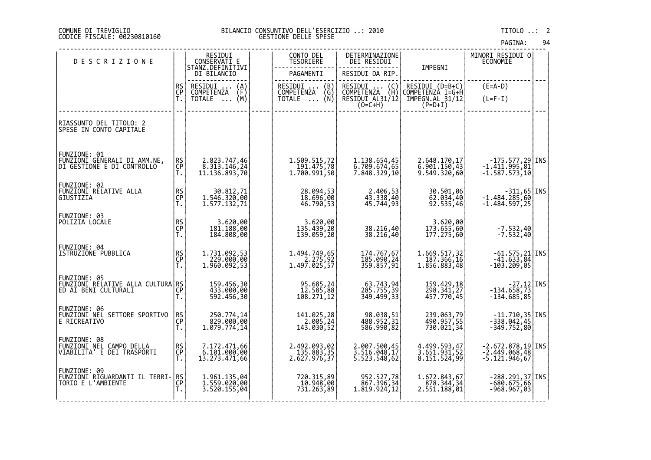## DI TREVIGLIO BILANCIO CONSUNTIVO DELL'ESERCIZIO ..: 2010 TITOLO ..: 2 FISCALE: 00230810160 GESTIONE DELLE SPESE

| <b>DESCRIZIONE</b>                                                                     |                       | RESIDUI<br>CONSERVATI E                        | CONTO DEL<br><b>TESORIERE</b>                                         | DETERMINAZIONE<br>DEI RESIDUI                                                                             |                                              | MINORI RESIDUI O<br>ECONOMIE                                               |  |
|----------------------------------------------------------------------------------------|-----------------------|------------------------------------------------|-----------------------------------------------------------------------|-----------------------------------------------------------------------------------------------------------|----------------------------------------------|----------------------------------------------------------------------------|--|
|                                                                                        |                       | STANZ.DEFINITIVI<br>DI BILANCIO                | PAGAMENTI                                                             | RESIDUI DA RIP.                                                                                           | IMPEGNI                                      |                                                                            |  |
|                                                                                        | RS<br>CP              | RESIDUI<br>$\binom{A}{F}$<br><b>COMPETENZA</b> | RESIDUI  (B)<br>COMPETENZA (G)                                        | RESIDUI<br>$\left\{ \begin{smallmatrix} \mathsf{C} \ \mathsf{H} \end{smallmatrix} \right\}$<br>COMPETENZA | RESIDUI (D=B+C)<br>COMPETENZA I=G+H          | $(E=A-D)$                                                                  |  |
|                                                                                        | Ť.                    | TOTALE $\ldots$ (M)                            | (Ñ)<br>TOTALE                                                         | RESIDUI AL31/12<br>$(O=C+H)$                                                                              | IMPEGN.AL 31/12<br>(P=D+I)                   | $(L=F-I)$                                                                  |  |
| RIASSUNTO DEL TITOLO: 2<br>SPESE IN CONTO CAPITALE                                     |                       |                                                |                                                                       |                                                                                                           |                                              |                                                                            |  |
| FUNZIONE: 01<br>FUNZIONI GENERALI DI AMM.NE,<br>DI GESTIONE E DI CONTROLLO             | RS<br>CP<br>Ť.        | 2.823.747,46<br>8.313.146,24<br>11.136.893,70  | 1.509.515,72<br>191.475,78<br>1,700.991,50                            | 1.138.654,45<br>6.709.674,65<br>7.848.329,10                                                              | 2.648.170,17<br>6.901.150,43<br>9.549.320,60 | $-175.577,29$ INS<br>$-1.411.995,81$<br>$-1.587.573,10$                    |  |
| FUNZIONE: 02<br>FUNZIONI RELATIVE ALLA<br>GIUSTIZIA                                    | RS<br>CP<br>Ť.        | 30.812,71<br>1.546.320,00<br>1.577.132,71      | 28.094,53<br>18.696,00<br>46.790,53                                   | 2.406,53<br>43.338,40<br>45.744,93                                                                        | 30.501,06<br>62.034,40<br>92.535,46          | $-311,65$ INS<br>-1.484.285,60<br>$-1.484.597,25$                          |  |
| FUNZIONE: 03<br>POLIZIA LOCALE                                                         | RS<br>CP<br>T.        | 3.620,00<br>181.188,00<br>184.808,00           | 3.620,00<br>135.439,20<br>139.059,20                                  | 38.216,40<br>38.216,40                                                                                    | 3.620,00<br>173.655,60<br>177.275,60         | $-7.532,40$<br>$-7.532,40$                                                 |  |
| FUNZIONE: 04<br>ISTRUZIONE PUBBLICA                                                    | RS<br>CP<br>T.        | 1.731.092,53<br>$229.000,000$<br>1.960.092,53  | 1.494.749,65<br>$2.275,92$<br>1.497.025,57                            | 174.767,67<br>185.090,24<br>359.857,91                                                                    | 1.669.517,32<br>187.366,16<br>1.856.883,48   | $-61.575,21$ INS<br>-41.633,84<br>-103.209,05                              |  |
| FUNZIONE: 05<br> EUNZIONI RELATIVE ALLA CULTURA RS <br> CP                             | T.                    | 159.456,30<br>433.000,00<br>592.456,30         | 95.685,24<br>12.585,88<br>108.271,12                                  | 63.743,94<br>285.755,39<br>349.499,33                                                                     | 159.429,18<br>298.341,27<br>457.770,45       | $\begin{bmatrix} -27,12 \\ -134.658,73 \end{bmatrix}$ INS<br>$-134.685,85$ |  |
| FUNZIONE: 06<br>FUNZIONI NEL SETTORE SPORTIVO<br>E RICREATIVO                          | RS<br>CP<br>Ť.        | 250.774,14<br>829.000,00<br>1.079.774,14       | 141.025,28<br>$\begin{array}{c} 2.005, 24 \\ 143.030, 52 \end{array}$ | 98.038,51<br>488.952,31<br>586.990,82                                                                     | 239.063,79<br>490.957,55<br>730.021,34       | 11.710,35<br>  1NS -338.042,45<br>  349.752,80                             |  |
| FUNZIONE: 08<br>FUNZIONI NEL CAMPO DELLA<br>VIABILITA' E DEI TRASPORTI                 | <b>RS</b><br>CP<br>T. | 7.172.471,66<br>6.101.000,00<br>13.273.471,66  | 2.492.093,02<br>$135.883, 35$<br>2.627.976,37                         | 2.007.500,45<br>3.516.048,17<br>5.523.548,62                                                              | 4.499.593,47<br>3.651.931,52<br>8.151.524,99 | $-2.672.878,19$ INS<br>-2.449.068,48<br>-5.121.946,67                      |  |
| FUNZIONE: 09<br><u> FUNZIONI RIGUARDAN</u> TI IL TERRI- <b> </b><br>TORIO E L'AMBIENTE | RS<br>CP<br>Ť.        | 1.961.135,04<br>1.559.020,00<br>3.520.155,04   | 720.315,89<br>10.948,00<br>731.263,89                                 | 952.527,78<br>867.396,34<br>1.819.924,12                                                                  | 1.672.843,67<br>878.344,34<br>2.551.188,01   | $-288.291,37$ INS<br>$-680.675,66$<br>$-968.967,03$                        |  |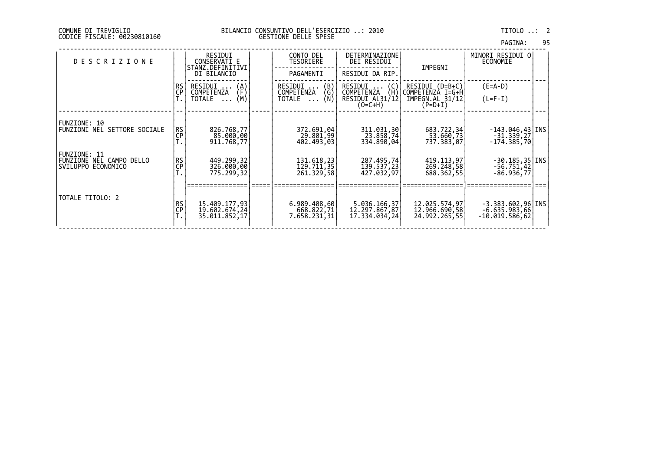| PAGINA: | 95 |
|---------|----|
|         |    |

| <b>DESCRIZIONE</b>                                  |                        | RESIDUI<br>CONSERVATI E<br>STANZ.DEFINITIVI      | CONTO DEL<br>TESORIERE                     | DETERMINAZIONE<br>DEI RESIDUI                  | IMPEGNI                                         | MINORI RESIDUI O <br>ECONOMIE                            |  |
|-----------------------------------------------------|------------------------|--------------------------------------------------|--------------------------------------------|------------------------------------------------|-------------------------------------------------|----------------------------------------------------------|--|
|                                                     |                        | DI BILANCIO                                      | PAGAMENTI                                  | RESIDUI DA RIP.                                |                                                 |                                                          |  |
|                                                     | RS<br>CP               | RESIDUI<br>$\binom{A}{F}$<br>COMPETENZA          | $\binom{B}{G}$<br>RESIDUI<br>COMPETENZA    | (C)<br>RESIDUI<br>(H)<br>COMPETENZA            | RESIDUI (D=B+C)<br>COMPETENZÀ I=G+H             | $(E=A-D)$                                                |  |
|                                                     |                        | (M)<br>TOTALE<br>$\cdots$                        | (N)<br>TOTALE<br>$\cdots$                  | RESIDUI AL31/12<br>$(O=C+H)$                   | IMPEGN.AL 31/12<br>$(P=D+I)$                    | $(L=F-I)$                                                |  |
|                                                     |                        |                                                  |                                            |                                                |                                                 |                                                          |  |
| FUNZIONE: 10<br><b>FUNZIONI NEL SETTORE SOCIALE</b> | <b>RS</b><br><b>CP</b> | 826.768,77<br>85.000,00<br>911.768,77            | 372.691,04<br>29.801,99<br>402.493,03      | 311.031,30<br>23.858,74<br>334.890,04          | 683.722,34<br>53.660,73<br>737.383,071          | $-143.046, 43$   INS<br>$-31.339,27$<br>$-174.385,70$    |  |
|                                                     |                        |                                                  |                                            |                                                |                                                 |                                                          |  |
| FUNZIONE NEL CAMPO DELLO<br>SVILUPPO ECONOMICO      | RS<br>CP               | 449.299,32<br>326.000,00                         | 131.618,23<br>129.711,35                   | 287.495,74<br>139.537,23                       | 419.113,97<br>269.248,58                        | $-30.185, 35$   INS<br>$-56.751,42$                      |  |
|                                                     |                        |                                                  |                                            |                                                |                                                 |                                                          |  |
| TOTALE TITOLO: 2                                    | RS<br>CP               | 15.409.177,93<br>19.602.674,24<br>35.011.852, 17 | 6.989.408,60<br>668.822,71<br>7.658.231,31 | 5.036.166,37<br>12.297.867,87<br>17.334.034,24 | 12.025.574,97<br>12.966.690,58<br>24.992.265,55 | $-3.383.602,96$ INS<br>$-6.635.983,66$<br>-10.019.586,62 |  |
| FUNZIONE: 11                                        |                        | 775.299,32                                       | 261.329,58                                 | 427.032,97                                     | 688.362,55                                      | $-86.936,77$                                             |  |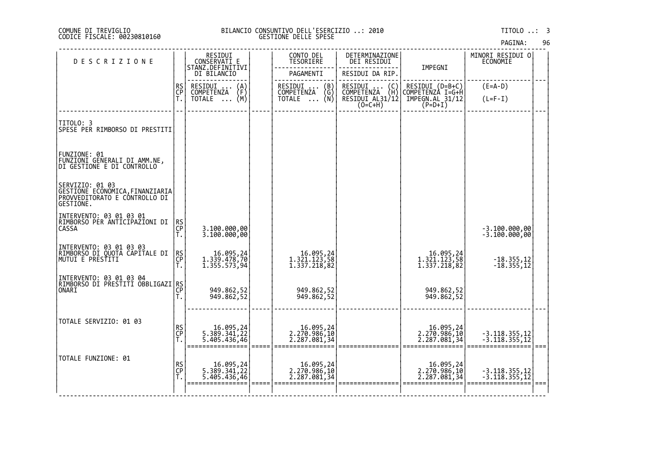# DI TREVIGLIO BILANCIO CONSUNTIVO DELL'ESERCIZIO ..: 2010 TITOLO ..: 3 FISCALE: 00230810160 GESTIONE DELLE SPESE

| <b>DESCRIZIONE</b>                                                                               |                | RESIDUI<br>CONSERVATI E                                        | CONTO DEL<br><b>TESORIERE</b>                                                         | DETERMINAZIONE<br>DEI RESIDUI                                                                                        |                                                                       | MINORI RESIDUI O<br>ECONOMIE   |  |
|--------------------------------------------------------------------------------------------------|----------------|----------------------------------------------------------------|---------------------------------------------------------------------------------------|----------------------------------------------------------------------------------------------------------------------|-----------------------------------------------------------------------|--------------------------------|--|
|                                                                                                  |                | STANZ.DEFINITIVI<br>DI BILANCIO                                | PAGAMENTI                                                                             | RESIDUI DA RIP.                                                                                                      | IMPEGNI                                                               |                                |  |
|                                                                                                  | RS<br>CP<br>Ť. | RESIDUI<br>$\binom{A}{F}$<br>COMPETENZA<br>TOTALE $\ldots$ (M) | RESIDUI<br>$\begin{pmatrix} B \\ G \\ N \end{pmatrix}$<br><b>COMPETENZA</b><br>TOTALE | RESIDUI<br>$\left(\begin{smallmatrix} C \\ H \end{smallmatrix}\right)$<br>COMPETENZA<br>RESIDUI AL31/12<br>$(O=C+H)$ | RESIDUI (D=B+C)<br> COMPETENZA I=G+H<br> IMPEGN.AL_31/12<br>$(P=D+I)$ | $(E=A-D)$<br>$(L=F-I)$         |  |
| TITOLO: 3<br>SPESE PER RIMBORSO DI PRESTITI                                                      |                |                                                                |                                                                                       |                                                                                                                      |                                                                       |                                |  |
| FUNZIONE: 01<br>FUNZIONI GENERALI DI AMM.NE,<br>DI GESTIONE E DI CONTROLLO                       |                |                                                                |                                                                                       |                                                                                                                      |                                                                       |                                |  |
| SERVIZIO: 01 03<br>GESTIONE ECONOMICA, FINANZIARIA<br>PROVVEDITORATO E CÔNTROLLO DI<br>GESTIONE. |                |                                                                |                                                                                       |                                                                                                                      |                                                                       |                                |  |
| INTERVENTO: 03 01 03 01<br>RIMBORSO PER ANTICIPAZIONI DI<br><b>CASSA</b>                         | RS<br>CP<br>Т. | 3.100.000,00<br>3.100.000,00                                   |                                                                                       |                                                                                                                      |                                                                       | -3.100.000,00<br>-3.100.000,00 |  |
| INTERVENTO: 03 01 03 03<br> RIMBORSO DI QUOTA CAPITALE DI<br> MUTUI E PRESŤITI                   | RS<br>CP<br>Ť. | 16.095,24<br>1.339.478,70<br>1.355.573,94                      | 16.095,24<br>1.321.123,58<br>1.337.218,82                                             |                                                                                                                      | 16.095,24<br>1.321.123,58<br>1.337.218,82                             | $-18.355, 12$<br>$-18.355, 12$ |  |
| INTERVENTO: 03 01 03 04<br> RIMBORSO DI PRESTITI OBBLIGAZI RS <br> CP                            | T.             | 949.862,52<br>949.862,52                                       | 949.862,52<br>949.862,52                                                              |                                                                                                                      | 949.862,52<br>949.862,52                                              |                                |  |
| TOTALE SERVIZIO: 01 03                                                                           | RS<br>CP<br>T. | 16.095,24<br>5.389.341,22<br>5.405.436,46                      | 16.095,24<br>2.270.986,10<br>2.287.081,34                                             |                                                                                                                      | 16.095,24<br>2.270.986,10<br>2.287.081,34                             | -3.118.355,12<br>-3.118.355,12 |  |
| TOTALE FUNZIONE: 01                                                                              | RS<br>CP<br>T. | 16.095,24<br>5.389.341,22<br>5.405.436,46                      | 16.095,24<br>2.270.986,10<br>2.287.081,34                                             |                                                                                                                      | 16.095,24<br>2.270.986,10<br>2.287.081,34                             | -3.118.355,12<br>-3.118.355,12 |  |
|                                                                                                  |                |                                                                |                                                                                       |                                                                                                                      |                                                                       |                                |  |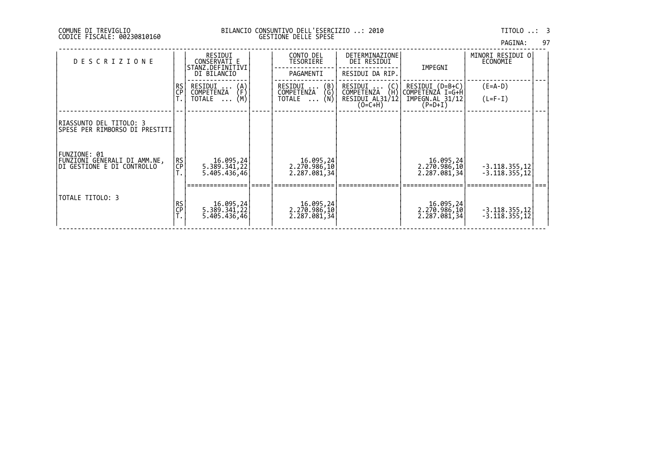| PAGINA: | 97 |
|---------|----|
|         |    |

| <b>DESCRIZIONE</b>                                                         |           | RESIDUI<br>CONSERVATI E<br>STANZ.DEFINITIVI    | CONTO DEL<br>TESORIERE                       | <b>DETERMINAZIONE</b><br>DEI RESIDUI              | IMPEGNI                                          | MINORI RESIDUI O<br>ECONOMIE       |  |
|----------------------------------------------------------------------------|-----------|------------------------------------------------|----------------------------------------------|---------------------------------------------------|--------------------------------------------------|------------------------------------|--|
|                                                                            |           | DI BILANCIO                                    | PAGAMENTI                                    | RESIDUI DA RIP.                                   |                                                  |                                    |  |
|                                                                            | RS<br>CP  | RESIDUI<br>$\{A\}$                             | $\binom{B}{G}$<br>RESIDUI                    | $RESIDUI$ $(C)$                                   | RESIDUI (D=B+C)                                  | $(E=A-D)$                          |  |
|                                                                            |           | COMPETENZA<br>(M)<br>TOTALE<br>$\ddots$        | COMPETENZA<br>(N)<br>TOTALE                  | (H)<br>COMPETENZA<br>RESIDUI AL31/12<br>$(O=C+H)$ | COMPETENZÀ I=G+H<br>IMPEGN.AL 31/12<br>$(P=D+I)$ | $(L=F-I)$                          |  |
| RIASSUNTO DEL TITOLO: 3<br>SPESE PER RIMBORSO DI PRESTITI                  |           |                                                |                                              |                                                   |                                                  |                                    |  |
| FUNZIONE: 01<br>FUNZIONI GENERALI DI AMM.NE,<br>DI GESTIONE E DI CONTROLLO | RS.<br>CP | 24, 16.095<br> 22, 5.389.341<br>5.405.436,46   | 2, 16.095<br> 2, 270.986, 10<br>2.287.081,34 |                                                   | [16.095, 24]<br>2.270.986,10<br>2.287.081,34     | $-3.118.355,12$<br>$-3.118.355,12$ |  |
| TOTALE TITOLO: 3                                                           | RS<br>CP  | 24, 16.095<br> 22, 141, 158, 5<br>5.405.436,46 | 16.095,24<br> 2.270.986,10<br> 2.287.081,34  |                                                   | 16.095,24<br> 2.270.986,10<br> 2.287.081,34      | $-3.118.355,12$<br>$-3.118.355,12$ |  |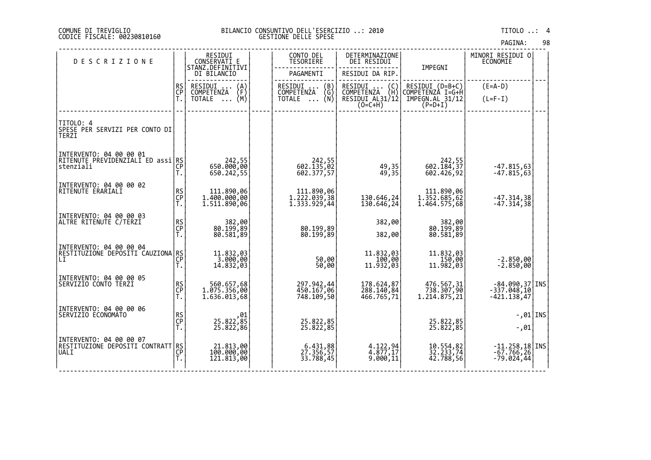## DI TREVIGLIO BILANCIO CONSUNTIVO DELL'ESERCIZIO ..: 2010 TITOLO ..: 4 FISCALE: 00230810160 GESTIONE DELLE SPESE

| <b>DESCRIZIONE</b>                                   |                | RESIDUI<br>CONSERVATI E                    | CONTO DEL<br>TESORIERE                     | DETERMINAZIONE<br>DEI RESIDUI                  |                                            | MINORI RESIDUI 0<br>ECONOMIE  |  |
|------------------------------------------------------|----------------|--------------------------------------------|--------------------------------------------|------------------------------------------------|--------------------------------------------|-------------------------------|--|
|                                                      |                | STĀNZ DEFINĪTĪVI<br>DI BILANCIO            | PAGAMENTI                                  | RESIDUI DA RIP.                                | IMPEGNI                                    |                               |  |
|                                                      | RS<br>CP       | RESIDUI<br>$\binom{A}{F}$<br>COMPETENZA    | RESIDUI<br>$\binom{B}{G}$<br>COMPETENZA    | RESIDUI<br>$\binom{C}{H}$<br><b>COMPETENZA</b> | RESIDUI (D=B+C)<br>COMPETENZÀ I=G+H        | $(E=A-D)$                     |  |
|                                                      |                | $\overline{NOTALE} \dots (M)$              | TOTALE $\ldots$ (N)                        | RESIDUI AL31/12<br>$(0=C+H)$                   | IMPEGN.AL 31/12<br>$(P=D+I)$               | $(L=F-I)$                     |  |
|                                                      |                |                                            |                                            |                                                |                                            |                               |  |
| TITOLO: 4<br>SPESE PER SERVIZI PER CONTO DI<br>TERZI |                |                                            |                                            |                                                |                                            |                               |  |
| INTERVENTO: 04 00 00 01                              |                |                                            |                                            |                                                |                                            |                               |  |
| RÎTENUTE PREVIDENZIĂLI ED assi RS<br> stenziali      | T.             | 55, 242<br>650.000, 650<br>650.242,55      | 242,55<br>602.135,02<br>602.377,57         | 49, 35<br>49, 35                               | 242,55<br>602.184,37<br>602.426,92         | $-47.815,63$<br>$-47.815,63$  |  |
| INTERVENTO: 04 00 00 02                              |                |                                            |                                            |                                                |                                            |                               |  |
| RITENUTE ERARIALI                                    | RS<br>CP       | 111.890,06<br>1.400.000,00<br>1.511.890,06 | 111.890,06<br>1.222.039,38<br>1.333.929,44 | 130.646,24                                     | 111.890,06<br>1.352.685,62<br>1.464.575,68 | $-47.314,38$                  |  |
|                                                      | Ť.             |                                            |                                            | 130.646,24                                     |                                            | $-47.314,38$                  |  |
| INTERVENTO: 04 00 00 03<br>ALTRE RITENUTE C/TERZI    |                | 80, 382, 89<br>89, 199, 89                 |                                            | 382,00                                         | 80, 382, 89<br>89, 199, 89                 |                               |  |
|                                                      | RS<br>CP<br>T. | 80.581,89                                  | 80.199,89<br>80.199,89                     | 382,00                                         | 80.581,89                                  |                               |  |
| INTERVENTO: 04 00 00 04                              |                |                                            |                                            |                                                | 11.832,03                                  |                               |  |
| RËSTÎTUZIONE DEPOSITI CAUZIONA RS<br> LI<br> T.      |                | 11.832,03<br>3.000,00<br>14.832,03         | 50,00<br>50,00                             | 11.832,03<br>100,00<br>11.932,03               | $11.982,00$<br>11.982,03                   | $-2.850,00$<br>$-2.850,00$    |  |
|                                                      |                |                                            |                                            |                                                |                                            |                               |  |
| INTERVENTO: 04 00 00 05<br> SERVIZIO CONTO TERZI     | RS<br>CP       | 560.657,68<br>1.075.356,00                 | 297.942,44<br>450.167,06                   | 178.624,87<br>288.140,84                       | 476.567,31<br>738.307,90                   | -84.090,37 INS<br>-337.048,10 |  |
|                                                      | Ť.             | 1.636.013,68                               | 748.109,50                                 | 466.765,71                                     | 1.214.875,21                               | $-421.138,47$                 |  |
| INTERVENTO: 04 00 00 06<br> SERVIZIO ECONOMATO       |                |                                            |                                            |                                                |                                            | $-0.01$ INS                   |  |
|                                                      | RS<br>CP<br>T. | 01,<br>85,822,85<br>25.822,86              | 25.822,85<br>25.822,85                     |                                                | 25.822,85<br>25.822,85                     | $-0.01$                       |  |
| INTERVENTO: 04 00 00 07                              |                | 21.813,00                                  |                                            |                                                |                                            | $-11.258,18$ INS              |  |
| RESTITUZIŎNE ŎEPŎSĬŤI ĆONTRATT RS<br> UALI<br> CP    |                | 100.000,00<br>121.813,00                   | 6.431,88<br>27.356,57<br>33.788,45         | 4.122,94<br>4.877,17<br>9.000,11               | 10.554,82<br>32.233,74<br>42.788,56        | $-67.766, 26$<br>$-79.024,44$ |  |
|                                                      |                |                                            |                                            |                                                |                                            |                               |  |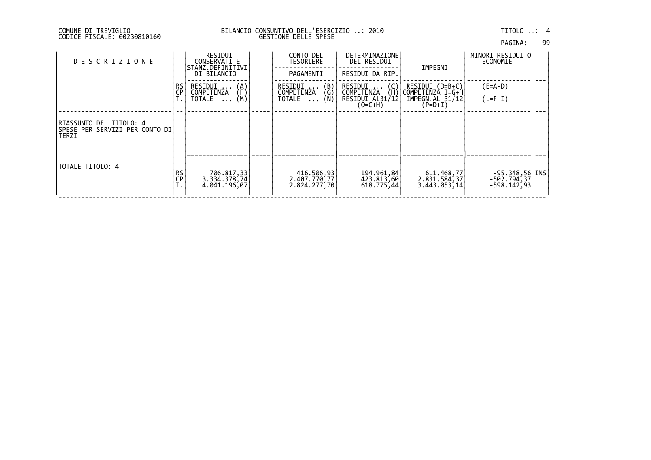|  | PAGINA: | 99 |
|--|---------|----|
|  |         |    |

| <b>DESCRIZIONE</b>                                                    |          | RESIDUI<br>CONSERVATI E<br>STANZ.DEFINITIVI       | CONTO DEL<br>TESORIERE                                                           | DETERMINAZIONE<br>DEI RESIDUI                           | IMPEGNI                                                                                             | MINORI RESIDUI OI<br>ECONOMIE                     |  |
|-----------------------------------------------------------------------|----------|---------------------------------------------------|----------------------------------------------------------------------------------|---------------------------------------------------------|-----------------------------------------------------------------------------------------------------|---------------------------------------------------|--|
|                                                                       |          | DI BILANCIO                                       | PAGAMENTI                                                                        | RESIDUI DA RIP.                                         |                                                                                                     |                                                   |  |
|                                                                       | RS<br>CP | RESIDUI<br>$\{A\}$<br>COMPETENZA<br>(M)<br>TOTALE | $\begin{pmatrix} B \\ G \end{pmatrix}$<br>RESIDUI<br>COMPETENZA<br>(N)<br>TOTALE | $RESIDUI$ $(C)$<br>(H)<br>COMPETENZA<br>RESIDUI AL31/12 | RESIDUI (D=B+C)<br>COMPETENZÀ I=G+H<br>IMPEGN.AL 31/12                                              | $(E=A-D)$<br>$(L=F-I)$                            |  |
|                                                                       |          |                                                   |                                                                                  | $(O=C+H)$                                               | $(P=D+I)$                                                                                           |                                                   |  |
| IRIASSUNTO DEL TITOLO: 4<br> SPESE PER SERVIZI PER CONTO DI <br>TERZI |          |                                                   |                                                                                  |                                                         |                                                                                                     |                                                   |  |
|                                                                       |          |                                                   |                                                                                  |                                                         |                                                                                                     |                                                   |  |
| TOTALE TITOLO: 4                                                      | RS<br>CP | 706.817,33<br>3.334.378,74<br>4.041.196,07        | 416.506,93<br>2.407.770,77<br>2.824.277,70                                       | 194.961,84<br>423.813,60<br>618.775,44                  | 611.468,77<br>$2.\overline{8}\overline{3}\overline{1}.5\overline{8}\overline{4};37$<br>3.443.053,14 | $-95.348,56$ [INS]<br>-502.794,37 <br>-598.142,93 |  |